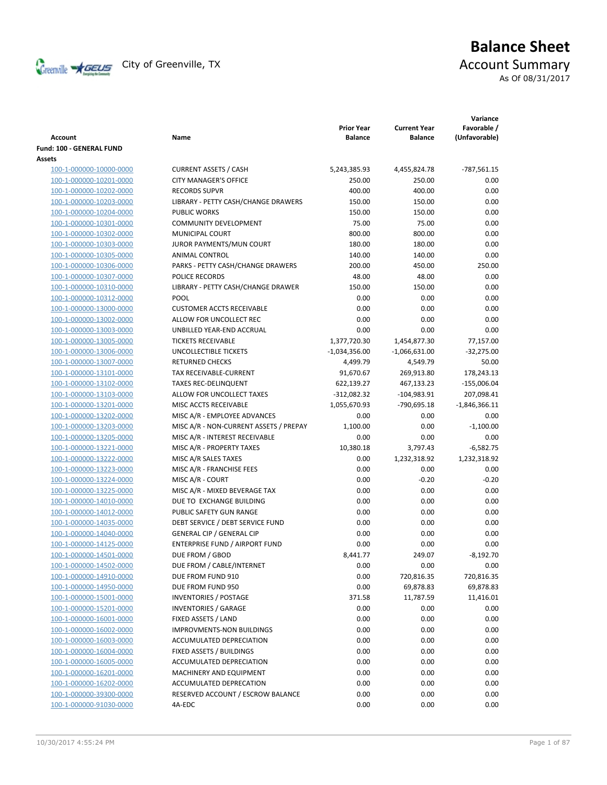

# **Balance Sheet** Creenville  $\star$  GEUS</del> City of Greenville, TX **ACCOUNT** Summary

As Of 08/31/2017

| Account                                            | Name                                                        | <b>Prior Year</b><br><b>Balance</b> | <b>Current Year</b><br><b>Balance</b> | Variance<br>Favorable /<br>(Unfavorable) |
|----------------------------------------------------|-------------------------------------------------------------|-------------------------------------|---------------------------------------|------------------------------------------|
| Fund: 100 - GENERAL FUND                           |                                                             |                                     |                                       |                                          |
| Assets                                             |                                                             |                                     |                                       |                                          |
| 100-1-000000-10000-0000                            | <b>CURRENT ASSETS / CASH</b>                                | 5,243,385.93                        | 4,455,824.78                          | $-787,561.15$                            |
| 100-1-000000-10201-0000                            | <b>CITY MANAGER'S OFFICE</b>                                | 250.00                              | 250.00                                | 0.00                                     |
| 100-1-000000-10202-0000                            | <b>RECORDS SUPVR</b>                                        | 400.00                              | 400.00                                | 0.00                                     |
| 100-1-000000-10203-0000                            | LIBRARY - PETTY CASH/CHANGE DRAWERS                         | 150.00                              | 150.00                                | 0.00                                     |
| 100-1-000000-10204-0000                            | <b>PUBLIC WORKS</b>                                         | 150.00                              | 150.00                                | 0.00                                     |
| 100-1-000000-10301-0000                            | <b>COMMUNITY DEVELOPMENT</b>                                | 75.00                               | 75.00                                 | 0.00                                     |
| 100-1-000000-10302-0000                            | <b>MUNICIPAL COURT</b>                                      | 800.00                              | 800.00                                | 0.00                                     |
| 100-1-000000-10303-0000                            | JUROR PAYMENTS/MUN COURT                                    | 180.00                              | 180.00                                | 0.00                                     |
| 100-1-000000-10305-0000                            | ANIMAL CONTROL                                              | 140.00                              | 140.00                                | 0.00                                     |
| 100-1-000000-10306-0000                            | PARKS - PETTY CASH/CHANGE DRAWERS                           | 200.00                              | 450.00                                | 250.00                                   |
| 100-1-000000-10307-0000                            | POLICE RECORDS                                              | 48.00                               | 48.00                                 | 0.00                                     |
| 100-1-000000-10310-0000                            | LIBRARY - PETTY CASH/CHANGE DRAWER                          | 150.00                              | 150.00                                | 0.00                                     |
| 100-1-000000-10312-0000                            | POOL                                                        | 0.00                                | 0.00                                  | 0.00                                     |
| 100-1-000000-13000-0000                            | <b>CUSTOMER ACCTS RECEIVABLE</b>                            | 0.00                                | 0.00                                  | 0.00                                     |
| 100-1-000000-13002-0000                            | ALLOW FOR UNCOLLECT REC                                     | 0.00                                | 0.00                                  | 0.00                                     |
| 100-1-000000-13003-0000                            | UNBILLED YEAR-END ACCRUAL                                   | 0.00                                | 0.00                                  | 0.00                                     |
| 100-1-000000-13005-0000                            | <b>TICKETS RECEIVABLE</b>                                   | 1,377,720.30                        | 1,454,877.30                          | 77,157.00                                |
| 100-1-000000-13006-0000                            | UNCOLLECTIBLE TICKETS                                       | $-1,034,356.00$                     | $-1,066,631.00$                       | $-32,275.00$                             |
| 100-1-000000-13007-0000                            | <b>RETURNED CHECKS</b>                                      | 4,499.79                            | 4,549.79                              | 50.00                                    |
| 100-1-000000-13101-0000                            | TAX RECEIVABLE-CURRENT                                      | 91,670.67                           | 269,913.80                            | 178,243.13                               |
| 100-1-000000-13102-0000                            | <b>TAXES REC-DELINQUENT</b>                                 | 622,139.27                          | 467,133.23                            | $-155,006.04$                            |
| 100-1-000000-13103-0000                            | ALLOW FOR UNCOLLECT TAXES                                   | $-312,082.32$                       | $-104,983.91$                         | 207,098.41                               |
| 100-1-000000-13201-0000                            | MISC ACCTS RECEIVABLE                                       | 1,055,670.93                        | -790,695.18                           | $-1,846,366.11$                          |
| 100-1-000000-13202-0000                            | MISC A/R - EMPLOYEE ADVANCES                                | 0.00                                | 0.00                                  | 0.00                                     |
| 100-1-000000-13203-0000                            | MISC A/R - NON-CURRENT ASSETS / PREPAY                      | 1,100.00                            | 0.00                                  | $-1,100.00$                              |
| 100-1-000000-13205-0000                            | MISC A/R - INTEREST RECEIVABLE                              | 0.00                                | 0.00                                  | 0.00                                     |
| 100-1-000000-13221-0000                            | MISC A/R - PROPERTY TAXES                                   | 10,380.18                           | 3,797.43                              | $-6,582.75$                              |
| 100-1-000000-13222-0000                            | MISC A/R SALES TAXES                                        | 0.00                                | 1,232,318.92                          | 1,232,318.92                             |
| 100-1-000000-13223-0000                            | MISC A/R - FRANCHISE FEES                                   | 0.00                                | 0.00                                  | 0.00                                     |
| 100-1-000000-13224-0000                            | MISC A/R - COURT                                            | 0.00                                | $-0.20$                               | $-0.20$                                  |
| 100-1-000000-13225-0000                            | MISC A/R - MIXED BEVERAGE TAX                               | 0.00                                | 0.00                                  | 0.00                                     |
| 100-1-000000-14010-0000                            | DUE TO EXCHANGE BUILDING                                    | 0.00                                | 0.00                                  | 0.00                                     |
| 100-1-000000-14012-0000                            | PUBLIC SAFETY GUN RANGE<br>DEBT SERVICE / DEBT SERVICE FUND | 0.00                                | 0.00                                  | 0.00                                     |
| 100-1-000000-14035-0000                            | <b>GENERAL CIP / GENERAL CIP</b>                            | 0.00<br>0.00                        | 0.00<br>0.00                          | 0.00<br>0.00                             |
| 100-1-000000-14040-0000<br>100-1-000000-14125-0000 | ENTERPRISE FUND / AIRPORT FUND                              | 0.00                                | 0.00                                  | 0.00                                     |
| 100-1-000000-14501-0000                            | DUE FROM / GBOD                                             | 8,441.77                            | 249.07                                | $-8,192.70$                              |
| 100-1-000000-14502-0000                            | DUE FROM / CABLE/INTERNET                                   | 0.00                                | 0.00                                  | 0.00                                     |
| 100-1-000000-14910-0000                            | DUE FROM FUND 910                                           | 0.00                                | 720,816.35                            | 720,816.35                               |
| 100-1-000000-14950-0000                            | DUE FROM FUND 950                                           | 0.00                                | 69,878.83                             | 69,878.83                                |
| 100-1-000000-15001-0000                            | <b>INVENTORIES / POSTAGE</b>                                | 371.58                              | 11,787.59                             | 11,416.01                                |
| 100-1-000000-15201-0000                            | <b>INVENTORIES / GARAGE</b>                                 | 0.00                                | 0.00                                  | 0.00                                     |
| 100-1-000000-16001-0000                            | FIXED ASSETS / LAND                                         | 0.00                                | 0.00                                  | 0.00                                     |
| 100-1-000000-16002-0000                            | <b>IMPROVMENTS-NON BUILDINGS</b>                            | 0.00                                | 0.00                                  | 0.00                                     |
| 100-1-000000-16003-0000                            | ACCUMULATED DEPRECIATION                                    | 0.00                                | 0.00                                  | 0.00                                     |
| 100-1-000000-16004-0000                            | FIXED ASSETS / BUILDINGS                                    | 0.00                                | 0.00                                  | 0.00                                     |
| 100-1-000000-16005-0000                            | <b>ACCUMULATED DEPRECIATION</b>                             | 0.00                                | 0.00                                  | 0.00                                     |
| 100-1-000000-16201-0000                            | MACHINERY AND EQUIPMENT                                     | 0.00                                | 0.00                                  | 0.00                                     |
| 100-1-000000-16202-0000                            | ACCUMULATED DEPRECATION                                     | 0.00                                | 0.00                                  | 0.00                                     |
| 100-1-000000-39300-0000                            | RESERVED ACCOUNT / ESCROW BALANCE                           | 0.00                                | 0.00                                  | 0.00                                     |
| 100-1-000000-91030-0000                            | 4A-EDC                                                      | 0.00                                | 0.00                                  | 0.00                                     |
|                                                    |                                                             |                                     |                                       |                                          |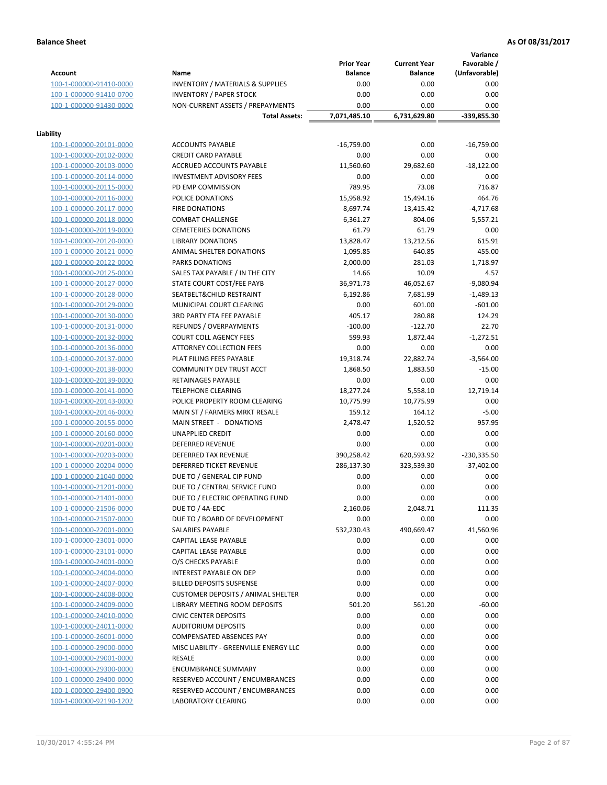# **Balance Sheet As Of 08/31/2017 As Of 08/31/2017**

**Variance**

|                                                    |                                                  | <b>Prior Year</b> | <b>Current Year</b> | , un iunice<br>Favorable / |
|----------------------------------------------------|--------------------------------------------------|-------------------|---------------------|----------------------------|
| <b>Account</b>                                     | Name                                             | <b>Balance</b>    | <b>Balance</b>      | (Unfavorable)              |
| 100-1-000000-91410-0000                            | <b>INVENTORY / MATERIALS &amp; SUPPLIES</b>      | 0.00              | 0.00                | 0.00                       |
| 100-1-000000-91410-0700                            | <b>INVENTORY / PAPER STOCK</b>                   | 0.00              | 0.00                | 0.00                       |
| 100-1-000000-91430-0000                            | NON-CURRENT ASSETS / PREPAYMENTS                 | 0.00              | 0.00                | 0.00                       |
|                                                    | <b>Total Assets:</b>                             | 7,071,485.10      | 6,731,629.80        | -339,855.30                |
| Liability                                          |                                                  |                   |                     |                            |
| 100-1-000000-20101-0000                            | <b>ACCOUNTS PAYABLE</b>                          | $-16,759.00$      | 0.00                | $-16,759.00$               |
| 100-1-000000-20102-0000                            | <b>CREDIT CARD PAYABLE</b>                       | 0.00              | 0.00                | 0.00                       |
| 100-1-000000-20103-0000                            | ACCRUED ACCOUNTS PAYABLE                         | 11,560.60         | 29,682.60           | $-18,122.00$               |
| 100-1-000000-20114-0000                            | <b>INVESTMENT ADVISORY FEES</b>                  | 0.00              | 0.00                | 0.00                       |
| 100-1-000000-20115-0000                            | PD EMP COMMISSION                                | 789.95            | 73.08               | 716.87                     |
| 100-1-000000-20116-0000                            | POLICE DONATIONS                                 | 15,958.92         | 15,494.16           | 464.76                     |
| 100-1-000000-20117-0000                            | <b>FIRE DONATIONS</b>                            | 8,697.74          | 13,415.42           | $-4,717.68$                |
| 100-1-000000-20118-0000                            | <b>COMBAT CHALLENGE</b>                          | 6,361.27          | 804.06              | 5,557.21                   |
| 100-1-000000-20119-0000                            | <b>CEMETERIES DONATIONS</b>                      | 61.79             | 61.79               | 0.00                       |
| 100-1-000000-20120-0000                            | <b>LIBRARY DONATIONS</b>                         | 13,828.47         | 13,212.56           | 615.91                     |
| 100-1-000000-20121-0000                            | ANIMAL SHELTER DONATIONS                         | 1,095.85          | 640.85              | 455.00                     |
| 100-1-000000-20122-0000                            | PARKS DONATIONS                                  | 2,000.00          | 281.03              | 1,718.97                   |
| 100-1-000000-20125-0000                            | SALES TAX PAYABLE / IN THE CITY                  | 14.66             | 10.09               | 4.57                       |
| 100-1-000000-20127-0000                            | STATE COURT COST/FEE PAYB                        | 36,971.73         | 46,052.67           | $-9,080.94$                |
| 100-1-000000-20128-0000                            | SEATBELT&CHILD RESTRAINT                         | 6,192.86          | 7,681.99            | $-1,489.13$                |
| 100-1-000000-20129-0000                            | MUNICIPAL COURT CLEARING                         | 0.00              | 601.00              | $-601.00$                  |
| 100-1-000000-20130-0000                            | <b>3RD PARTY FTA FEE PAYABLE</b>                 | 405.17            | 280.88              | 124.29                     |
| 100-1-000000-20131-0000                            | <b>REFUNDS / OVERPAYMENTS</b>                    | $-100.00$         | $-122.70$           | 22.70                      |
| 100-1-000000-20132-0000                            | <b>COURT COLL AGENCY FEES</b>                    | 599.93            | 1,872.44            | $-1,272.51$                |
| 100-1-000000-20136-0000                            | <b>ATTORNEY COLLECTION FEES</b>                  | 0.00              | 0.00                | 0.00                       |
| 100-1-000000-20137-0000                            | PLAT FILING FEES PAYABLE                         | 19,318.74         | 22,882.74           | $-3,564.00$                |
| 100-1-000000-20138-0000                            | COMMUNITY DEV TRUST ACCT                         | 1,868.50          | 1,883.50            | $-15.00$                   |
| 100-1-000000-20139-0000                            | RETAINAGES PAYABLE                               | 0.00              | 0.00                | 0.00                       |
| 100-1-000000-20141-0000                            | <b>TELEPHONE CLEARING</b>                        | 18,277.24         | 5,558.10            | 12,719.14                  |
| 100-1-000000-20143-0000                            | POLICE PROPERTY ROOM CLEARING                    | 10,775.99         | 10,775.99           | 0.00                       |
| 100-1-000000-20146-0000                            | MAIN ST / FARMERS MRKT RESALE                    | 159.12            | 164.12              | $-5.00$                    |
| 100-1-000000-20155-0000                            | MAIN STREET - DONATIONS                          | 2,478.47          | 1,520.52            | 957.95                     |
| 100-1-000000-20160-0000                            | UNAPPLIED CREDIT                                 | 0.00              | 0.00                | 0.00                       |
| 100-1-000000-20201-0000                            | <b>DEFERRED REVENUE</b>                          | 0.00              | 0.00                | 0.00                       |
| 100-1-000000-20203-0000                            | DEFERRED TAX REVENUE                             | 390,258.42        | 620,593.92          | $-230,335.50$              |
| 100-1-000000-20204-0000                            | DEFERRED TICKET REVENUE                          | 286,137.30        | 323,539.30          | $-37,402.00$               |
| 100-1-000000-21040-0000                            | DUE TO / GENERAL CIP FUND                        | 0.00              | 0.00                | 0.00                       |
| 100-1-000000-21201-0000                            | DUE TO / CENTRAL SERVICE FUND                    | 0.00              | 0.00                | 0.00                       |
| 100-1-000000-21401-0000                            | DUE TO / ELECTRIC OPERATING FUND                 | 0.00              | 0.00                | 0.00                       |
| 100-1-000000-21506-0000                            | DUE TO / 4A-EDC                                  | 2,160.06          | 2,048.71            | 111.35                     |
| 100-1-000000-21507-0000                            | DUE TO / BOARD OF DEVELOPMENT                    | 0.00              | 0.00                | 0.00                       |
| 100-1-000000-22001-0000                            | SALARIES PAYABLE                                 | 532,230.43        | 490,669.47          | 41,560.96                  |
| 100-1-000000-23001-0000                            | CAPITAL LEASE PAYABLE                            | 0.00              | 0.00                | 0.00                       |
| 100-1-000000-23101-0000                            | CAPITAL LEASE PAYABLE                            | 0.00              | 0.00                | 0.00                       |
| 100-1-000000-24001-0000                            | O/S CHECKS PAYABLE                               | 0.00              | 0.00                | 0.00                       |
| 100-1-000000-24004-0000                            | <b>INTEREST PAYABLE ON DEP</b>                   | 0.00              | 0.00                | 0.00                       |
| 100-1-000000-24007-0000                            | <b>BILLED DEPOSITS SUSPENSE</b>                  | 0.00              | 0.00                | 0.00                       |
| 100-1-000000-24008-0000                            | <b>CUSTOMER DEPOSITS / ANIMAL SHELTER</b>        | 0.00              | 0.00                | 0.00                       |
| 100-1-000000-24009-0000                            | LIBRARY MEETING ROOM DEPOSITS                    | 501.20            | 561.20              | $-60.00$                   |
| 100-1-000000-24010-0000                            | <b>CIVIC CENTER DEPOSITS</b>                     | 0.00              | 0.00                | 0.00                       |
| 100-1-000000-24011-0000                            | <b>AUDITORIUM DEPOSITS</b>                       | 0.00              | 0.00                | 0.00                       |
|                                                    | <b>COMPENSATED ABSENCES PAY</b>                  |                   |                     | 0.00                       |
| 100-1-000000-26001-0000                            |                                                  | 0.00              | 0.00<br>0.00        |                            |
| 100-1-000000-29000-0000<br>100-1-000000-29001-0000 | MISC LIABILITY - GREENVILLE ENERGY LLC<br>RESALE | 0.00<br>0.00      | 0.00                | 0.00<br>0.00               |
|                                                    |                                                  |                   |                     |                            |
| 100-1-000000-29300-0000                            | ENCUMBRANCE SUMMARY                              | 0.00              | 0.00                | 0.00                       |
| 100-1-000000-29400-0000                            | RESERVED ACCOUNT / ENCUMBRANCES                  | 0.00              | 0.00                | 0.00                       |
| 100-1-000000-29400-0900                            | RESERVED ACCOUNT / ENCUMBRANCES                  | 0.00              | 0.00                | 0.00                       |
| 100-1-000000-92190-1202                            | LABORATORY CLEARING                              | 0.00              | 0.00                | 0.00                       |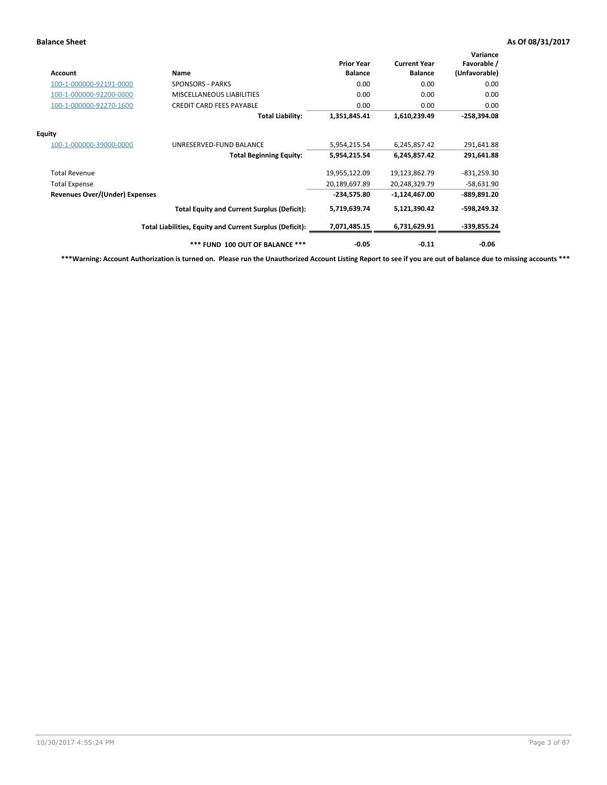# **Balance Sheet As Of 08/31/2017 As Of 08/31/2017**

| Account                        | Name                                                     | <b>Prior Year</b><br><b>Balance</b> | <b>Current Year</b><br><b>Balance</b> | Variance<br>Favorable /<br>(Unfavorable) |
|--------------------------------|----------------------------------------------------------|-------------------------------------|---------------------------------------|------------------------------------------|
| 100-1-000000-92191-0000        | <b>SPONSORS - PARKS</b>                                  | 0.00                                | 0.00                                  | 0.00                                     |
| 100-1-000000-92200-0000        | MISCELLANEOUS LIABILITIES                                | 0.00                                | 0.00                                  | 0.00                                     |
| 100-1-000000-92270-1600        | <b>CREDIT CARD FEES PAYABLE</b>                          | 0.00                                | 0.00                                  | 0.00                                     |
|                                | <b>Total Liability:</b>                                  | 1,351,845.41                        | 1,610,239.49                          | $-258,394.08$                            |
| Equity                         |                                                          |                                     |                                       |                                          |
| 100-1-000000-39000-0000        | UNRESERVED-FUND BALANCE                                  | 5,954,215.54                        | 6,245,857.42                          | 291,641.88                               |
|                                | <b>Total Beginning Equity:</b>                           | 5,954,215.54                        | 6,245,857.42                          | 291,641.88                               |
| <b>Total Revenue</b>           |                                                          | 19,955,122.09                       | 19,123,862.79                         | $-831,259.30$                            |
| <b>Total Expense</b>           |                                                          | 20,189,697.89                       | 20,248,329.79                         | $-58,631.90$                             |
| Revenues Over/(Under) Expenses |                                                          | $-234,575.80$                       | $-1,124,467.00$                       | -889,891.20                              |
|                                | <b>Total Equity and Current Surplus (Deficit):</b>       | 5,719,639.74                        | 5,121,390.42                          | -598,249.32                              |
|                                | Total Liabilities, Equity and Current Surplus (Deficit): | 7,071,485.15                        | 6,731,629.91                          | $-339,855.24$                            |
|                                | *** FUND 100 OUT OF BALANCE ***                          | $-0.05$                             | $-0.11$                               | $-0.06$                                  |

**\*\*\*Warning: Account Authorization is turned on. Please run the Unauthorized Account Listing Report to see if you are out of balance due to missing accounts \*\*\***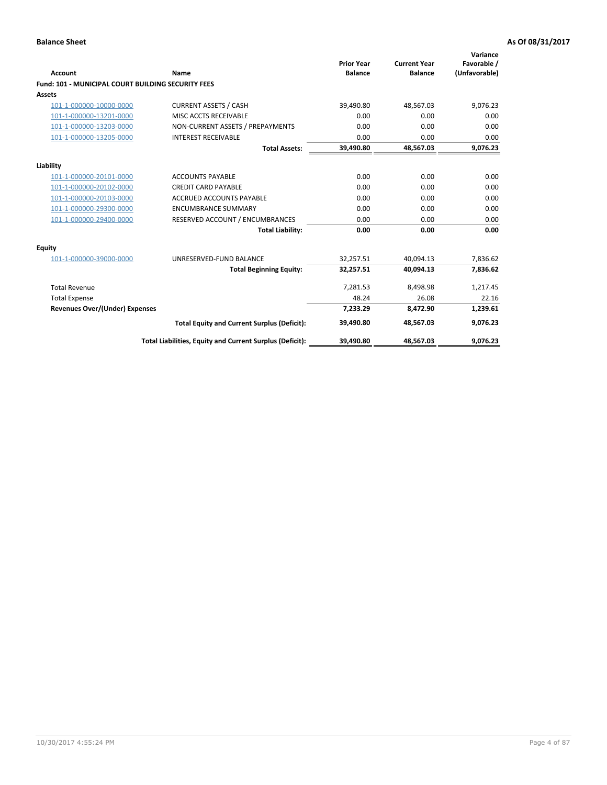| Account                                                   | <b>Name</b>                                              | <b>Prior Year</b><br><b>Balance</b> | <b>Current Year</b><br><b>Balance</b> | Variance<br>Favorable /<br>(Unfavorable) |
|-----------------------------------------------------------|----------------------------------------------------------|-------------------------------------|---------------------------------------|------------------------------------------|
| <b>Fund: 101 - MUNICIPAL COURT BUILDING SECURITY FEES</b> |                                                          |                                     |                                       |                                          |
| Assets                                                    |                                                          |                                     |                                       |                                          |
| 101-1-000000-10000-0000                                   | <b>CURRENT ASSETS / CASH</b>                             | 39,490.80                           | 48,567.03                             | 9,076.23                                 |
| 101-1-000000-13201-0000                                   | MISC ACCTS RECEIVABLE                                    | 0.00                                | 0.00                                  | 0.00                                     |
| 101-1-000000-13203-0000                                   | NON-CURRENT ASSETS / PREPAYMENTS                         | 0.00                                | 0.00                                  | 0.00                                     |
| 101-1-000000-13205-0000                                   | <b>INTEREST RECEIVABLE</b>                               | 0.00                                | 0.00                                  | 0.00                                     |
|                                                           | <b>Total Assets:</b>                                     | 39,490.80                           | 48,567.03                             | 9,076.23                                 |
| Liability                                                 |                                                          |                                     |                                       |                                          |
| 101-1-000000-20101-0000                                   | <b>ACCOUNTS PAYABLE</b>                                  | 0.00                                | 0.00                                  | 0.00                                     |
| 101-1-000000-20102-0000                                   | <b>CREDIT CARD PAYABLE</b>                               | 0.00                                | 0.00                                  | 0.00                                     |
| 101-1-000000-20103-0000                                   | <b>ACCRUED ACCOUNTS PAYABLE</b>                          | 0.00                                | 0.00                                  | 0.00                                     |
| 101-1-000000-29300-0000                                   | <b>ENCUMBRANCE SUMMARY</b>                               | 0.00                                | 0.00                                  | 0.00                                     |
| 101-1-000000-29400-0000                                   | RESERVED ACCOUNT / ENCUMBRANCES                          | 0.00                                | 0.00                                  | 0.00                                     |
|                                                           | <b>Total Liability:</b>                                  | 0.00                                | 0.00                                  | 0.00                                     |
| <b>Equity</b>                                             |                                                          |                                     |                                       |                                          |
| 101-1-000000-39000-0000                                   | UNRESERVED-FUND BALANCE                                  | 32,257.51                           | 40,094.13                             | 7,836.62                                 |
|                                                           | <b>Total Beginning Equity:</b>                           | 32,257.51                           | 40.094.13                             | 7,836.62                                 |
| <b>Total Revenue</b>                                      |                                                          | 7,281.53                            | 8,498.98                              | 1,217.45                                 |
| <b>Total Expense</b>                                      |                                                          | 48.24                               | 26.08                                 | 22.16                                    |
| Revenues Over/(Under) Expenses                            |                                                          | 7,233.29                            | 8,472.90                              | 1,239.61                                 |
|                                                           | <b>Total Equity and Current Surplus (Deficit):</b>       | 39,490.80                           | 48,567.03                             | 9,076.23                                 |
|                                                           | Total Liabilities, Equity and Current Surplus (Deficit): | 39,490.80                           | 48,567.03                             | 9,076.23                                 |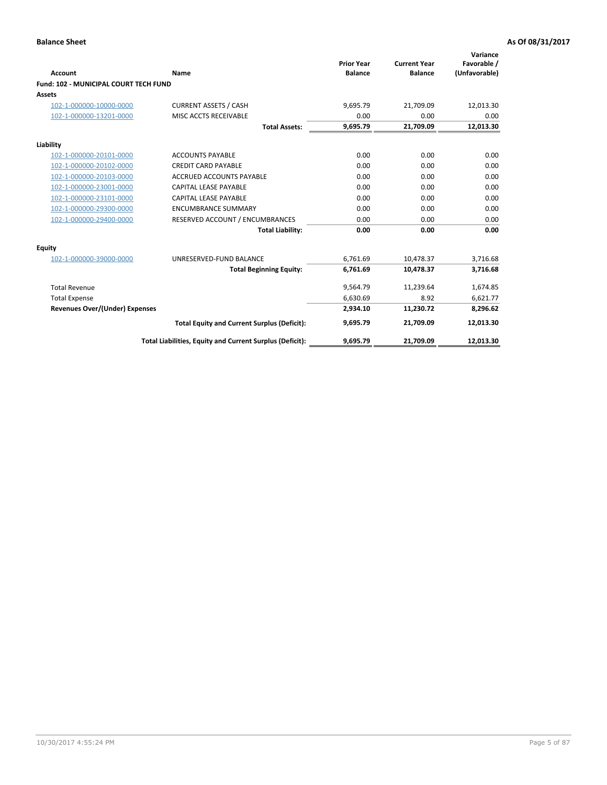| <b>Account</b>                               | Name                                                     | <b>Prior Year</b><br><b>Balance</b> | <b>Current Year</b><br><b>Balance</b> | Variance<br>Favorable /<br>(Unfavorable) |
|----------------------------------------------|----------------------------------------------------------|-------------------------------------|---------------------------------------|------------------------------------------|
| <b>Fund: 102 - MUNICIPAL COURT TECH FUND</b> |                                                          |                                     |                                       |                                          |
| Assets                                       |                                                          |                                     |                                       |                                          |
| 102-1-000000-10000-0000                      | <b>CURRENT ASSETS / CASH</b>                             | 9,695.79                            | 21,709.09                             | 12,013.30                                |
| 102-1-000000-13201-0000                      | MISC ACCTS RECEIVABLE                                    | 0.00                                | 0.00                                  | 0.00                                     |
|                                              | <b>Total Assets:</b>                                     | 9,695.79                            | 21,709.09                             | 12,013.30                                |
| Liability                                    |                                                          |                                     |                                       |                                          |
| 102-1-000000-20101-0000                      | <b>ACCOUNTS PAYABLE</b>                                  | 0.00                                | 0.00                                  | 0.00                                     |
| 102-1-000000-20102-0000                      | <b>CREDIT CARD PAYABLE</b>                               | 0.00                                | 0.00                                  | 0.00                                     |
| 102-1-000000-20103-0000                      | <b>ACCRUED ACCOUNTS PAYABLE</b>                          | 0.00                                | 0.00                                  | 0.00                                     |
| 102-1-000000-23001-0000                      | <b>CAPITAL LEASE PAYABLE</b>                             | 0.00                                | 0.00                                  | 0.00                                     |
| 102-1-000000-23101-0000                      | <b>CAPITAL LEASE PAYABLE</b>                             | 0.00                                | 0.00                                  | 0.00                                     |
| 102-1-000000-29300-0000                      | <b>ENCUMBRANCE SUMMARY</b>                               | 0.00                                | 0.00                                  | 0.00                                     |
| 102-1-000000-29400-0000                      | RESERVED ACCOUNT / ENCUMBRANCES                          | 0.00                                | 0.00                                  | 0.00                                     |
|                                              | <b>Total Liability:</b>                                  | 0.00                                | 0.00                                  | 0.00                                     |
| Equity                                       |                                                          |                                     |                                       |                                          |
| 102-1-000000-39000-0000                      | UNRESERVED-FUND BALANCE                                  | 6,761.69                            | 10,478.37                             | 3,716.68                                 |
|                                              | <b>Total Beginning Equity:</b>                           | 6,761.69                            | 10,478.37                             | 3,716.68                                 |
| <b>Total Revenue</b>                         |                                                          | 9,564.79                            | 11,239.64                             | 1,674.85                                 |
| <b>Total Expense</b>                         |                                                          | 6,630.69                            | 8.92                                  | 6,621.77                                 |
| <b>Revenues Over/(Under) Expenses</b>        |                                                          | 2,934.10                            | 11,230.72                             | 8,296.62                                 |
|                                              | <b>Total Equity and Current Surplus (Deficit):</b>       | 9,695.79                            | 21,709.09                             | 12,013.30                                |
|                                              | Total Liabilities, Equity and Current Surplus (Deficit): | 9,695.79                            | 21,709.09                             | 12,013.30                                |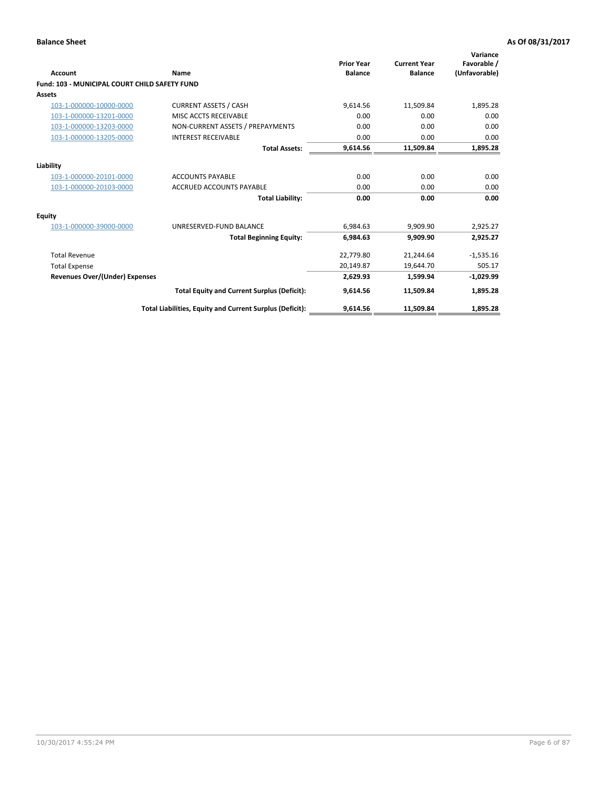| <b>Account</b>                                       | Name                                                     | <b>Prior Year</b><br><b>Balance</b> | <b>Current Year</b><br><b>Balance</b> | Variance<br>Favorable /<br>(Unfavorable) |
|------------------------------------------------------|----------------------------------------------------------|-------------------------------------|---------------------------------------|------------------------------------------|
| <b>Fund: 103 - MUNICIPAL COURT CHILD SAFETY FUND</b> |                                                          |                                     |                                       |                                          |
| <b>Assets</b>                                        |                                                          |                                     |                                       |                                          |
| 103-1-000000-10000-0000                              | <b>CURRENT ASSETS / CASH</b>                             | 9,614.56                            | 11,509.84                             | 1,895.28                                 |
| 103-1-000000-13201-0000                              | MISC ACCTS RECEIVABLE                                    | 0.00                                | 0.00                                  | 0.00                                     |
| 103-1-000000-13203-0000                              | NON-CURRENT ASSETS / PREPAYMENTS                         | 0.00                                | 0.00                                  | 0.00                                     |
| 103-1-000000-13205-0000                              | <b>INTEREST RECEIVABLE</b>                               | 0.00                                | 0.00                                  | 0.00                                     |
|                                                      | <b>Total Assets:</b>                                     | 9,614.56                            | 11,509.84                             | 1,895.28                                 |
| Liability                                            |                                                          |                                     |                                       |                                          |
| 103-1-000000-20101-0000                              | <b>ACCOUNTS PAYABLE</b>                                  | 0.00                                | 0.00                                  | 0.00                                     |
| 103-1-000000-20103-0000                              | <b>ACCRUED ACCOUNTS PAYABLE</b>                          | 0.00                                | 0.00                                  | 0.00                                     |
|                                                      | <b>Total Liability:</b>                                  | 0.00                                | 0.00                                  | 0.00                                     |
| Equity                                               |                                                          |                                     |                                       |                                          |
| 103-1-000000-39000-0000                              | UNRESERVED-FUND BALANCE                                  | 6,984.63                            | 9,909.90                              | 2,925.27                                 |
|                                                      | <b>Total Beginning Equity:</b>                           | 6,984.63                            | 9.909.90                              | 2,925.27                                 |
| <b>Total Revenue</b>                                 |                                                          | 22,779.80                           | 21,244.64                             | $-1,535.16$                              |
| <b>Total Expense</b>                                 |                                                          | 20,149.87                           | 19,644.70                             | 505.17                                   |
| Revenues Over/(Under) Expenses                       |                                                          | 2,629.93                            | 1,599.94                              | $-1,029.99$                              |
|                                                      | <b>Total Equity and Current Surplus (Deficit):</b>       | 9,614.56                            | 11,509.84                             | 1,895.28                                 |
|                                                      | Total Liabilities, Equity and Current Surplus (Deficit): | 9,614.56                            | 11,509.84                             | 1,895.28                                 |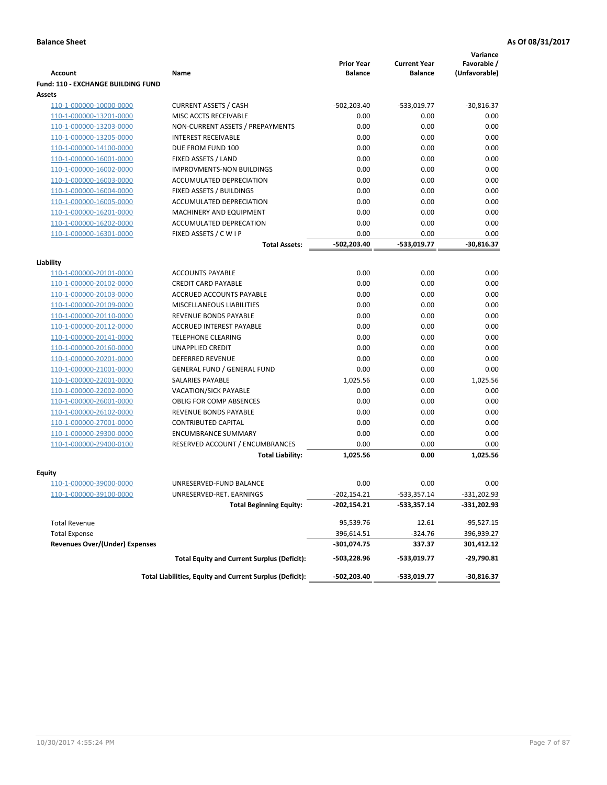|                                       |                                                          | <b>Prior Year</b> | <b>Current Year</b> | Variance<br>Favorable / |
|---------------------------------------|----------------------------------------------------------|-------------------|---------------------|-------------------------|
| Account                               | Name                                                     | <b>Balance</b>    | <b>Balance</b>      | (Unfavorable)           |
| Fund: 110 - EXCHANGE BUILDING FUND    |                                                          |                   |                     |                         |
| Assets                                |                                                          |                   |                     |                         |
| 110-1-000000-10000-0000               | <b>CURRENT ASSETS / CASH</b>                             | $-502,203.40$     | -533,019.77         | $-30,816.37$            |
| 110-1-000000-13201-0000               | MISC ACCTS RECEIVABLE                                    | 0.00              | 0.00                | 0.00                    |
| 110-1-000000-13203-0000               | NON-CURRENT ASSETS / PREPAYMENTS                         | 0.00              | 0.00                | 0.00                    |
| 110-1-000000-13205-0000               | <b>INTEREST RECEIVABLE</b>                               | 0.00              | 0.00                | 0.00                    |
| 110-1-000000-14100-0000               | DUE FROM FUND 100                                        | 0.00              | 0.00                | 0.00                    |
| 110-1-000000-16001-0000               | FIXED ASSETS / LAND                                      | 0.00              | 0.00                | 0.00                    |
| 110-1-000000-16002-0000               | <b>IMPROVMENTS-NON BUILDINGS</b>                         | 0.00              | 0.00                | 0.00                    |
| 110-1-000000-16003-0000               | ACCUMULATED DEPRECIATION                                 | 0.00              | 0.00                | 0.00                    |
| 110-1-000000-16004-0000               | <b>FIXED ASSETS / BUILDINGS</b>                          | 0.00              | 0.00                | 0.00                    |
| 110-1-000000-16005-0000               | ACCUMULATED DEPRECIATION                                 | 0.00              | 0.00                | 0.00                    |
| 110-1-000000-16201-0000               | MACHINERY AND EQUIPMENT                                  | 0.00              | 0.00                | 0.00                    |
| 110-1-000000-16202-0000               | ACCUMULATED DEPRECATION                                  | 0.00              | 0.00                | 0.00                    |
| 110-1-000000-16301-0000               | FIXED ASSETS / C W I P                                   | 0.00              | 0.00                | 0.00                    |
|                                       | <b>Total Assets:</b>                                     | -502,203.40       | -533,019.77         | $-30,816.37$            |
| Liability                             |                                                          |                   |                     |                         |
| 110-1-000000-20101-0000               | <b>ACCOUNTS PAYABLE</b>                                  | 0.00              | 0.00                | 0.00                    |
| 110-1-000000-20102-0000               | <b>CREDIT CARD PAYABLE</b>                               | 0.00              | 0.00                | 0.00                    |
| 110-1-000000-20103-0000               | ACCRUED ACCOUNTS PAYABLE                                 | 0.00              | 0.00                | 0.00                    |
| 110-1-000000-20109-0000               | MISCELLANEOUS LIABILITIES                                | 0.00              | 0.00                | 0.00                    |
| 110-1-000000-20110-0000               | <b>REVENUE BONDS PAYABLE</b>                             | 0.00              | 0.00                | 0.00                    |
| 110-1-000000-20112-0000               | <b>ACCRUED INTEREST PAYABLE</b>                          | 0.00              | 0.00                | 0.00                    |
| 110-1-000000-20141-0000               | <b>TELEPHONE CLEARING</b>                                | 0.00              | 0.00                | 0.00                    |
| 110-1-000000-20160-0000               | <b>UNAPPLIED CREDIT</b>                                  | 0.00              | 0.00                | 0.00                    |
| 110-1-000000-20201-0000               | <b>DEFERRED REVENUE</b>                                  | 0.00              | 0.00                | 0.00                    |
| 110-1-000000-21001-0000               | <b>GENERAL FUND / GENERAL FUND</b>                       | 0.00              | 0.00                | 0.00                    |
| 110-1-000000-22001-0000               | SALARIES PAYABLE                                         | 1,025.56          | 0.00                | 1,025.56                |
| 110-1-000000-22002-0000               | VACATION/SICK PAYABLE                                    | 0.00              | 0.00                | 0.00                    |
| 110-1-000000-26001-0000               | <b>OBLIG FOR COMP ABSENCES</b>                           | 0.00              | 0.00                | 0.00                    |
| 110-1-000000-26102-0000               | REVENUE BONDS PAYABLE                                    | 0.00              | 0.00                | 0.00                    |
| 110-1-000000-27001-0000               | <b>CONTRIBUTED CAPITAL</b>                               | 0.00              | 0.00                | 0.00                    |
| 110-1-000000-29300-0000               | <b>ENCUMBRANCE SUMMARY</b>                               | 0.00              | 0.00                | 0.00                    |
| 110-1-000000-29400-0100               | RESERVED ACCOUNT / ENCUMBRANCES                          | 0.00              | 0.00                | 0.00                    |
|                                       | <b>Total Liability:</b>                                  | 1,025.56          | 0.00                | 1,025.56                |
|                                       |                                                          |                   |                     |                         |
| Equity                                |                                                          |                   |                     |                         |
| 110-1-000000-39000-0000               | UNRESERVED-FUND BALANCE                                  | 0.00              | 0.00                | 0.00                    |
| 110-1-000000-39100-0000               | UNRESERVED-RET. EARNINGS                                 | $-202,154.21$     | -533,357.14         | -331,202.93             |
|                                       | <b>Total Beginning Equity:</b>                           | $-202,154.21$     | -533,357.14         | -331,202.93             |
| <b>Total Revenue</b>                  |                                                          | 95,539.76         | 12.61               | $-95,527.15$            |
| <b>Total Expense</b>                  |                                                          | 396,614.51        | $-324.76$           | 396,939.27              |
| <b>Revenues Over/(Under) Expenses</b> |                                                          | -301,074.75       | 337.37              | 301,412.12              |
|                                       | <b>Total Equity and Current Surplus (Deficit):</b>       | -503,228.96       | -533,019.77         | -29,790.81              |
|                                       | Total Liabilities, Equity and Current Surplus (Deficit): | -502,203.40       | -533,019.77         | $-30,816.37$            |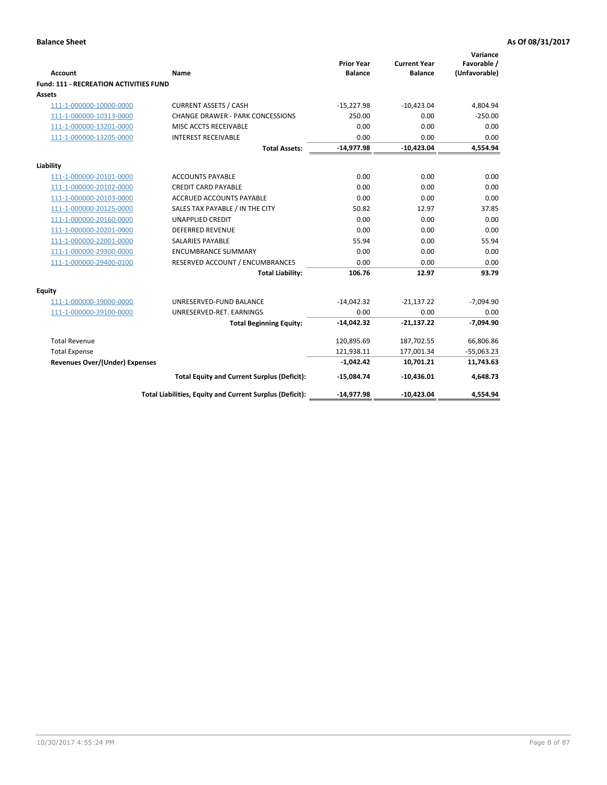# **Balance Sheet As Of 08/31/2017 As Of 08/31/2017**

|                                               |                                                          | <b>Prior Year</b> | <b>Current Year</b> | Variance<br>Favorable / |
|-----------------------------------------------|----------------------------------------------------------|-------------------|---------------------|-------------------------|
| Account                                       | Name                                                     | <b>Balance</b>    | <b>Balance</b>      | (Unfavorable)           |
| <b>Fund: 111 - RECREATION ACTIVITIES FUND</b> |                                                          |                   |                     |                         |
| Assets                                        |                                                          |                   |                     |                         |
| 111-1-000000-10000-0000                       | <b>CURRENT ASSETS / CASH</b>                             | $-15,227.98$      | $-10,423.04$        | 4,804.94                |
| 111-1-000000-10313-0000                       | <b>CHANGE DRAWER - PARK CONCESSIONS</b>                  | 250.00            | 0.00                | $-250.00$               |
| 111-1-000000-13201-0000                       | MISC ACCTS RECEIVABLE                                    | 0.00              | 0.00                | 0.00                    |
| 111-1-000000-13205-0000                       | <b>INTEREST RECEIVABLE</b>                               | 0.00              | 0.00                | 0.00                    |
|                                               | <b>Total Assets:</b>                                     | $-14,977.98$      | $-10,423.04$        | 4,554.94                |
| Liability                                     |                                                          |                   |                     |                         |
| 111-1-000000-20101-0000                       | <b>ACCOUNTS PAYABLE</b>                                  | 0.00              | 0.00                | 0.00                    |
| 111-1-000000-20102-0000                       | <b>CREDIT CARD PAYABLE</b>                               | 0.00              | 0.00                | 0.00                    |
| 111-1-000000-20103-0000                       | <b>ACCRUED ACCOUNTS PAYABLE</b>                          | 0.00              | 0.00                | 0.00                    |
| 111-1-000000-20125-0000                       | SALES TAX PAYABLE / IN THE CITY                          | 50.82             | 12.97               | 37.85                   |
| 111-1-000000-20160-0000                       | <b>UNAPPLIED CREDIT</b>                                  | 0.00              | 0.00                | 0.00                    |
| 111-1-000000-20201-0000                       | <b>DEFERRED REVENUE</b>                                  | 0.00              | 0.00                | 0.00                    |
| 111-1-000000-22001-0000                       | <b>SALARIES PAYABLE</b>                                  | 55.94             | 0.00                | 55.94                   |
| 111-1-000000-29300-0000                       | <b>ENCUMBRANCE SUMMARY</b>                               | 0.00              | 0.00                | 0.00                    |
| 111-1-000000-29400-0100                       | RESERVED ACCOUNT / ENCUMBRANCES                          | 0.00              | 0.00                | 0.00                    |
|                                               | <b>Total Liability:</b>                                  | 106.76            | 12.97               | 93.79                   |
| Equity                                        |                                                          |                   |                     |                         |
| 111-1-000000-39000-0000                       | UNRESERVED-FUND BALANCE                                  | $-14,042.32$      | $-21,137.22$        | $-7,094.90$             |
| 111-1-000000-39100-0000                       | UNRESERVED-RET. EARNINGS                                 | 0.00              | 0.00                | 0.00                    |
|                                               | <b>Total Beginning Equity:</b>                           | $-14,042.32$      | $-21,137.22$        | $-7,094.90$             |
| <b>Total Revenue</b>                          |                                                          | 120,895.69        | 187,702.55          | 66,806.86               |
| <b>Total Expense</b>                          |                                                          | 121,938.11        | 177,001.34          | $-55,063.23$            |
| <b>Revenues Over/(Under) Expenses</b>         |                                                          | $-1,042.42$       | 10,701.21           | 11,743.63               |
|                                               | <b>Total Equity and Current Surplus (Deficit):</b>       | $-15,084.74$      | $-10,436.01$        | 4,648.73                |
|                                               | Total Liabilities, Equity and Current Surplus (Deficit): | $-14,977.98$      | $-10,423.04$        | 4,554.94                |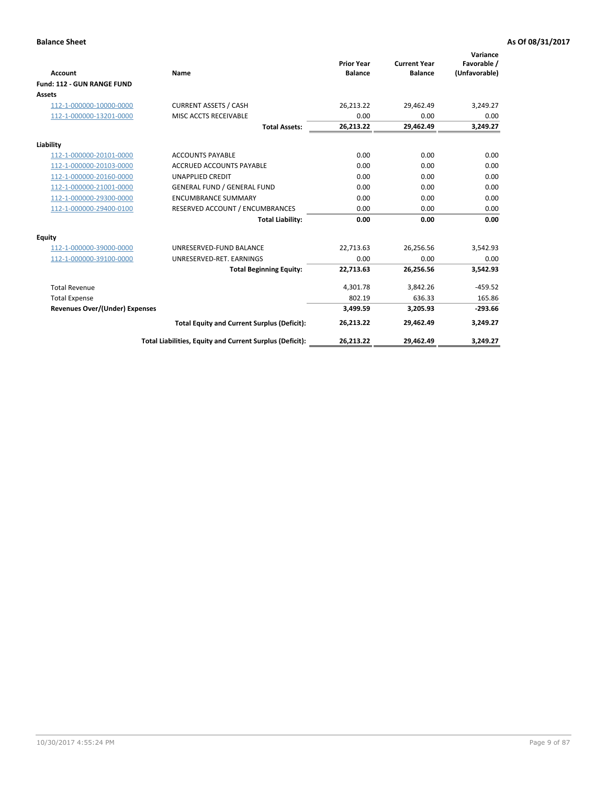|                                       |                                                          |                                     |                                       | Variance                     |
|---------------------------------------|----------------------------------------------------------|-------------------------------------|---------------------------------------|------------------------------|
| <b>Account</b>                        | Name                                                     | <b>Prior Year</b><br><b>Balance</b> | <b>Current Year</b><br><b>Balance</b> | Favorable /<br>(Unfavorable) |
| Fund: 112 - GUN RANGE FUND            |                                                          |                                     |                                       |                              |
| <b>Assets</b>                         |                                                          |                                     |                                       |                              |
| 112-1-000000-10000-0000               | <b>CURRENT ASSETS / CASH</b>                             | 26,213.22                           | 29,462.49                             | 3,249.27                     |
| 112-1-000000-13201-0000               | MISC ACCTS RECEIVABLE                                    | 0.00                                | 0.00                                  | 0.00                         |
|                                       | <b>Total Assets:</b>                                     | 26,213.22                           | 29,462.49                             | 3,249.27                     |
| Liability                             |                                                          |                                     |                                       |                              |
| 112-1-000000-20101-0000               | <b>ACCOUNTS PAYABLE</b>                                  | 0.00                                | 0.00                                  | 0.00                         |
| 112-1-000000-20103-0000               | <b>ACCRUED ACCOUNTS PAYABLE</b>                          | 0.00                                | 0.00                                  | 0.00                         |
| 112-1-000000-20160-0000               | <b>UNAPPLIED CREDIT</b>                                  | 0.00                                | 0.00                                  | 0.00                         |
| 112-1-000000-21001-0000               | <b>GENERAL FUND / GENERAL FUND</b>                       | 0.00                                | 0.00                                  | 0.00                         |
| 112-1-000000-29300-0000               | <b>ENCUMBRANCE SUMMARY</b>                               | 0.00                                | 0.00                                  | 0.00                         |
| 112-1-000000-29400-0100               | RESERVED ACCOUNT / ENCUMBRANCES                          | 0.00                                | 0.00                                  | 0.00                         |
|                                       | <b>Total Liability:</b>                                  | 0.00                                | 0.00                                  | 0.00                         |
| Equity                                |                                                          |                                     |                                       |                              |
| 112-1-000000-39000-0000               | UNRESERVED-FUND BALANCE                                  | 22,713.63                           | 26,256.56                             | 3,542.93                     |
| 112-1-000000-39100-0000               | UNRESERVED-RET. EARNINGS                                 | 0.00                                | 0.00                                  | 0.00                         |
|                                       | <b>Total Beginning Equity:</b>                           | 22,713.63                           | 26,256.56                             | 3,542.93                     |
| <b>Total Revenue</b>                  |                                                          | 4,301.78                            | 3,842.26                              | $-459.52$                    |
| <b>Total Expense</b>                  |                                                          | 802.19                              | 636.33                                | 165.86                       |
| <b>Revenues Over/(Under) Expenses</b> |                                                          | 3,499.59                            | 3,205.93                              | $-293.66$                    |
|                                       | <b>Total Equity and Current Surplus (Deficit):</b>       | 26,213.22                           | 29.462.49                             | 3,249.27                     |
|                                       | Total Liabilities, Equity and Current Surplus (Deficit): | 26,213.22                           | 29,462.49                             | 3,249.27                     |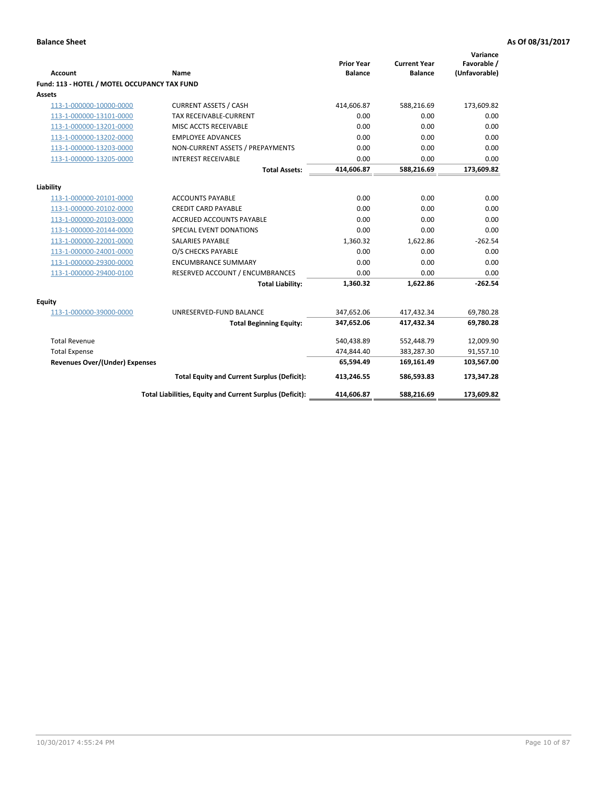| <b>Account</b>                                     | <b>Name</b>                                              | <b>Prior Year</b><br><b>Balance</b> | <b>Current Year</b><br><b>Balance</b> | Variance<br>Favorable /<br>(Unfavorable) |
|----------------------------------------------------|----------------------------------------------------------|-------------------------------------|---------------------------------------|------------------------------------------|
| Fund: 113 - HOTEL / MOTEL OCCUPANCY TAX FUND       |                                                          |                                     |                                       |                                          |
| Assets                                             |                                                          |                                     |                                       |                                          |
| 113-1-000000-10000-0000                            | <b>CURRENT ASSETS / CASH</b>                             | 414,606.87                          | 588,216.69                            | 173,609.82                               |
| 113-1-000000-13101-0000                            | TAX RECEIVABLE-CURRENT                                   | 0.00                                | 0.00                                  | 0.00                                     |
| 113-1-000000-13201-0000                            | MISC ACCTS RECEIVABLE                                    | 0.00                                | 0.00                                  | 0.00                                     |
| 113-1-000000-13202-0000                            | <b>EMPLOYEE ADVANCES</b>                                 | 0.00                                | 0.00                                  | 0.00                                     |
| 113-1-000000-13203-0000                            | NON-CURRENT ASSETS / PREPAYMENTS                         | 0.00                                | 0.00                                  | 0.00                                     |
| 113-1-000000-13205-0000                            | <b>INTEREST RECEIVABLE</b>                               | 0.00                                | 0.00                                  | 0.00                                     |
|                                                    | <b>Total Assets:</b>                                     | 414,606.87                          | 588,216.69                            | 173,609.82                               |
|                                                    |                                                          |                                     |                                       |                                          |
| Liability                                          | <b>ACCOUNTS PAYABLE</b>                                  | 0.00                                | 0.00                                  | 0.00                                     |
| 113-1-000000-20101-0000<br>113-1-000000-20102-0000 | <b>CREDIT CARD PAYABLE</b>                               | 0.00                                | 0.00                                  | 0.00                                     |
| 113-1-000000-20103-0000                            | <b>ACCRUED ACCOUNTS PAYABLE</b>                          | 0.00                                | 0.00                                  | 0.00                                     |
| 113-1-000000-20144-0000                            | SPECIAL EVENT DONATIONS                                  | 0.00                                | 0.00                                  | 0.00                                     |
|                                                    | <b>SALARIES PAYABLE</b>                                  | 1,360.32                            | 1,622.86                              | $-262.54$                                |
| 113-1-000000-22001-0000                            |                                                          | 0.00                                |                                       |                                          |
| 113-1-000000-24001-0000                            | O/S CHECKS PAYABLE                                       |                                     | 0.00                                  | 0.00                                     |
| 113-1-000000-29300-0000                            | <b>ENCUMBRANCE SUMMARY</b>                               | 0.00                                | 0.00                                  | 0.00                                     |
| 113-1-000000-29400-0100                            | RESERVED ACCOUNT / ENCUMBRANCES                          | 0.00                                | 0.00                                  | 0.00                                     |
|                                                    | <b>Total Liability:</b>                                  | 1,360.32                            | 1,622.86                              | $-262.54$                                |
| Equity                                             |                                                          |                                     |                                       |                                          |
| 113-1-000000-39000-0000                            | UNRESERVED-FUND BALANCE                                  | 347,652.06                          | 417,432.34                            | 69,780.28                                |
|                                                    | <b>Total Beginning Equity:</b>                           | 347,652.06                          | 417,432.34                            | 69,780.28                                |
| <b>Total Revenue</b>                               |                                                          | 540,438.89                          | 552,448.79                            | 12,009.90                                |
| <b>Total Expense</b>                               |                                                          | 474,844.40                          | 383,287.30                            | 91,557.10                                |
| <b>Revenues Over/(Under) Expenses</b>              |                                                          | 65,594.49                           | 169,161.49                            | 103,567.00                               |
|                                                    | <b>Total Equity and Current Surplus (Deficit):</b>       | 413,246.55                          | 586,593.83                            | 173,347.28                               |
|                                                    | Total Liabilities, Equity and Current Surplus (Deficit): | 414,606.87                          | 588,216.69                            | 173,609.82                               |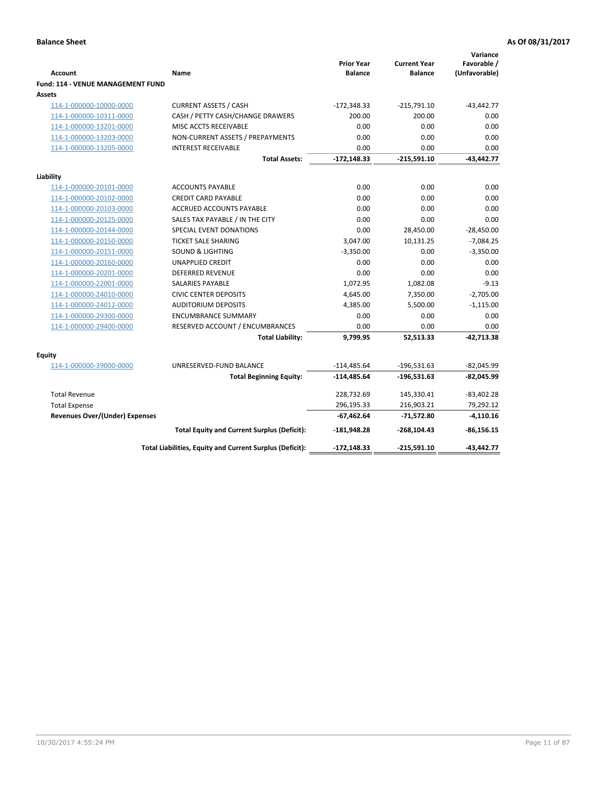| <b>Account</b>                              | Name                                                     | <b>Prior Year</b><br><b>Balance</b> | <b>Current Year</b><br><b>Balance</b> | Variance<br>Favorable /<br>(Unfavorable) |
|---------------------------------------------|----------------------------------------------------------|-------------------------------------|---------------------------------------|------------------------------------------|
| Fund: 114 - VENUE MANAGEMENT FUND<br>Assets |                                                          |                                     |                                       |                                          |
| 114-1-000000-10000-0000                     | <b>CURRENT ASSETS / CASH</b>                             | $-172,348.33$                       | $-215,791.10$                         | $-43,442.77$                             |
| 114-1-000000-10311-0000                     | CASH / PETTY CASH/CHANGE DRAWERS                         | 200.00                              | 200.00                                | 0.00                                     |
| 114-1-000000-13201-0000                     | MISC ACCTS RECEIVABLE                                    | 0.00                                | 0.00                                  | 0.00                                     |
| 114-1-000000-13203-0000                     | NON-CURRENT ASSETS / PREPAYMENTS                         | 0.00                                | 0.00                                  | 0.00                                     |
| 114-1-000000-13205-0000                     | <b>INTEREST RECEIVABLE</b>                               | 0.00                                | 0.00                                  | 0.00                                     |
|                                             | <b>Total Assets:</b>                                     | $-172,148.33$                       | $-215,591.10$                         | $-43,442.77$                             |
| Liability                                   |                                                          |                                     |                                       |                                          |
| 114-1-000000-20101-0000                     | <b>ACCOUNTS PAYABLE</b>                                  | 0.00                                | 0.00                                  | 0.00                                     |
| 114-1-000000-20102-0000                     | <b>CREDIT CARD PAYABLE</b>                               | 0.00                                | 0.00                                  | 0.00                                     |
| 114-1-000000-20103-0000                     | <b>ACCRUED ACCOUNTS PAYABLE</b>                          | 0.00                                | 0.00                                  | 0.00                                     |
| 114-1-000000-20125-0000                     | SALES TAX PAYABLE / IN THE CITY                          | 0.00                                | 0.00                                  | 0.00                                     |
| 114-1-000000-20144-0000                     | SPECIAL EVENT DONATIONS                                  | 0.00                                | 28,450.00                             | $-28,450.00$                             |
| 114-1-000000-20150-0000                     | <b>TICKET SALE SHARING</b>                               | 3,047.00                            | 10,131.25                             | $-7,084.25$                              |
| 114-1-000000-20151-0000                     | <b>SOUND &amp; LIGHTING</b>                              | $-3,350.00$                         | 0.00                                  | $-3,350.00$                              |
| 114-1-000000-20160-0000                     | <b>UNAPPLIED CREDIT</b>                                  | 0.00                                | 0.00                                  | 0.00                                     |
| 114-1-000000-20201-0000                     | <b>DEFERRED REVENUE</b>                                  | 0.00                                | 0.00                                  | 0.00                                     |
| 114-1-000000-22001-0000                     | <b>SALARIES PAYABLE</b>                                  | 1,072.95                            | 1,082.08                              | $-9.13$                                  |
| 114-1-000000-24010-0000                     | <b>CIVIC CENTER DEPOSITS</b>                             | 4,645.00                            | 7,350.00                              | $-2,705.00$                              |
| 114-1-000000-24012-0000                     | <b>AUDITORIUM DEPOSITS</b>                               | 4,385.00                            | 5,500.00                              | $-1,115.00$                              |
| 114-1-000000-29300-0000                     | <b>ENCUMBRANCE SUMMARY</b>                               | 0.00                                | 0.00                                  | 0.00                                     |
| 114-1-000000-29400-0000                     | RESERVED ACCOUNT / ENCUMBRANCES                          | 0.00                                | 0.00                                  | 0.00                                     |
|                                             | <b>Total Liability:</b>                                  | 9,799.95                            | 52,513.33                             | $-42,713.38$                             |
| Equity                                      |                                                          |                                     |                                       |                                          |
| 114-1-000000-39000-0000                     | UNRESERVED-FUND BALANCE                                  | $-114,485.64$                       | $-196,531.63$                         | $-82,045.99$                             |
|                                             | <b>Total Beginning Equity:</b>                           | $-114,485.64$                       | $-196,531.63$                         | $-82,045.99$                             |
| <b>Total Revenue</b>                        |                                                          | 228,732.69                          | 145,330.41                            | $-83,402.28$                             |
| <b>Total Expense</b>                        |                                                          | 296,195.33                          | 216,903.21                            | 79,292.12                                |
| <b>Revenues Over/(Under) Expenses</b>       |                                                          | $-67,462.64$                        | -71,572.80                            | $-4,110.16$                              |
|                                             | <b>Total Equity and Current Surplus (Deficit):</b>       | $-181,948.28$                       | $-268, 104.43$                        | $-86,156.15$                             |
|                                             | Total Liabilities, Equity and Current Surplus (Deficit): | $-172,148.33$                       | $-215,591.10$                         | $-43,442.77$                             |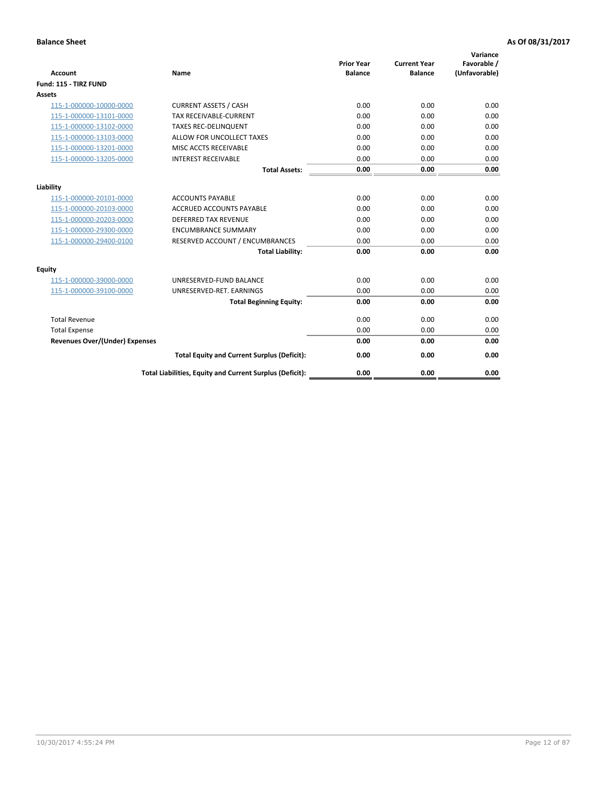| <b>Account</b>                        | <b>Name</b>                                              | <b>Prior Year</b><br><b>Balance</b> | <b>Current Year</b><br><b>Balance</b> | Variance<br>Favorable /<br>(Unfavorable) |
|---------------------------------------|----------------------------------------------------------|-------------------------------------|---------------------------------------|------------------------------------------|
| Fund: 115 - TIRZ FUND                 |                                                          |                                     |                                       |                                          |
| <b>Assets</b>                         |                                                          |                                     |                                       |                                          |
| 115-1-000000-10000-0000               | <b>CURRENT ASSETS / CASH</b>                             | 0.00                                | 0.00                                  | 0.00                                     |
| 115-1-000000-13101-0000               | <b>TAX RECEIVABLE-CURRENT</b>                            | 0.00                                | 0.00                                  | 0.00                                     |
| 115-1-000000-13102-0000               | <b>TAXES REC-DELINQUENT</b>                              | 0.00                                | 0.00                                  | 0.00                                     |
| 115-1-000000-13103-0000               | ALLOW FOR UNCOLLECT TAXES                                | 0.00                                | 0.00                                  | 0.00                                     |
| 115-1-000000-13201-0000               | <b>MISC ACCTS RECEIVABLE</b>                             | 0.00                                | 0.00                                  | 0.00                                     |
| 115-1-000000-13205-0000               | <b>INTEREST RECEIVABLE</b>                               | 0.00                                | 0.00                                  | 0.00                                     |
|                                       | <b>Total Assets:</b>                                     | 0.00                                | 0.00                                  | 0.00                                     |
| Liability                             |                                                          |                                     |                                       |                                          |
| 115-1-000000-20101-0000               | <b>ACCOUNTS PAYABLE</b>                                  | 0.00                                | 0.00                                  | 0.00                                     |
| 115-1-000000-20103-0000               | <b>ACCRUED ACCOUNTS PAYABLE</b>                          | 0.00                                | 0.00                                  | 0.00                                     |
| 115-1-000000-20203-0000               | <b>DEFERRED TAX REVENUE</b>                              | 0.00                                | 0.00                                  | 0.00                                     |
| 115-1-000000-29300-0000               | <b>ENCUMBRANCE SUMMARY</b>                               | 0.00                                | 0.00                                  | 0.00                                     |
| 115-1-000000-29400-0100               | RESERVED ACCOUNT / ENCUMBRANCES                          | 0.00                                | 0.00                                  | 0.00                                     |
|                                       | <b>Total Liability:</b>                                  | 0.00                                | 0.00                                  | 0.00                                     |
| <b>Equity</b>                         |                                                          |                                     |                                       |                                          |
| 115-1-000000-39000-0000               | UNRESERVED-FUND BALANCE                                  | 0.00                                | 0.00                                  | 0.00                                     |
| 115-1-000000-39100-0000               | UNRESERVED-RET. EARNINGS                                 | 0.00                                | 0.00                                  | 0.00                                     |
|                                       | <b>Total Beginning Equity:</b>                           | 0.00                                | 0.00                                  | 0.00                                     |
| <b>Total Revenue</b>                  |                                                          | 0.00                                | 0.00                                  | 0.00                                     |
| <b>Total Expense</b>                  |                                                          | 0.00                                | 0.00                                  | 0.00                                     |
| <b>Revenues Over/(Under) Expenses</b> |                                                          | 0.00                                | 0.00                                  | 0.00                                     |
|                                       | <b>Total Equity and Current Surplus (Deficit):</b>       | 0.00                                | 0.00                                  | 0.00                                     |
|                                       | Total Liabilities, Equity and Current Surplus (Deficit): | 0.00                                | 0.00                                  | 0.00                                     |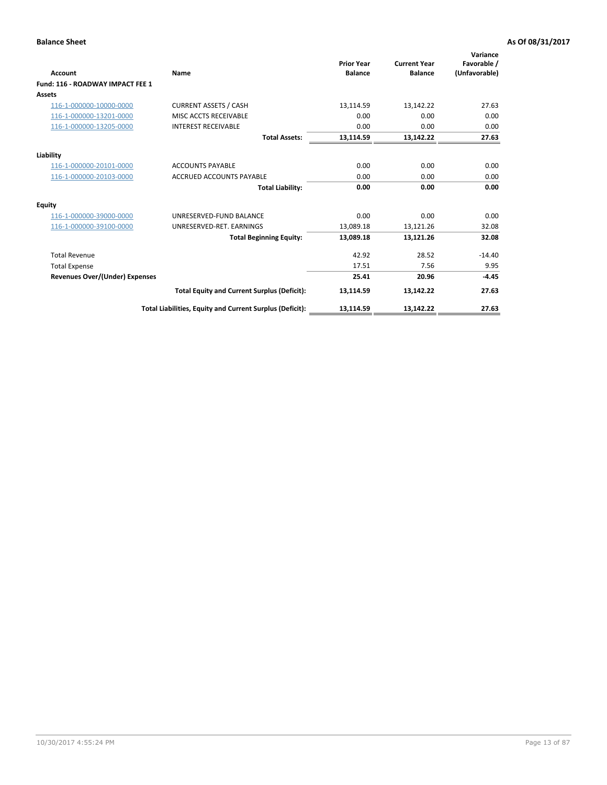| <b>Account</b>                        | Name                                                     | <b>Prior Year</b><br><b>Balance</b> | <b>Current Year</b><br><b>Balance</b> | Variance<br>Favorable /<br>(Unfavorable) |
|---------------------------------------|----------------------------------------------------------|-------------------------------------|---------------------------------------|------------------------------------------|
| Fund: 116 - ROADWAY IMPACT FEE 1      |                                                          |                                     |                                       |                                          |
| <b>Assets</b>                         |                                                          |                                     |                                       |                                          |
| 116-1-000000-10000-0000               | <b>CURRENT ASSETS / CASH</b>                             | 13,114.59                           | 13,142.22                             | 27.63                                    |
| 116-1-000000-13201-0000               | MISC ACCTS RECEIVABLE                                    | 0.00                                | 0.00                                  | 0.00                                     |
| 116-1-000000-13205-0000               | <b>INTEREST RECEIVABLE</b>                               | 0.00                                | 0.00                                  | 0.00                                     |
|                                       | <b>Total Assets:</b>                                     | 13,114.59                           | 13,142.22                             | 27.63                                    |
| Liability                             |                                                          |                                     |                                       |                                          |
| 116-1-000000-20101-0000               | <b>ACCOUNTS PAYABLE</b>                                  | 0.00                                | 0.00                                  | 0.00                                     |
| 116-1-000000-20103-0000               | <b>ACCRUED ACCOUNTS PAYABLE</b>                          | 0.00                                | 0.00                                  | 0.00                                     |
|                                       | <b>Total Liability:</b>                                  | 0.00                                | 0.00                                  | 0.00                                     |
| <b>Equity</b>                         |                                                          |                                     |                                       |                                          |
| 116-1-000000-39000-0000               | UNRESERVED-FUND BALANCE                                  | 0.00                                | 0.00                                  | 0.00                                     |
| 116-1-000000-39100-0000               | UNRESERVED-RET. EARNINGS                                 | 13,089.18                           | 13,121.26                             | 32.08                                    |
|                                       | <b>Total Beginning Equity:</b>                           | 13.089.18                           | 13,121.26                             | 32.08                                    |
| <b>Total Revenue</b>                  |                                                          | 42.92                               | 28.52                                 | $-14.40$                                 |
| <b>Total Expense</b>                  |                                                          | 17.51                               | 7.56                                  | 9.95                                     |
| <b>Revenues Over/(Under) Expenses</b> |                                                          | 25.41                               | 20.96                                 | $-4.45$                                  |
|                                       | <b>Total Equity and Current Surplus (Deficit):</b>       | 13,114.59                           | 13,142.22                             | 27.63                                    |
|                                       | Total Liabilities, Equity and Current Surplus (Deficit): | 13,114.59                           | 13,142.22                             | 27.63                                    |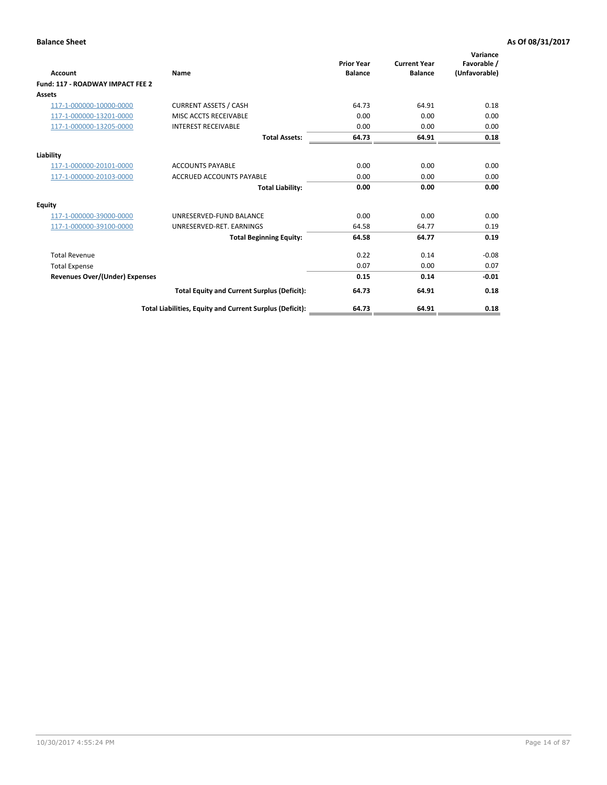| <b>Account</b>                        | Name                                                     | <b>Prior Year</b><br><b>Balance</b> | <b>Current Year</b><br><b>Balance</b> | Variance<br>Favorable /<br>(Unfavorable) |
|---------------------------------------|----------------------------------------------------------|-------------------------------------|---------------------------------------|------------------------------------------|
| Fund: 117 - ROADWAY IMPACT FEE 2      |                                                          |                                     |                                       |                                          |
| Assets                                |                                                          |                                     |                                       |                                          |
| 117-1-000000-10000-0000               | <b>CURRENT ASSETS / CASH</b>                             | 64.73                               | 64.91                                 | 0.18                                     |
| 117-1-000000-13201-0000               | MISC ACCTS RECEIVABLE                                    | 0.00                                | 0.00                                  | 0.00                                     |
| 117-1-000000-13205-0000               | <b>INTEREST RECEIVABLE</b>                               | 0.00                                | 0.00                                  | 0.00                                     |
|                                       | <b>Total Assets:</b>                                     | 64.73                               | 64.91                                 | 0.18                                     |
| Liability                             |                                                          |                                     |                                       |                                          |
| 117-1-000000-20101-0000               | <b>ACCOUNTS PAYABLE</b>                                  | 0.00                                | 0.00                                  | 0.00                                     |
| 117-1-000000-20103-0000               | <b>ACCRUED ACCOUNTS PAYABLE</b>                          | 0.00                                | 0.00                                  | 0.00                                     |
|                                       | <b>Total Liability:</b>                                  | 0.00                                | 0.00                                  | 0.00                                     |
| <b>Equity</b>                         |                                                          |                                     |                                       |                                          |
| 117-1-000000-39000-0000               | UNRESERVED-FUND BALANCE                                  | 0.00                                | 0.00                                  | 0.00                                     |
| 117-1-000000-39100-0000               | UNRESERVED-RET. EARNINGS                                 | 64.58                               | 64.77                                 | 0.19                                     |
|                                       | <b>Total Beginning Equity:</b>                           | 64.58                               | 64.77                                 | 0.19                                     |
| <b>Total Revenue</b>                  |                                                          | 0.22                                | 0.14                                  | $-0.08$                                  |
| <b>Total Expense</b>                  |                                                          | 0.07                                | 0.00                                  | 0.07                                     |
| <b>Revenues Over/(Under) Expenses</b> |                                                          | 0.15                                | 0.14                                  | $-0.01$                                  |
|                                       | <b>Total Equity and Current Surplus (Deficit):</b>       | 64.73                               | 64.91                                 | 0.18                                     |
|                                       | Total Liabilities, Equity and Current Surplus (Deficit): | 64.73                               | 64.91                                 | 0.18                                     |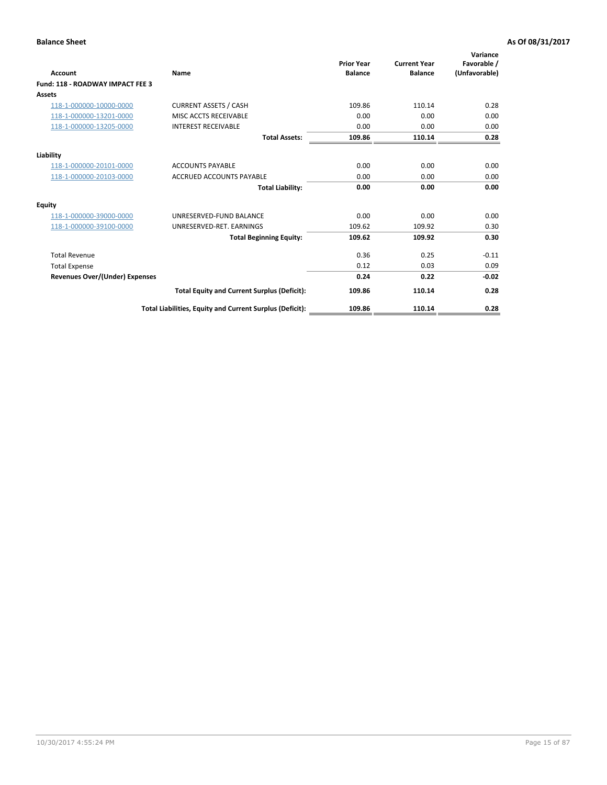| <b>Account</b>                        | Name                                                     | <b>Prior Year</b><br><b>Balance</b> | <b>Current Year</b><br><b>Balance</b> | Variance<br>Favorable /<br>(Unfavorable) |
|---------------------------------------|----------------------------------------------------------|-------------------------------------|---------------------------------------|------------------------------------------|
| Fund: 118 - ROADWAY IMPACT FEE 3      |                                                          |                                     |                                       |                                          |
| Assets                                |                                                          |                                     |                                       |                                          |
| 118-1-000000-10000-0000               | <b>CURRENT ASSETS / CASH</b>                             | 109.86                              | 110.14                                | 0.28                                     |
| 118-1-000000-13201-0000               | MISC ACCTS RECEIVABLE                                    | 0.00                                | 0.00                                  | 0.00                                     |
| 118-1-000000-13205-0000               | <b>INTEREST RECEIVABLE</b>                               | 0.00                                | 0.00                                  | 0.00                                     |
|                                       | <b>Total Assets:</b>                                     | 109.86                              | 110.14                                | 0.28                                     |
| Liability                             |                                                          |                                     |                                       |                                          |
| 118-1-000000-20101-0000               | <b>ACCOUNTS PAYABLE</b>                                  | 0.00                                | 0.00                                  | 0.00                                     |
| 118-1-000000-20103-0000               | <b>ACCRUED ACCOUNTS PAYABLE</b>                          | 0.00                                | 0.00                                  | 0.00                                     |
|                                       | <b>Total Liability:</b>                                  | 0.00                                | 0.00                                  | 0.00                                     |
| <b>Equity</b>                         |                                                          |                                     |                                       |                                          |
| 118-1-000000-39000-0000               | UNRESERVED-FUND BALANCE                                  | 0.00                                | 0.00                                  | 0.00                                     |
| 118-1-000000-39100-0000               | UNRESERVED-RET, EARNINGS                                 | 109.62                              | 109.92                                | 0.30                                     |
|                                       | <b>Total Beginning Equity:</b>                           | 109.62                              | 109.92                                | 0.30                                     |
| <b>Total Revenue</b>                  |                                                          | 0.36                                | 0.25                                  | $-0.11$                                  |
| <b>Total Expense</b>                  |                                                          | 0.12                                | 0.03                                  | 0.09                                     |
| <b>Revenues Over/(Under) Expenses</b> |                                                          | 0.24                                | 0.22                                  | $-0.02$                                  |
|                                       | <b>Total Equity and Current Surplus (Deficit):</b>       | 109.86                              | 110.14                                | 0.28                                     |
|                                       | Total Liabilities, Equity and Current Surplus (Deficit): | 109.86                              | 110.14                                | 0.28                                     |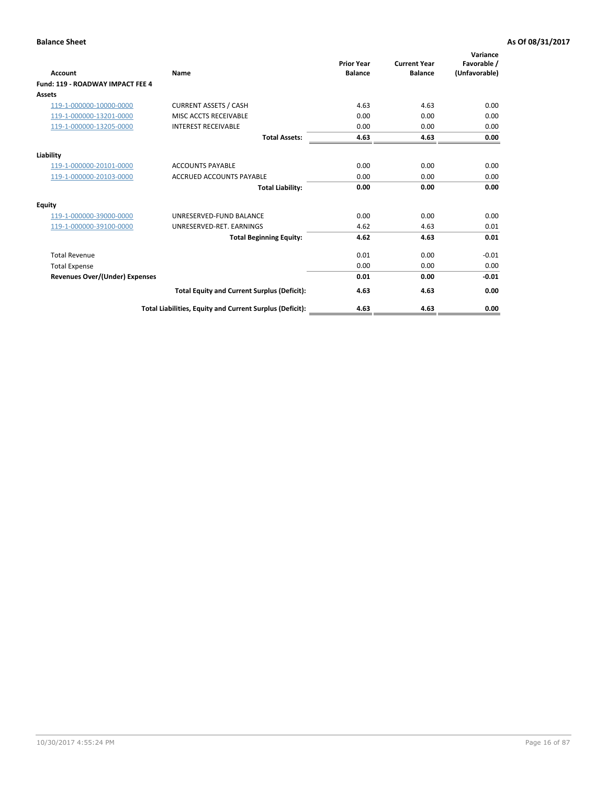| <b>Account</b>                        | Name                                                     | <b>Prior Year</b><br><b>Balance</b> | <b>Current Year</b><br><b>Balance</b> | Variance<br>Favorable /<br>(Unfavorable) |
|---------------------------------------|----------------------------------------------------------|-------------------------------------|---------------------------------------|------------------------------------------|
| Fund: 119 - ROADWAY IMPACT FEE 4      |                                                          |                                     |                                       |                                          |
| Assets                                |                                                          |                                     |                                       |                                          |
| 119-1-000000-10000-0000               | <b>CURRENT ASSETS / CASH</b>                             | 4.63                                | 4.63                                  | 0.00                                     |
| 119-1-000000-13201-0000               | MISC ACCTS RECEIVABLE                                    | 0.00                                | 0.00                                  | 0.00                                     |
| 119-1-000000-13205-0000               | <b>INTEREST RECEIVABLE</b>                               | 0.00                                | 0.00                                  | 0.00                                     |
|                                       | <b>Total Assets:</b>                                     | 4.63                                | 4.63                                  | 0.00                                     |
| Liability                             |                                                          |                                     |                                       |                                          |
| 119-1-000000-20101-0000               | <b>ACCOUNTS PAYABLE</b>                                  | 0.00                                | 0.00                                  | 0.00                                     |
| 119-1-000000-20103-0000               | <b>ACCRUED ACCOUNTS PAYABLE</b>                          | 0.00                                | 0.00                                  | 0.00                                     |
|                                       | <b>Total Liability:</b>                                  | 0.00                                | 0.00                                  | 0.00                                     |
| Equity                                |                                                          |                                     |                                       |                                          |
| 119-1-000000-39000-0000               | UNRESERVED-FUND BALANCE                                  | 0.00                                | 0.00                                  | 0.00                                     |
| 119-1-000000-39100-0000               | UNRESERVED-RET. EARNINGS                                 | 4.62                                | 4.63                                  | 0.01                                     |
|                                       | <b>Total Beginning Equity:</b>                           | 4.62                                | 4.63                                  | 0.01                                     |
| <b>Total Revenue</b>                  |                                                          | 0.01                                | 0.00                                  | $-0.01$                                  |
| <b>Total Expense</b>                  |                                                          | 0.00                                | 0.00                                  | 0.00                                     |
| <b>Revenues Over/(Under) Expenses</b> |                                                          | 0.01                                | 0.00                                  | $-0.01$                                  |
|                                       | <b>Total Equity and Current Surplus (Deficit):</b>       | 4.63                                | 4.63                                  | 0.00                                     |
|                                       | Total Liabilities, Equity and Current Surplus (Deficit): | 4.63                                | 4.63                                  | 0.00                                     |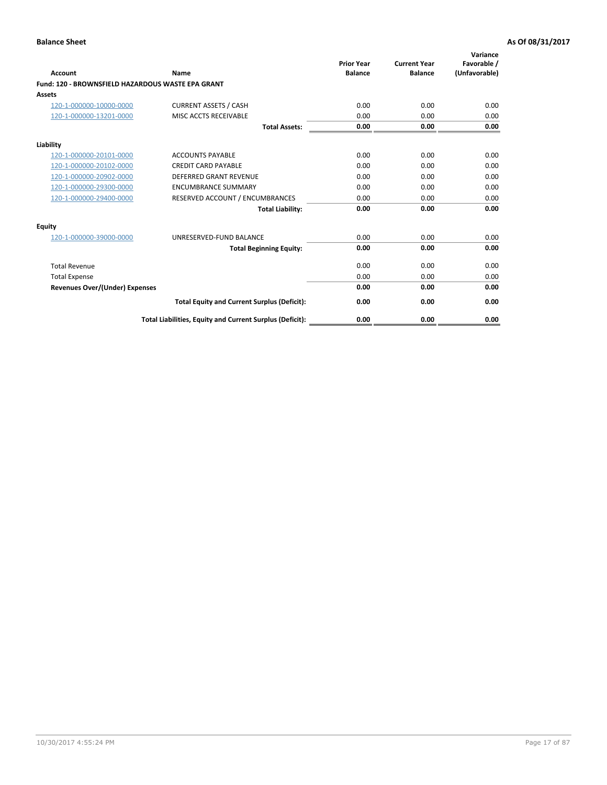| Account                                                  | Name                                                     | <b>Prior Year</b><br><b>Balance</b> | <b>Current Year</b><br><b>Balance</b> | Variance<br>Favorable /<br>(Unfavorable) |
|----------------------------------------------------------|----------------------------------------------------------|-------------------------------------|---------------------------------------|------------------------------------------|
| <b>Fund: 120 - BROWNSFIELD HAZARDOUS WASTE EPA GRANT</b> |                                                          |                                     |                                       |                                          |
| <b>Assets</b>                                            |                                                          |                                     |                                       |                                          |
| 120-1-000000-10000-0000                                  | <b>CURRENT ASSETS / CASH</b>                             | 0.00                                | 0.00                                  | 0.00                                     |
| 120-1-000000-13201-0000                                  | MISC ACCTS RECEIVABLE                                    | 0.00                                | 0.00                                  | 0.00                                     |
|                                                          | <b>Total Assets:</b>                                     | 0.00                                | 0.00                                  | 0.00                                     |
| Liability                                                |                                                          |                                     |                                       |                                          |
| 120-1-000000-20101-0000                                  | <b>ACCOUNTS PAYABLE</b>                                  | 0.00                                | 0.00                                  | 0.00                                     |
| 120-1-000000-20102-0000                                  | <b>CREDIT CARD PAYABLE</b>                               | 0.00                                | 0.00                                  | 0.00                                     |
| 120-1-000000-20902-0000                                  | <b>DEFERRED GRANT REVENUE</b>                            | 0.00                                | 0.00                                  | 0.00                                     |
| 120-1-000000-29300-0000                                  | <b>ENCUMBRANCE SUMMARY</b>                               | 0.00                                | 0.00                                  | 0.00                                     |
| 120-1-000000-29400-0000                                  | RESERVED ACCOUNT / ENCUMBRANCES                          | 0.00                                | 0.00                                  | 0.00                                     |
|                                                          | <b>Total Liability:</b>                                  | 0.00                                | 0.00                                  | 0.00                                     |
| <b>Equity</b>                                            |                                                          |                                     |                                       |                                          |
| 120-1-000000-39000-0000                                  | UNRESERVED-FUND BALANCE                                  | 0.00                                | 0.00                                  | 0.00                                     |
|                                                          | <b>Total Beginning Equity:</b>                           | 0.00                                | 0.00                                  | 0.00                                     |
| <b>Total Revenue</b>                                     |                                                          | 0.00                                | 0.00                                  | 0.00                                     |
| <b>Total Expense</b>                                     |                                                          | 0.00                                | 0.00                                  | 0.00                                     |
| <b>Revenues Over/(Under) Expenses</b>                    |                                                          | 0.00                                | 0.00                                  | 0.00                                     |
|                                                          | <b>Total Equity and Current Surplus (Deficit):</b>       | 0.00                                | 0.00                                  | 0.00                                     |
|                                                          | Total Liabilities, Equity and Current Surplus (Deficit): | 0.00                                | 0.00                                  | 0.00                                     |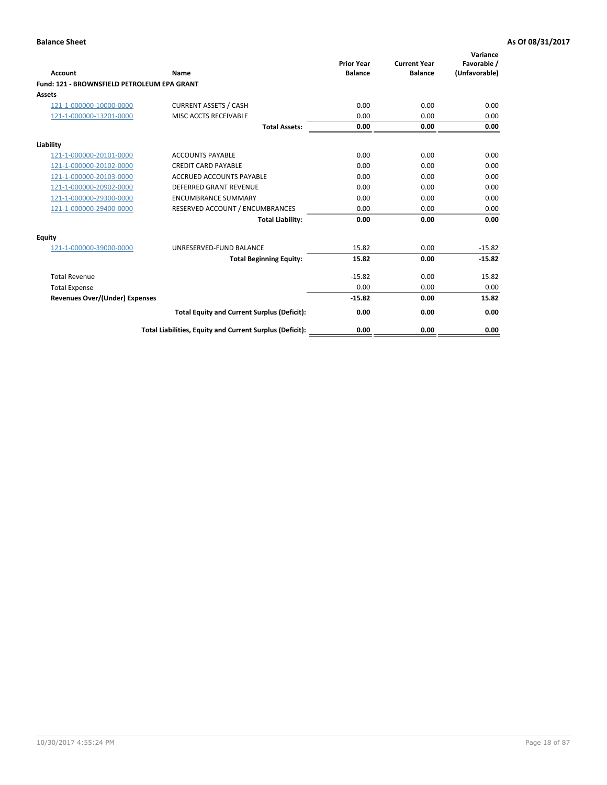| Account                                     | Name                                                     | <b>Prior Year</b><br><b>Balance</b> | <b>Current Year</b><br><b>Balance</b> | Variance<br>Favorable /<br>(Unfavorable) |
|---------------------------------------------|----------------------------------------------------------|-------------------------------------|---------------------------------------|------------------------------------------|
| Fund: 121 - BROWNSFIELD PETROLEUM EPA GRANT |                                                          |                                     |                                       |                                          |
| <b>Assets</b>                               |                                                          |                                     |                                       |                                          |
| 121-1-000000-10000-0000                     | <b>CURRENT ASSETS / CASH</b>                             | 0.00                                | 0.00                                  | 0.00                                     |
| 121-1-000000-13201-0000                     | <b>MISC ACCTS RECEIVABLE</b>                             | 0.00                                | 0.00                                  | 0.00                                     |
|                                             | <b>Total Assets:</b>                                     | 0.00                                | 0.00                                  | 0.00                                     |
| Liability                                   |                                                          |                                     |                                       |                                          |
| 121-1-000000-20101-0000                     | <b>ACCOUNTS PAYABLE</b>                                  | 0.00                                | 0.00                                  | 0.00                                     |
| 121-1-000000-20102-0000                     | <b>CREDIT CARD PAYABLE</b>                               | 0.00                                | 0.00                                  | 0.00                                     |
| 121-1-000000-20103-0000                     | <b>ACCRUED ACCOUNTS PAYABLE</b>                          | 0.00                                | 0.00                                  | 0.00                                     |
| 121-1-000000-20902-0000                     | <b>DEFERRED GRANT REVENUE</b>                            | 0.00                                | 0.00                                  | 0.00                                     |
| 121-1-000000-29300-0000                     | <b>ENCUMBRANCE SUMMARY</b>                               | 0.00                                | 0.00                                  | 0.00                                     |
| 121-1-000000-29400-0000                     | RESERVED ACCOUNT / ENCUMBRANCES                          | 0.00                                | 0.00                                  | 0.00                                     |
|                                             | <b>Total Liability:</b>                                  | 0.00                                | 0.00                                  | 0.00                                     |
| <b>Equity</b>                               |                                                          |                                     |                                       |                                          |
| 121-1-000000-39000-0000                     | UNRESERVED-FUND BALANCE                                  | 15.82                               | 0.00                                  | $-15.82$                                 |
|                                             | <b>Total Beginning Equity:</b>                           | 15.82                               | 0.00                                  | $-15.82$                                 |
| <b>Total Revenue</b>                        |                                                          | $-15.82$                            | 0.00                                  | 15.82                                    |
| <b>Total Expense</b>                        |                                                          | 0.00                                | 0.00                                  | 0.00                                     |
| <b>Revenues Over/(Under) Expenses</b>       |                                                          | $-15.82$                            | 0.00                                  | 15.82                                    |
|                                             | <b>Total Equity and Current Surplus (Deficit):</b>       | 0.00                                | 0.00                                  | 0.00                                     |
|                                             | Total Liabilities, Equity and Current Surplus (Deficit): | 0.00                                | 0.00                                  | 0.00                                     |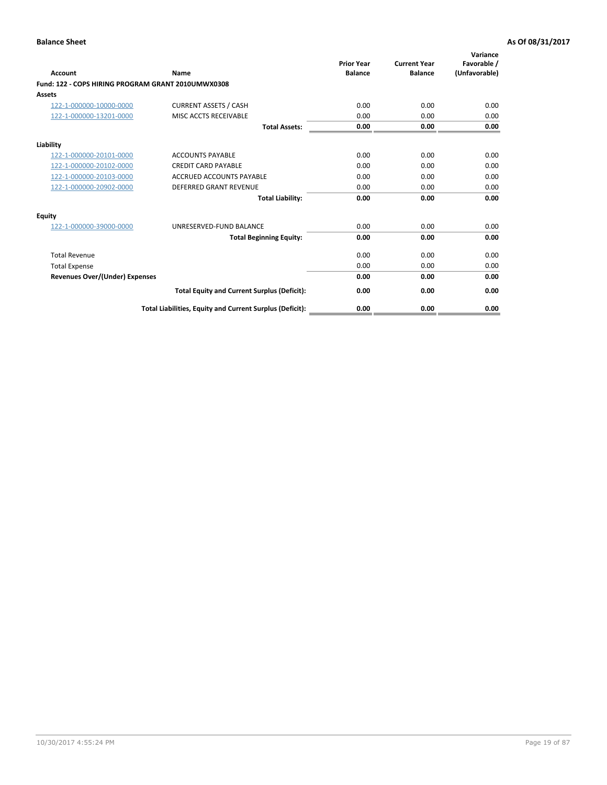| <b>Account</b>                                     | Name                                                     | <b>Prior Year</b><br><b>Balance</b> | <b>Current Year</b><br><b>Balance</b> | Variance<br>Favorable /<br>(Unfavorable) |
|----------------------------------------------------|----------------------------------------------------------|-------------------------------------|---------------------------------------|------------------------------------------|
| Fund: 122 - COPS HIRING PROGRAM GRANT 2010UMWX0308 |                                                          |                                     |                                       |                                          |
| Assets                                             |                                                          |                                     |                                       |                                          |
| 122-1-000000-10000-0000                            | <b>CURRENT ASSETS / CASH</b>                             | 0.00                                | 0.00                                  | 0.00                                     |
| 122-1-000000-13201-0000                            | MISC ACCTS RECEIVABLE                                    | 0.00                                | 0.00                                  | 0.00                                     |
|                                                    | <b>Total Assets:</b>                                     | 0.00                                | 0.00                                  | 0.00                                     |
| Liability                                          |                                                          |                                     |                                       |                                          |
| 122-1-000000-20101-0000                            | <b>ACCOUNTS PAYABLE</b>                                  | 0.00                                | 0.00                                  | 0.00                                     |
| 122-1-000000-20102-0000                            | <b>CREDIT CARD PAYABLE</b>                               | 0.00                                | 0.00                                  | 0.00                                     |
| 122-1-000000-20103-0000                            | <b>ACCRUED ACCOUNTS PAYABLE</b>                          | 0.00                                | 0.00                                  | 0.00                                     |
| 122-1-000000-20902-0000                            | <b>DEFERRED GRANT REVENUE</b>                            | 0.00                                | 0.00                                  | 0.00                                     |
|                                                    | <b>Total Liability:</b>                                  | 0.00                                | 0.00                                  | 0.00                                     |
| Equity                                             |                                                          |                                     |                                       |                                          |
| 122-1-000000-39000-0000                            | UNRESERVED-FUND BALANCE                                  | 0.00                                | 0.00                                  | 0.00                                     |
|                                                    | <b>Total Beginning Equity:</b>                           | 0.00                                | 0.00                                  | 0.00                                     |
| <b>Total Revenue</b>                               |                                                          | 0.00                                | 0.00                                  | 0.00                                     |
| <b>Total Expense</b>                               |                                                          | 0.00                                | 0.00                                  | 0.00                                     |
| <b>Revenues Over/(Under) Expenses</b>              |                                                          | 0.00                                | 0.00                                  | 0.00                                     |
|                                                    | <b>Total Equity and Current Surplus (Deficit):</b>       | 0.00                                | 0.00                                  | 0.00                                     |
|                                                    | Total Liabilities, Equity and Current Surplus (Deficit): | 0.00                                | 0.00                                  | 0.00                                     |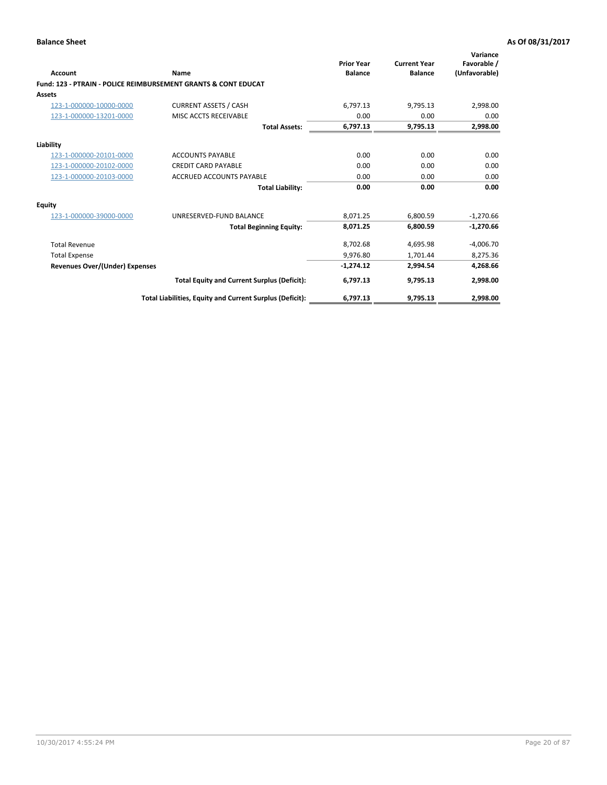|                                       |                                                                           | <b>Prior Year</b> | <b>Current Year</b> | Variance<br>Favorable / |
|---------------------------------------|---------------------------------------------------------------------------|-------------------|---------------------|-------------------------|
| Account                               | Name                                                                      | <b>Balance</b>    | <b>Balance</b>      | (Unfavorable)           |
|                                       | <b>Fund: 123 - PTRAIN - POLICE REIMBURSEMENT GRANTS &amp; CONT EDUCAT</b> |                   |                     |                         |
| <b>Assets</b>                         |                                                                           |                   |                     |                         |
| 123-1-000000-10000-0000               | <b>CURRENT ASSETS / CASH</b>                                              | 6.797.13          | 9.795.13            | 2,998.00                |
| 123-1-000000-13201-0000               | MISC ACCTS RECEIVABLE                                                     | 0.00              | 0.00                | 0.00                    |
|                                       | <b>Total Assets:</b>                                                      | 6,797.13          | 9,795.13            | 2,998.00                |
| Liability                             |                                                                           |                   |                     |                         |
| 123-1-000000-20101-0000               | <b>ACCOUNTS PAYABLE</b>                                                   | 0.00              | 0.00                | 0.00                    |
| 123-1-000000-20102-0000               | <b>CREDIT CARD PAYABLE</b>                                                | 0.00              | 0.00                | 0.00                    |
| 123-1-000000-20103-0000               | <b>ACCRUED ACCOUNTS PAYABLE</b>                                           | 0.00              | 0.00                | 0.00                    |
|                                       | <b>Total Liability:</b>                                                   | 0.00              | 0.00                | 0.00                    |
| <b>Equity</b>                         |                                                                           |                   |                     |                         |
| 123-1-000000-39000-0000               | UNRESERVED-FUND BALANCE                                                   | 8,071.25          | 6,800.59            | $-1,270.66$             |
|                                       | <b>Total Beginning Equity:</b>                                            | 8,071.25          | 6,800.59            | $-1,270.66$             |
| <b>Total Revenue</b>                  |                                                                           | 8,702.68          | 4,695.98            | $-4,006.70$             |
| <b>Total Expense</b>                  |                                                                           | 9.976.80          | 1,701.44            | 8,275.36                |
| <b>Revenues Over/(Under) Expenses</b> |                                                                           | $-1,274.12$       | 2,994.54            | 4,268.66                |
|                                       | <b>Total Equity and Current Surplus (Deficit):</b>                        | 6,797.13          | 9.795.13            | 2,998.00                |
|                                       | Total Liabilities, Equity and Current Surplus (Deficit):                  | 6,797.13          | 9,795.13            | 2,998.00                |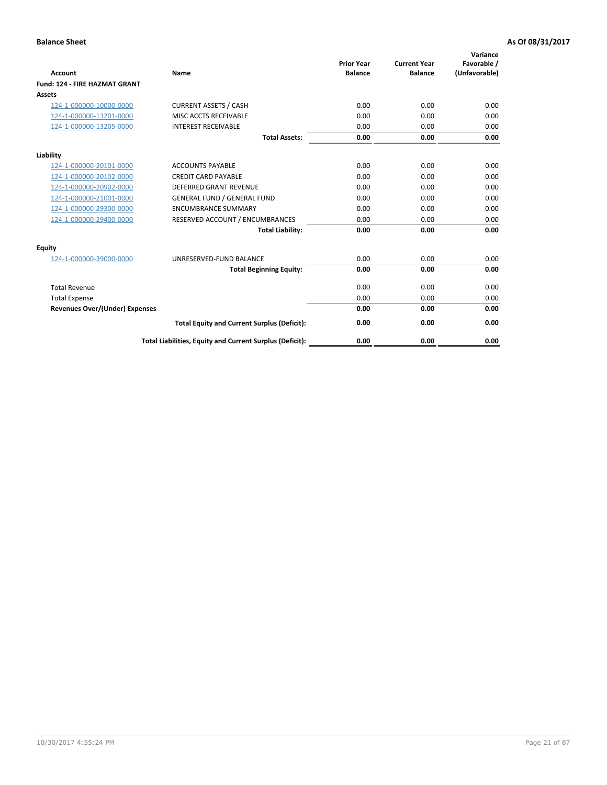| <b>Account</b>                        | Name                                                     | <b>Prior Year</b><br><b>Balance</b> | <b>Current Year</b><br><b>Balance</b> | Variance<br>Favorable /<br>(Unfavorable) |
|---------------------------------------|----------------------------------------------------------|-------------------------------------|---------------------------------------|------------------------------------------|
| Fund: 124 - FIRE HAZMAT GRANT         |                                                          |                                     |                                       |                                          |
| Assets                                |                                                          |                                     |                                       |                                          |
| 124-1-000000-10000-0000               | <b>CURRENT ASSETS / CASH</b>                             | 0.00                                | 0.00                                  | 0.00                                     |
| 124-1-000000-13201-0000               | <b>MISC ACCTS RECEIVABLE</b>                             | 0.00                                | 0.00                                  | 0.00                                     |
| 124-1-000000-13205-0000               | <b>INTEREST RECEIVABLE</b>                               | 0.00                                | 0.00                                  | 0.00                                     |
|                                       | <b>Total Assets:</b>                                     | 0.00                                | 0.00                                  | 0.00                                     |
| Liability                             |                                                          |                                     |                                       |                                          |
| 124-1-000000-20101-0000               | <b>ACCOUNTS PAYABLE</b>                                  | 0.00                                | 0.00                                  | 0.00                                     |
| 124-1-000000-20102-0000               | <b>CREDIT CARD PAYABLE</b>                               | 0.00                                | 0.00                                  | 0.00                                     |
| 124-1-000000-20902-0000               | <b>DEFERRED GRANT REVENUE</b>                            | 0.00                                | 0.00                                  | 0.00                                     |
| 124-1-000000-21001-0000               | <b>GENERAL FUND / GENERAL FUND</b>                       | 0.00                                | 0.00                                  | 0.00                                     |
| 124-1-000000-29300-0000               | <b>ENCUMBRANCE SUMMARY</b>                               | 0.00                                | 0.00                                  | 0.00                                     |
| 124-1-000000-29400-0000               | RESERVED ACCOUNT / ENCUMBRANCES                          | 0.00                                | 0.00                                  | 0.00                                     |
|                                       | <b>Total Liability:</b>                                  | 0.00                                | 0.00                                  | 0.00                                     |
| <b>Equity</b>                         |                                                          |                                     |                                       |                                          |
| 124-1-000000-39000-0000               | UNRESERVED-FUND BALANCE                                  | 0.00                                | 0.00                                  | 0.00                                     |
|                                       | <b>Total Beginning Equity:</b>                           | 0.00                                | 0.00                                  | 0.00                                     |
| <b>Total Revenue</b>                  |                                                          | 0.00                                | 0.00                                  | 0.00                                     |
| <b>Total Expense</b>                  |                                                          | 0.00                                | 0.00                                  | 0.00                                     |
| <b>Revenues Over/(Under) Expenses</b> |                                                          | 0.00                                | 0.00                                  | 0.00                                     |
|                                       | <b>Total Equity and Current Surplus (Deficit):</b>       | 0.00                                | 0.00                                  | 0.00                                     |
|                                       | Total Liabilities, Equity and Current Surplus (Deficit): | 0.00                                | 0.00                                  | 0.00                                     |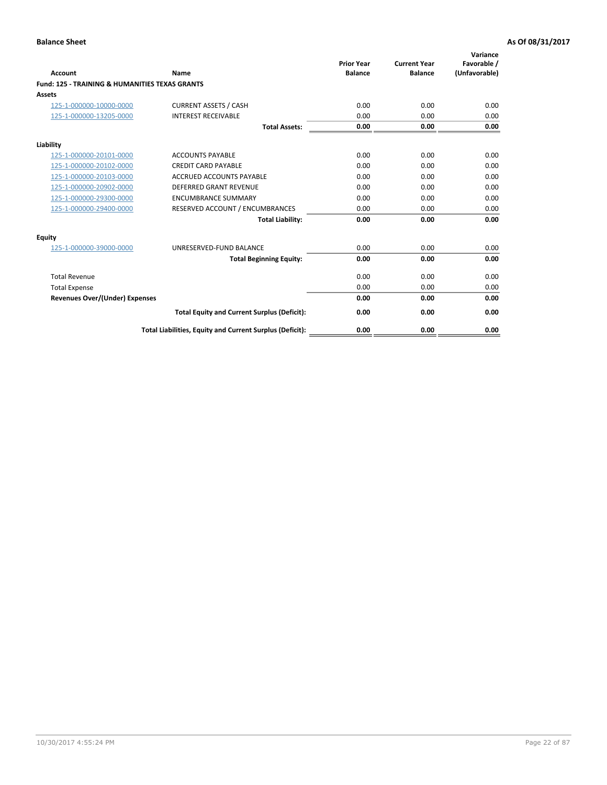| Account                                                   | Name                                                     | <b>Prior Year</b><br><b>Balance</b> | <b>Current Year</b><br><b>Balance</b> | Variance<br>Favorable /<br>(Unfavorable) |
|-----------------------------------------------------------|----------------------------------------------------------|-------------------------------------|---------------------------------------|------------------------------------------|
| <b>Fund: 125 - TRAINING &amp; HUMANITIES TEXAS GRANTS</b> |                                                          |                                     |                                       |                                          |
| <b>Assets</b>                                             |                                                          |                                     |                                       |                                          |
| 125-1-000000-10000-0000                                   | <b>CURRENT ASSETS / CASH</b>                             | 0.00                                | 0.00                                  | 0.00                                     |
| 125-1-000000-13205-0000                                   | <b>INTEREST RECEIVABLE</b>                               | 0.00                                | 0.00                                  | 0.00                                     |
|                                                           | <b>Total Assets:</b>                                     | 0.00                                | 0.00                                  | 0.00                                     |
| Liability                                                 |                                                          |                                     |                                       |                                          |
| 125-1-000000-20101-0000                                   | <b>ACCOUNTS PAYABLE</b>                                  | 0.00                                | 0.00                                  | 0.00                                     |
| 125-1-000000-20102-0000                                   | <b>CREDIT CARD PAYABLE</b>                               | 0.00                                | 0.00                                  | 0.00                                     |
| 125-1-000000-20103-0000                                   | <b>ACCRUED ACCOUNTS PAYABLE</b>                          | 0.00                                | 0.00                                  | 0.00                                     |
| 125-1-000000-20902-0000                                   | DEFERRED GRANT REVENUE                                   | 0.00                                | 0.00                                  | 0.00                                     |
| 125-1-000000-29300-0000                                   | <b>ENCUMBRANCE SUMMARY</b>                               | 0.00                                | 0.00                                  | 0.00                                     |
| 125-1-000000-29400-0000                                   | RESERVED ACCOUNT / ENCUMBRANCES                          | 0.00                                | 0.00                                  | 0.00                                     |
|                                                           | <b>Total Liability:</b>                                  | 0.00                                | 0.00                                  | 0.00                                     |
| <b>Equity</b>                                             |                                                          |                                     |                                       |                                          |
| 125-1-000000-39000-0000                                   | UNRESERVED-FUND BALANCE                                  | 0.00                                | 0.00                                  | 0.00                                     |
|                                                           | <b>Total Beginning Equity:</b>                           | 0.00                                | 0.00                                  | 0.00                                     |
| <b>Total Revenue</b>                                      |                                                          | 0.00                                | 0.00                                  | 0.00                                     |
| <b>Total Expense</b>                                      |                                                          | 0.00                                | 0.00                                  | 0.00                                     |
| <b>Revenues Over/(Under) Expenses</b>                     |                                                          | 0.00                                | 0.00                                  | 0.00                                     |
|                                                           | <b>Total Equity and Current Surplus (Deficit):</b>       | 0.00                                | 0.00                                  | 0.00                                     |
|                                                           | Total Liabilities, Equity and Current Surplus (Deficit): | 0.00                                | 0.00                                  | 0.00                                     |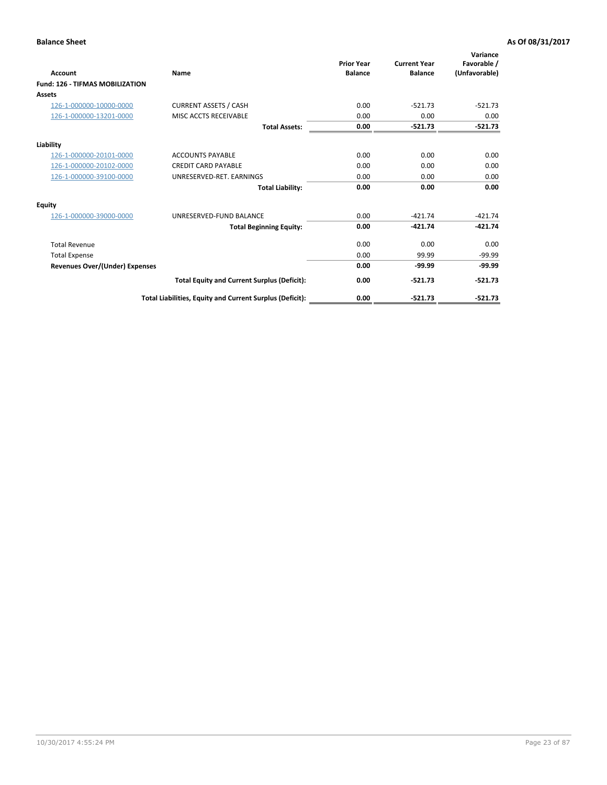| Account                                | Name                                                     | <b>Prior Year</b><br><b>Balance</b> | <b>Current Year</b><br><b>Balance</b> | Variance<br>Favorable /<br>(Unfavorable) |
|----------------------------------------|----------------------------------------------------------|-------------------------------------|---------------------------------------|------------------------------------------|
| <b>Fund: 126 - TIFMAS MOBILIZATION</b> |                                                          |                                     |                                       |                                          |
| Assets                                 |                                                          |                                     |                                       |                                          |
| 126-1-000000-10000-0000                | <b>CURRENT ASSETS / CASH</b>                             | 0.00                                | $-521.73$                             | $-521.73$                                |
| 126-1-000000-13201-0000                | MISC ACCTS RECEIVABLE                                    | 0.00                                | 0.00                                  | 0.00                                     |
|                                        | <b>Total Assets:</b>                                     | 0.00                                | $-521.73$                             | $-521.73$                                |
| Liability                              |                                                          |                                     |                                       |                                          |
| 126-1-000000-20101-0000                | <b>ACCOUNTS PAYABLE</b>                                  | 0.00                                | 0.00                                  | 0.00                                     |
| 126-1-000000-20102-0000                | <b>CREDIT CARD PAYABLE</b>                               | 0.00                                | 0.00                                  | 0.00                                     |
| 126-1-000000-39100-0000                | UNRESERVED-RET. EARNINGS                                 | 0.00                                | 0.00                                  | 0.00                                     |
|                                        | <b>Total Liability:</b>                                  | 0.00                                | 0.00                                  | 0.00                                     |
| Equity                                 |                                                          |                                     |                                       |                                          |
| 126-1-000000-39000-0000                | UNRESERVED-FUND BALANCE                                  | 0.00                                | $-421.74$                             | $-421.74$                                |
|                                        | <b>Total Beginning Equity:</b>                           | 0.00                                | $-421.74$                             | $-421.74$                                |
| <b>Total Revenue</b>                   |                                                          | 0.00                                | 0.00                                  | 0.00                                     |
| <b>Total Expense</b>                   |                                                          | 0.00                                | 99.99                                 | $-99.99$                                 |
| Revenues Over/(Under) Expenses         |                                                          | 0.00                                | $-99.99$                              | $-99.99$                                 |
|                                        | <b>Total Equity and Current Surplus (Deficit):</b>       | 0.00                                | $-521.73$                             | $-521.73$                                |
|                                        | Total Liabilities, Equity and Current Surplus (Deficit): | 0.00                                | $-521.73$                             | $-521.73$                                |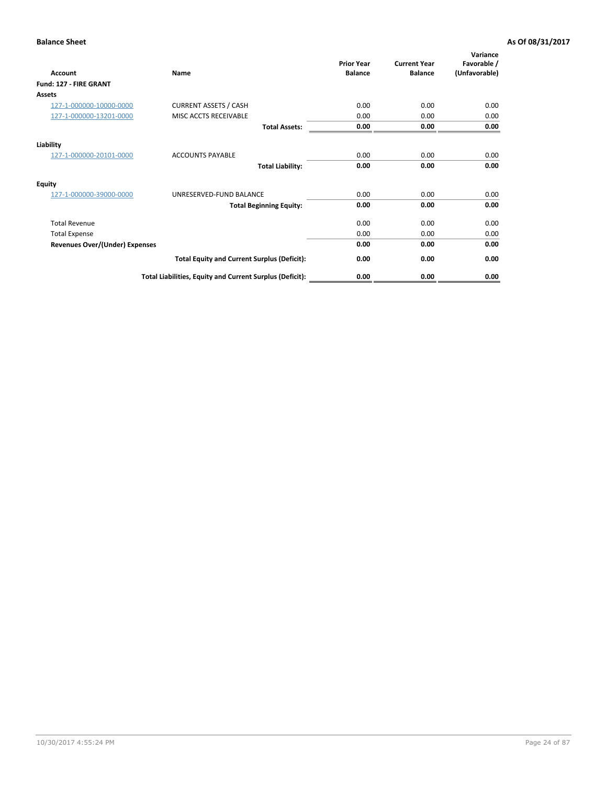| <b>Account</b>                        | Name                                                     | <b>Prior Year</b><br><b>Balance</b> | <b>Current Year</b><br><b>Balance</b> | Variance<br>Favorable /<br>(Unfavorable) |
|---------------------------------------|----------------------------------------------------------|-------------------------------------|---------------------------------------|------------------------------------------|
| Fund: 127 - FIRE GRANT                |                                                          |                                     |                                       |                                          |
| Assets                                |                                                          |                                     |                                       |                                          |
| 127-1-000000-10000-0000               | <b>CURRENT ASSETS / CASH</b>                             | 0.00                                | 0.00                                  | 0.00                                     |
| 127-1-000000-13201-0000               | MISC ACCTS RECEIVABLE                                    | 0.00                                | 0.00                                  | 0.00                                     |
|                                       | <b>Total Assets:</b>                                     | 0.00                                | 0.00                                  | 0.00                                     |
| Liability                             |                                                          |                                     |                                       |                                          |
| 127-1-000000-20101-0000               | <b>ACCOUNTS PAYABLE</b>                                  | 0.00                                | 0.00                                  | 0.00                                     |
|                                       | <b>Total Liability:</b>                                  | 0.00                                | 0.00                                  | 0.00                                     |
| <b>Equity</b>                         |                                                          |                                     |                                       |                                          |
| 127-1-000000-39000-0000               | UNRESERVED-FUND BALANCE                                  | 0.00                                | 0.00                                  | 0.00                                     |
|                                       | <b>Total Beginning Equity:</b>                           | 0.00                                | 0.00                                  | 0.00                                     |
| <b>Total Revenue</b>                  |                                                          | 0.00                                | 0.00                                  | 0.00                                     |
| <b>Total Expense</b>                  |                                                          | 0.00                                | 0.00                                  | 0.00                                     |
| <b>Revenues Over/(Under) Expenses</b> |                                                          | 0.00                                | 0.00                                  | 0.00                                     |
|                                       | <b>Total Equity and Current Surplus (Deficit):</b>       | 0.00                                | 0.00                                  | 0.00                                     |
|                                       | Total Liabilities, Equity and Current Surplus (Deficit): | 0.00                                | 0.00                                  | 0.00                                     |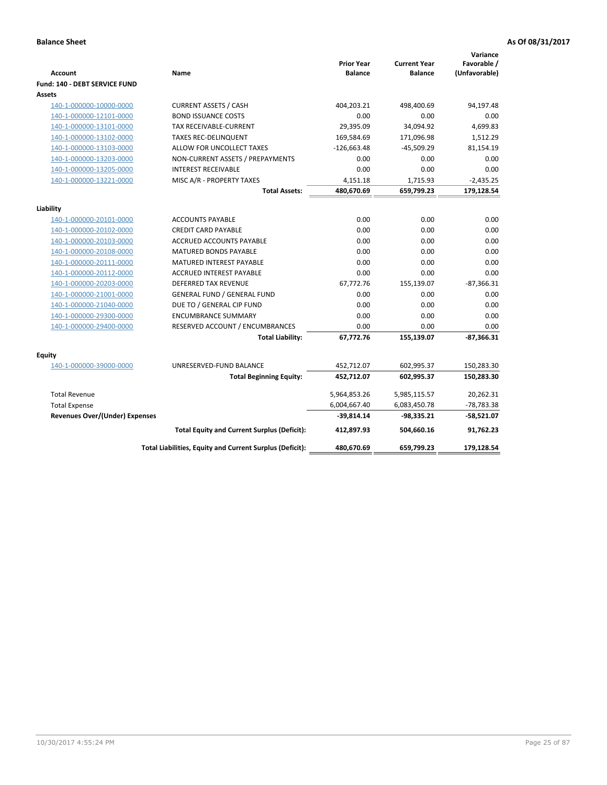| <b>Account</b>                        | Name                                                     | <b>Prior Year</b><br><b>Balance</b> | <b>Current Year</b><br><b>Balance</b> | Variance<br>Favorable /<br>(Unfavorable) |
|---------------------------------------|----------------------------------------------------------|-------------------------------------|---------------------------------------|------------------------------------------|
| Fund: 140 - DEBT SERVICE FUND         |                                                          |                                     |                                       |                                          |
| Assets                                |                                                          |                                     |                                       |                                          |
| 140-1-000000-10000-0000               | <b>CURRENT ASSETS / CASH</b>                             | 404,203.21                          | 498,400.69                            | 94,197.48                                |
| 140-1-000000-12101-0000               | <b>BOND ISSUANCE COSTS</b>                               | 0.00                                | 0.00                                  | 0.00                                     |
| 140-1-000000-13101-0000               | TAX RECEIVABLE-CURRENT                                   | 29,395.09                           | 34,094.92                             | 4,699.83                                 |
| 140-1-000000-13102-0000               | <b>TAXES REC-DELINQUENT</b>                              | 169,584.69                          | 171,096.98                            | 1,512.29                                 |
| 140-1-000000-13103-0000               | ALLOW FOR UNCOLLECT TAXES                                | $-126,663.48$                       | $-45,509.29$                          | 81,154.19                                |
| 140-1-000000-13203-0000               | NON-CURRENT ASSETS / PREPAYMENTS                         | 0.00                                | 0.00                                  | 0.00                                     |
| 140-1-000000-13205-0000               | <b>INTEREST RECEIVABLE</b>                               | 0.00                                | 0.00                                  | 0.00                                     |
| 140-1-000000-13221-0000               | MISC A/R - PROPERTY TAXES                                | 4,151.18                            | 1,715.93                              | $-2,435.25$                              |
|                                       | <b>Total Assets:</b>                                     | 480,670.69                          | 659,799.23                            | 179,128.54                               |
| Liability                             |                                                          |                                     |                                       |                                          |
| 140-1-000000-20101-0000               | <b>ACCOUNTS PAYABLE</b>                                  | 0.00                                | 0.00                                  | 0.00                                     |
| 140-1-000000-20102-0000               | <b>CREDIT CARD PAYABLE</b>                               | 0.00                                | 0.00                                  | 0.00                                     |
| 140-1-000000-20103-0000               | ACCRUED ACCOUNTS PAYABLE                                 | 0.00                                | 0.00                                  | 0.00                                     |
| 140-1-000000-20108-0000               | <b>MATURED BONDS PAYABLE</b>                             | 0.00                                | 0.00                                  | 0.00                                     |
| 140-1-000000-20111-0000               | MATURED INTEREST PAYABLE                                 | 0.00                                | 0.00                                  | 0.00                                     |
| 140-1-000000-20112-0000               | <b>ACCRUED INTEREST PAYABLE</b>                          | 0.00                                | 0.00                                  | 0.00                                     |
| 140-1-000000-20203-0000               | <b>DEFERRED TAX REVENUE</b>                              | 67,772.76                           | 155,139.07                            | $-87,366.31$                             |
| 140-1-000000-21001-0000               | <b>GENERAL FUND / GENERAL FUND</b>                       | 0.00                                | 0.00                                  | 0.00                                     |
| 140-1-000000-21040-0000               | DUE TO / GENERAL CIP FUND                                | 0.00                                | 0.00                                  | 0.00                                     |
| 140-1-000000-29300-0000               | <b>ENCUMBRANCE SUMMARY</b>                               | 0.00                                | 0.00                                  | 0.00                                     |
| 140-1-000000-29400-0000               | RESERVED ACCOUNT / ENCUMBRANCES                          | 0.00                                | 0.00                                  | 0.00                                     |
|                                       | <b>Total Liability:</b>                                  | 67,772.76                           | 155,139.07                            | $-87,366.31$                             |
| Equity                                |                                                          |                                     |                                       |                                          |
| 140-1-000000-39000-0000               | UNRESERVED-FUND BALANCE                                  | 452,712.07                          | 602,995.37                            | 150,283.30                               |
|                                       | <b>Total Beginning Equity:</b>                           | 452,712.07                          | 602,995.37                            | 150,283.30                               |
| <b>Total Revenue</b>                  |                                                          | 5,964,853.26                        | 5,985,115.57                          | 20,262.31                                |
| <b>Total Expense</b>                  |                                                          | 6,004,667.40                        | 6,083,450.78                          | $-78,783.38$                             |
| <b>Revenues Over/(Under) Expenses</b> |                                                          | -39,814.14                          | -98,335.21                            | $-58,521.07$                             |
|                                       | <b>Total Equity and Current Surplus (Deficit):</b>       | 412.897.93                          | 504.660.16                            | 91.762.23                                |
|                                       | Total Liabilities, Equity and Current Surplus (Deficit): | 480,670.69                          | 659,799.23                            | 179,128.54                               |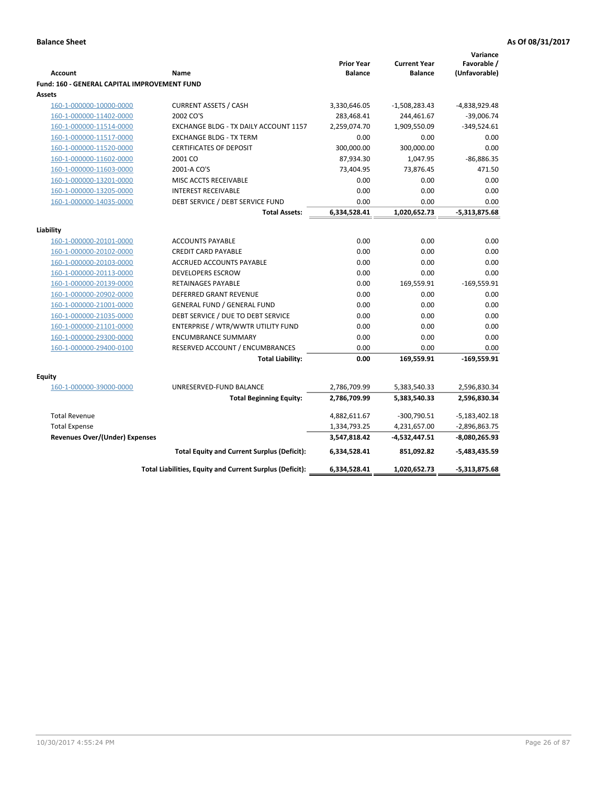| Favorable /<br><b>Prior Year</b><br><b>Current Year</b><br>(Unfavorable)<br><b>Account</b><br><b>Balance</b><br><b>Balance</b><br>Name<br><b>Fund: 160 - GENERAL CAPITAL IMPROVEMENT FUND</b><br>Assets<br><b>CURRENT ASSETS / CASH</b><br>160-1-000000-10000-0000<br>3,330,646.05<br>-1,508,283.43<br>-4,838,929.48<br>2002 CO'S<br>283,468.41<br>244,461.67<br>$-39,006.74$<br>160-1-000000-11402-0000<br>1,909,550.09<br>$-349,524.61$<br>160-1-000000-11514-0000<br>EXCHANGE BLDG - TX DAILY ACCOUNT 1157<br>2,259,074.70<br>0.00<br>160-1-000000-11517-0000<br><b>EXCHANGE BLDG - TX TERM</b><br>0.00<br>0.00<br>160-1-000000-11520-0000<br><b>CERTIFICATES OF DEPOSIT</b><br>300,000.00<br>300,000.00<br>0.00<br>$-86,886.35$<br>160-1-000000-11602-0000<br>2001 CO<br>87,934.30<br>1,047.95<br>160-1-000000-11603-0000<br>2001-A CO'S<br>73,404.95<br>73,876.45<br>471.50<br>0.00<br>0.00<br>0.00<br>160-1-000000-13201-0000<br>MISC ACCTS RECEIVABLE<br>160-1-000000-13205-0000<br><b>INTEREST RECEIVABLE</b><br>0.00<br>0.00<br>0.00<br>DEBT SERVICE / DEBT SERVICE FUND<br>0.00<br>0.00<br>0.00<br>160-1-000000-14035-0000<br>6,334,528.41<br>1,020,652.73<br>$-5,313,875.68$<br><b>Total Assets:</b><br>Liability<br><b>ACCOUNTS PAYABLE</b><br>0.00<br>0.00<br>0.00<br>160-1-000000-20101-0000<br><b>CREDIT CARD PAYABLE</b><br>0.00<br>0.00<br>0.00<br>160-1-000000-20102-0000<br>160-1-000000-20103-0000<br><b>ACCRUED ACCOUNTS PAYABLE</b><br>0.00<br>0.00<br>0.00<br><b>DEVELOPERS ESCROW</b><br>0.00<br>0.00<br>0.00<br>160-1-000000-20113-0000<br>$-169,559.91$<br>160-1-000000-20139-0000<br><b>RETAINAGES PAYABLE</b><br>0.00<br>169,559.91<br>0.00<br>0.00<br>0.00<br>160-1-000000-20902-0000<br><b>DEFERRED GRANT REVENUE</b><br>160-1-000000-21001-0000<br><b>GENERAL FUND / GENERAL FUND</b><br>0.00<br>0.00<br>0.00<br>160-1-000000-21035-0000<br>DEBT SERVICE / DUE TO DEBT SERVICE<br>0.00<br>0.00<br>0.00<br>ENTERPRISE / WTR/WWTR UTILITY FUND<br>0.00<br>0.00<br>160-1-000000-21101-0000<br>0.00<br><b>ENCUMBRANCE SUMMARY</b><br>0.00<br>0.00<br>0.00<br>160-1-000000-29300-0000<br>0.00<br>0.00<br>0.00<br>160-1-000000-29400-0100<br>RESERVED ACCOUNT / ENCUMBRANCES<br>169,559.91<br>$-169,559.91$<br><b>Total Liability:</b><br>0.00<br>Equity<br>160-1-000000-39000-0000<br>UNRESERVED-FUND BALANCE<br>2,596,830.34<br>2,786,709.99<br>5,383,540.33<br>2,786,709.99<br>5,383,540.33<br>2,596,830.34<br><b>Total Beginning Equity:</b><br><b>Total Revenue</b><br>4,882,611.67<br>-300,790.51<br>$-5,183,402.18$<br><b>Total Expense</b><br>1,334,793.25<br>4,231,657.00<br>$-2,896,863.75$<br>Revenues Over/(Under) Expenses<br>3,547,818.42<br>-4,532,447.51<br>-8,080,265.93<br><b>Total Equity and Current Surplus (Deficit):</b><br>6,334,528.41<br>851,092.82<br>-5,483,435.59<br>Total Liabilities, Equity and Current Surplus (Deficit):<br>6,334,528.41<br>1,020,652.73<br>-5,313,875.68 |  |  | Variance |
|--------------------------------------------------------------------------------------------------------------------------------------------------------------------------------------------------------------------------------------------------------------------------------------------------------------------------------------------------------------------------------------------------------------------------------------------------------------------------------------------------------------------------------------------------------------------------------------------------------------------------------------------------------------------------------------------------------------------------------------------------------------------------------------------------------------------------------------------------------------------------------------------------------------------------------------------------------------------------------------------------------------------------------------------------------------------------------------------------------------------------------------------------------------------------------------------------------------------------------------------------------------------------------------------------------------------------------------------------------------------------------------------------------------------------------------------------------------------------------------------------------------------------------------------------------------------------------------------------------------------------------------------------------------------------------------------------------------------------------------------------------------------------------------------------------------------------------------------------------------------------------------------------------------------------------------------------------------------------------------------------------------------------------------------------------------------------------------------------------------------------------------------------------------------------------------------------------------------------------------------------------------------------------------------------------------------------------------------------------------------------------------------------------------------------------------------------------------------------------------------------------------------------------------------------------------------------------------------------------------------------------------------------------------------------------------------------------------------------------------------------------------------------------------------------------------------------------------------------------------------------------------------------------------------------------------|--|--|----------|
|                                                                                                                                                                                                                                                                                                                                                                                                                                                                                                                                                                                                                                                                                                                                                                                                                                                                                                                                                                                                                                                                                                                                                                                                                                                                                                                                                                                                                                                                                                                                                                                                                                                                                                                                                                                                                                                                                                                                                                                                                                                                                                                                                                                                                                                                                                                                                                                                                                                                                                                                                                                                                                                                                                                                                                                                                                                                                                                                      |  |  |          |
|                                                                                                                                                                                                                                                                                                                                                                                                                                                                                                                                                                                                                                                                                                                                                                                                                                                                                                                                                                                                                                                                                                                                                                                                                                                                                                                                                                                                                                                                                                                                                                                                                                                                                                                                                                                                                                                                                                                                                                                                                                                                                                                                                                                                                                                                                                                                                                                                                                                                                                                                                                                                                                                                                                                                                                                                                                                                                                                                      |  |  |          |
|                                                                                                                                                                                                                                                                                                                                                                                                                                                                                                                                                                                                                                                                                                                                                                                                                                                                                                                                                                                                                                                                                                                                                                                                                                                                                                                                                                                                                                                                                                                                                                                                                                                                                                                                                                                                                                                                                                                                                                                                                                                                                                                                                                                                                                                                                                                                                                                                                                                                                                                                                                                                                                                                                                                                                                                                                                                                                                                                      |  |  |          |
|                                                                                                                                                                                                                                                                                                                                                                                                                                                                                                                                                                                                                                                                                                                                                                                                                                                                                                                                                                                                                                                                                                                                                                                                                                                                                                                                                                                                                                                                                                                                                                                                                                                                                                                                                                                                                                                                                                                                                                                                                                                                                                                                                                                                                                                                                                                                                                                                                                                                                                                                                                                                                                                                                                                                                                                                                                                                                                                                      |  |  |          |
|                                                                                                                                                                                                                                                                                                                                                                                                                                                                                                                                                                                                                                                                                                                                                                                                                                                                                                                                                                                                                                                                                                                                                                                                                                                                                                                                                                                                                                                                                                                                                                                                                                                                                                                                                                                                                                                                                                                                                                                                                                                                                                                                                                                                                                                                                                                                                                                                                                                                                                                                                                                                                                                                                                                                                                                                                                                                                                                                      |  |  |          |
|                                                                                                                                                                                                                                                                                                                                                                                                                                                                                                                                                                                                                                                                                                                                                                                                                                                                                                                                                                                                                                                                                                                                                                                                                                                                                                                                                                                                                                                                                                                                                                                                                                                                                                                                                                                                                                                                                                                                                                                                                                                                                                                                                                                                                                                                                                                                                                                                                                                                                                                                                                                                                                                                                                                                                                                                                                                                                                                                      |  |  |          |
|                                                                                                                                                                                                                                                                                                                                                                                                                                                                                                                                                                                                                                                                                                                                                                                                                                                                                                                                                                                                                                                                                                                                                                                                                                                                                                                                                                                                                                                                                                                                                                                                                                                                                                                                                                                                                                                                                                                                                                                                                                                                                                                                                                                                                                                                                                                                                                                                                                                                                                                                                                                                                                                                                                                                                                                                                                                                                                                                      |  |  |          |
|                                                                                                                                                                                                                                                                                                                                                                                                                                                                                                                                                                                                                                                                                                                                                                                                                                                                                                                                                                                                                                                                                                                                                                                                                                                                                                                                                                                                                                                                                                                                                                                                                                                                                                                                                                                                                                                                                                                                                                                                                                                                                                                                                                                                                                                                                                                                                                                                                                                                                                                                                                                                                                                                                                                                                                                                                                                                                                                                      |  |  |          |
|                                                                                                                                                                                                                                                                                                                                                                                                                                                                                                                                                                                                                                                                                                                                                                                                                                                                                                                                                                                                                                                                                                                                                                                                                                                                                                                                                                                                                                                                                                                                                                                                                                                                                                                                                                                                                                                                                                                                                                                                                                                                                                                                                                                                                                                                                                                                                                                                                                                                                                                                                                                                                                                                                                                                                                                                                                                                                                                                      |  |  |          |
|                                                                                                                                                                                                                                                                                                                                                                                                                                                                                                                                                                                                                                                                                                                                                                                                                                                                                                                                                                                                                                                                                                                                                                                                                                                                                                                                                                                                                                                                                                                                                                                                                                                                                                                                                                                                                                                                                                                                                                                                                                                                                                                                                                                                                                                                                                                                                                                                                                                                                                                                                                                                                                                                                                                                                                                                                                                                                                                                      |  |  |          |
|                                                                                                                                                                                                                                                                                                                                                                                                                                                                                                                                                                                                                                                                                                                                                                                                                                                                                                                                                                                                                                                                                                                                                                                                                                                                                                                                                                                                                                                                                                                                                                                                                                                                                                                                                                                                                                                                                                                                                                                                                                                                                                                                                                                                                                                                                                                                                                                                                                                                                                                                                                                                                                                                                                                                                                                                                                                                                                                                      |  |  |          |
|                                                                                                                                                                                                                                                                                                                                                                                                                                                                                                                                                                                                                                                                                                                                                                                                                                                                                                                                                                                                                                                                                                                                                                                                                                                                                                                                                                                                                                                                                                                                                                                                                                                                                                                                                                                                                                                                                                                                                                                                                                                                                                                                                                                                                                                                                                                                                                                                                                                                                                                                                                                                                                                                                                                                                                                                                                                                                                                                      |  |  |          |
|                                                                                                                                                                                                                                                                                                                                                                                                                                                                                                                                                                                                                                                                                                                                                                                                                                                                                                                                                                                                                                                                                                                                                                                                                                                                                                                                                                                                                                                                                                                                                                                                                                                                                                                                                                                                                                                                                                                                                                                                                                                                                                                                                                                                                                                                                                                                                                                                                                                                                                                                                                                                                                                                                                                                                                                                                                                                                                                                      |  |  |          |
|                                                                                                                                                                                                                                                                                                                                                                                                                                                                                                                                                                                                                                                                                                                                                                                                                                                                                                                                                                                                                                                                                                                                                                                                                                                                                                                                                                                                                                                                                                                                                                                                                                                                                                                                                                                                                                                                                                                                                                                                                                                                                                                                                                                                                                                                                                                                                                                                                                                                                                                                                                                                                                                                                                                                                                                                                                                                                                                                      |  |  |          |
|                                                                                                                                                                                                                                                                                                                                                                                                                                                                                                                                                                                                                                                                                                                                                                                                                                                                                                                                                                                                                                                                                                                                                                                                                                                                                                                                                                                                                                                                                                                                                                                                                                                                                                                                                                                                                                                                                                                                                                                                                                                                                                                                                                                                                                                                                                                                                                                                                                                                                                                                                                                                                                                                                                                                                                                                                                                                                                                                      |  |  |          |
|                                                                                                                                                                                                                                                                                                                                                                                                                                                                                                                                                                                                                                                                                                                                                                                                                                                                                                                                                                                                                                                                                                                                                                                                                                                                                                                                                                                                                                                                                                                                                                                                                                                                                                                                                                                                                                                                                                                                                                                                                                                                                                                                                                                                                                                                                                                                                                                                                                                                                                                                                                                                                                                                                                                                                                                                                                                                                                                                      |  |  |          |
|                                                                                                                                                                                                                                                                                                                                                                                                                                                                                                                                                                                                                                                                                                                                                                                                                                                                                                                                                                                                                                                                                                                                                                                                                                                                                                                                                                                                                                                                                                                                                                                                                                                                                                                                                                                                                                                                                                                                                                                                                                                                                                                                                                                                                                                                                                                                                                                                                                                                                                                                                                                                                                                                                                                                                                                                                                                                                                                                      |  |  |          |
|                                                                                                                                                                                                                                                                                                                                                                                                                                                                                                                                                                                                                                                                                                                                                                                                                                                                                                                                                                                                                                                                                                                                                                                                                                                                                                                                                                                                                                                                                                                                                                                                                                                                                                                                                                                                                                                                                                                                                                                                                                                                                                                                                                                                                                                                                                                                                                                                                                                                                                                                                                                                                                                                                                                                                                                                                                                                                                                                      |  |  |          |
|                                                                                                                                                                                                                                                                                                                                                                                                                                                                                                                                                                                                                                                                                                                                                                                                                                                                                                                                                                                                                                                                                                                                                                                                                                                                                                                                                                                                                                                                                                                                                                                                                                                                                                                                                                                                                                                                                                                                                                                                                                                                                                                                                                                                                                                                                                                                                                                                                                                                                                                                                                                                                                                                                                                                                                                                                                                                                                                                      |  |  |          |
|                                                                                                                                                                                                                                                                                                                                                                                                                                                                                                                                                                                                                                                                                                                                                                                                                                                                                                                                                                                                                                                                                                                                                                                                                                                                                                                                                                                                                                                                                                                                                                                                                                                                                                                                                                                                                                                                                                                                                                                                                                                                                                                                                                                                                                                                                                                                                                                                                                                                                                                                                                                                                                                                                                                                                                                                                                                                                                                                      |  |  |          |
|                                                                                                                                                                                                                                                                                                                                                                                                                                                                                                                                                                                                                                                                                                                                                                                                                                                                                                                                                                                                                                                                                                                                                                                                                                                                                                                                                                                                                                                                                                                                                                                                                                                                                                                                                                                                                                                                                                                                                                                                                                                                                                                                                                                                                                                                                                                                                                                                                                                                                                                                                                                                                                                                                                                                                                                                                                                                                                                                      |  |  |          |
|                                                                                                                                                                                                                                                                                                                                                                                                                                                                                                                                                                                                                                                                                                                                                                                                                                                                                                                                                                                                                                                                                                                                                                                                                                                                                                                                                                                                                                                                                                                                                                                                                                                                                                                                                                                                                                                                                                                                                                                                                                                                                                                                                                                                                                                                                                                                                                                                                                                                                                                                                                                                                                                                                                                                                                                                                                                                                                                                      |  |  |          |
|                                                                                                                                                                                                                                                                                                                                                                                                                                                                                                                                                                                                                                                                                                                                                                                                                                                                                                                                                                                                                                                                                                                                                                                                                                                                                                                                                                                                                                                                                                                                                                                                                                                                                                                                                                                                                                                                                                                                                                                                                                                                                                                                                                                                                                                                                                                                                                                                                                                                                                                                                                                                                                                                                                                                                                                                                                                                                                                                      |  |  |          |
|                                                                                                                                                                                                                                                                                                                                                                                                                                                                                                                                                                                                                                                                                                                                                                                                                                                                                                                                                                                                                                                                                                                                                                                                                                                                                                                                                                                                                                                                                                                                                                                                                                                                                                                                                                                                                                                                                                                                                                                                                                                                                                                                                                                                                                                                                                                                                                                                                                                                                                                                                                                                                                                                                                                                                                                                                                                                                                                                      |  |  |          |
|                                                                                                                                                                                                                                                                                                                                                                                                                                                                                                                                                                                                                                                                                                                                                                                                                                                                                                                                                                                                                                                                                                                                                                                                                                                                                                                                                                                                                                                                                                                                                                                                                                                                                                                                                                                                                                                                                                                                                                                                                                                                                                                                                                                                                                                                                                                                                                                                                                                                                                                                                                                                                                                                                                                                                                                                                                                                                                                                      |  |  |          |
|                                                                                                                                                                                                                                                                                                                                                                                                                                                                                                                                                                                                                                                                                                                                                                                                                                                                                                                                                                                                                                                                                                                                                                                                                                                                                                                                                                                                                                                                                                                                                                                                                                                                                                                                                                                                                                                                                                                                                                                                                                                                                                                                                                                                                                                                                                                                                                                                                                                                                                                                                                                                                                                                                                                                                                                                                                                                                                                                      |  |  |          |
|                                                                                                                                                                                                                                                                                                                                                                                                                                                                                                                                                                                                                                                                                                                                                                                                                                                                                                                                                                                                                                                                                                                                                                                                                                                                                                                                                                                                                                                                                                                                                                                                                                                                                                                                                                                                                                                                                                                                                                                                                                                                                                                                                                                                                                                                                                                                                                                                                                                                                                                                                                                                                                                                                                                                                                                                                                                                                                                                      |  |  |          |
|                                                                                                                                                                                                                                                                                                                                                                                                                                                                                                                                                                                                                                                                                                                                                                                                                                                                                                                                                                                                                                                                                                                                                                                                                                                                                                                                                                                                                                                                                                                                                                                                                                                                                                                                                                                                                                                                                                                                                                                                                                                                                                                                                                                                                                                                                                                                                                                                                                                                                                                                                                                                                                                                                                                                                                                                                                                                                                                                      |  |  |          |
|                                                                                                                                                                                                                                                                                                                                                                                                                                                                                                                                                                                                                                                                                                                                                                                                                                                                                                                                                                                                                                                                                                                                                                                                                                                                                                                                                                                                                                                                                                                                                                                                                                                                                                                                                                                                                                                                                                                                                                                                                                                                                                                                                                                                                                                                                                                                                                                                                                                                                                                                                                                                                                                                                                                                                                                                                                                                                                                                      |  |  |          |
|                                                                                                                                                                                                                                                                                                                                                                                                                                                                                                                                                                                                                                                                                                                                                                                                                                                                                                                                                                                                                                                                                                                                                                                                                                                                                                                                                                                                                                                                                                                                                                                                                                                                                                                                                                                                                                                                                                                                                                                                                                                                                                                                                                                                                                                                                                                                                                                                                                                                                                                                                                                                                                                                                                                                                                                                                                                                                                                                      |  |  |          |
|                                                                                                                                                                                                                                                                                                                                                                                                                                                                                                                                                                                                                                                                                                                                                                                                                                                                                                                                                                                                                                                                                                                                                                                                                                                                                                                                                                                                                                                                                                                                                                                                                                                                                                                                                                                                                                                                                                                                                                                                                                                                                                                                                                                                                                                                                                                                                                                                                                                                                                                                                                                                                                                                                                                                                                                                                                                                                                                                      |  |  |          |
|                                                                                                                                                                                                                                                                                                                                                                                                                                                                                                                                                                                                                                                                                                                                                                                                                                                                                                                                                                                                                                                                                                                                                                                                                                                                                                                                                                                                                                                                                                                                                                                                                                                                                                                                                                                                                                                                                                                                                                                                                                                                                                                                                                                                                                                                                                                                                                                                                                                                                                                                                                                                                                                                                                                                                                                                                                                                                                                                      |  |  |          |
|                                                                                                                                                                                                                                                                                                                                                                                                                                                                                                                                                                                                                                                                                                                                                                                                                                                                                                                                                                                                                                                                                                                                                                                                                                                                                                                                                                                                                                                                                                                                                                                                                                                                                                                                                                                                                                                                                                                                                                                                                                                                                                                                                                                                                                                                                                                                                                                                                                                                                                                                                                                                                                                                                                                                                                                                                                                                                                                                      |  |  |          |
|                                                                                                                                                                                                                                                                                                                                                                                                                                                                                                                                                                                                                                                                                                                                                                                                                                                                                                                                                                                                                                                                                                                                                                                                                                                                                                                                                                                                                                                                                                                                                                                                                                                                                                                                                                                                                                                                                                                                                                                                                                                                                                                                                                                                                                                                                                                                                                                                                                                                                                                                                                                                                                                                                                                                                                                                                                                                                                                                      |  |  |          |
|                                                                                                                                                                                                                                                                                                                                                                                                                                                                                                                                                                                                                                                                                                                                                                                                                                                                                                                                                                                                                                                                                                                                                                                                                                                                                                                                                                                                                                                                                                                                                                                                                                                                                                                                                                                                                                                                                                                                                                                                                                                                                                                                                                                                                                                                                                                                                                                                                                                                                                                                                                                                                                                                                                                                                                                                                                                                                                                                      |  |  |          |
|                                                                                                                                                                                                                                                                                                                                                                                                                                                                                                                                                                                                                                                                                                                                                                                                                                                                                                                                                                                                                                                                                                                                                                                                                                                                                                                                                                                                                                                                                                                                                                                                                                                                                                                                                                                                                                                                                                                                                                                                                                                                                                                                                                                                                                                                                                                                                                                                                                                                                                                                                                                                                                                                                                                                                                                                                                                                                                                                      |  |  |          |
|                                                                                                                                                                                                                                                                                                                                                                                                                                                                                                                                                                                                                                                                                                                                                                                                                                                                                                                                                                                                                                                                                                                                                                                                                                                                                                                                                                                                                                                                                                                                                                                                                                                                                                                                                                                                                                                                                                                                                                                                                                                                                                                                                                                                                                                                                                                                                                                                                                                                                                                                                                                                                                                                                                                                                                                                                                                                                                                                      |  |  |          |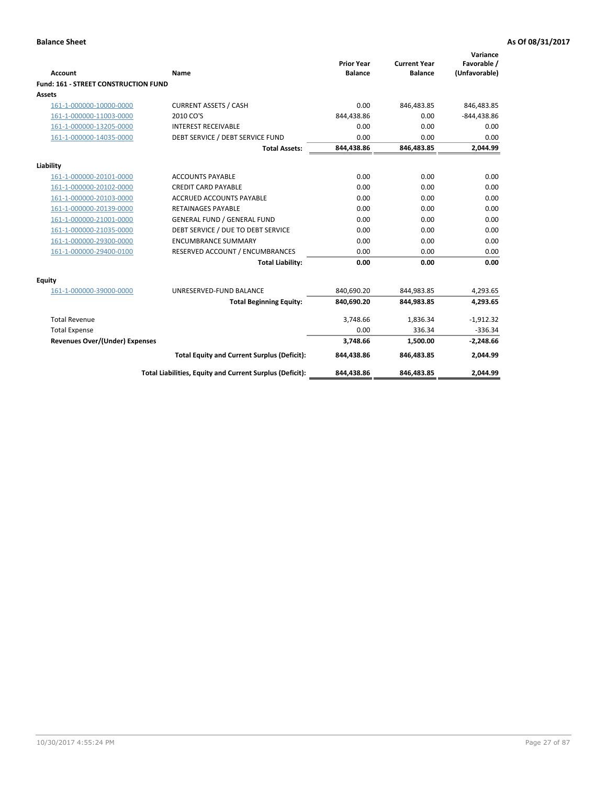| <b>Account</b>                              | Name                                                     | <b>Prior Year</b><br><b>Balance</b> | <b>Current Year</b><br><b>Balance</b> | Variance<br>Favorable /<br>(Unfavorable) |
|---------------------------------------------|----------------------------------------------------------|-------------------------------------|---------------------------------------|------------------------------------------|
| <b>Fund: 161 - STREET CONSTRUCTION FUND</b> |                                                          |                                     |                                       |                                          |
| <b>Assets</b>                               |                                                          |                                     |                                       |                                          |
| 161-1-000000-10000-0000                     | <b>CURRENT ASSETS / CASH</b>                             | 0.00                                | 846,483.85                            | 846,483.85                               |
| 161-1-000000-11003-0000                     | 2010 CO'S                                                | 844,438.86                          | 0.00                                  | $-844,438.86$                            |
| 161-1-000000-13205-0000                     | <b>INTEREST RECEIVABLE</b>                               | 0.00                                | 0.00                                  | 0.00                                     |
| 161-1-000000-14035-0000                     | DEBT SERVICE / DEBT SERVICE FUND                         | 0.00                                | 0.00                                  | 0.00                                     |
|                                             | <b>Total Assets:</b>                                     | 844,438.86                          | 846,483.85                            | 2,044.99                                 |
| Liability                                   |                                                          |                                     |                                       |                                          |
| 161-1-000000-20101-0000                     | <b>ACCOUNTS PAYABLE</b>                                  | 0.00                                | 0.00                                  | 0.00                                     |
| 161-1-000000-20102-0000                     | <b>CREDIT CARD PAYABLE</b>                               | 0.00                                | 0.00                                  | 0.00                                     |
| 161-1-000000-20103-0000                     | <b>ACCRUED ACCOUNTS PAYABLE</b>                          | 0.00                                | 0.00                                  | 0.00                                     |
| 161-1-000000-20139-0000                     | <b>RETAINAGES PAYABLE</b>                                | 0.00                                | 0.00                                  | 0.00                                     |
| 161-1-000000-21001-0000                     | <b>GENERAL FUND / GENERAL FUND</b>                       | 0.00                                | 0.00                                  | 0.00                                     |
| 161-1-000000-21035-0000                     | DEBT SERVICE / DUE TO DEBT SERVICE                       | 0.00                                | 0.00                                  | 0.00                                     |
| 161-1-000000-29300-0000                     | <b>ENCUMBRANCE SUMMARY</b>                               | 0.00                                | 0.00                                  | 0.00                                     |
| 161-1-000000-29400-0100                     | RESERVED ACCOUNT / ENCUMBRANCES                          | 0.00                                | 0.00                                  | 0.00                                     |
|                                             | <b>Total Liability:</b>                                  | 0.00                                | 0.00                                  | 0.00                                     |
| <b>Equity</b>                               |                                                          |                                     |                                       |                                          |
| 161-1-000000-39000-0000                     | UNRESERVED-FUND BALANCE                                  | 840,690.20                          | 844,983.85                            | 4,293.65                                 |
|                                             | <b>Total Beginning Equity:</b>                           | 840,690.20                          | 844,983.85                            | 4,293.65                                 |
| <b>Total Revenue</b>                        |                                                          | 3,748.66                            | 1,836.34                              | $-1,912.32$                              |
| <b>Total Expense</b>                        |                                                          | 0.00                                | 336.34                                | $-336.34$                                |
| Revenues Over/(Under) Expenses              |                                                          | 3,748.66                            | 1,500.00                              | $-2,248.66$                              |
|                                             | <b>Total Equity and Current Surplus (Deficit):</b>       | 844,438.86                          | 846,483.85                            | 2,044.99                                 |
|                                             | Total Liabilities, Equity and Current Surplus (Deficit): | 844,438.86                          | 846,483.85                            | 2,044.99                                 |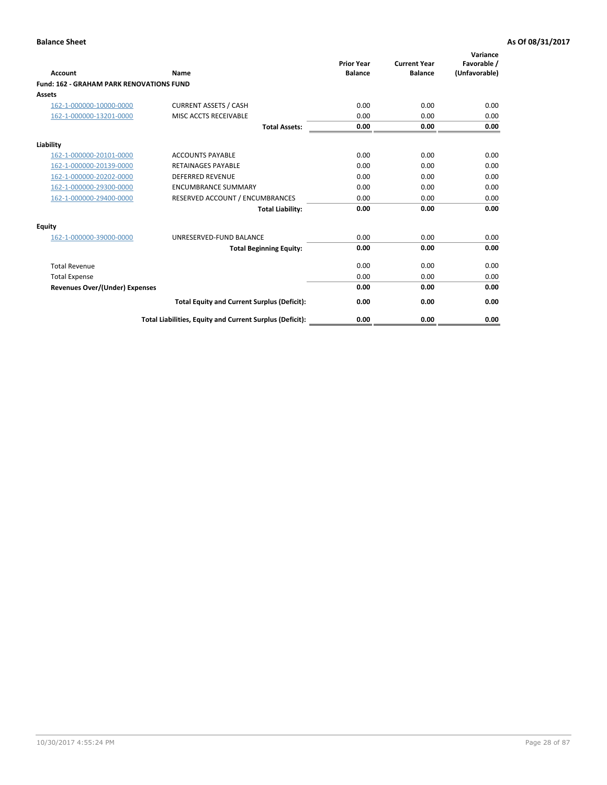| Account                                         | Name                                                     | <b>Prior Year</b><br><b>Balance</b> | <b>Current Year</b><br><b>Balance</b> | Variance<br>Favorable /<br>(Unfavorable) |
|-------------------------------------------------|----------------------------------------------------------|-------------------------------------|---------------------------------------|------------------------------------------|
| <b>Fund: 162 - GRAHAM PARK RENOVATIONS FUND</b> |                                                          |                                     |                                       |                                          |
| <b>Assets</b>                                   |                                                          |                                     |                                       |                                          |
| 162-1-000000-10000-0000                         | <b>CURRENT ASSETS / CASH</b>                             | 0.00                                | 0.00                                  | 0.00                                     |
| 162-1-000000-13201-0000                         | MISC ACCTS RECEIVABLE                                    | 0.00                                | 0.00                                  | 0.00                                     |
|                                                 | <b>Total Assets:</b>                                     | 0.00                                | 0.00                                  | 0.00                                     |
| Liability                                       |                                                          |                                     |                                       |                                          |
| 162-1-000000-20101-0000                         | <b>ACCOUNTS PAYABLE</b>                                  | 0.00                                | 0.00                                  | 0.00                                     |
| 162-1-000000-20139-0000                         | <b>RETAINAGES PAYABLE</b>                                | 0.00                                | 0.00                                  | 0.00                                     |
| 162-1-000000-20202-0000                         | <b>DEFERRED REVENUE</b>                                  | 0.00                                | 0.00                                  | 0.00                                     |
| 162-1-000000-29300-0000                         | <b>ENCUMBRANCE SUMMARY</b>                               | 0.00                                | 0.00                                  | 0.00                                     |
| 162-1-000000-29400-0000                         | RESERVED ACCOUNT / ENCUMBRANCES                          | 0.00                                | 0.00                                  | 0.00                                     |
|                                                 | <b>Total Liability:</b>                                  | 0.00                                | 0.00                                  | 0.00                                     |
| Equity                                          |                                                          |                                     |                                       |                                          |
| 162-1-000000-39000-0000                         | UNRESERVED-FUND BALANCE                                  | 0.00                                | 0.00                                  | 0.00                                     |
|                                                 | <b>Total Beginning Equity:</b>                           | 0.00                                | 0.00                                  | 0.00                                     |
| <b>Total Revenue</b>                            |                                                          | 0.00                                | 0.00                                  | 0.00                                     |
| <b>Total Expense</b>                            |                                                          | 0.00                                | 0.00                                  | 0.00                                     |
| <b>Revenues Over/(Under) Expenses</b>           |                                                          | 0.00                                | 0.00                                  | 0.00                                     |
|                                                 | <b>Total Equity and Current Surplus (Deficit):</b>       | 0.00                                | 0.00                                  | 0.00                                     |
|                                                 | Total Liabilities, Equity and Current Surplus (Deficit): | 0.00                                | 0.00                                  | 0.00                                     |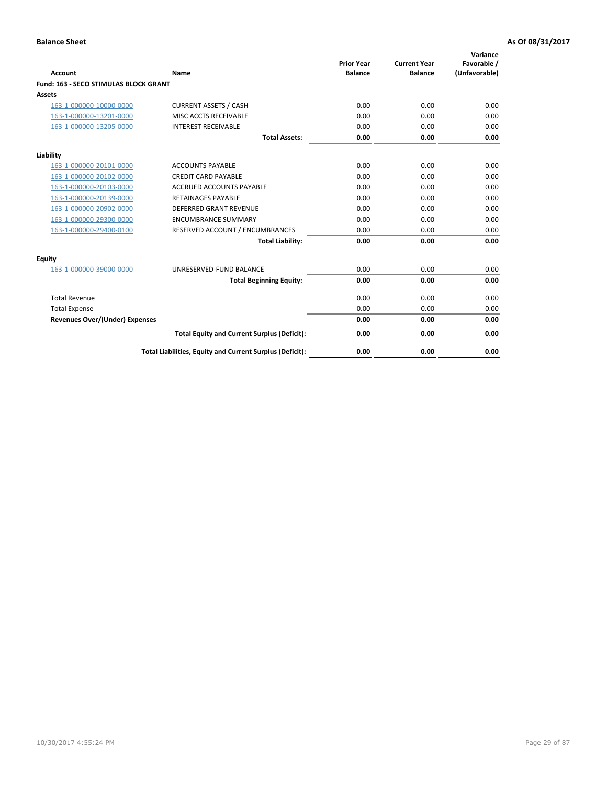|                                              |                                                          | <b>Prior Year</b> | <b>Current Year</b> | Variance<br>Favorable / |
|----------------------------------------------|----------------------------------------------------------|-------------------|---------------------|-------------------------|
| <b>Account</b>                               | Name                                                     | <b>Balance</b>    | <b>Balance</b>      | (Unfavorable)           |
| <b>Fund: 163 - SECO STIMULAS BLOCK GRANT</b> |                                                          |                   |                     |                         |
| Assets                                       |                                                          |                   |                     |                         |
| 163-1-000000-10000-0000                      | <b>CURRENT ASSETS / CASH</b>                             | 0.00              | 0.00                | 0.00                    |
| 163-1-000000-13201-0000                      | MISC ACCTS RECEIVABLE                                    | 0.00              | 0.00                | 0.00                    |
| 163-1-000000-13205-0000                      | <b>INTEREST RECEIVABLE</b>                               | 0.00              | 0.00                | 0.00                    |
|                                              | <b>Total Assets:</b>                                     | 0.00              | 0.00                | 0.00                    |
| Liability                                    |                                                          |                   |                     |                         |
| 163-1-000000-20101-0000                      | <b>ACCOUNTS PAYABLE</b>                                  | 0.00              | 0.00                | 0.00                    |
| 163-1-000000-20102-0000                      | <b>CREDIT CARD PAYABLE</b>                               | 0.00              | 0.00                | 0.00                    |
| 163-1-000000-20103-0000                      | <b>ACCRUED ACCOUNTS PAYABLE</b>                          | 0.00              | 0.00                | 0.00                    |
| 163-1-000000-20139-0000                      | <b>RETAINAGES PAYABLE</b>                                | 0.00              | 0.00                | 0.00                    |
| 163-1-000000-20902-0000                      | <b>DEFERRED GRANT REVENUE</b>                            | 0.00              | 0.00                | 0.00                    |
| 163-1-000000-29300-0000                      | <b>ENCUMBRANCE SUMMARY</b>                               | 0.00              | 0.00                | 0.00                    |
| 163-1-000000-29400-0100                      | RESERVED ACCOUNT / ENCUMBRANCES                          | 0.00              | 0.00                | 0.00                    |
|                                              | <b>Total Liability:</b>                                  | 0.00              | 0.00                | 0.00                    |
| <b>Equity</b>                                |                                                          |                   |                     |                         |
| 163-1-000000-39000-0000                      | UNRESERVED-FUND BALANCE                                  | 0.00              | 0.00                | 0.00                    |
|                                              | <b>Total Beginning Equity:</b>                           | 0.00              | 0.00                | 0.00                    |
| <b>Total Revenue</b>                         |                                                          | 0.00              | 0.00                | 0.00                    |
| <b>Total Expense</b>                         |                                                          | 0.00              | 0.00                | 0.00                    |
| Revenues Over/(Under) Expenses               |                                                          | 0.00              | 0.00                | 0.00                    |
|                                              | <b>Total Equity and Current Surplus (Deficit):</b>       | 0.00              | 0.00                | 0.00                    |
|                                              | Total Liabilities, Equity and Current Surplus (Deficit): | 0.00              | 0.00                | 0.00                    |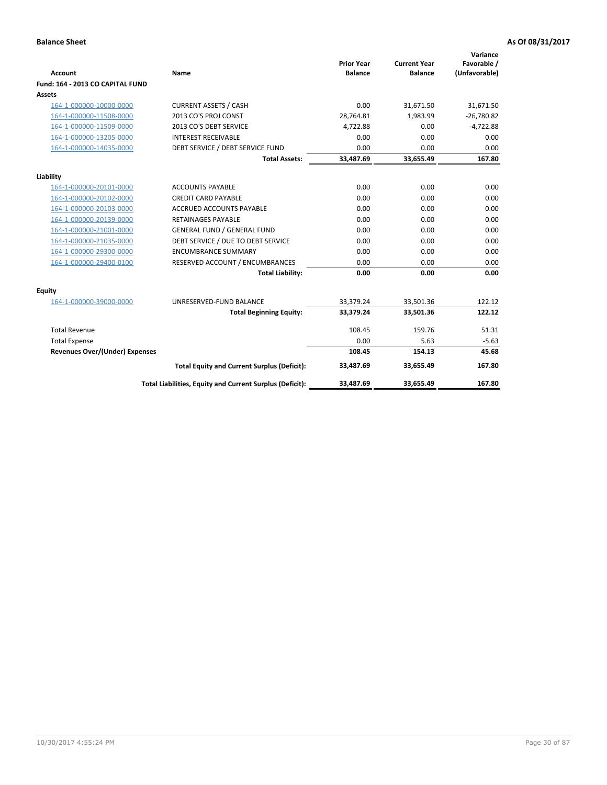| <b>Account</b>                        | <b>Name</b>                                              | <b>Prior Year</b><br><b>Balance</b> | <b>Current Year</b><br><b>Balance</b> | Variance<br>Favorable /<br>(Unfavorable) |
|---------------------------------------|----------------------------------------------------------|-------------------------------------|---------------------------------------|------------------------------------------|
| Fund: 164 - 2013 CO CAPITAL FUND      |                                                          |                                     |                                       |                                          |
| Assets                                |                                                          |                                     |                                       |                                          |
| 164-1-000000-10000-0000               | <b>CURRENT ASSETS / CASH</b>                             | 0.00                                | 31,671.50                             | 31,671.50                                |
| 164-1-000000-11508-0000               | 2013 CO'S PROJ CONST                                     | 28,764.81                           | 1,983.99                              | $-26,780.82$                             |
| 164-1-000000-11509-0000               | 2013 CO'S DEBT SERVICE                                   | 4,722.88                            | 0.00                                  | $-4,722.88$                              |
| 164-1-000000-13205-0000               | <b>INTEREST RECEIVABLE</b>                               | 0.00                                | 0.00                                  | 0.00                                     |
| 164-1-000000-14035-0000               | DEBT SERVICE / DEBT SERVICE FUND                         | 0.00                                | 0.00                                  | 0.00                                     |
|                                       | <b>Total Assets:</b>                                     | 33,487.69                           | 33,655.49                             | 167.80                                   |
| Liability                             |                                                          |                                     |                                       |                                          |
| 164-1-000000-20101-0000               | <b>ACCOUNTS PAYABLE</b>                                  | 0.00                                | 0.00                                  | 0.00                                     |
| 164-1-000000-20102-0000               | <b>CREDIT CARD PAYABLE</b>                               | 0.00                                | 0.00                                  | 0.00                                     |
| 164-1-000000-20103-0000               | <b>ACCRUED ACCOUNTS PAYABLE</b>                          | 0.00                                | 0.00                                  | 0.00                                     |
| 164-1-000000-20139-0000               | <b>RETAINAGES PAYABLE</b>                                | 0.00                                | 0.00                                  | 0.00                                     |
| 164-1-000000-21001-0000               | <b>GENERAL FUND / GENERAL FUND</b>                       | 0.00                                | 0.00                                  | 0.00                                     |
| 164-1-000000-21035-0000               | DEBT SERVICE / DUE TO DEBT SERVICE                       | 0.00                                | 0.00                                  | 0.00                                     |
| 164-1-000000-29300-0000               | <b>ENCUMBRANCE SUMMARY</b>                               | 0.00                                | 0.00                                  | 0.00                                     |
| 164-1-000000-29400-0100               | RESERVED ACCOUNT / ENCUMBRANCES                          | 0.00                                | 0.00                                  | 0.00                                     |
|                                       | <b>Total Liability:</b>                                  | 0.00                                | 0.00                                  | 0.00                                     |
| Equity                                |                                                          |                                     |                                       |                                          |
| 164-1-000000-39000-0000               | UNRESERVED-FUND BALANCE                                  | 33,379.24                           | 33,501.36                             | 122.12                                   |
|                                       | <b>Total Beginning Equity:</b>                           | 33,379.24                           | 33,501.36                             | 122.12                                   |
| <b>Total Revenue</b>                  |                                                          | 108.45                              | 159.76                                | 51.31                                    |
| <b>Total Expense</b>                  |                                                          | 0.00                                | 5.63                                  | $-5.63$                                  |
| <b>Revenues Over/(Under) Expenses</b> |                                                          | 108.45                              | 154.13                                | 45.68                                    |
|                                       | <b>Total Equity and Current Surplus (Deficit):</b>       | 33,487.69                           | 33,655.49                             | 167.80                                   |
|                                       | Total Liabilities, Equity and Current Surplus (Deficit): | 33,487.69                           | 33.655.49                             | 167.80                                   |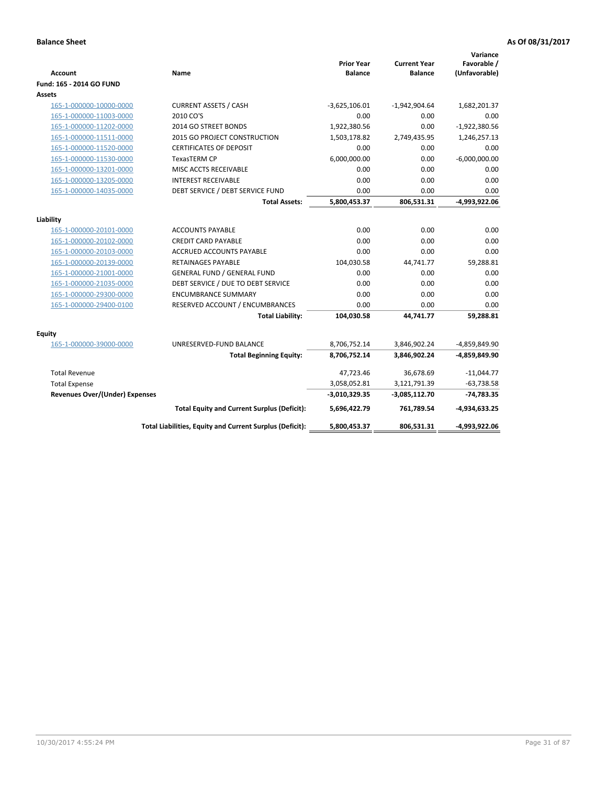| <b>Account</b>                        | Name                                                     | <b>Prior Year</b><br><b>Balance</b> | <b>Current Year</b><br><b>Balance</b> | Variance<br>Favorable /<br>(Unfavorable) |
|---------------------------------------|----------------------------------------------------------|-------------------------------------|---------------------------------------|------------------------------------------|
| Fund: 165 - 2014 GO FUND              |                                                          |                                     |                                       |                                          |
| Assets                                |                                                          |                                     |                                       |                                          |
| 165-1-000000-10000-0000               | <b>CURRENT ASSETS / CASH</b>                             | $-3,625,106.01$                     | $-1,942,904.64$                       | 1,682,201.37                             |
| 165-1-000000-11003-0000               | 2010 CO'S                                                | 0.00                                | 0.00                                  | 0.00                                     |
| 165-1-000000-11202-0000               | 2014 GO STREET BONDS                                     | 1,922,380.56                        | 0.00                                  | $-1,922,380.56$                          |
| 165-1-000000-11511-0000               | <b>2015 GO PROJECT CONSTRUCTION</b>                      | 1,503,178.82                        | 2,749,435.95                          | 1,246,257.13                             |
| 165-1-000000-11520-0000               | <b>CERTIFICATES OF DEPOSIT</b>                           | 0.00                                | 0.00                                  | 0.00                                     |
| 165-1-000000-11530-0000               | <b>TexasTERM CP</b>                                      | 6,000,000.00                        | 0.00                                  | $-6,000,000.00$                          |
| 165-1-000000-13201-0000               | MISC ACCTS RECEIVABLE                                    | 0.00                                | 0.00                                  | 0.00                                     |
| 165-1-000000-13205-0000               | <b>INTEREST RECEIVABLE</b>                               | 0.00                                | 0.00                                  | 0.00                                     |
| 165-1-000000-14035-0000               | DEBT SERVICE / DEBT SERVICE FUND                         | 0.00                                | 0.00                                  | 0.00                                     |
|                                       | <b>Total Assets:</b>                                     | 5,800,453.37                        | 806,531.31                            | -4,993,922.06                            |
| Liability                             |                                                          |                                     |                                       |                                          |
| 165-1-000000-20101-0000               | <b>ACCOUNTS PAYABLE</b>                                  | 0.00                                | 0.00                                  | 0.00                                     |
| 165-1-000000-20102-0000               | <b>CREDIT CARD PAYABLE</b>                               | 0.00                                | 0.00                                  | 0.00                                     |
| 165-1-000000-20103-0000               | <b>ACCRUED ACCOUNTS PAYABLE</b>                          | 0.00                                | 0.00                                  | 0.00                                     |
| 165-1-000000-20139-0000               | <b>RETAINAGES PAYABLE</b>                                | 104,030.58                          | 44,741.77                             | 59,288.81                                |
| 165-1-000000-21001-0000               | <b>GENERAL FUND / GENERAL FUND</b>                       | 0.00                                | 0.00                                  | 0.00                                     |
| 165-1-000000-21035-0000               | DEBT SERVICE / DUE TO DEBT SERVICE                       | 0.00                                | 0.00                                  | 0.00                                     |
| 165-1-000000-29300-0000               | <b>ENCUMBRANCE SUMMARY</b>                               | 0.00                                | 0.00                                  | 0.00                                     |
| 165-1-000000-29400-0100               | RESERVED ACCOUNT / ENCUMBRANCES                          | 0.00                                | 0.00                                  | 0.00                                     |
|                                       | <b>Total Liability:</b>                                  | 104,030.58                          | 44,741.77                             | 59,288.81                                |
|                                       |                                                          |                                     |                                       |                                          |
| <b>Equity</b>                         |                                                          |                                     |                                       |                                          |
| 165-1-000000-39000-0000               | UNRESERVED-FUND BALANCE                                  | 8,706,752.14                        | 3,846,902.24                          | -4,859,849.90                            |
|                                       | <b>Total Beginning Equity:</b>                           | 8,706,752.14                        | 3,846,902.24                          | -4,859,849.90                            |
| <b>Total Revenue</b>                  |                                                          | 47,723.46                           | 36,678.69                             | $-11,044.77$                             |
| <b>Total Expense</b>                  |                                                          | 3,058,052.81                        | 3,121,791.39                          | $-63,738.58$                             |
| <b>Revenues Over/(Under) Expenses</b> |                                                          | $-3,010,329.35$                     | -3,085,112.70                         | $-74,783.35$                             |
|                                       | <b>Total Equity and Current Surplus (Deficit):</b>       | 5,696,422.79                        | 761,789.54                            | $-4,934,633.25$                          |
|                                       | Total Liabilities, Equity and Current Surplus (Deficit): | 5,800,453.37                        | 806,531.31                            | -4,993,922.06                            |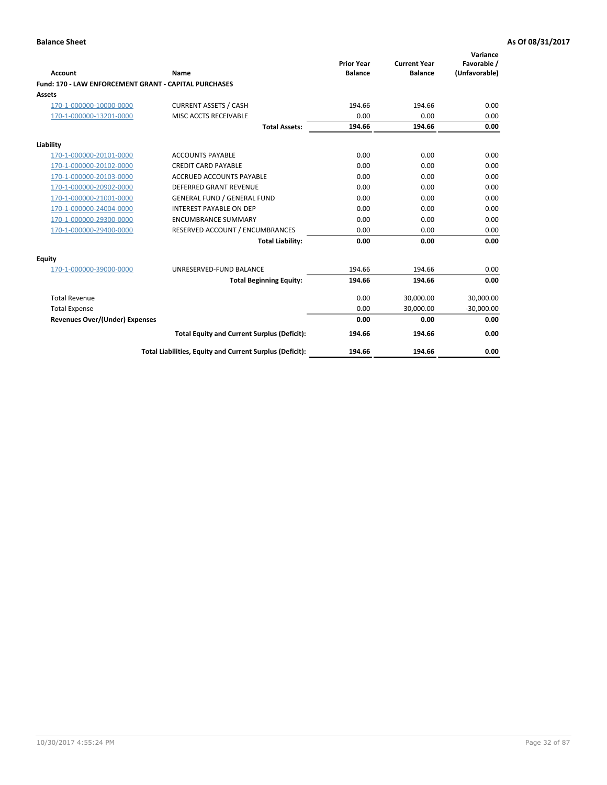|                                                       |                                                          |                                     |                                       | Variance                     |
|-------------------------------------------------------|----------------------------------------------------------|-------------------------------------|---------------------------------------|------------------------------|
| <b>Account</b>                                        | Name                                                     | <b>Prior Year</b><br><b>Balance</b> | <b>Current Year</b><br><b>Balance</b> | Favorable /<br>(Unfavorable) |
| Fund: 170 - LAW ENFORCEMENT GRANT - CAPITAL PURCHASES |                                                          |                                     |                                       |                              |
| Assets                                                |                                                          |                                     |                                       |                              |
| 170-1-000000-10000-0000                               | <b>CURRENT ASSETS / CASH</b>                             | 194.66                              | 194.66                                | 0.00                         |
| 170-1-000000-13201-0000                               | MISC ACCTS RECEIVABLE                                    | 0.00                                | 0.00                                  | 0.00                         |
|                                                       | <b>Total Assets:</b>                                     | 194.66                              | 194.66                                | 0.00                         |
| Liability                                             |                                                          |                                     |                                       |                              |
| 170-1-000000-20101-0000                               | <b>ACCOUNTS PAYABLE</b>                                  | 0.00                                | 0.00                                  | 0.00                         |
| 170-1-000000-20102-0000                               | <b>CREDIT CARD PAYABLE</b>                               | 0.00                                | 0.00                                  | 0.00                         |
| 170-1-000000-20103-0000                               | <b>ACCRUED ACCOUNTS PAYABLE</b>                          | 0.00                                | 0.00                                  | 0.00                         |
| 170-1-000000-20902-0000                               | DEFERRED GRANT REVENUE                                   | 0.00                                | 0.00                                  | 0.00                         |
| 170-1-000000-21001-0000                               | <b>GENERAL FUND / GENERAL FUND</b>                       | 0.00                                | 0.00                                  | 0.00                         |
| 170-1-000000-24004-0000                               | <b>INTEREST PAYABLE ON DEP</b>                           | 0.00                                | 0.00                                  | 0.00                         |
| 170-1-000000-29300-0000                               | <b>ENCUMBRANCE SUMMARY</b>                               | 0.00                                | 0.00                                  | 0.00                         |
| 170-1-000000-29400-0000                               | RESERVED ACCOUNT / ENCUMBRANCES                          | 0.00                                | 0.00                                  | 0.00                         |
|                                                       | <b>Total Liability:</b>                                  | 0.00                                | 0.00                                  | 0.00                         |
| <b>Equity</b>                                         |                                                          |                                     |                                       |                              |
| 170-1-000000-39000-0000                               | UNRESERVED-FUND BALANCE                                  | 194.66                              | 194.66                                | 0.00                         |
|                                                       | <b>Total Beginning Equity:</b>                           | 194.66                              | 194.66                                | 0.00                         |
| <b>Total Revenue</b>                                  |                                                          | 0.00                                | 30,000.00                             | 30,000.00                    |
| <b>Total Expense</b>                                  |                                                          | 0.00                                | 30,000.00                             | $-30,000.00$                 |
| Revenues Over/(Under) Expenses                        |                                                          | 0.00                                | 0.00                                  | 0.00                         |
|                                                       | <b>Total Equity and Current Surplus (Deficit):</b>       | 194.66                              | 194.66                                | 0.00                         |
|                                                       | Total Liabilities, Equity and Current Surplus (Deficit): | 194.66                              | 194.66                                | 0.00                         |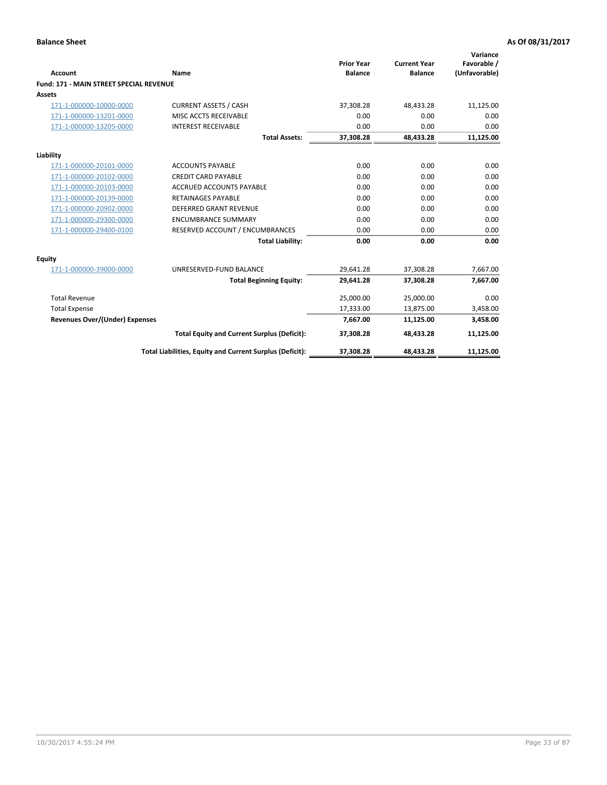|                                                |                                                          | <b>Prior Year</b> | <b>Current Year</b> | Variance<br>Favorable / |
|------------------------------------------------|----------------------------------------------------------|-------------------|---------------------|-------------------------|
| <b>Account</b>                                 | Name                                                     | <b>Balance</b>    | <b>Balance</b>      | (Unfavorable)           |
| <b>Fund: 171 - MAIN STREET SPECIAL REVENUE</b> |                                                          |                   |                     |                         |
| <b>Assets</b>                                  |                                                          |                   |                     |                         |
| 171-1-000000-10000-0000                        | <b>CURRENT ASSETS / CASH</b>                             | 37,308.28         | 48,433.28           | 11,125.00               |
| 171-1-000000-13201-0000                        | MISC ACCTS RECEIVABLE                                    | 0.00              | 0.00                | 0.00                    |
| 171-1-000000-13205-0000                        | <b>INTEREST RECEIVABLE</b>                               | 0.00              | 0.00                | 0.00                    |
|                                                | <b>Total Assets:</b>                                     | 37.308.28         | 48.433.28           | 11,125.00               |
| Liability                                      |                                                          |                   |                     |                         |
| 171-1-000000-20101-0000                        | <b>ACCOUNTS PAYABLE</b>                                  | 0.00              | 0.00                | 0.00                    |
| 171-1-000000-20102-0000                        | <b>CREDIT CARD PAYABLE</b>                               | 0.00              | 0.00                | 0.00                    |
| 171-1-000000-20103-0000                        | <b>ACCRUED ACCOUNTS PAYABLE</b>                          | 0.00              | 0.00                | 0.00                    |
| 171-1-000000-20139-0000                        | <b>RETAINAGES PAYABLE</b>                                | 0.00              | 0.00                | 0.00                    |
| 171-1-000000-20902-0000                        | DEFERRED GRANT REVENUE                                   | 0.00              | 0.00                | 0.00                    |
| 171-1-000000-29300-0000                        | <b>ENCUMBRANCE SUMMARY</b>                               | 0.00              | 0.00                | 0.00                    |
| 171-1-000000-29400-0100                        | RESERVED ACCOUNT / ENCUMBRANCES                          | 0.00              | 0.00                | 0.00                    |
|                                                | <b>Total Liability:</b>                                  | 0.00              | 0.00                | 0.00                    |
| <b>Equity</b>                                  |                                                          |                   |                     |                         |
| 171-1-000000-39000-0000                        | UNRESERVED-FUND BALANCE                                  | 29,641.28         | 37,308.28           | 7,667.00                |
|                                                | <b>Total Beginning Equity:</b>                           | 29.641.28         | 37.308.28           | 7,667.00                |
| <b>Total Revenue</b>                           |                                                          | 25,000.00         | 25,000.00           | 0.00                    |
| <b>Total Expense</b>                           |                                                          | 17,333.00         | 13,875.00           | 3,458.00                |
| <b>Revenues Over/(Under) Expenses</b>          |                                                          | 7,667.00          | 11,125.00           | 3,458.00                |
|                                                | <b>Total Equity and Current Surplus (Deficit):</b>       | 37,308.28         | 48,433.28           | 11,125.00               |
|                                                | Total Liabilities, Equity and Current Surplus (Deficit): | 37,308.28         | 48,433.28           | 11,125.00               |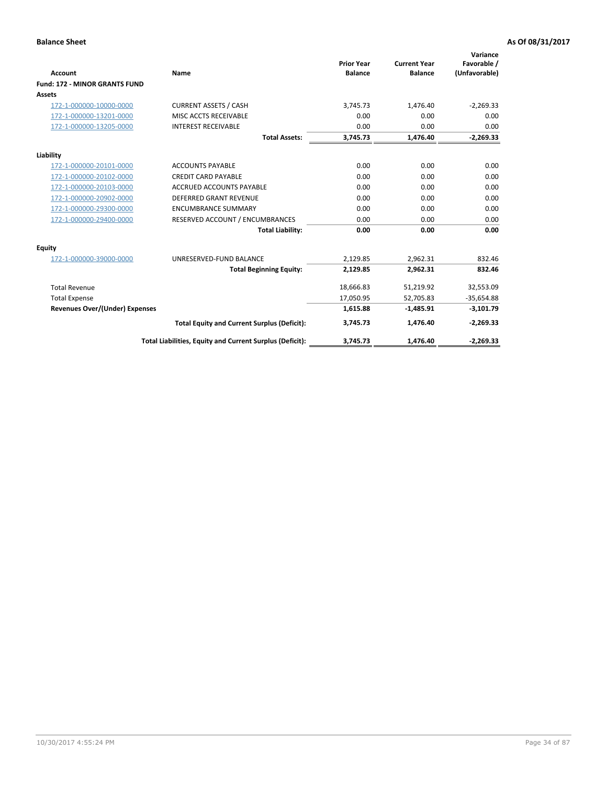|                                       |                                                          | <b>Prior Year</b> | <b>Current Year</b> | Variance<br>Favorable / |
|---------------------------------------|----------------------------------------------------------|-------------------|---------------------|-------------------------|
| <b>Account</b>                        | Name                                                     | <b>Balance</b>    | <b>Balance</b>      | (Unfavorable)           |
| <b>Fund: 172 - MINOR GRANTS FUND</b>  |                                                          |                   |                     |                         |
| <b>Assets</b>                         |                                                          |                   |                     |                         |
| 172-1-000000-10000-0000               | <b>CURRENT ASSETS / CASH</b>                             | 3,745.73          | 1,476.40            | $-2,269.33$             |
| 172-1-000000-13201-0000               | MISC ACCTS RECEIVABLE                                    | 0.00              | 0.00                | 0.00                    |
| 172-1-000000-13205-0000               | <b>INTEREST RECEIVABLE</b>                               | 0.00              | 0.00                | 0.00                    |
|                                       | <b>Total Assets:</b>                                     | 3,745.73          | 1,476.40            | $-2,269.33$             |
| Liability                             |                                                          |                   |                     |                         |
| 172-1-000000-20101-0000               | <b>ACCOUNTS PAYABLE</b>                                  | 0.00              | 0.00                | 0.00                    |
| 172-1-000000-20102-0000               | <b>CREDIT CARD PAYABLE</b>                               | 0.00              | 0.00                | 0.00                    |
| 172-1-000000-20103-0000               | <b>ACCRUED ACCOUNTS PAYABLE</b>                          | 0.00              | 0.00                | 0.00                    |
| 172-1-000000-20902-0000               | DEFERRED GRANT REVENUE                                   | 0.00              | 0.00                | 0.00                    |
| 172-1-000000-29300-0000               | <b>ENCUMBRANCE SUMMARY</b>                               | 0.00              | 0.00                | 0.00                    |
| 172-1-000000-29400-0000               | RESERVED ACCOUNT / ENCUMBRANCES                          | 0.00              | 0.00                | 0.00                    |
|                                       | <b>Total Liability:</b>                                  | 0.00              | 0.00                | 0.00                    |
| <b>Equity</b>                         |                                                          |                   |                     |                         |
| 172-1-000000-39000-0000               | UNRESERVED-FUND BALANCE                                  | 2,129.85          | 2,962.31            | 832.46                  |
|                                       | <b>Total Beginning Equity:</b>                           | 2,129.85          | 2,962.31            | 832.46                  |
| <b>Total Revenue</b>                  |                                                          | 18,666.83         | 51,219.92           | 32,553.09               |
| <b>Total Expense</b>                  |                                                          | 17,050.95         | 52,705.83           | $-35,654.88$            |
| <b>Revenues Over/(Under) Expenses</b> |                                                          | 1,615.88          | $-1,485.91$         | $-3,101.79$             |
|                                       | <b>Total Equity and Current Surplus (Deficit):</b>       | 3,745.73          | 1,476.40            | $-2,269.33$             |
|                                       | Total Liabilities, Equity and Current Surplus (Deficit): | 3,745.73          | 1,476.40            | $-2,269.33$             |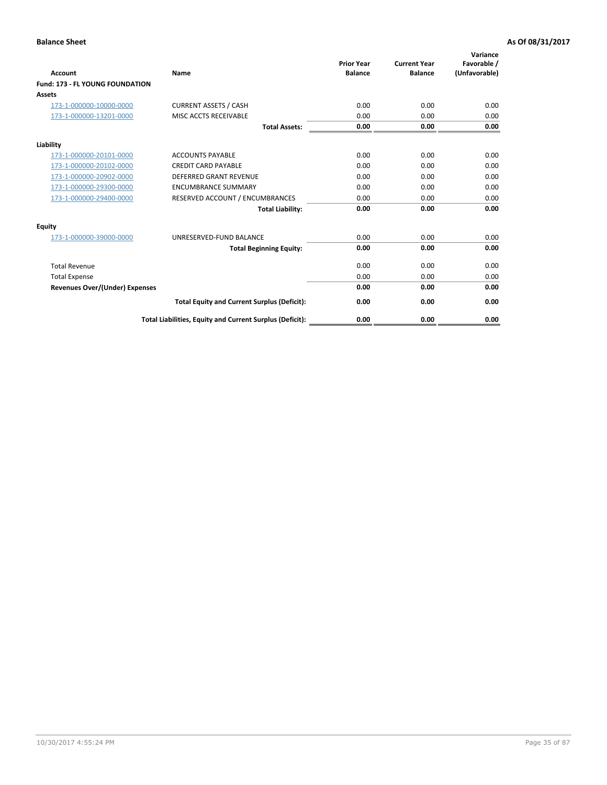| <b>Account</b>                         | <b>Name</b>                                              | <b>Prior Year</b><br><b>Balance</b> | <b>Current Year</b><br><b>Balance</b> | Variance<br>Favorable /<br>(Unfavorable) |
|----------------------------------------|----------------------------------------------------------|-------------------------------------|---------------------------------------|------------------------------------------|
| <b>Fund: 173 - FL YOUNG FOUNDATION</b> |                                                          |                                     |                                       |                                          |
| Assets                                 |                                                          |                                     |                                       |                                          |
| 173-1-000000-10000-0000                | <b>CURRENT ASSETS / CASH</b>                             | 0.00                                | 0.00                                  | 0.00                                     |
| 173-1-000000-13201-0000                | MISC ACCTS RECEIVABLE                                    | 0.00                                | 0.00                                  | 0.00                                     |
|                                        | <b>Total Assets:</b>                                     | 0.00                                | 0.00                                  | 0.00                                     |
| Liability                              |                                                          |                                     |                                       |                                          |
| 173-1-000000-20101-0000                | <b>ACCOUNTS PAYABLE</b>                                  | 0.00                                | 0.00                                  | 0.00                                     |
| 173-1-000000-20102-0000                | <b>CREDIT CARD PAYABLE</b>                               | 0.00                                | 0.00                                  | 0.00                                     |
| 173-1-000000-20902-0000                | <b>DEFERRED GRANT REVENUE</b>                            | 0.00                                | 0.00                                  | 0.00                                     |
| 173-1-000000-29300-0000                | <b>ENCUMBRANCE SUMMARY</b>                               | 0.00                                | 0.00                                  | 0.00                                     |
| 173-1-000000-29400-0000                | RESERVED ACCOUNT / ENCUMBRANCES                          | 0.00                                | 0.00                                  | 0.00                                     |
|                                        | <b>Total Liability:</b>                                  | 0.00                                | 0.00                                  | 0.00                                     |
| Equity                                 |                                                          |                                     |                                       |                                          |
| 173-1-000000-39000-0000                | UNRESERVED-FUND BALANCE                                  | 0.00                                | 0.00                                  | 0.00                                     |
|                                        | <b>Total Beginning Equity:</b>                           | 0.00                                | 0.00                                  | 0.00                                     |
| <b>Total Revenue</b>                   |                                                          | 0.00                                | 0.00                                  | 0.00                                     |
| <b>Total Expense</b>                   |                                                          | 0.00                                | 0.00                                  | 0.00                                     |
| <b>Revenues Over/(Under) Expenses</b>  |                                                          | 0.00                                | 0.00                                  | 0.00                                     |
|                                        | <b>Total Equity and Current Surplus (Deficit):</b>       | 0.00                                | 0.00                                  | 0.00                                     |
|                                        | Total Liabilities, Equity and Current Surplus (Deficit): | 0.00                                | 0.00                                  | 0.00                                     |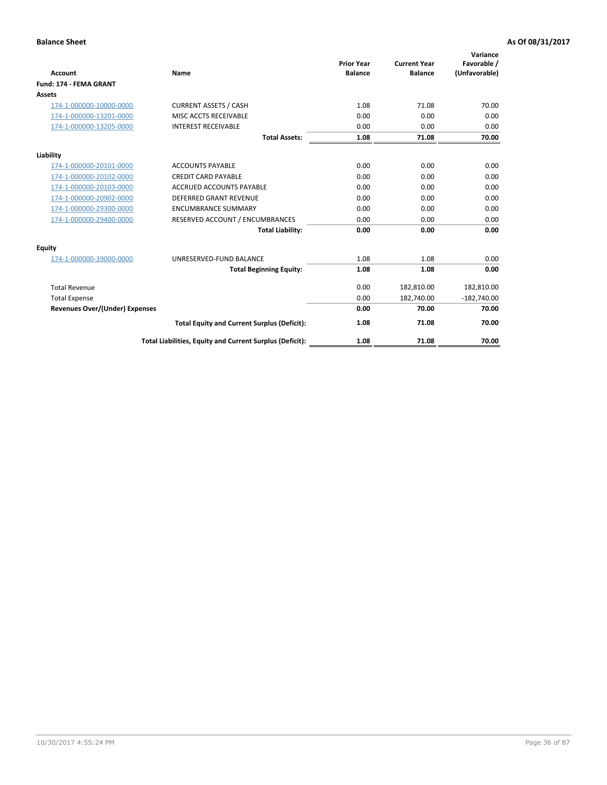| <b>Account</b>                        | Name                                                     | <b>Prior Year</b><br><b>Balance</b> | <b>Current Year</b><br><b>Balance</b> | Variance<br>Favorable /<br>(Unfavorable) |
|---------------------------------------|----------------------------------------------------------|-------------------------------------|---------------------------------------|------------------------------------------|
| Fund: 174 - FEMA GRANT                |                                                          |                                     |                                       |                                          |
| Assets                                |                                                          |                                     |                                       |                                          |
| 174-1-000000-10000-0000               | <b>CURRENT ASSETS / CASH</b>                             | 1.08                                | 71.08                                 | 70.00                                    |
| 174-1-000000-13201-0000               | <b>MISC ACCTS RECEIVABLE</b>                             | 0.00                                | 0.00                                  | 0.00                                     |
| 174-1-000000-13205-0000               | <b>INTEREST RECEIVABLE</b>                               | 0.00                                | 0.00                                  | 0.00                                     |
|                                       | <b>Total Assets:</b>                                     | 1.08                                | 71.08                                 | 70.00                                    |
| Liability                             |                                                          |                                     |                                       |                                          |
| 174-1-000000-20101-0000               | <b>ACCOUNTS PAYABLE</b>                                  | 0.00                                | 0.00                                  | 0.00                                     |
| 174-1-000000-20102-0000               | <b>CREDIT CARD PAYABLE</b>                               | 0.00                                | 0.00                                  | 0.00                                     |
| 174-1-000000-20103-0000               | <b>ACCRUED ACCOUNTS PAYABLE</b>                          | 0.00                                | 0.00                                  | 0.00                                     |
| 174-1-000000-20902-0000               | <b>DEFERRED GRANT REVENUE</b>                            | 0.00                                | 0.00                                  | 0.00                                     |
| 174-1-000000-29300-0000               | <b>ENCUMBRANCE SUMMARY</b>                               | 0.00                                | 0.00                                  | 0.00                                     |
| 174-1-000000-29400-0000               | RESERVED ACCOUNT / ENCUMBRANCES                          | 0.00                                | 0.00                                  | 0.00                                     |
|                                       | <b>Total Liability:</b>                                  | 0.00                                | 0.00                                  | 0.00                                     |
| <b>Equity</b>                         |                                                          |                                     |                                       |                                          |
| 174-1-000000-39000-0000               | UNRESERVED-FUND BALANCE                                  | 1.08                                | 1.08                                  | 0.00                                     |
|                                       | <b>Total Beginning Equity:</b>                           | 1.08                                | 1.08                                  | 0.00                                     |
| <b>Total Revenue</b>                  |                                                          | 0.00                                | 182,810.00                            | 182,810.00                               |
| <b>Total Expense</b>                  |                                                          | 0.00                                | 182,740.00                            | $-182,740.00$                            |
| <b>Revenues Over/(Under) Expenses</b> |                                                          | 0.00                                | 70.00                                 | 70.00                                    |
|                                       | <b>Total Equity and Current Surplus (Deficit):</b>       | 1.08                                | 71.08                                 | 70.00                                    |
|                                       | Total Liabilities, Equity and Current Surplus (Deficit): | 1.08                                | 71.08                                 | 70.00                                    |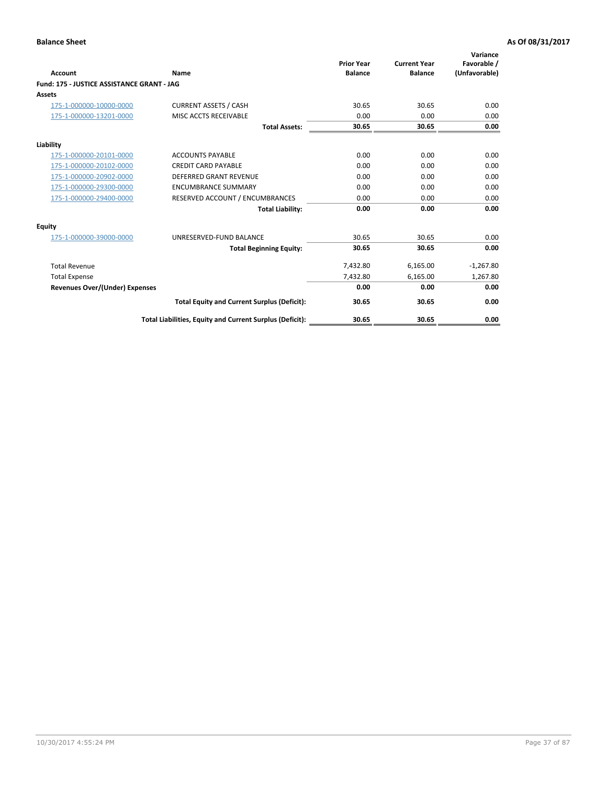|                                            |                                                          | <b>Prior Year</b> | <b>Current Year</b> | Variance<br>Favorable / |
|--------------------------------------------|----------------------------------------------------------|-------------------|---------------------|-------------------------|
| <b>Account</b>                             | Name                                                     | <b>Balance</b>    | <b>Balance</b>      | (Unfavorable)           |
| Fund: 175 - JUSTICE ASSISTANCE GRANT - JAG |                                                          |                   |                     |                         |
| <b>Assets</b>                              |                                                          |                   |                     |                         |
| 175-1-000000-10000-0000                    | <b>CURRENT ASSETS / CASH</b>                             | 30.65             | 30.65               | 0.00                    |
| 175-1-000000-13201-0000                    | MISC ACCTS RECEIVABLE                                    | 0.00              | 0.00                | 0.00                    |
|                                            | <b>Total Assets:</b>                                     | 30.65             | 30.65               | 0.00                    |
| Liability                                  |                                                          |                   |                     |                         |
| 175-1-000000-20101-0000                    | <b>ACCOUNTS PAYABLE</b>                                  | 0.00              | 0.00                | 0.00                    |
| 175-1-000000-20102-0000                    | <b>CREDIT CARD PAYABLE</b>                               | 0.00              | 0.00                | 0.00                    |
| 175-1-000000-20902-0000                    | <b>DEFERRED GRANT REVENUE</b>                            | 0.00              | 0.00                | 0.00                    |
| 175-1-000000-29300-0000                    | <b>ENCUMBRANCE SUMMARY</b>                               | 0.00              | 0.00                | 0.00                    |
| 175-1-000000-29400-0000                    | RESERVED ACCOUNT / ENCUMBRANCES                          | 0.00              | 0.00                | 0.00                    |
|                                            | <b>Total Liability:</b>                                  | 0.00              | 0.00                | 0.00                    |
| Equity                                     |                                                          |                   |                     |                         |
| 175-1-000000-39000-0000                    | UNRESERVED-FUND BALANCE                                  | 30.65             | 30.65               | 0.00                    |
|                                            | <b>Total Beginning Equity:</b>                           | 30.65             | 30.65               | 0.00                    |
| <b>Total Revenue</b>                       |                                                          | 7,432.80          | 6,165.00            | $-1,267.80$             |
| <b>Total Expense</b>                       |                                                          | 7,432.80          | 6,165.00            | 1,267.80                |
| <b>Revenues Over/(Under) Expenses</b>      |                                                          | 0.00              | 0.00                | 0.00                    |
|                                            | <b>Total Equity and Current Surplus (Deficit):</b>       | 30.65             | 30.65               | 0.00                    |
|                                            | Total Liabilities, Equity and Current Surplus (Deficit): | 30.65             | 30.65               | 0.00                    |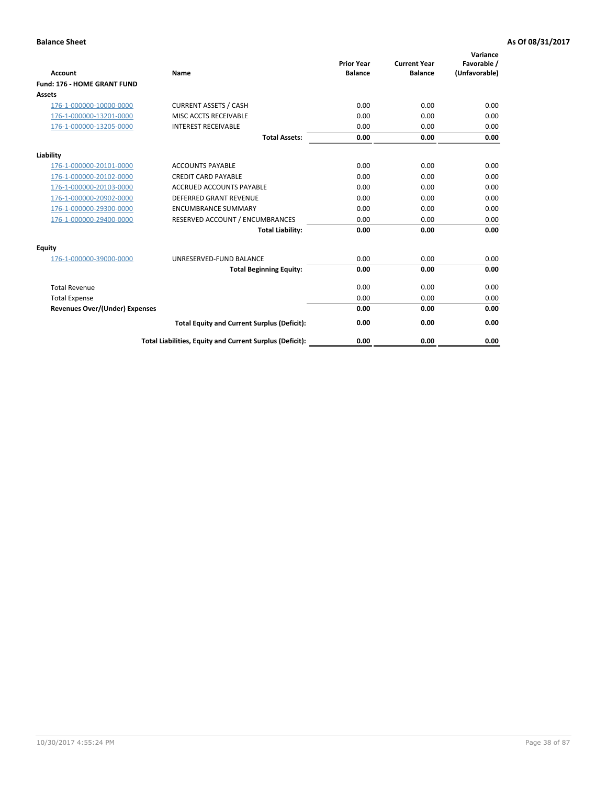| <b>Account</b>                        | Name                                                     | <b>Prior Year</b><br><b>Balance</b> | <b>Current Year</b><br><b>Balance</b> | Variance<br>Favorable /<br>(Unfavorable) |
|---------------------------------------|----------------------------------------------------------|-------------------------------------|---------------------------------------|------------------------------------------|
| Fund: 176 - HOME GRANT FUND           |                                                          |                                     |                                       |                                          |
| Assets                                |                                                          |                                     |                                       |                                          |
| 176-1-000000-10000-0000               | <b>CURRENT ASSETS / CASH</b>                             | 0.00                                | 0.00                                  | 0.00                                     |
| 176-1-000000-13201-0000               | MISC ACCTS RECEIVABLE                                    | 0.00                                | 0.00                                  | 0.00                                     |
| 176-1-000000-13205-0000               | <b>INTEREST RECEIVABLE</b>                               | 0.00                                | 0.00                                  | 0.00                                     |
|                                       | <b>Total Assets:</b>                                     | 0.00                                | 0.00                                  | 0.00                                     |
| Liability                             |                                                          |                                     |                                       |                                          |
| 176-1-000000-20101-0000               | <b>ACCOUNTS PAYABLE</b>                                  | 0.00                                | 0.00                                  | 0.00                                     |
| 176-1-000000-20102-0000               | <b>CREDIT CARD PAYABLE</b>                               | 0.00                                | 0.00                                  | 0.00                                     |
| 176-1-000000-20103-0000               | <b>ACCRUED ACCOUNTS PAYABLE</b>                          | 0.00                                | 0.00                                  | 0.00                                     |
| 176-1-000000-20902-0000               | <b>DEFERRED GRANT REVENUE</b>                            | 0.00                                | 0.00                                  | 0.00                                     |
| 176-1-000000-29300-0000               | <b>ENCUMBRANCE SUMMARY</b>                               | 0.00                                | 0.00                                  | 0.00                                     |
| 176-1-000000-29400-0000               | RESERVED ACCOUNT / ENCUMBRANCES                          | 0.00                                | 0.00                                  | 0.00                                     |
|                                       | <b>Total Liability:</b>                                  | 0.00                                | 0.00                                  | 0.00                                     |
| <b>Equity</b>                         |                                                          |                                     |                                       |                                          |
| 176-1-000000-39000-0000               | UNRESERVED-FUND BALANCE                                  | 0.00                                | 0.00                                  | 0.00                                     |
|                                       | <b>Total Beginning Equity:</b>                           | 0.00                                | 0.00                                  | 0.00                                     |
| <b>Total Revenue</b>                  |                                                          | 0.00                                | 0.00                                  | 0.00                                     |
| <b>Total Expense</b>                  |                                                          | 0.00                                | 0.00                                  | 0.00                                     |
| <b>Revenues Over/(Under) Expenses</b> |                                                          | 0.00                                | 0.00                                  | 0.00                                     |
|                                       | <b>Total Equity and Current Surplus (Deficit):</b>       | 0.00                                | 0.00                                  | 0.00                                     |
|                                       | Total Liabilities, Equity and Current Surplus (Deficit): | 0.00                                | 0.00                                  | 0.00                                     |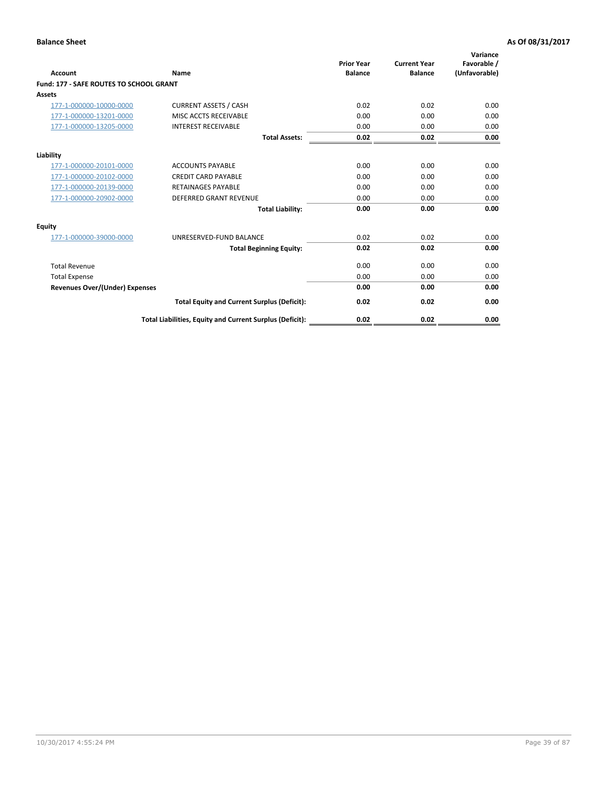| Account                                        | Name                                                     | <b>Prior Year</b><br><b>Balance</b> | <b>Current Year</b><br><b>Balance</b> | Variance<br>Favorable /<br>(Unfavorable) |
|------------------------------------------------|----------------------------------------------------------|-------------------------------------|---------------------------------------|------------------------------------------|
| <b>Fund: 177 - SAFE ROUTES TO SCHOOL GRANT</b> |                                                          |                                     |                                       |                                          |
| <b>Assets</b>                                  |                                                          |                                     |                                       |                                          |
| 177-1-000000-10000-0000                        | <b>CURRENT ASSETS / CASH</b>                             | 0.02                                | 0.02                                  | 0.00                                     |
| 177-1-000000-13201-0000                        | MISC ACCTS RECEIVABLE                                    | 0.00                                | 0.00                                  | 0.00                                     |
| 177-1-000000-13205-0000                        | <b>INTEREST RECEIVABLE</b>                               | 0.00                                | 0.00                                  | 0.00                                     |
|                                                | <b>Total Assets:</b>                                     | 0.02                                | 0.02                                  | 0.00                                     |
| Liability                                      |                                                          |                                     |                                       |                                          |
| 177-1-000000-20101-0000                        | <b>ACCOUNTS PAYABLE</b>                                  | 0.00                                | 0.00                                  | 0.00                                     |
| 177-1-000000-20102-0000                        | <b>CREDIT CARD PAYABLE</b>                               | 0.00                                | 0.00                                  | 0.00                                     |
| 177-1-000000-20139-0000                        | <b>RETAINAGES PAYABLE</b>                                | 0.00                                | 0.00                                  | 0.00                                     |
| 177-1-000000-20902-0000                        | <b>DEFERRED GRANT REVENUE</b>                            | 0.00                                | 0.00                                  | 0.00                                     |
|                                                | <b>Total Liability:</b>                                  | 0.00                                | 0.00                                  | 0.00                                     |
| Equity                                         |                                                          |                                     |                                       |                                          |
| 177-1-000000-39000-0000                        | UNRESERVED-FUND BALANCE                                  | 0.02                                | 0.02                                  | 0.00                                     |
|                                                | <b>Total Beginning Equity:</b>                           | 0.02                                | 0.02                                  | 0.00                                     |
| <b>Total Revenue</b>                           |                                                          | 0.00                                | 0.00                                  | 0.00                                     |
| <b>Total Expense</b>                           |                                                          | 0.00                                | 0.00                                  | 0.00                                     |
| <b>Revenues Over/(Under) Expenses</b>          |                                                          | 0.00                                | 0.00                                  | 0.00                                     |
|                                                | <b>Total Equity and Current Surplus (Deficit):</b>       | 0.02                                | 0.02                                  | 0.00                                     |
|                                                | Total Liabilities, Equity and Current Surplus (Deficit): | 0.02                                | 0.02                                  | 0.00                                     |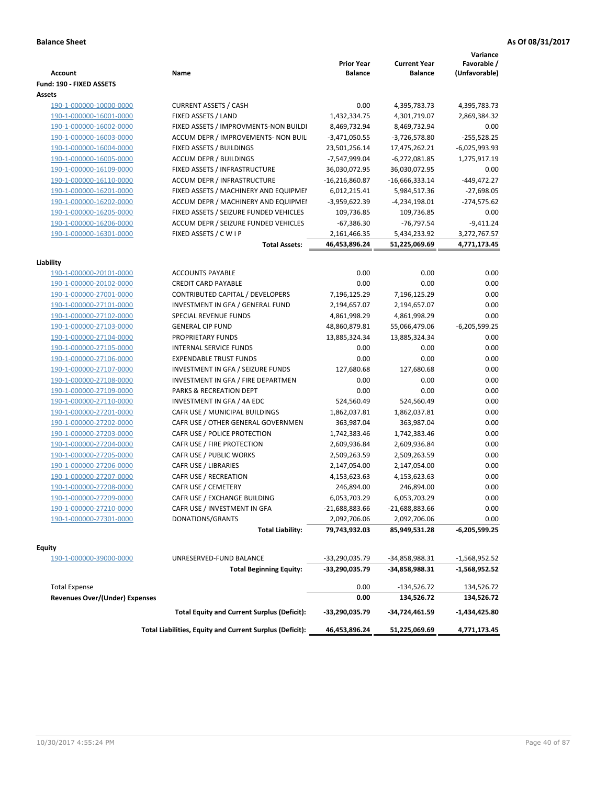| <b>Account</b>                                         | Name                                                     | <b>Prior Year</b><br><b>Balance</b> | <b>Current Year</b><br><b>Balance</b> | Variance<br>Favorable /<br>(Unfavorable) |
|--------------------------------------------------------|----------------------------------------------------------|-------------------------------------|---------------------------------------|------------------------------------------|
| Fund: 190 - FIXED ASSETS                               |                                                          |                                     |                                       |                                          |
| Assets                                                 |                                                          |                                     |                                       |                                          |
| 190-1-000000-10000-0000                                | <b>CURRENT ASSETS / CASH</b>                             | 0.00                                | 4,395,783.73                          | 4,395,783.73                             |
| 190-1-000000-16001-0000                                | FIXED ASSETS / LAND                                      | 1,432,334.75                        | 4,301,719.07                          | 2,869,384.32                             |
| 190-1-000000-16002-0000                                | FIXED ASSETS / IMPROVMENTS-NON BUILDI                    | 8,469,732.94                        | 8,469,732.94                          | 0.00                                     |
| 190-1-000000-16003-0000                                | ACCUM DEPR / IMPROVEMENTS- NON BUIL                      | $-3,471,050.55$                     | $-3,726,578.80$                       | $-255,528.25$                            |
| 190-1-000000-16004-0000                                | FIXED ASSETS / BUILDINGS                                 | 23,501,256.14                       | 17,475,262.21                         | -6,025,993.93                            |
| 190-1-000000-16005-0000                                | <b>ACCUM DEPR / BUILDINGS</b>                            | -7,547,999.04                       | $-6,272,081.85$                       | 1,275,917.19                             |
| 190-1-000000-16109-0000                                | FIXED ASSETS / INFRASTRUCTURE                            | 36,030,072.95                       | 36,030,072.95                         | 0.00                                     |
| 190-1-000000-16110-0000                                | ACCUM DEPR / INFRASTRUCTURE                              | $-16,216,860.87$                    | $-16,666,333.14$                      | $-449,472.27$                            |
| 190-1-000000-16201-0000                                | FIXED ASSETS / MACHINERY AND EQUIPMEN                    | 6,012,215.41                        | 5,984,517.36                          | $-27,698.05$                             |
| 190-1-000000-16202-0000                                | ACCUM DEPR / MACHINERY AND EQUIPMEI                      | -3,959,622.39                       | -4,234,198.01                         | $-274,575.62$                            |
| 190-1-000000-16205-0000                                | FIXED ASSETS / SEIZURE FUNDED VEHICLES                   | 109,736.85                          | 109,736.85                            | 0.00                                     |
| 190-1-000000-16206-0000                                | ACCUM DEPR / SEIZURE FUNDED VEHICLES                     | $-67,386.30$                        | -76,797.54                            | $-9,411.24$                              |
| 190-1-000000-16301-0000                                | FIXED ASSETS / C W I P                                   | 2,161,466.35                        | 5,434,233.92                          | 3,272,767.57                             |
|                                                        | <b>Total Assets:</b>                                     | 46,453,896.24                       | 51,225,069.69                         | 4,771,173.45                             |
|                                                        |                                                          |                                     |                                       |                                          |
| Liability                                              |                                                          |                                     |                                       |                                          |
| 190-1-000000-20101-0000                                | <b>ACCOUNTS PAYABLE</b>                                  | 0.00                                | 0.00                                  | 0.00                                     |
| 190-1-000000-20102-0000                                | <b>CREDIT CARD PAYABLE</b>                               | 0.00                                | 0.00                                  | 0.00                                     |
| 190-1-000000-27001-0000                                | <b>CONTRIBUTED CAPITAL / DEVELOPERS</b>                  | 7,196,125.29                        | 7,196,125.29                          | 0.00                                     |
| 190-1-000000-27101-0000                                | INVESTMENT IN GFA / GENERAL FUND                         | 2,194,657.07                        | 2,194,657.07                          | 0.00                                     |
| 190-1-000000-27102-0000                                | SPECIAL REVENUE FUNDS                                    | 4,861,998.29                        | 4,861,998.29                          | 0.00                                     |
| 190-1-000000-27103-0000                                | <b>GENERAL CIP FUND</b>                                  | 48,860,879.81                       | 55,066,479.06                         | $-6,205,599.25$                          |
| 190-1-000000-27104-0000                                | PROPRIETARY FUNDS                                        | 13,885,324.34                       | 13,885,324.34                         | 0.00                                     |
| 190-1-000000-27105-0000                                | <b>INTERNAL SERVICE FUNDS</b>                            | 0.00                                | 0.00                                  | 0.00                                     |
| 190-1-000000-27106-0000                                | <b>EXPENDABLE TRUST FUNDS</b>                            | 0.00                                | 0.00                                  | 0.00                                     |
| 190-1-000000-27107-0000                                | INVESTMENT IN GFA / SEIZURE FUNDS                        | 127,680.68                          | 127,680.68                            | 0.00                                     |
| 190-1-000000-27108-0000                                | INVESTMENT IN GFA / FIRE DEPARTMEN                       | 0.00                                | 0.00                                  | 0.00                                     |
| 190-1-000000-27109-0000                                | PARKS & RECREATION DEPT                                  | 0.00                                | 0.00                                  | 0.00                                     |
| 190-1-000000-27110-0000                                | INVESTMENT IN GFA / 4A EDC                               | 524,560.49                          | 524,560.49                            | 0.00                                     |
| 190-1-000000-27201-0000                                | CAFR USE / MUNICIPAL BUILDINGS                           | 1,862,037.81                        | 1,862,037.81                          | 0.00                                     |
| 190-1-000000-27202-0000                                | CAFR USE / OTHER GENERAL GOVERNMEN                       | 363,987.04                          | 363,987.04                            | 0.00                                     |
| 190-1-000000-27203-0000                                | CAFR USE / POLICE PROTECTION                             | 1,742,383.46                        | 1,742,383.46                          | 0.00                                     |
| 190-1-000000-27204-0000                                | CAFR USE / FIRE PROTECTION                               | 2,609,936.84                        | 2,609,936.84                          | 0.00                                     |
| 190-1-000000-27205-0000                                | CAFR USE / PUBLIC WORKS                                  | 2,509,263.59                        | 2,509,263.59                          | 0.00                                     |
| 190-1-000000-27206-0000                                | CAFR USE / LIBRARIES                                     | 2,147,054.00                        | 2,147,054.00                          | 0.00                                     |
| 190-1-000000-27207-0000                                | CAFR USE / RECREATION                                    | 4,153,623.63                        | 4,153,623.63                          | 0.00                                     |
| 190-1-000000-27208-0000                                | CAFR USE / CEMETERY                                      | 246,894.00                          | 246,894.00                            | 0.00                                     |
| 190-1-000000-27209-0000                                | CAFR USE / EXCHANGE BUILDING                             | 6,053,703.29                        | 6,053,703.29                          | 0.00                                     |
| 190-1-000000-27210-0000                                | CAFR USE / INVESTMENT IN GFA                             | $-21,688,883.66$                    | $-21,688,883.66$                      | 0.00                                     |
| 190-1-000000-27301-0000                                | DONATIONS/GRANTS                                         | 2,092,706.06                        | 2,092,706.06                          | 0.00                                     |
|                                                        | <b>Total Liability:</b>                                  | 79,743,932.03                       | 85,949,531.28                         | -6,205,599.25                            |
| <b>Equity</b>                                          |                                                          |                                     |                                       |                                          |
| 190-1-000000-39000-0000                                | UNRESERVED-FUND BALANCE                                  | -33,290,035.79                      | -34,858,988.31                        | -1,568,952.52                            |
|                                                        | <b>Total Beginning Equity:</b>                           | -33,290,035.79                      | -34,858,988.31                        | -1,568,952.52                            |
|                                                        |                                                          |                                     |                                       |                                          |
| <b>Total Expense</b><br>Revenues Over/(Under) Expenses |                                                          | 0.00<br>0.00                        | $-134,526.72$<br>134,526.72           | 134,526.72<br>134,526.72                 |
|                                                        | <b>Total Equity and Current Surplus (Deficit):</b>       | -33,290,035.79                      | -34,724,461.59                        | -1,434,425.80                            |
|                                                        | Total Liabilities, Equity and Current Surplus (Deficit): | 46,453,896.24                       | 51,225,069.69                         | 4,771,173.45                             |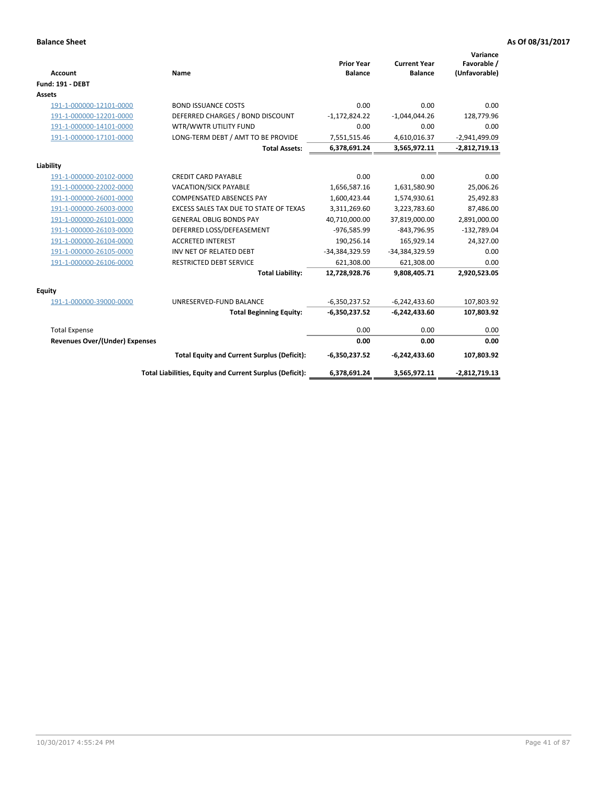| <b>Account</b>                        | <b>Name</b>                                              | <b>Prior Year</b><br><b>Balance</b> | <b>Current Year</b><br><b>Balance</b> | Variance<br>Favorable /<br>(Unfavorable) |
|---------------------------------------|----------------------------------------------------------|-------------------------------------|---------------------------------------|------------------------------------------|
| <b>Fund: 191 - DEBT</b>               |                                                          |                                     |                                       |                                          |
| <b>Assets</b>                         |                                                          |                                     |                                       |                                          |
| 191-1-000000-12101-0000               | <b>BOND ISSUANCE COSTS</b>                               | 0.00                                | 0.00                                  | 0.00                                     |
| 191-1-000000-12201-0000               | DEFERRED CHARGES / BOND DISCOUNT                         | $-1,172,824.22$                     | $-1,044,044.26$                       | 128,779.96                               |
| 191-1-000000-14101-0000               | WTR/WWTR UTILITY FUND                                    | 0.00                                | 0.00                                  | 0.00                                     |
| 191-1-000000-17101-0000               | LONG-TERM DEBT / AMT TO BE PROVIDE                       | 7,551,515.46                        | 4,610,016.37                          | $-2,941,499.09$                          |
|                                       | <b>Total Assets:</b>                                     | 6,378,691.24                        | 3,565,972.11                          | $-2,812,719.13$                          |
| Liability                             |                                                          |                                     |                                       |                                          |
| 191-1-000000-20102-0000               | <b>CREDIT CARD PAYABLE</b>                               | 0.00                                | 0.00                                  | 0.00                                     |
| 191-1-000000-22002-0000               | VACATION/SICK PAYABLE                                    | 1,656,587.16                        | 1,631,580.90                          | 25,006.26                                |
| 191-1-000000-26001-0000               | <b>COMPENSATED ABSENCES PAY</b>                          | 1,600,423.44                        | 1,574,930.61                          | 25,492.83                                |
| 191-1-000000-26003-0000               | EXCESS SALES TAX DUE TO STATE OF TEXAS                   | 3,311,269.60                        | 3,223,783.60                          | 87,486.00                                |
| 191-1-000000-26101-0000               | <b>GENERAL OBLIG BONDS PAY</b>                           | 40,710,000.00                       | 37,819,000.00                         | 2,891,000.00                             |
| 191-1-000000-26103-0000               | DEFERRED LOSS/DEFEASEMENT                                | -976,585.99                         | $-843,796.95$                         | $-132,789.04$                            |
| 191-1-000000-26104-0000               | <b>ACCRETED INTEREST</b>                                 | 190,256.14                          | 165,929.14                            | 24,327.00                                |
| 191-1-000000-26105-0000               | INV NET OF RELATED DEBT                                  | -34,384,329.59                      | -34,384,329.59                        | 0.00                                     |
| 191-1-000000-26106-0000               | <b>RESTRICTED DEBT SERVICE</b>                           | 621,308.00                          | 621,308.00                            | 0.00                                     |
|                                       | <b>Total Liability:</b>                                  | 12,728,928.76                       | 9,808,405.71                          | 2,920,523.05                             |
| Equity                                |                                                          |                                     |                                       |                                          |
| 191-1-000000-39000-0000               | UNRESERVED-FUND BALANCE                                  | $-6,350,237.52$                     | $-6,242,433.60$                       | 107,803.92                               |
|                                       | <b>Total Beginning Equity:</b>                           | $-6,350,237.52$                     | $-6,242,433.60$                       | 107,803.92                               |
| <b>Total Expense</b>                  |                                                          | 0.00                                | 0.00                                  | 0.00                                     |
| <b>Revenues Over/(Under) Expenses</b> |                                                          | 0.00                                | 0.00                                  | 0.00                                     |
|                                       |                                                          |                                     |                                       |                                          |
|                                       | <b>Total Equity and Current Surplus (Deficit):</b>       | $-6,350,237.52$                     | $-6,242,433.60$                       | 107,803.92                               |
|                                       | Total Liabilities, Equity and Current Surplus (Deficit): | 6,378,691.24                        | 3,565,972.11                          | $-2,812,719.13$                          |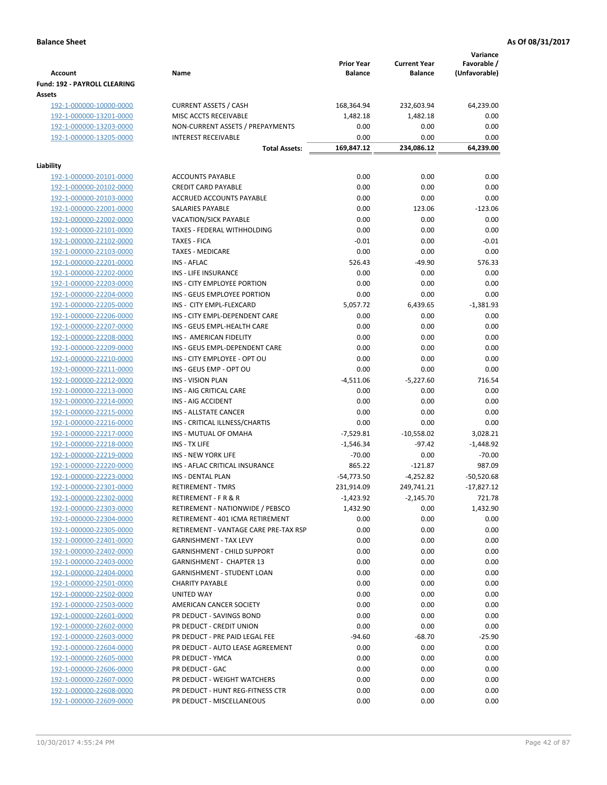|                                                    |                                                     | <b>Prior Year</b> | <b>Current Year</b> | Variance<br>Favorable / |
|----------------------------------------------------|-----------------------------------------------------|-------------------|---------------------|-------------------------|
| <b>Account</b>                                     | Name                                                | <b>Balance</b>    | <b>Balance</b>      | (Unfavorable)           |
| Fund: 192 - PAYROLL CLEARING                       |                                                     |                   |                     |                         |
| Assets                                             |                                                     |                   |                     |                         |
| 192-1-000000-10000-0000                            | <b>CURRENT ASSETS / CASH</b>                        | 168,364.94        | 232,603.94          | 64,239.00               |
| 192-1-000000-13201-0000                            | MISC ACCTS RECEIVABLE                               | 1,482.18          | 1,482.18            | 0.00                    |
| 192-1-000000-13203-0000                            | NON-CURRENT ASSETS / PREPAYMENTS                    | 0.00              | 0.00                | 0.00                    |
| 192-1-000000-13205-0000                            | <b>INTEREST RECEIVABLE</b>                          | 0.00              | 0.00                | 0.00                    |
|                                                    | <b>Total Assets:</b>                                | 169,847.12        | 234,086.12          | 64,239.00               |
| Liability                                          |                                                     |                   |                     |                         |
| 192-1-000000-20101-0000                            | <b>ACCOUNTS PAYABLE</b>                             | 0.00              | 0.00                | 0.00                    |
| 192-1-000000-20102-0000                            | <b>CREDIT CARD PAYABLE</b>                          | 0.00              | 0.00                | 0.00                    |
| 192-1-000000-20103-0000                            | ACCRUED ACCOUNTS PAYABLE                            | 0.00              | 0.00                | 0.00                    |
| 192-1-000000-22001-0000                            | SALARIES PAYABLE                                    | 0.00              | 123.06              | $-123.06$               |
| 192-1-000000-22002-0000                            | VACATION/SICK PAYABLE                               | 0.00              | 0.00                | 0.00                    |
| 192-1-000000-22101-0000                            | TAXES - FEDERAL WITHHOLDING                         | 0.00              | 0.00                | 0.00                    |
| 192-1-000000-22102-0000                            | <b>TAXES - FICA</b>                                 | $-0.01$           | 0.00                | $-0.01$                 |
| 192-1-000000-22103-0000                            | <b>TAXES - MEDICARE</b>                             | 0.00              | 0.00                | 0.00                    |
| 192-1-000000-22201-0000                            | <b>INS - AFLAC</b>                                  | 526.43            | $-49.90$            | 576.33                  |
| 192-1-000000-22202-0000                            | <b>INS - LIFE INSURANCE</b>                         | 0.00              | 0.00                | 0.00                    |
| 192-1-000000-22203-0000                            | INS - CITY EMPLOYEE PORTION                         | 0.00              | 0.00                | 0.00                    |
| 192-1-000000-22204-0000                            | INS - GEUS EMPLOYEE PORTION                         | 0.00              | 0.00                | 0.00                    |
| 192-1-000000-22205-0000                            | INS - CITY EMPL-FLEXCARD                            | 5,057.72          | 6,439.65            | $-1,381.93$             |
| 192-1-000000-22206-0000                            | INS - CITY EMPL-DEPENDENT CARE                      | 0.00              | 0.00                | 0.00                    |
| 192-1-000000-22207-0000                            | INS - GEUS EMPL-HEALTH CARE                         | 0.00              | 0.00                | 0.00                    |
| 192-1-000000-22208-0000                            | INS - AMERICAN FIDELITY                             | 0.00              | 0.00                | 0.00                    |
| 192-1-000000-22209-0000                            | INS - GEUS EMPL-DEPENDENT CARE                      | 0.00              | 0.00                | 0.00                    |
| 192-1-000000-22210-0000                            | INS - CITY EMPLOYEE - OPT OU                        | 0.00              | 0.00                | 0.00                    |
| 192-1-000000-22211-0000                            | INS - GEUS EMP - OPT OU                             | 0.00              | 0.00                | 0.00                    |
| 192-1-000000-22212-0000                            | <b>INS - VISION PLAN</b><br>INS - AIG CRITICAL CARE | -4,511.06         | $-5,227.60$<br>0.00 | 716.54                  |
| 192-1-000000-22213-0000<br>192-1-000000-22214-0000 | INS - AIG ACCIDENT                                  | 0.00<br>0.00      | 0.00                | 0.00<br>0.00            |
| 192-1-000000-22215-0000                            | INS - ALLSTATE CANCER                               | 0.00              | 0.00                | 0.00                    |
| 192-1-000000-22216-0000                            | INS - CRITICAL ILLNESS/CHARTIS                      | 0.00              | 0.00                | 0.00                    |
| 192-1-000000-22217-0000                            | INS - MUTUAL OF OMAHA                               | $-7,529.81$       | $-10,558.02$        | 3,028.21                |
| 192-1-000000-22218-0000                            | INS - TX LIFE                                       | $-1,546.34$       | $-97.42$            | $-1,448.92$             |
| 192-1-000000-22219-0000                            | <b>INS - NEW YORK LIFE</b>                          | $-70.00$          | 0.00                | $-70.00$                |
| 192-1-000000-22220-0000                            | INS - AFLAC CRITICAL INSURANCE                      | 865.22            | $-121.87$           | 987.09                  |
| 192-1-000000-22223-0000                            | <b>INS - DENTAL PLAN</b>                            | $-54,773.50$      | $-4,252.82$         | $-50,520.68$            |
| 192-1-000000-22301-0000                            | <b>RETIREMENT - TMRS</b>                            | 231,914.09        | 249,741.21          | $-17,827.12$            |
| 192-1-000000-22302-0000                            | RETIREMENT - F R & R                                | -1,423.92         | $-2,145.70$         | 721.78                  |
| 192-1-000000-22303-0000                            | RETIREMENT - NATIONWIDE / PEBSCO                    | 1,432.90          | 0.00                | 1,432.90                |
| 192-1-000000-22304-0000                            | RETIREMENT - 401 ICMA RETIREMENT                    | 0.00              | 0.00                | 0.00                    |
| 192-1-000000-22305-0000                            | RETIREMENT - VANTAGE CARE PRE-TAX RSP               | 0.00              | 0.00                | 0.00                    |
| 192-1-000000-22401-0000                            | <b>GARNISHMENT - TAX LEVY</b>                       | 0.00              | 0.00                | 0.00                    |
| 192-1-000000-22402-0000                            | <b>GARNISHMENT - CHILD SUPPORT</b>                  | 0.00              | 0.00                | 0.00                    |
| 192-1-000000-22403-0000                            | <b>GARNISHMENT - CHAPTER 13</b>                     | 0.00              | 0.00                | 0.00                    |
| 192-1-000000-22404-0000                            | <b>GARNISHMENT - STUDENT LOAN</b>                   | 0.00              | 0.00                | 0.00                    |
| 192-1-000000-22501-0000                            | <b>CHARITY PAYABLE</b>                              | 0.00              | 0.00                | 0.00                    |
| 192-1-000000-22502-0000                            | UNITED WAY                                          | 0.00              | 0.00                | 0.00                    |
| 192-1-000000-22503-0000                            | AMERICAN CANCER SOCIETY                             | 0.00              | 0.00                | 0.00                    |
| 192-1-000000-22601-0000                            | PR DEDUCT - SAVINGS BOND                            | 0.00              | 0.00                | 0.00                    |
| 192-1-000000-22602-0000                            | PR DEDUCT - CREDIT UNION                            | 0.00              | 0.00                | 0.00                    |
| 192-1-000000-22603-0000                            | PR DEDUCT - PRE PAID LEGAL FEE                      | $-94.60$          | $-68.70$            | $-25.90$                |
| 192-1-000000-22604-0000                            | PR DEDUCT - AUTO LEASE AGREEMENT                    | 0.00              | 0.00                | 0.00                    |
| 192-1-000000-22605-0000                            | PR DEDUCT - YMCA                                    | 0.00              | 0.00                | 0.00                    |
| 192-1-000000-22606-0000                            | PR DEDUCT - GAC                                     | 0.00              | 0.00                | 0.00                    |
| 192-1-000000-22607-0000                            | PR DEDUCT - WEIGHT WATCHERS                         | 0.00              | 0.00                | 0.00                    |
| 192-1-000000-22608-0000                            | PR DEDUCT - HUNT REG-FITNESS CTR                    | 0.00              | 0.00                | 0.00                    |
| 192-1-000000-22609-0000                            | PR DEDUCT - MISCELLANEOUS                           | 0.00              | 0.00                | 0.00                    |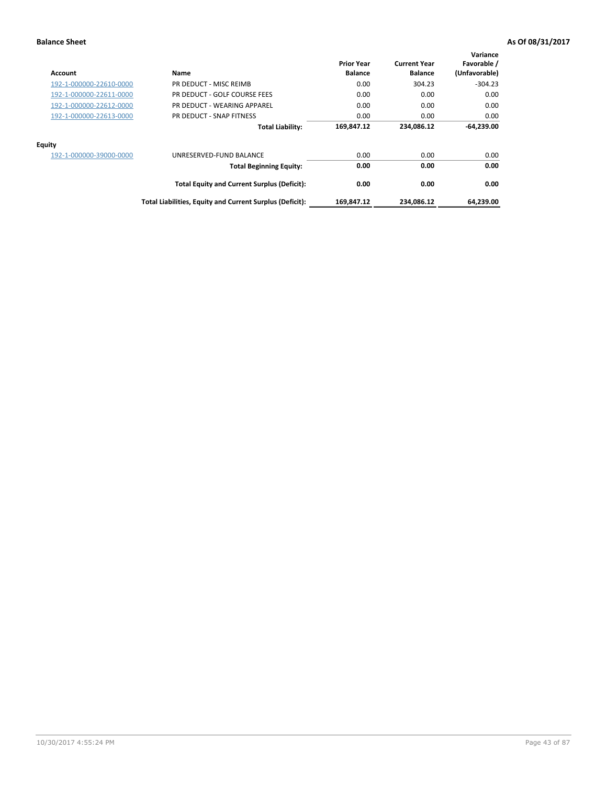| Account                 | Name                                                     | <b>Prior Year</b><br><b>Balance</b> | <b>Current Year</b><br><b>Balance</b> | Variance<br>Favorable /<br>(Unfavorable) |
|-------------------------|----------------------------------------------------------|-------------------------------------|---------------------------------------|------------------------------------------|
| 192-1-000000-22610-0000 | PR DEDUCT - MISC REIMB                                   | 0.00                                | 304.23                                | $-304.23$                                |
| 192-1-000000-22611-0000 | PR DEDUCT - GOLF COURSE FEES                             | 0.00                                | 0.00                                  | 0.00                                     |
| 192-1-000000-22612-0000 | PR DEDUCT - WEARING APPAREL                              | 0.00                                | 0.00                                  | 0.00                                     |
| 192-1-000000-22613-0000 | PR DEDUCT - SNAP FITNESS                                 | 0.00                                | 0.00                                  | 0.00                                     |
|                         | <b>Total Liability:</b>                                  | 169,847.12                          | 234.086.12                            | $-64,239.00$                             |
| Equity                  |                                                          |                                     |                                       |                                          |
| 192-1-000000-39000-0000 | UNRESERVED-FUND BALANCE                                  | 0.00                                | 0.00                                  | 0.00                                     |
|                         | <b>Total Beginning Equity:</b>                           | 0.00                                | 0.00                                  | 0.00                                     |
|                         | <b>Total Equity and Current Surplus (Deficit):</b>       | 0.00                                | 0.00                                  | 0.00                                     |
|                         | Total Liabilities, Equity and Current Surplus (Deficit): | 169,847.12                          | 234,086.12                            | 64,239.00                                |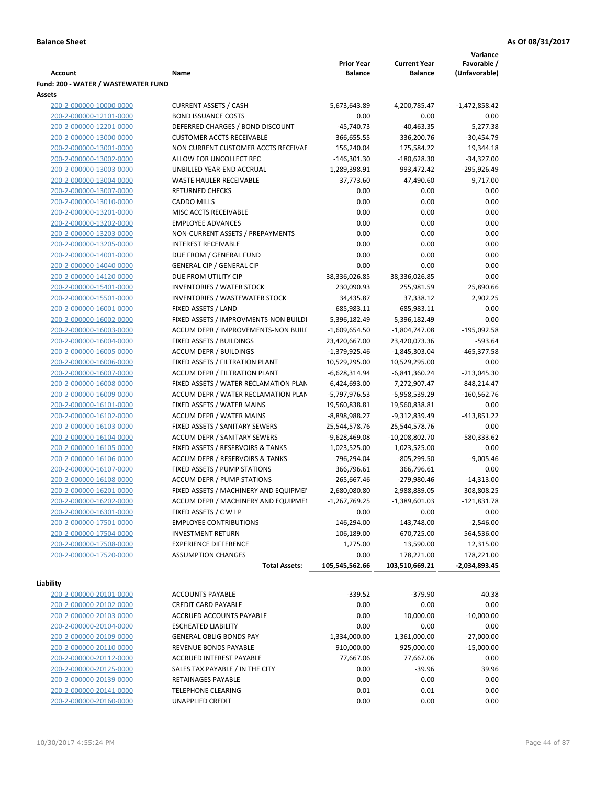**Variance**

|                                                    |                                                                       | <b>Prior Year</b>                | <b>Current Year</b>              | Favorable /         |
|----------------------------------------------------|-----------------------------------------------------------------------|----------------------------------|----------------------------------|---------------------|
| Account                                            | Name                                                                  | <b>Balance</b>                   | <b>Balance</b>                   | (Unfavorable)       |
| Fund: 200 - WATER / WASTEWATER FUND                |                                                                       |                                  |                                  |                     |
| Assets                                             |                                                                       |                                  |                                  |                     |
| 200-2-000000-10000-0000                            | <b>CURRENT ASSETS / CASH</b>                                          | 5,673,643.89                     | 4,200,785.47                     | $-1,472,858.42$     |
| 200-2-000000-12101-0000                            | <b>BOND ISSUANCE COSTS</b>                                            | 0.00                             | 0.00                             | 0.00                |
| 200-2-000000-12201-0000                            | DEFERRED CHARGES / BOND DISCOUNT                                      | $-45,740.73$                     | $-40,463.35$                     | 5,277.38            |
| 200-2-000000-13000-0000                            | <b>CUSTOMER ACCTS RECEIVABLE</b>                                      | 366,655.55                       | 336,200.76                       | $-30,454.79$        |
| 200-2-000000-13001-0000                            | NON CURRENT CUSTOMER ACCTS RECEIVAE                                   | 156,240.04                       | 175,584.22                       | 19,344.18           |
| 200-2-000000-13002-0000                            | ALLOW FOR UNCOLLECT REC                                               | $-146,301.30$                    | $-180,628.30$                    | $-34,327.00$        |
| 200-2-000000-13003-0000                            | UNBILLED YEAR-END ACCRUAL                                             | 1,289,398.91                     | 993,472.42                       | $-295,926.49$       |
| 200-2-000000-13004-0000                            | <b>WASTE HAULER RECEIVABLE</b>                                        | 37,773.60                        | 47,490.60                        | 9,717.00            |
| 200-2-000000-13007-0000                            | <b>RETURNED CHECKS</b>                                                | 0.00                             | 0.00                             | 0.00                |
| 200-2-000000-13010-0000                            | <b>CADDO MILLS</b>                                                    | 0.00                             | 0.00                             | 0.00                |
| 200-2-000000-13201-0000                            | MISC ACCTS RECEIVABLE                                                 | 0.00                             | 0.00                             | 0.00                |
| 200-2-000000-13202-0000                            | <b>EMPLOYEE ADVANCES</b>                                              | 0.00                             | 0.00                             | 0.00                |
| 200-2-000000-13203-0000                            | NON-CURRENT ASSETS / PREPAYMENTS                                      | 0.00                             | 0.00                             | 0.00                |
| 200-2-000000-13205-0000                            | <b>INTEREST RECEIVABLE</b>                                            | 0.00                             | 0.00                             | 0.00                |
| 200-2-000000-14001-0000                            | DUE FROM / GENERAL FUND                                               | 0.00                             | 0.00                             | 0.00                |
| 200-2-000000-14040-0000                            | <b>GENERAL CIP / GENERAL CIP</b>                                      | 0.00                             | 0.00                             | 0.00                |
| 200-2-000000-14120-0000                            | DUE FROM UTILITY CIP                                                  | 38,336,026.85                    | 38,336,026.85                    | 0.00                |
| 200-2-000000-15401-0000                            | <b>INVENTORIES / WATER STOCK</b>                                      | 230,090.93                       | 255,981.59                       | 25,890.66           |
| 200-2-000000-15501-0000                            | <b>INVENTORIES / WASTEWATER STOCK</b>                                 | 34,435.87                        | 37,338.12                        | 2,902.25            |
| 200-2-000000-16001-0000                            | FIXED ASSETS / LAND                                                   | 685,983.11                       | 685,983.11                       | 0.00                |
| 200-2-000000-16002-0000                            | FIXED ASSETS / IMPROVMENTS-NON BUILDI                                 | 5,396,182.49                     | 5,396,182.49                     | 0.00                |
| 200-2-000000-16003-0000                            | ACCUM DEPR / IMPROVEMENTS-NON BUILL                                   | $-1,609,654.50$                  | $-1,804,747.08$                  | $-195,092.58$       |
| 200-2-000000-16004-0000                            | FIXED ASSETS / BUILDINGS                                              | 23,420,667.00                    | 23,420,073.36                    | $-593.64$           |
| 200-2-000000-16005-0000                            | <b>ACCUM DEPR / BUILDINGS</b>                                         | $-1,379,925.46$                  | $-1,845,303.04$                  | $-465,377.58$       |
| 200-2-000000-16006-0000                            | FIXED ASSETS / FILTRATION PLANT                                       | 10,529,295.00                    | 10,529,295.00                    | 0.00                |
| 200-2-000000-16007-0000                            | ACCUM DEPR / FILTRATION PLANT                                         | $-6,628,314.94$                  | $-6,841,360.24$                  | $-213,045.30$       |
| 200-2-000000-16008-0000                            | FIXED ASSETS / WATER RECLAMATION PLAN                                 | 6,424,693.00                     | 7,272,907.47                     | 848,214.47          |
| 200-2-000000-16009-0000                            | ACCUM DEPR / WATER RECLAMATION PLAN                                   | -5,797,976.53                    | -5,958,539.29                    | $-160,562.76$       |
| 200-2-000000-16101-0000                            | FIXED ASSETS / WATER MAINS                                            | 19,560,838.81                    | 19,560,838.81                    | 0.00                |
| 200-2-000000-16102-0000                            | <b>ACCUM DEPR / WATER MAINS</b>                                       | -8,898,988.27                    | -9,312,839.49                    | $-413,851.22$       |
| 200-2-000000-16103-0000<br>200-2-000000-16104-0000 | FIXED ASSETS / SANITARY SEWERS<br><b>ACCUM DEPR / SANITARY SEWERS</b> | 25,544,578.76<br>$-9,628,469.08$ | 25,544,578.76                    | 0.00<br>-580,333.62 |
| 200-2-000000-16105-0000                            | FIXED ASSETS / RESERVOIRS & TANKS                                     | 1,023,525.00                     | $-10,208,802.70$<br>1,023,525.00 | 0.00                |
|                                                    | ACCUM DEPR / RESERVOIRS & TANKS                                       | -796,294.04                      | $-805,299.50$                    | $-9,005.46$         |
| 200-2-000000-16106-0000<br>200-2-000000-16107-0000 | FIXED ASSETS / PUMP STATIONS                                          | 366,796.61                       | 366,796.61                       | 0.00                |
| 200-2-000000-16108-0000                            | <b>ACCUM DEPR / PUMP STATIONS</b>                                     | $-265,667.46$                    | -279,980.46                      | $-14,313.00$        |
| 200-2-000000-16201-0000                            | FIXED ASSETS / MACHINERY AND EQUIPMEN                                 | 2,680,080.80                     | 2,988,889.05                     | 308,808.25          |
| 200-2-000000-16202-0000                            | ACCUM DEPR / MACHINERY AND EQUIPMEI                                   | $-1,267,769.25$                  | $-1,389,601.03$                  | $-121,831.78$       |
| 200-2-000000-16301-0000                            | FIXED ASSETS / C W I P                                                | 0.00                             | 0.00                             | 0.00                |
| 200-2-000000-17501-0000                            | <b>EMPLOYEE CONTRIBUTIONS</b>                                         | 146,294.00                       | 143,748.00                       | $-2,546.00$         |
| 200-2-000000-17504-0000                            | <b>INVESTMENT RETURN</b>                                              | 106,189.00                       | 670,725.00                       | 564,536.00          |
| 200-2-000000-17508-0000                            | <b>EXPERIENCE DIFFERENCE</b>                                          | 1,275.00                         | 13,590.00                        | 12,315.00           |
| 200-2-000000-17520-0000                            | <b>ASSUMPTION CHANGES</b>                                             | 0.00                             | 178,221.00                       | 178,221.00          |
|                                                    | <b>Total Assets:</b>                                                  | 105,545,562.66                   | 103,510,669.21                   | -2,034,893.45       |
|                                                    |                                                                       |                                  |                                  |                     |
| Liability                                          |                                                                       |                                  |                                  |                     |
| 200-2-000000-20101-0000                            | <b>ACCOUNTS PAYABLE</b>                                               | $-339.52$                        | $-379.90$                        | 40.38               |
| 200-2-000000-20102-0000                            | <b>CREDIT CARD PAYABLE</b>                                            | 0.00                             | 0.00                             | 0.00                |
| 200-2-000000-20103-0000                            | ACCRUED ACCOUNTS PAYABLE                                              | 0.00                             | 10,000.00                        | $-10,000.00$        |
| 200-2-000000-20104-0000                            | <b>ESCHEATED LIABILITY</b>                                            | 0.00                             | 0.00                             | 0.00                |
| 200-2-000000-20109-0000                            | <b>GENERAL OBLIG BONDS PAY</b>                                        | 1,334,000.00                     | 1,361,000.00                     | $-27,000.00$        |
| 200-2-000000-20110-0000                            | REVENUE BONDS PAYABLE                                                 | 910,000.00                       | 925,000.00                       | $-15,000.00$        |
| 200-2-000000-20112-0000                            | ACCRUED INTEREST PAYABLE                                              | 77,667.06                        | 77,667.06                        | 0.00                |
| 200-2-000000-20125-0000                            | SALES TAX PAYABLE / IN THE CITY                                       | 0.00                             | $-39.96$                         | 39.96               |
| 200-2-000000-20139-0000                            | RETAINAGES PAYABLE                                                    | 0.00                             | 0.00                             | 0.00                |
| 200-2-000000-20141-0000                            | <b>TELEPHONE CLEARING</b>                                             | 0.01                             | 0.01                             | 0.00                |
| 200-2-000000-20160-0000                            | UNAPPLIED CREDIT                                                      | 0.00                             | 0.00                             | 0.00                |
|                                                    |                                                                       |                                  |                                  |                     |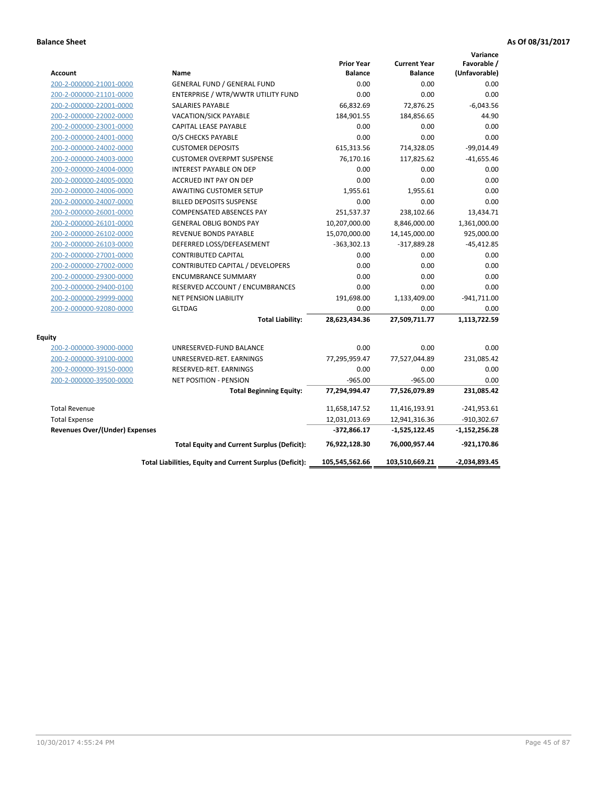|                                       |                                                          |                                     |                                       | Variance                     |
|---------------------------------------|----------------------------------------------------------|-------------------------------------|---------------------------------------|------------------------------|
| <b>Account</b>                        | Name                                                     | <b>Prior Year</b><br><b>Balance</b> | <b>Current Year</b><br><b>Balance</b> | Favorable /<br>(Unfavorable) |
| 200-2-000000-21001-0000               | <b>GENERAL FUND / GENERAL FUND</b>                       | 0.00                                | 0.00                                  | 0.00                         |
| 200-2-000000-21101-0000               | ENTERPRISE / WTR/WWTR UTILITY FUND                       | 0.00                                | 0.00                                  | 0.00                         |
| 200-2-000000-22001-0000               | <b>SALARIES PAYABLE</b>                                  | 66,832.69                           | 72,876.25                             | $-6,043.56$                  |
| 200-2-000000-22002-0000               | <b>VACATION/SICK PAYABLE</b>                             | 184,901.55                          | 184,856.65                            | 44.90                        |
| 200-2-000000-23001-0000               | CAPITAL LEASE PAYABLE                                    | 0.00                                | 0.00                                  | 0.00                         |
| 200-2-000000-24001-0000               | O/S CHECKS PAYABLE                                       | 0.00                                | 0.00                                  | 0.00                         |
| 200-2-000000-24002-0000               | <b>CUSTOMER DEPOSITS</b>                                 | 615,313.56                          | 714,328.05                            | $-99,014.49$                 |
| 200-2-000000-24003-0000               | <b>CUSTOMER OVERPMT SUSPENSE</b>                         | 76,170.16                           | 117,825.62                            | $-41,655.46$                 |
| 200-2-000000-24004-0000               | <b>INTEREST PAYABLE ON DEP</b>                           | 0.00                                | 0.00                                  | 0.00                         |
| 200-2-000000-24005-0000               | <b>ACCRUED INT PAY ON DEP</b>                            | 0.00                                | 0.00                                  | 0.00                         |
| 200-2-000000-24006-0000               | <b>AWAITING CUSTOMER SETUP</b>                           | 1,955.61                            | 1,955.61                              | 0.00                         |
| 200-2-000000-24007-0000               | <b>BILLED DEPOSITS SUSPENSE</b>                          | 0.00                                | 0.00                                  | 0.00                         |
| 200-2-000000-26001-0000               | <b>COMPENSATED ABSENCES PAY</b>                          | 251,537.37                          | 238,102.66                            | 13,434.71                    |
| 200-2-000000-26101-0000               | <b>GENERAL OBLIG BONDS PAY</b>                           | 10,207,000.00                       | 8,846,000.00                          | 1,361,000.00                 |
| 200-2-000000-26102-0000               | <b>REVENUE BONDS PAYABLE</b>                             | 15,070,000.00                       | 14,145,000.00                         | 925,000.00                   |
| 200-2-000000-26103-0000               | DEFERRED LOSS/DEFEASEMENT                                | $-363,302.13$                       | $-317,889.28$                         | $-45,412.85$                 |
| 200-2-000000-27001-0000               | <b>CONTRIBUTED CAPITAL</b>                               | 0.00                                | 0.00                                  | 0.00                         |
| 200-2-000000-27002-0000               | CONTRIBUTED CAPITAL / DEVELOPERS                         | 0.00                                | 0.00                                  | 0.00                         |
| 200-2-000000-29300-0000               | <b>ENCUMBRANCE SUMMARY</b>                               | 0.00                                | 0.00                                  | 0.00                         |
| 200-2-000000-29400-0100               | RESERVED ACCOUNT / ENCUMBRANCES                          | 0.00                                | 0.00                                  | 0.00                         |
| 200-2-000000-29999-0000               | <b>NET PENSION LIABILITY</b>                             | 191,698.00                          | 1,133,409.00                          | $-941,711.00$                |
| 200-2-000000-92080-0000               | <b>GLTDAG</b>                                            | 0.00                                | 0.00                                  | 0.00                         |
|                                       | <b>Total Liability:</b>                                  | 28,623,434.36                       | 27,509,711.77                         | 1,113,722.59                 |
| Equity                                |                                                          |                                     |                                       |                              |
| 200-2-000000-39000-0000               | UNRESERVED-FUND BALANCE                                  | 0.00                                | 0.00                                  | 0.00                         |
| 200-2-000000-39100-0000               | UNRESERVED-RET. EARNINGS                                 | 77,295,959.47                       | 77,527,044.89                         | 231,085.42                   |
| 200-2-000000-39150-0000               | RESERVED-RET. EARNINGS                                   | 0.00                                | 0.00                                  | 0.00                         |
| 200-2-000000-39500-0000               | <b>NET POSITION - PENSION</b>                            | $-965.00$                           | $-965.00$                             | 0.00                         |
|                                       | <b>Total Beginning Equity:</b>                           | 77,294,994.47                       | 77,526,079.89                         | 231,085.42                   |
| <b>Total Revenue</b>                  |                                                          | 11,658,147.52                       | 11,416,193.91                         | $-241,953.61$                |
| <b>Total Expense</b>                  |                                                          | 12,031,013.69                       | 12,941,316.36                         | $-910,302.67$                |
| <b>Revenues Over/(Under) Expenses</b> |                                                          | $-372,866.17$                       | $-1,525,122.45$                       | $-1,152,256.28$              |
|                                       | <b>Total Equity and Current Surplus (Deficit):</b>       | 76,922,128.30                       | 76,000,957.44                         | -921,170.86                  |
|                                       | Total Liabilities, Equity and Current Surplus (Deficit): | 105,545,562.66                      | 103,510,669.21                        | $-2,034,893.45$              |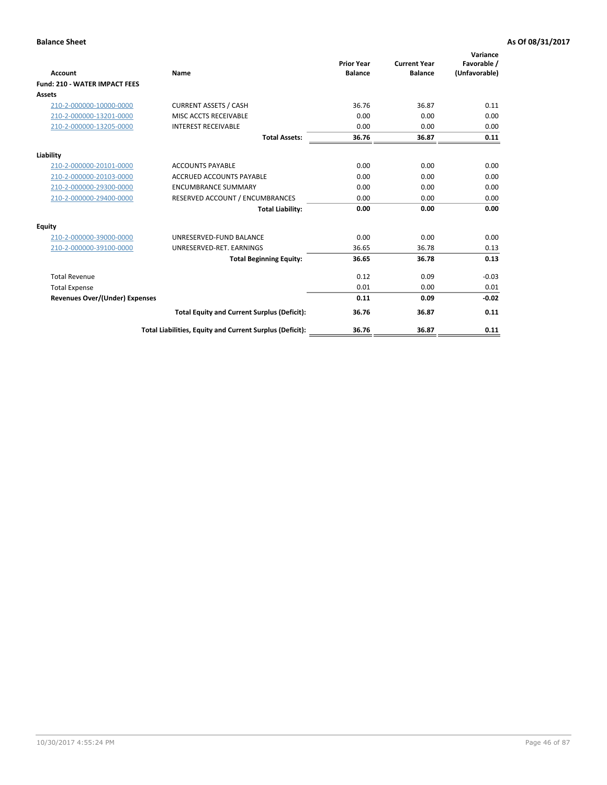| <b>Account</b>                        | Name                                                     | <b>Prior Year</b><br><b>Balance</b> | <b>Current Year</b><br><b>Balance</b> | Variance<br>Favorable /<br>(Unfavorable) |
|---------------------------------------|----------------------------------------------------------|-------------------------------------|---------------------------------------|------------------------------------------|
| <b>Fund: 210 - WATER IMPACT FEES</b>  |                                                          |                                     |                                       |                                          |
| <b>Assets</b>                         |                                                          |                                     |                                       |                                          |
| 210-2-000000-10000-0000               | <b>CURRENT ASSETS / CASH</b>                             | 36.76                               | 36.87                                 | 0.11                                     |
| 210-2-000000-13201-0000               | MISC ACCTS RECEIVABLE                                    | 0.00                                | 0.00                                  | 0.00                                     |
| 210-2-000000-13205-0000               | <b>INTEREST RECEIVABLE</b>                               | 0.00                                | 0.00                                  | 0.00                                     |
|                                       | <b>Total Assets:</b>                                     | 36.76                               | 36.87                                 | 0.11                                     |
|                                       |                                                          |                                     |                                       |                                          |
| Liability                             |                                                          |                                     |                                       |                                          |
| 210-2-000000-20101-0000               | <b>ACCOUNTS PAYABLE</b>                                  | 0.00                                | 0.00                                  | 0.00                                     |
| 210-2-000000-20103-0000               | <b>ACCRUED ACCOUNTS PAYABLE</b>                          | 0.00                                | 0.00                                  | 0.00                                     |
| 210-2-000000-29300-0000               | <b>ENCUMBRANCE SUMMARY</b>                               | 0.00                                | 0.00                                  | 0.00                                     |
| 210-2-000000-29400-0000               | RESERVED ACCOUNT / ENCUMBRANCES                          | 0.00                                | 0.00                                  | 0.00                                     |
|                                       | <b>Total Liability:</b>                                  | 0.00                                | 0.00                                  | 0.00                                     |
| <b>Equity</b>                         |                                                          |                                     |                                       |                                          |
| 210-2-000000-39000-0000               | UNRESERVED-FUND BALANCE                                  | 0.00                                | 0.00                                  | 0.00                                     |
| 210-2-000000-39100-0000               | UNRESERVED-RET. EARNINGS                                 | 36.65                               | 36.78                                 | 0.13                                     |
|                                       | <b>Total Beginning Equity:</b>                           | 36.65                               | 36.78                                 | 0.13                                     |
| <b>Total Revenue</b>                  |                                                          | 0.12                                | 0.09                                  | $-0.03$                                  |
| <b>Total Expense</b>                  |                                                          | 0.01                                | 0.00                                  | 0.01                                     |
| <b>Revenues Over/(Under) Expenses</b> |                                                          | 0.11                                | 0.09                                  | $-0.02$                                  |
|                                       | <b>Total Equity and Current Surplus (Deficit):</b>       | 36.76                               | 36.87                                 | 0.11                                     |
|                                       | Total Liabilities, Equity and Current Surplus (Deficit): | 36.76                               | 36.87                                 | 0.11                                     |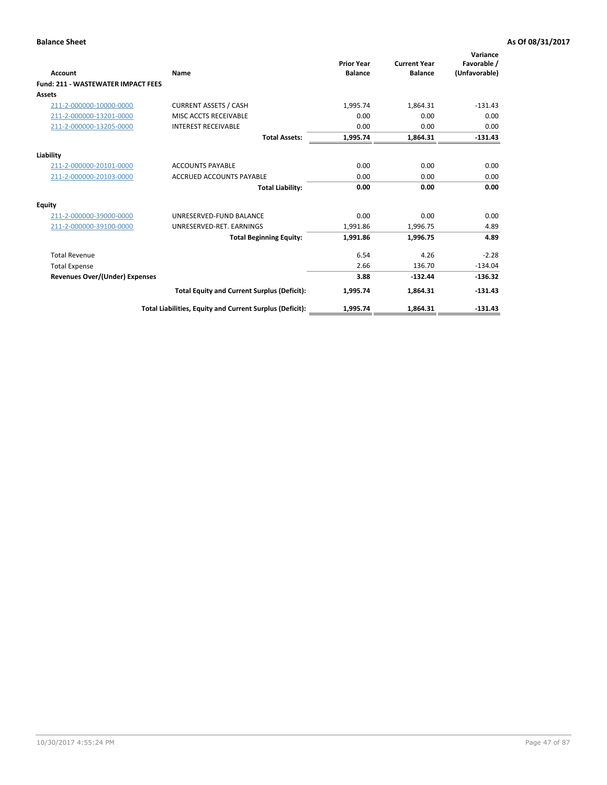| <b>Account</b>                            | Name                                                     | <b>Prior Year</b><br><b>Balance</b> | <b>Current Year</b><br><b>Balance</b> | Variance<br>Favorable /<br>(Unfavorable) |
|-------------------------------------------|----------------------------------------------------------|-------------------------------------|---------------------------------------|------------------------------------------|
| <b>Fund: 211 - WASTEWATER IMPACT FEES</b> |                                                          |                                     |                                       |                                          |
| Assets                                    |                                                          |                                     |                                       |                                          |
| 211-2-000000-10000-0000                   | <b>CURRENT ASSETS / CASH</b>                             | 1,995.74                            | 1,864.31                              | $-131.43$                                |
| 211-2-000000-13201-0000                   | MISC ACCTS RECEIVABLE                                    | 0.00                                | 0.00                                  | 0.00                                     |
| 211-2-000000-13205-0000                   | <b>INTEREST RECEIVABLE</b>                               | 0.00                                | 0.00                                  | 0.00                                     |
|                                           | <b>Total Assets:</b>                                     | 1,995.74                            | 1,864.31                              | $-131.43$                                |
| Liability                                 |                                                          |                                     |                                       |                                          |
| 211-2-000000-20101-0000                   | <b>ACCOUNTS PAYABLE</b>                                  | 0.00                                | 0.00                                  | 0.00                                     |
| 211-2-000000-20103-0000                   | <b>ACCRUED ACCOUNTS PAYABLE</b>                          | 0.00                                | 0.00                                  | 0.00                                     |
|                                           | <b>Total Liability:</b>                                  | 0.00                                | 0.00                                  | 0.00                                     |
| <b>Equity</b>                             |                                                          |                                     |                                       |                                          |
| 211-2-000000-39000-0000                   | UNRESERVED-FUND BALANCE                                  | 0.00                                | 0.00                                  | 0.00                                     |
| 211-2-000000-39100-0000                   | UNRESERVED-RET. EARNINGS                                 | 1,991.86                            | 1,996.75                              | 4.89                                     |
|                                           | <b>Total Beginning Equity:</b>                           | 1,991.86                            | 1,996.75                              | 4.89                                     |
| <b>Total Revenue</b>                      |                                                          | 6.54                                | 4.26                                  | $-2.28$                                  |
| <b>Total Expense</b>                      |                                                          | 2.66                                | 136.70                                | $-134.04$                                |
| <b>Revenues Over/(Under) Expenses</b>     |                                                          | 3.88                                | $-132.44$                             | $-136.32$                                |
|                                           | <b>Total Equity and Current Surplus (Deficit):</b>       | 1,995.74                            | 1,864.31                              | $-131.43$                                |
|                                           | Total Liabilities, Equity and Current Surplus (Deficit): | 1,995.74                            | 1,864.31                              | $-131.43$                                |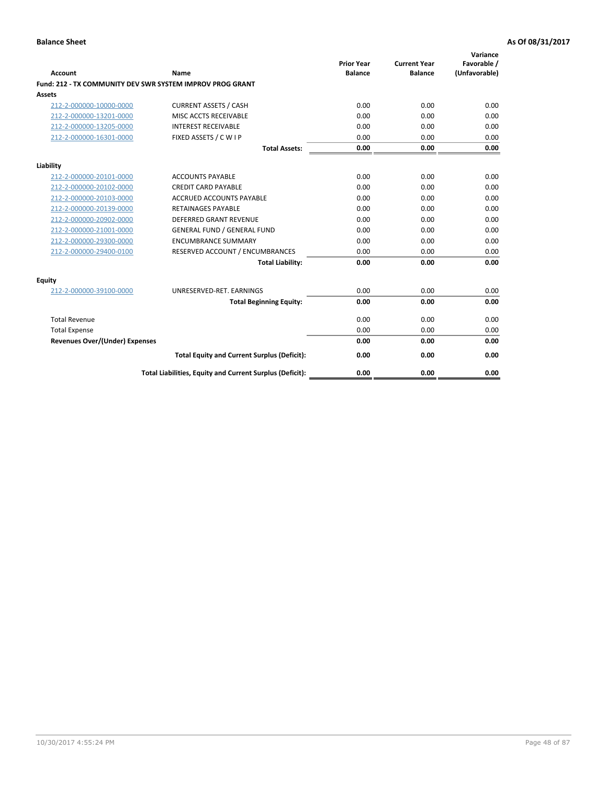| <b>Account</b>                        | <b>Name</b>                                               | <b>Prior Year</b><br><b>Balance</b> | <b>Current Year</b><br><b>Balance</b> | Variance<br>Favorable /<br>(Unfavorable) |
|---------------------------------------|-----------------------------------------------------------|-------------------------------------|---------------------------------------|------------------------------------------|
|                                       | Fund: 212 - TX COMMUNITY DEV SWR SYSTEM IMPROV PROG GRANT |                                     |                                       |                                          |
| <b>Assets</b>                         |                                                           |                                     |                                       |                                          |
| 212-2-000000-10000-0000               | <b>CURRENT ASSETS / CASH</b>                              | 0.00                                | 0.00                                  | 0.00                                     |
| 212-2-000000-13201-0000               | MISC ACCTS RECEIVABLE                                     | 0.00                                | 0.00                                  | 0.00                                     |
| 212-2-000000-13205-0000               | <b>INTEREST RECEIVABLE</b>                                | 0.00                                | 0.00                                  | 0.00                                     |
| 212-2-000000-16301-0000               | FIXED ASSETS / C W I P                                    | 0.00                                | 0.00                                  | 0.00                                     |
|                                       | <b>Total Assets:</b>                                      | 0.00                                | 0.00                                  | 0.00                                     |
| Liability                             |                                                           |                                     |                                       |                                          |
| 212-2-000000-20101-0000               | <b>ACCOUNTS PAYABLE</b>                                   | 0.00                                | 0.00                                  | 0.00                                     |
| 212-2-000000-20102-0000               | <b>CREDIT CARD PAYABLE</b>                                | 0.00                                | 0.00                                  | 0.00                                     |
| 212-2-000000-20103-0000               | <b>ACCRUED ACCOUNTS PAYABLE</b>                           | 0.00                                | 0.00                                  | 0.00                                     |
| 212-2-000000-20139-0000               | <b>RETAINAGES PAYABLE</b>                                 | 0.00                                | 0.00                                  | 0.00                                     |
| 212-2-000000-20902-0000               | DEFERRED GRANT REVENUE                                    | 0.00                                | 0.00                                  | 0.00                                     |
| 212-2-000000-21001-0000               | <b>GENERAL FUND / GENERAL FUND</b>                        | 0.00                                | 0.00                                  | 0.00                                     |
| 212-2-000000-29300-0000               | <b>ENCUMBRANCE SUMMARY</b>                                | 0.00                                | 0.00                                  | 0.00                                     |
| 212-2-000000-29400-0100               | RESERVED ACCOUNT / ENCUMBRANCES                           | 0.00                                | 0.00                                  | 0.00                                     |
|                                       | <b>Total Liability:</b>                                   | 0.00                                | 0.00                                  | 0.00                                     |
| <b>Equity</b>                         |                                                           |                                     |                                       |                                          |
| 212-2-000000-39100-0000               | UNRESERVED-RET. EARNINGS                                  | 0.00                                | 0.00                                  | 0.00                                     |
|                                       | <b>Total Beginning Equity:</b>                            | 0.00                                | 0.00                                  | 0.00                                     |
| <b>Total Revenue</b>                  |                                                           | 0.00                                | 0.00                                  | 0.00                                     |
| <b>Total Expense</b>                  |                                                           | 0.00                                | 0.00                                  | 0.00                                     |
| <b>Revenues Over/(Under) Expenses</b> |                                                           | 0.00                                | 0.00                                  | 0.00                                     |
|                                       | <b>Total Equity and Current Surplus (Deficit):</b>        | 0.00                                | 0.00                                  | 0.00                                     |
|                                       | Total Liabilities, Equity and Current Surplus (Deficit):  | 0.00                                | 0.00                                  | 0.00                                     |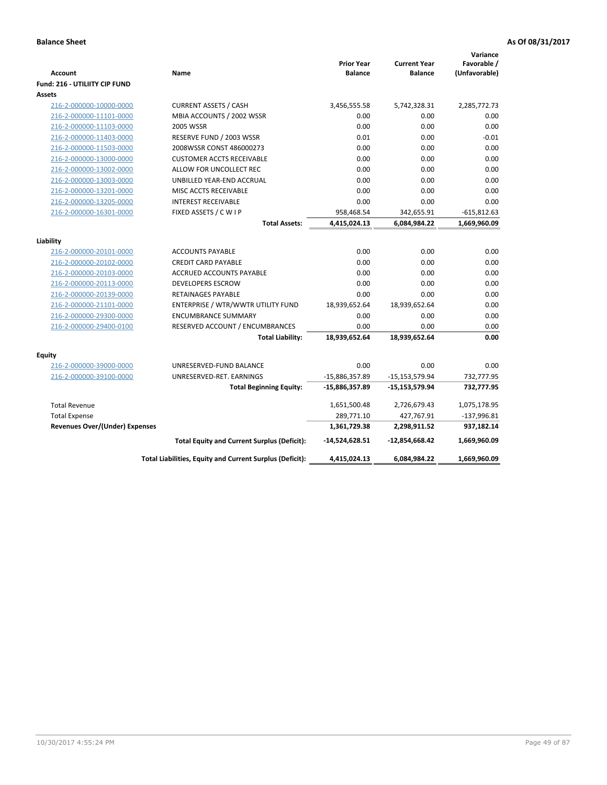| <b>Account</b>                        | Name                                                     | <b>Prior Year</b><br><b>Balance</b> | <b>Current Year</b><br><b>Balance</b> | Variance<br>Favorable /<br>(Unfavorable) |
|---------------------------------------|----------------------------------------------------------|-------------------------------------|---------------------------------------|------------------------------------------|
| Fund: 216 - UTILIITY CIP FUND         |                                                          |                                     |                                       |                                          |
| <b>Assets</b>                         |                                                          |                                     |                                       |                                          |
| 216-2-000000-10000-0000               | <b>CURRENT ASSETS / CASH</b>                             | 3,456,555.58                        | 5,742,328.31                          | 2,285,772.73                             |
| 216-2-000000-11101-0000               | MBIA ACCOUNTS / 2002 WSSR                                | 0.00                                | 0.00                                  | 0.00                                     |
| 216-2-000000-11103-0000               | <b>2005 WSSR</b>                                         | 0.00                                | 0.00                                  | 0.00                                     |
| 216-2-000000-11403-0000               | RESERVE FUND / 2003 WSSR                                 | 0.01                                | 0.00                                  | $-0.01$                                  |
| 216-2-000000-11503-0000               | 2008WSSR CONST 486000273                                 | 0.00                                | 0.00                                  | 0.00                                     |
| 216-2-000000-13000-0000               | <b>CUSTOMER ACCTS RECEIVABLE</b>                         | 0.00                                | 0.00                                  | 0.00                                     |
| 216-2-000000-13002-0000               | ALLOW FOR UNCOLLECT REC                                  | 0.00                                | 0.00                                  | 0.00                                     |
| 216-2-000000-13003-0000               | UNBILLED YEAR-END ACCRUAL                                | 0.00                                | 0.00                                  | 0.00                                     |
| 216-2-000000-13201-0000               | MISC ACCTS RECEIVABLE                                    | 0.00                                | 0.00                                  | 0.00                                     |
| 216-2-000000-13205-0000               | <b>INTEREST RECEIVABLE</b>                               | 0.00                                | 0.00                                  | 0.00                                     |
| 216-2-000000-16301-0000               | FIXED ASSETS / C W I P                                   | 958,468.54                          | 342,655.91                            | $-615,812.63$                            |
|                                       | <b>Total Assets:</b>                                     | 4,415,024.13                        | 6,084,984.22                          | 1,669,960.09                             |
| Liability                             |                                                          |                                     |                                       |                                          |
| 216-2-000000-20101-0000               | <b>ACCOUNTS PAYABLE</b>                                  | 0.00                                | 0.00                                  | 0.00                                     |
| 216-2-000000-20102-0000               | <b>CREDIT CARD PAYABLE</b>                               | 0.00                                | 0.00                                  | 0.00                                     |
| 216-2-000000-20103-0000               | ACCRUED ACCOUNTS PAYABLE                                 | 0.00                                | 0.00                                  | 0.00                                     |
| 216-2-000000-20113-0000               | <b>DEVELOPERS ESCROW</b>                                 | 0.00                                | 0.00                                  | 0.00                                     |
| 216-2-000000-20139-0000               | RETAINAGES PAYABLE                                       | 0.00                                | 0.00                                  | 0.00                                     |
| 216-2-000000-21101-0000               | ENTERPRISE / WTR/WWTR UTILITY FUND                       | 18,939,652.64                       | 18,939,652.64                         | 0.00                                     |
| 216-2-000000-29300-0000               | <b>ENCUMBRANCE SUMMARY</b>                               | 0.00                                | 0.00                                  | 0.00                                     |
| 216-2-000000-29400-0100               | RESERVED ACCOUNT / ENCUMBRANCES                          | 0.00                                | 0.00                                  | 0.00                                     |
|                                       | <b>Total Liability:</b>                                  | 18,939,652.64                       | 18,939,652.64                         | 0.00                                     |
|                                       |                                                          |                                     |                                       |                                          |
| <b>Equity</b>                         |                                                          |                                     |                                       |                                          |
| 216-2-000000-39000-0000               | UNRESERVED-FUND BALANCE                                  | 0.00                                | 0.00                                  | 0.00                                     |
| 216-2-000000-39100-0000               | UNRESERVED-RET. EARNINGS                                 | -15,886,357.89                      | $-15, 153, 579.94$                    | 732,777.95                               |
|                                       | <b>Total Beginning Equity:</b>                           | -15,886,357.89                      | $-15,153,579.94$                      | 732,777.95                               |
| <b>Total Revenue</b>                  |                                                          | 1,651,500.48                        | 2,726,679.43                          | 1,075,178.95                             |
| <b>Total Expense</b>                  |                                                          | 289,771.10                          | 427,767.91                            | $-137,996.81$                            |
| <b>Revenues Over/(Under) Expenses</b> |                                                          | 1,361,729.38                        | 2,298,911.52                          | 937,182.14                               |
|                                       | <b>Total Equity and Current Surplus (Deficit):</b>       | -14,524,628.51                      | -12,854,668.42                        | 1,669,960.09                             |
|                                       | Total Liabilities, Equity and Current Surplus (Deficit): | 4,415,024.13                        | 6,084,984.22                          | 1,669,960.09                             |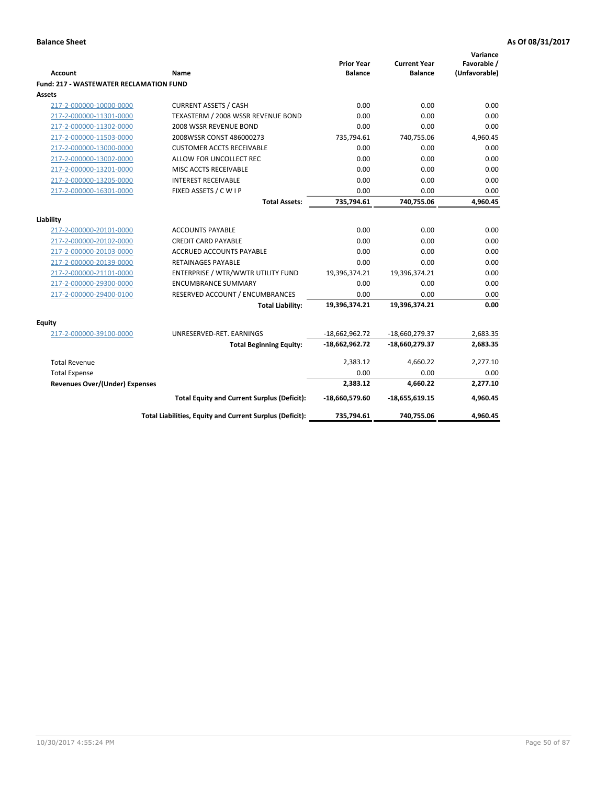| <b>Account</b>                                 | Name                                                     | <b>Prior Year</b><br><b>Balance</b> | <b>Current Year</b><br><b>Balance</b> | Variance<br>Favorable /<br>(Unfavorable) |
|------------------------------------------------|----------------------------------------------------------|-------------------------------------|---------------------------------------|------------------------------------------|
| <b>Fund: 217 - WASTEWATER RECLAMATION FUND</b> |                                                          |                                     |                                       |                                          |
| Assets                                         |                                                          |                                     |                                       |                                          |
| 217-2-000000-10000-0000                        | <b>CURRENT ASSETS / CASH</b>                             | 0.00                                | 0.00                                  | 0.00                                     |
| 217-2-000000-11301-0000                        | TEXASTERM / 2008 WSSR REVENUE BOND                       | 0.00                                | 0.00                                  | 0.00                                     |
| 217-2-000000-11302-0000                        | 2008 WSSR REVENUE BOND                                   | 0.00                                | 0.00                                  | 0.00                                     |
| 217-2-000000-11503-0000                        | 2008WSSR CONST 486000273                                 | 735,794.61                          | 740,755.06                            | 4,960.45                                 |
| 217-2-000000-13000-0000                        | <b>CUSTOMER ACCTS RECEIVABLE</b>                         | 0.00                                | 0.00                                  | 0.00                                     |
| 217-2-000000-13002-0000                        | ALLOW FOR UNCOLLECT REC                                  | 0.00                                | 0.00                                  | 0.00                                     |
| 217-2-000000-13201-0000                        | MISC ACCTS RECEIVABLE                                    | 0.00                                | 0.00                                  | 0.00                                     |
| 217-2-000000-13205-0000                        | <b>INTEREST RECEIVABLE</b>                               | 0.00                                | 0.00                                  | 0.00                                     |
| 217-2-000000-16301-0000                        | FIXED ASSETS / C W I P                                   | 0.00                                | 0.00                                  | 0.00                                     |
|                                                | <b>Total Assets:</b>                                     | 735,794.61                          | 740,755.06                            | 4,960.45                                 |
|                                                |                                                          |                                     |                                       |                                          |
| Liability                                      |                                                          |                                     |                                       |                                          |
| 217-2-000000-20101-0000                        | <b>ACCOUNTS PAYABLE</b>                                  | 0.00                                | 0.00                                  | 0.00                                     |
| 217-2-000000-20102-0000                        | <b>CREDIT CARD PAYABLE</b>                               | 0.00                                | 0.00                                  | 0.00                                     |
| 217-2-000000-20103-0000                        | <b>ACCRUED ACCOUNTS PAYABLE</b>                          | 0.00                                | 0.00                                  | 0.00                                     |
| 217-2-000000-20139-0000                        | <b>RETAINAGES PAYABLE</b>                                | 0.00                                | 0.00                                  | 0.00                                     |
| 217-2-000000-21101-0000                        | ENTERPRISE / WTR/WWTR UTILITY FUND                       | 19,396,374.21                       | 19,396,374.21                         | 0.00                                     |
| 217-2-000000-29300-0000                        | <b>ENCUMBRANCE SUMMARY</b>                               | 0.00                                | 0.00                                  | 0.00                                     |
| 217-2-000000-29400-0100                        | RESERVED ACCOUNT / ENCUMBRANCES                          | 0.00                                | 0.00                                  | 0.00                                     |
|                                                | <b>Total Liability:</b>                                  | 19,396,374.21                       | 19,396,374.21                         | 0.00                                     |
| <b>Equity</b>                                  |                                                          |                                     |                                       |                                          |
| 217-2-000000-39100-0000                        | UNRESERVED-RET. EARNINGS                                 | $-18,662,962.72$                    | -18,660,279.37                        | 2,683.35                                 |
|                                                | <b>Total Beginning Equity:</b>                           | $-18,662,962.72$                    | $-18,660,279.37$                      | 2,683.35                                 |
| <b>Total Revenue</b>                           |                                                          | 2,383.12                            | 4,660.22                              | 2,277.10                                 |
| <b>Total Expense</b>                           |                                                          | 0.00                                | 0.00                                  | 0.00                                     |
| <b>Revenues Over/(Under) Expenses</b>          |                                                          | 2,383.12                            | 4,660.22                              | 2,277.10                                 |
|                                                | <b>Total Equity and Current Surplus (Deficit):</b>       | -18,660,579.60                      | $-18,655,619.15$                      | 4,960.45                                 |
|                                                | Total Liabilities, Equity and Current Surplus (Deficit): | 735,794.61                          | 740,755.06                            | 4,960.45                                 |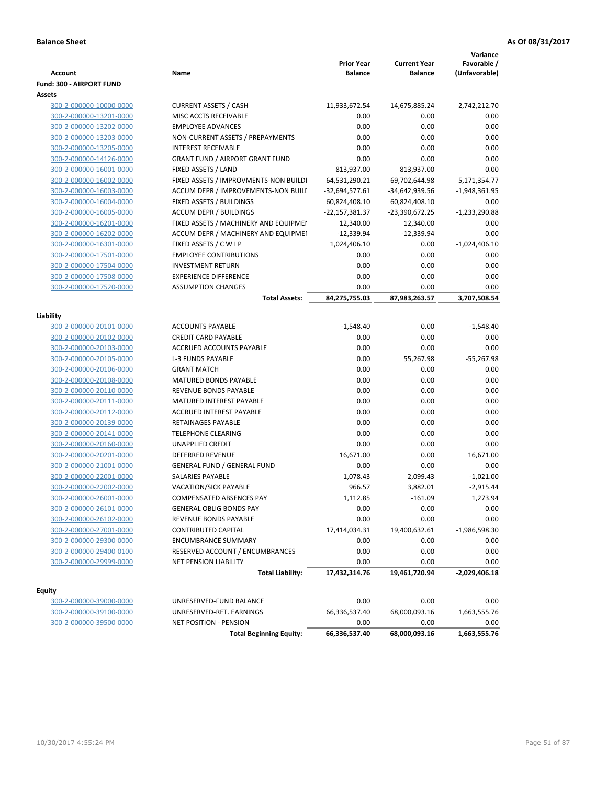|                                                    |                                                   |                   |                     | Variance        |
|----------------------------------------------------|---------------------------------------------------|-------------------|---------------------|-----------------|
|                                                    |                                                   | <b>Prior Year</b> | <b>Current Year</b> | Favorable /     |
| Account                                            | Name                                              | <b>Balance</b>    | <b>Balance</b>      | (Unfavorable)   |
| Fund: 300 - AIRPORT FUND                           |                                                   |                   |                     |                 |
| Assets                                             |                                                   |                   |                     |                 |
| 300-2-000000-10000-0000                            | <b>CURRENT ASSETS / CASH</b>                      | 11,933,672.54     | 14,675,885.24       | 2,742,212.70    |
| 300-2-000000-13201-0000                            | MISC ACCTS RECEIVABLE<br><b>EMPLOYEE ADVANCES</b> | 0.00<br>0.00      | 0.00<br>0.00        | 0.00            |
| 300-2-000000-13202-0000<br>300-2-000000-13203-0000 | NON-CURRENT ASSETS / PREPAYMENTS                  | 0.00              | 0.00                | 0.00<br>0.00    |
| 300-2-000000-13205-0000                            | <b>INTEREST RECEIVABLE</b>                        | 0.00              | 0.00                | 0.00            |
| 300-2-000000-14126-0000                            | <b>GRANT FUND / AIRPORT GRANT FUND</b>            | 0.00              | 0.00                | 0.00            |
| 300-2-000000-16001-0000                            | FIXED ASSETS / LAND                               | 813,937.00        | 813,937.00          | 0.00            |
| 300-2-000000-16002-0000                            | FIXED ASSETS / IMPROVMENTS-NON BUILDI             | 64,531,290.21     | 69,702,644.98       | 5,171,354.77    |
| 300-2-000000-16003-0000                            | ACCUM DEPR / IMPROVEMENTS-NON BUILI               | $-32,694,577.61$  | -34,642,939.56      | $-1,948,361.95$ |
| 300-2-000000-16004-0000                            | FIXED ASSETS / BUILDINGS                          | 60,824,408.10     | 60,824,408.10       | 0.00            |
| 300-2-000000-16005-0000                            | <b>ACCUM DEPR / BUILDINGS</b>                     | -22,157,381.37    | -23,390,672.25      | $-1,233,290.88$ |
| 300-2-000000-16201-0000                            | FIXED ASSETS / MACHINERY AND EQUIPMEN             | 12,340.00         | 12,340.00           | 0.00            |
| 300-2-000000-16202-0000                            | ACCUM DEPR / MACHINERY AND EQUIPMEI               | $-12,339.94$      | $-12,339.94$        | 0.00            |
| 300-2-000000-16301-0000                            | FIXED ASSETS / C W I P                            | 1,024,406.10      | 0.00                | $-1,024,406.10$ |
| 300-2-000000-17501-0000                            | <b>EMPLOYEE CONTRIBUTIONS</b>                     | 0.00              | 0.00                | 0.00            |
| 300-2-000000-17504-0000                            | <b>INVESTMENT RETURN</b>                          | 0.00              | 0.00                | 0.00            |
| 300-2-000000-17508-0000                            | <b>EXPERIENCE DIFFERENCE</b>                      | 0.00              | 0.00                | 0.00            |
| 300-2-000000-17520-0000                            | <b>ASSUMPTION CHANGES</b>                         | 0.00              | 0.00                | 0.00            |
|                                                    | <b>Total Assets:</b>                              | 84,275,755.03     | 87,983,263.57       | 3,707,508.54    |
|                                                    |                                                   |                   |                     |                 |
| Liability                                          |                                                   |                   |                     |                 |
| 300-2-000000-20101-0000                            | <b>ACCOUNTS PAYABLE</b>                           | $-1,548.40$       | 0.00                | $-1,548.40$     |
| 300-2-000000-20102-0000                            | <b>CREDIT CARD PAYABLE</b>                        | 0.00              | 0.00                | 0.00            |
| 300-2-000000-20103-0000                            | ACCRUED ACCOUNTS PAYABLE                          | 0.00              | 0.00                | 0.00            |
| 300-2-000000-20105-0000                            | <b>L-3 FUNDS PAYABLE</b>                          | 0.00              | 55,267.98           | $-55,267.98$    |
| 300-2-000000-20106-0000                            | <b>GRANT MATCH</b>                                | 0.00              | 0.00                | 0.00            |
| 300-2-000000-20108-0000                            | <b>MATURED BONDS PAYABLE</b>                      | 0.00              | 0.00                | 0.00            |
| 300-2-000000-20110-0000                            | REVENUE BONDS PAYABLE                             | 0.00              | 0.00                | 0.00            |
| 300-2-000000-20111-0000                            | MATURED INTEREST PAYABLE                          | 0.00              | 0.00                | 0.00            |
| 300-2-000000-20112-0000                            | <b>ACCRUED INTEREST PAYABLE</b>                   | 0.00              | 0.00                | 0.00            |
| 300-2-000000-20139-0000                            | RETAINAGES PAYABLE                                | 0.00              | 0.00                | 0.00            |
| 300-2-000000-20141-0000                            | <b>TELEPHONE CLEARING</b>                         | 0.00              | 0.00                | 0.00            |
| 300-2-000000-20160-0000                            | <b>UNAPPLIED CREDIT</b>                           | 0.00              | 0.00                | 0.00            |
| 300-2-000000-20201-0000                            | <b>DEFERRED REVENUE</b>                           | 16,671.00         | 0.00                | 16,671.00       |
| 300-2-000000-21001-0000                            | <b>GENERAL FUND / GENERAL FUND</b>                | 0.00              | 0.00                | 0.00            |
| 300-2-000000-22001-0000                            | <b>SALARIES PAYABLE</b>                           | 1,078.43          | 2,099.43            | $-1,021.00$     |
| 300-2-000000-22002-0000                            | VACATION/SICK PAYABLE                             | 966.57            | 3,882.01            | $-2,915.44$     |
| 300-2-000000-26001-0000                            | COMPENSATED ABSENCES PAY                          | 1,112.85          | $-161.09$           | 1,273.94        |
| 300-2-000000-26101-0000                            | <b>GENERAL OBLIG BONDS PAY</b>                    | 0.00              | 0.00                | 0.00            |
| 300-2-000000-26102-0000                            | REVENUE BONDS PAYABLE                             | 0.00              | 0.00                | 0.00            |
| 300-2-000000-27001-0000                            | <b>CONTRIBUTED CAPITAL</b>                        | 17,414,034.31     | 19,400,632.61       | $-1,986,598.30$ |
| 300-2-000000-29300-0000                            | <b>ENCUMBRANCE SUMMARY</b>                        | 0.00              | 0.00                | 0.00            |
| 300-2-000000-29400-0100                            | RESERVED ACCOUNT / ENCUMBRANCES                   | 0.00              | 0.00                | 0.00            |
| 300-2-000000-29999-0000                            | <b>NET PENSION LIABILITY</b>                      | 0.00              | 0.00                | 0.00            |
|                                                    | <b>Total Liability:</b>                           | 17,432,314.76     | 19,461,720.94       | $-2,029,406.18$ |
| <b>Equity</b>                                      |                                                   |                   |                     |                 |
| 300-2-000000-39000-0000                            | UNRESERVED-FUND BALANCE                           | 0.00              | 0.00                | 0.00            |
| 300-2-000000-39100-0000                            | UNRESERVED-RET. EARNINGS                          | 66,336,537.40     | 68,000,093.16       | 1,663,555.76    |
| 300-2-000000-39500-0000                            | NET POSITION - PENSION                            | 0.00              | 0.00                | 0.00            |
|                                                    | <b>Total Beginning Equity:</b>                    | 66,336,537.40     | 68,000,093.16       | 1,663,555.76    |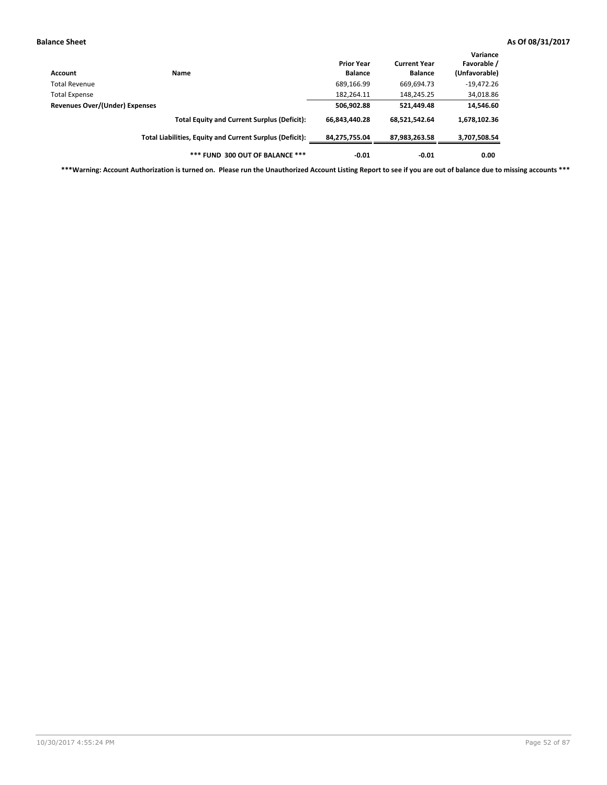| Account                               | Name                                                     | <b>Prior Year</b><br><b>Balance</b> | <b>Current Year</b><br><b>Balance</b> | Variance<br>Favorable /<br>(Unfavorable) |
|---------------------------------------|----------------------------------------------------------|-------------------------------------|---------------------------------------|------------------------------------------|
| <b>Total Revenue</b>                  |                                                          | 689,166.99                          | 669,694.73                            | $-19,472.26$                             |
| <b>Total Expense</b>                  |                                                          | 182,264.11                          | 148,245.25                            | 34,018.86                                |
| <b>Revenues Over/(Under) Expenses</b> | 506,902.88                                               | 521,449.48                          | 14,546.60                             |                                          |
|                                       | <b>Total Equity and Current Surplus (Deficit):</b>       | 66.843.440.28                       | 68,521,542.64                         | 1,678,102.36                             |
|                                       | Total Liabilities, Equity and Current Surplus (Deficit): | 84,275,755.04                       | 87,983,263.58                         | 3,707,508.54                             |
|                                       | *** FUND 300 OUT OF BALANCE ***                          | $-0.01$                             | $-0.01$                               | 0.00                                     |

**\*\*\*Warning: Account Authorization is turned on. Please run the Unauthorized Account Listing Report to see if you are out of balance due to missing accounts \*\*\***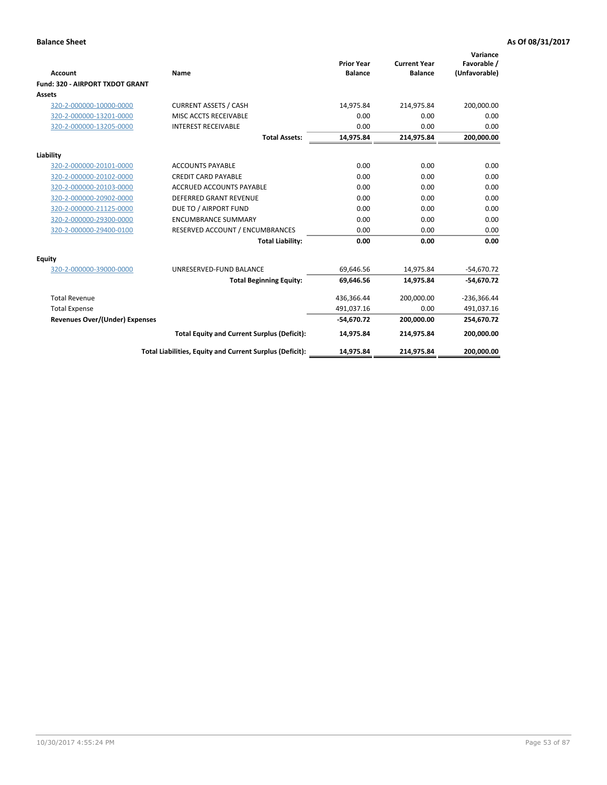|                                       |                                                          |                                     |                                       | Variance                     |
|---------------------------------------|----------------------------------------------------------|-------------------------------------|---------------------------------------|------------------------------|
| Account                               | Name                                                     | <b>Prior Year</b><br><b>Balance</b> | <b>Current Year</b><br><b>Balance</b> | Favorable /<br>(Unfavorable) |
| Fund: 320 - AIRPORT TXDOT GRANT       |                                                          |                                     |                                       |                              |
| Assets                                |                                                          |                                     |                                       |                              |
| 320-2-000000-10000-0000               | <b>CURRENT ASSETS / CASH</b>                             | 14,975.84                           | 214,975.84                            | 200,000.00                   |
| 320-2-000000-13201-0000               | MISC ACCTS RECEIVABLE                                    | 0.00                                | 0.00                                  | 0.00                         |
| 320-2-000000-13205-0000               | <b>INTEREST RECEIVABLE</b>                               | 0.00                                | 0.00                                  | 0.00                         |
|                                       | <b>Total Assets:</b>                                     | 14,975.84                           | 214,975.84                            | 200,000.00                   |
| Liability                             |                                                          |                                     |                                       |                              |
| 320-2-000000-20101-0000               | <b>ACCOUNTS PAYABLE</b>                                  | 0.00                                | 0.00                                  | 0.00                         |
| 320-2-000000-20102-0000               | <b>CREDIT CARD PAYABLE</b>                               | 0.00                                | 0.00                                  | 0.00                         |
| 320-2-000000-20103-0000               | <b>ACCRUED ACCOUNTS PAYABLE</b>                          | 0.00                                | 0.00                                  | 0.00                         |
| 320-2-000000-20902-0000               | <b>DEFERRED GRANT REVENUE</b>                            | 0.00                                | 0.00                                  | 0.00                         |
| 320-2-000000-21125-0000               | DUE TO / AIRPORT FUND                                    | 0.00                                | 0.00                                  | 0.00                         |
| 320-2-000000-29300-0000               | <b>ENCUMBRANCE SUMMARY</b>                               | 0.00                                | 0.00                                  | 0.00                         |
| 320-2-000000-29400-0100               | RESERVED ACCOUNT / ENCUMBRANCES                          | 0.00                                | 0.00                                  | 0.00                         |
|                                       | <b>Total Liability:</b>                                  | 0.00                                | 0.00                                  | 0.00                         |
| <b>Equity</b>                         |                                                          |                                     |                                       |                              |
| 320-2-000000-39000-0000               | UNRESERVED-FUND BALANCE                                  | 69,646.56                           | 14,975.84                             | $-54,670.72$                 |
|                                       | <b>Total Beginning Equity:</b>                           | 69.646.56                           | 14.975.84                             | $-54,670.72$                 |
| <b>Total Revenue</b>                  |                                                          | 436,366.44                          | 200,000.00                            | $-236,366.44$                |
| <b>Total Expense</b>                  |                                                          | 491.037.16                          | 0.00                                  | 491,037.16                   |
| <b>Revenues Over/(Under) Expenses</b> |                                                          | $-54,670.72$                        | 200,000.00                            | 254,670.72                   |
|                                       | <b>Total Equity and Current Surplus (Deficit):</b>       | 14,975.84                           | 214,975.84                            | 200,000.00                   |
|                                       | Total Liabilities, Equity and Current Surplus (Deficit): | 14,975.84                           | 214,975.84                            | 200,000.00                   |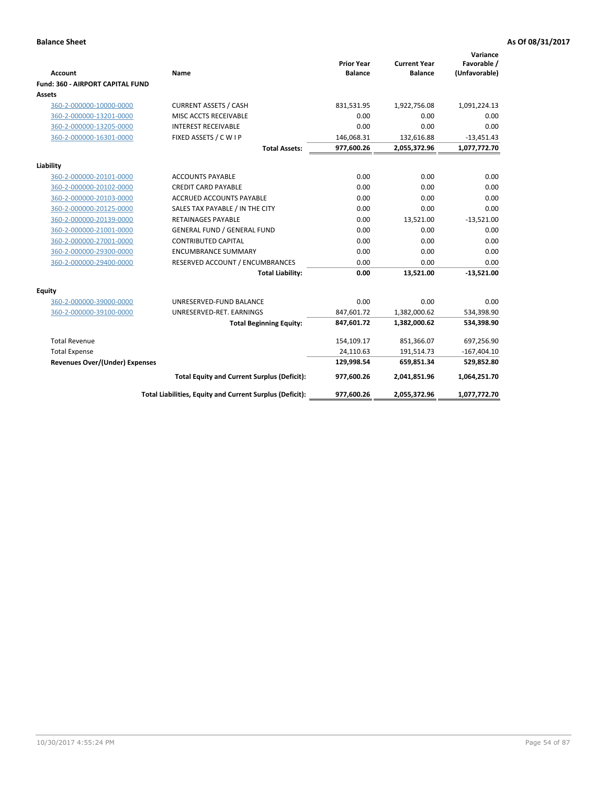| <b>Account</b>                          | Name                                                     | <b>Prior Year</b><br><b>Balance</b> | <b>Current Year</b><br><b>Balance</b> | Variance<br>Favorable /<br>(Unfavorable) |
|-----------------------------------------|----------------------------------------------------------|-------------------------------------|---------------------------------------|------------------------------------------|
| <b>Fund: 360 - AIRPORT CAPITAL FUND</b> |                                                          |                                     |                                       |                                          |
| <b>Assets</b>                           |                                                          |                                     |                                       |                                          |
| 360-2-000000-10000-0000                 | <b>CURRENT ASSETS / CASH</b>                             | 831,531.95                          | 1,922,756.08                          | 1,091,224.13                             |
| 360-2-000000-13201-0000                 | MISC ACCTS RECEIVABLE                                    | 0.00                                | 0.00                                  | 0.00                                     |
| 360-2-000000-13205-0000                 | <b>INTEREST RECEIVABLE</b>                               | 0.00                                | 0.00                                  | 0.00                                     |
| 360-2-000000-16301-0000                 | FIXED ASSETS / C W I P                                   | 146,068.31                          | 132,616.88                            | $-13,451.43$                             |
|                                         | <b>Total Assets:</b>                                     | 977,600.26                          | 2,055,372.96                          | 1,077,772.70                             |
| Liability                               |                                                          |                                     |                                       |                                          |
| 360-2-000000-20101-0000                 | <b>ACCOUNTS PAYABLE</b>                                  | 0.00                                | 0.00                                  | 0.00                                     |
| 360-2-000000-20102-0000                 | <b>CREDIT CARD PAYABLE</b>                               | 0.00                                | 0.00                                  | 0.00                                     |
| 360-2-000000-20103-0000                 | ACCRUED ACCOUNTS PAYABLE                                 | 0.00                                | 0.00                                  | 0.00                                     |
| 360-2-000000-20125-0000                 | SALES TAX PAYABLE / IN THE CITY                          | 0.00                                | 0.00                                  | 0.00                                     |
| 360-2-000000-20139-0000                 | <b>RETAINAGES PAYABLE</b>                                | 0.00                                | 13,521.00                             | $-13,521.00$                             |
| 360-2-000000-21001-0000                 | <b>GENERAL FUND / GENERAL FUND</b>                       | 0.00                                | 0.00                                  | 0.00                                     |
| 360-2-000000-27001-0000                 | <b>CONTRIBUTED CAPITAL</b>                               | 0.00                                | 0.00                                  | 0.00                                     |
| 360-2-000000-29300-0000                 | <b>ENCUMBRANCE SUMMARY</b>                               | 0.00                                | 0.00                                  | 0.00                                     |
| 360-2-000000-29400-0000                 | RESERVED ACCOUNT / ENCUMBRANCES                          | 0.00                                | 0.00                                  | 0.00                                     |
|                                         | <b>Total Liability:</b>                                  | 0.00                                | 13,521.00                             | $-13,521.00$                             |
| Equity                                  |                                                          |                                     |                                       |                                          |
| 360-2-000000-39000-0000                 | UNRESERVED-FUND BALANCE                                  | 0.00                                | 0.00                                  | 0.00                                     |
| 360-2-000000-39100-0000                 | UNRESERVED-RET. EARNINGS                                 | 847,601.72                          | 1,382,000.62                          | 534,398.90                               |
|                                         | <b>Total Beginning Equity:</b>                           | 847,601.72                          | 1,382,000.62                          | 534,398.90                               |
| <b>Total Revenue</b>                    |                                                          | 154,109.17                          | 851,366.07                            | 697,256.90                               |
| <b>Total Expense</b>                    |                                                          | 24,110.63                           | 191,514.73                            | $-167,404.10$                            |
| <b>Revenues Over/(Under) Expenses</b>   |                                                          | 129,998.54                          | 659,851.34                            | 529,852.80                               |
|                                         | <b>Total Equity and Current Surplus (Deficit):</b>       | 977,600.26                          | 2,041,851.96                          | 1,064,251.70                             |
|                                         | Total Liabilities, Equity and Current Surplus (Deficit): | 977,600.26                          | 2,055,372.96                          | 1,077,772.70                             |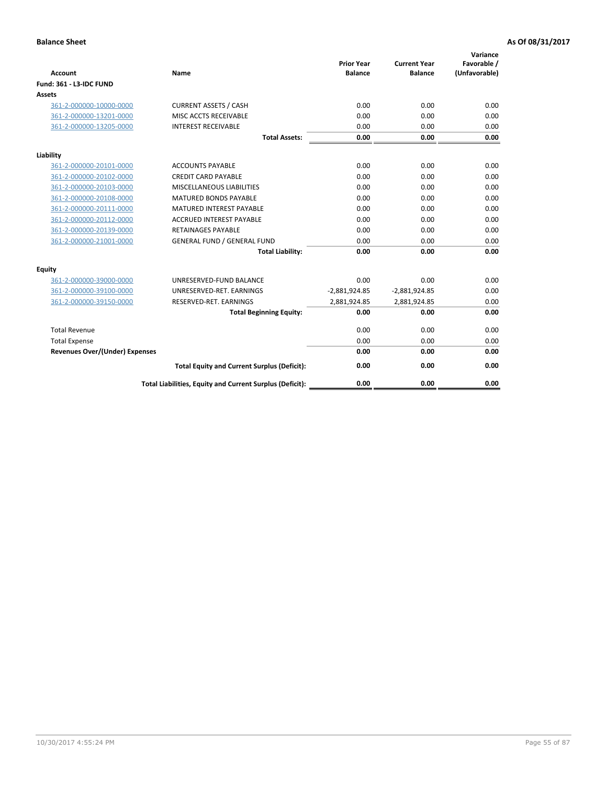| <b>Account</b>                        | <b>Name</b>                                              | <b>Prior Year</b><br><b>Balance</b> | <b>Current Year</b><br><b>Balance</b> | Variance<br>Favorable /<br>(Unfavorable) |
|---------------------------------------|----------------------------------------------------------|-------------------------------------|---------------------------------------|------------------------------------------|
| <b>Fund: 361 - L3-IDC FUND</b>        |                                                          |                                     |                                       |                                          |
| Assets                                |                                                          |                                     |                                       |                                          |
| 361-2-000000-10000-0000               | <b>CURRENT ASSETS / CASH</b>                             | 0.00                                | 0.00                                  | 0.00                                     |
| 361-2-000000-13201-0000               | MISC ACCTS RECEIVABLE                                    | 0.00                                | 0.00                                  | 0.00                                     |
| 361-2-000000-13205-0000               | <b>INTEREST RECEIVABLE</b>                               | 0.00                                | 0.00                                  | 0.00                                     |
|                                       | <b>Total Assets:</b>                                     | 0.00                                | 0.00                                  | 0.00                                     |
| Liability                             |                                                          |                                     |                                       |                                          |
| 361-2-000000-20101-0000               | <b>ACCOUNTS PAYABLE</b>                                  | 0.00                                | 0.00                                  | 0.00                                     |
| 361-2-000000-20102-0000               | <b>CREDIT CARD PAYABLE</b>                               | 0.00                                | 0.00                                  | 0.00                                     |
| 361-2-000000-20103-0000               | <b>MISCELLANEOUS LIABILITIES</b>                         | 0.00                                | 0.00                                  | 0.00                                     |
| 361-2-000000-20108-0000               | <b>MATURED BONDS PAYABLE</b>                             | 0.00                                | 0.00                                  | 0.00                                     |
| 361-2-000000-20111-0000               | <b>MATURED INTEREST PAYABLE</b>                          | 0.00                                | 0.00                                  | 0.00                                     |
| 361-2-000000-20112-0000               | <b>ACCRUED INTEREST PAYABLE</b>                          | 0.00                                | 0.00                                  | 0.00                                     |
| 361-2-000000-20139-0000               | <b>RETAINAGES PAYABLE</b>                                | 0.00                                | 0.00                                  | 0.00                                     |
| 361-2-000000-21001-0000               | <b>GENERAL FUND / GENERAL FUND</b>                       | 0.00                                | 0.00                                  | 0.00                                     |
|                                       | <b>Total Liability:</b>                                  | 0.00                                | 0.00                                  | 0.00                                     |
| Equity                                |                                                          |                                     |                                       |                                          |
| 361-2-000000-39000-0000               | UNRESERVED-FUND BALANCE                                  | 0.00                                | 0.00                                  | 0.00                                     |
| 361-2-000000-39100-0000               | UNRESERVED-RET. EARNINGS                                 | $-2,881,924.85$                     | $-2,881,924.85$                       | 0.00                                     |
| 361-2-000000-39150-0000               | RESERVED-RET. EARNINGS                                   | 2,881,924.85                        | 2,881,924.85                          | 0.00                                     |
|                                       | <b>Total Beginning Equity:</b>                           | 0.00                                | 0.00                                  | 0.00                                     |
| <b>Total Revenue</b>                  |                                                          | 0.00                                | 0.00                                  | 0.00                                     |
| <b>Total Expense</b>                  |                                                          | 0.00                                | 0.00                                  | 0.00                                     |
| <b>Revenues Over/(Under) Expenses</b> |                                                          | 0.00                                | 0.00                                  | 0.00                                     |
|                                       | <b>Total Equity and Current Surplus (Deficit):</b>       | 0.00                                | 0.00                                  | 0.00                                     |
|                                       | Total Liabilities, Equity and Current Surplus (Deficit): | 0.00                                | 0.00                                  | 0.00                                     |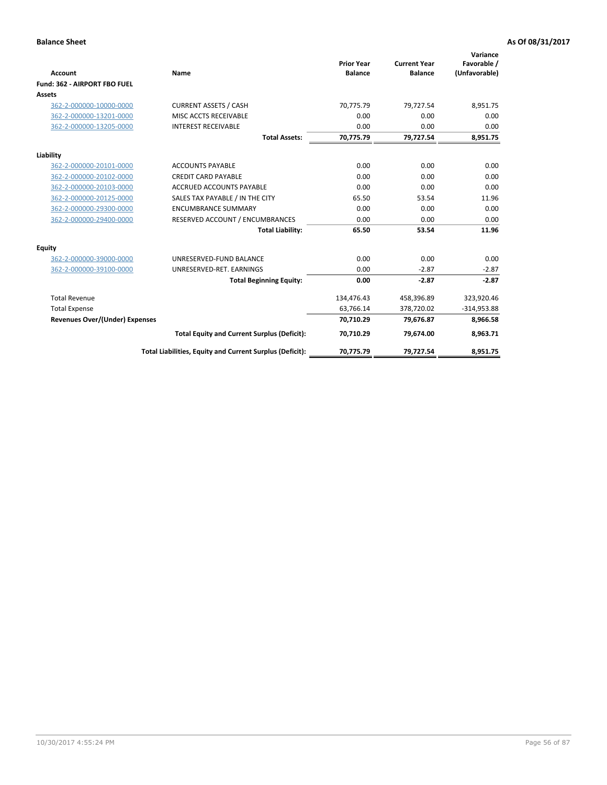|                                       |                                                          |                                     |                                       | Variance                     |
|---------------------------------------|----------------------------------------------------------|-------------------------------------|---------------------------------------|------------------------------|
| Account                               | Name                                                     | <b>Prior Year</b><br><b>Balance</b> | <b>Current Year</b><br><b>Balance</b> | Favorable /<br>(Unfavorable) |
| Fund: 362 - AIRPORT FBO FUEL          |                                                          |                                     |                                       |                              |
| Assets                                |                                                          |                                     |                                       |                              |
| 362-2-000000-10000-0000               | <b>CURRENT ASSETS / CASH</b>                             | 70.775.79                           | 79,727.54                             | 8,951.75                     |
| 362-2-000000-13201-0000               | MISC ACCTS RECEIVABLE                                    | 0.00                                | 0.00                                  | 0.00                         |
| 362-2-000000-13205-0000               | <b>INTEREST RECEIVABLE</b>                               | 0.00                                | 0.00                                  | 0.00                         |
|                                       | <b>Total Assets:</b>                                     | 70,775.79                           | 79,727.54                             | 8,951.75                     |
| Liability                             |                                                          |                                     |                                       |                              |
| 362-2-000000-20101-0000               | <b>ACCOUNTS PAYABLE</b>                                  | 0.00                                | 0.00                                  | 0.00                         |
| 362-2-000000-20102-0000               | <b>CREDIT CARD PAYABLE</b>                               | 0.00                                | 0.00                                  | 0.00                         |
| 362-2-000000-20103-0000               | <b>ACCRUED ACCOUNTS PAYABLE</b>                          | 0.00                                | 0.00                                  | 0.00                         |
| 362-2-000000-20125-0000               | SALES TAX PAYABLE / IN THE CITY                          | 65.50                               | 53.54                                 | 11.96                        |
| 362-2-000000-29300-0000               | <b>ENCUMBRANCE SUMMARY</b>                               | 0.00                                | 0.00                                  | 0.00                         |
| 362-2-000000-29400-0000               | RESERVED ACCOUNT / ENCUMBRANCES                          | 0.00                                | 0.00                                  | 0.00                         |
|                                       | <b>Total Liability:</b>                                  | 65.50                               | 53.54                                 | 11.96                        |
| Equity                                |                                                          |                                     |                                       |                              |
| 362-2-000000-39000-0000               | UNRESERVED-FUND BALANCE                                  | 0.00                                | 0.00                                  | 0.00                         |
| 362-2-000000-39100-0000               | UNRESERVED-RET. EARNINGS                                 | 0.00                                | $-2.87$                               | $-2.87$                      |
|                                       | <b>Total Beginning Equity:</b>                           | 0.00                                | $-2.87$                               | $-2.87$                      |
| <b>Total Revenue</b>                  |                                                          | 134,476.43                          | 458,396.89                            | 323,920.46                   |
| <b>Total Expense</b>                  |                                                          | 63,766.14                           | 378,720.02                            | $-314,953.88$                |
| <b>Revenues Over/(Under) Expenses</b> |                                                          | 70,710.29                           | 79,676.87                             | 8,966.58                     |
|                                       | <b>Total Equity and Current Surplus (Deficit):</b>       | 70,710.29                           | 79,674.00                             | 8,963.71                     |
|                                       | Total Liabilities, Equity and Current Surplus (Deficit): | 70,775.79                           | 79,727.54                             | 8,951.75                     |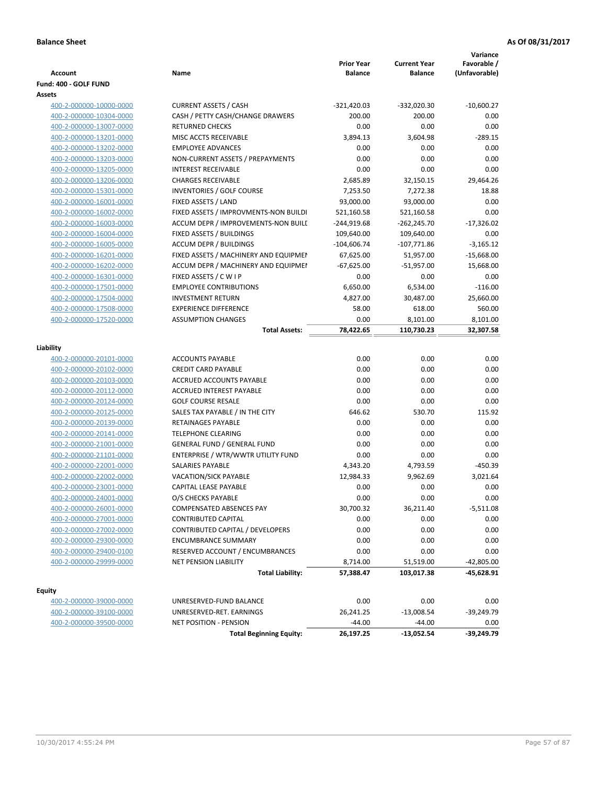|                         |                                       | <b>Prior Year</b> | <b>Current Year</b> | Variance<br>Favorable / |
|-------------------------|---------------------------------------|-------------------|---------------------|-------------------------|
| <b>Account</b>          | Name                                  | <b>Balance</b>    | <b>Balance</b>      | (Unfavorable)           |
| Fund: 400 - GOLF FUND   |                                       |                   |                     |                         |
| Assets                  |                                       |                   |                     |                         |
| 400-2-000000-10000-0000 | <b>CURRENT ASSETS / CASH</b>          | $-321,420.03$     | -332,020.30         | $-10,600.27$            |
| 400-2-000000-10304-0000 | CASH / PETTY CASH/CHANGE DRAWERS      | 200.00            | 200.00              | 0.00                    |
| 400-2-000000-13007-0000 | <b>RETURNED CHECKS</b>                | 0.00              | 0.00                | 0.00                    |
| 400-2-000000-13201-0000 | MISC ACCTS RECEIVABLE                 | 3,894.13          | 3,604.98            | $-289.15$               |
| 400-2-000000-13202-0000 | <b>EMPLOYEE ADVANCES</b>              | 0.00              | 0.00                | 0.00                    |
| 400-2-000000-13203-0000 | NON-CURRENT ASSETS / PREPAYMENTS      | 0.00              | 0.00                | 0.00                    |
| 400-2-000000-13205-0000 | <b>INTEREST RECEIVABLE</b>            | 0.00              | 0.00                | 0.00                    |
| 400-2-000000-13206-0000 | <b>CHARGES RECEIVABLE</b>             | 2,685.89          | 32,150.15           | 29,464.26               |
| 400-2-000000-15301-0000 | INVENTORIES / GOLF COURSE             | 7,253.50          | 7,272.38            | 18.88                   |
| 400-2-000000-16001-0000 | FIXED ASSETS / LAND                   | 93,000.00         | 93,000.00           | 0.00                    |
| 400-2-000000-16002-0000 | FIXED ASSETS / IMPROVMENTS-NON BUILDI | 521,160.58        | 521,160.58          | 0.00                    |
| 400-2-000000-16003-0000 | ACCUM DEPR / IMPROVEMENTS-NON BUILI   | $-244,919.68$     | $-262,245.70$       | $-17,326.02$            |
| 400-2-000000-16004-0000 | FIXED ASSETS / BUILDINGS              | 109,640.00        | 109,640.00          | 0.00                    |
| 400-2-000000-16005-0000 | <b>ACCUM DEPR / BUILDINGS</b>         | $-104,606.74$     | $-107,771.86$       | $-3,165.12$             |
| 400-2-000000-16201-0000 | FIXED ASSETS / MACHINERY AND EQUIPMEN | 67,625.00         | 51,957.00           | $-15,668.00$            |
| 400-2-000000-16202-0000 | ACCUM DEPR / MACHINERY AND EQUIPMEI   | $-67,625.00$      | $-51,957.00$        | 15,668.00               |
| 400-2-000000-16301-0000 | FIXED ASSETS / C W I P                | 0.00              | 0.00                | 0.00                    |
| 400-2-000000-17501-0000 | <b>EMPLOYEE CONTRIBUTIONS</b>         | 6,650.00          | 6,534.00            | $-116.00$               |
| 400-2-000000-17504-0000 | <b>INVESTMENT RETURN</b>              | 4,827.00          | 30,487.00           | 25,660.00               |
| 400-2-000000-17508-0000 | <b>EXPERIENCE DIFFERENCE</b>          | 58.00             | 618.00              | 560.00                  |
| 400-2-000000-17520-0000 | <b>ASSUMPTION CHANGES</b>             | 0.00              | 8,101.00            | 8,101.00                |
|                         | <b>Total Assets:</b>                  | 78,422.65         | 110,730.23          | 32,307.58               |
|                         |                                       |                   |                     |                         |
| Liability               |                                       |                   |                     |                         |
| 400-2-000000-20101-0000 | <b>ACCOUNTS PAYABLE</b>               | 0.00              | 0.00                | 0.00                    |
| 400-2-000000-20102-0000 | <b>CREDIT CARD PAYABLE</b>            | 0.00              | 0.00                | 0.00                    |
| 400-2-000000-20103-0000 | ACCRUED ACCOUNTS PAYABLE              | 0.00              | 0.00                | 0.00                    |
| 400-2-000000-20112-0000 | <b>ACCRUED INTEREST PAYABLE</b>       | 0.00              | 0.00                | 0.00                    |
| 400-2-000000-20124-0000 | <b>GOLF COURSE RESALE</b>             | 0.00              | 0.00                | 0.00                    |
| 400-2-000000-20125-0000 | SALES TAX PAYABLE / IN THE CITY       | 646.62            | 530.70              | 115.92                  |
| 400-2-000000-20139-0000 | RETAINAGES PAYABLE                    | 0.00              | 0.00                | 0.00                    |
| 400-2-000000-20141-0000 | <b>TELEPHONE CLEARING</b>             | 0.00              | 0.00                | 0.00                    |
| 400-2-000000-21001-0000 | <b>GENERAL FUND / GENERAL FUND</b>    | 0.00              | 0.00                | 0.00                    |
| 400-2-000000-21101-0000 | ENTERPRISE / WTR/WWTR UTILITY FUND    | 0.00              | 0.00                | 0.00                    |
| 400-2-000000-22001-0000 | SALARIES PAYABLE                      | 4,343.20          | 4,793.59            | $-450.39$               |
| 400-2-000000-22002-0000 | <b>VACATION/SICK PAYABLE</b>          | 12,984.33         | 9,962.69            | 3,021.64                |
| 400-2-000000-23001-0000 | <b>CAPITAL LEASE PAYABLE</b>          | 0.00              | 0.00                | 0.00                    |
| 400-2-000000-24001-0000 | O/S CHECKS PAYABLE                    | 0.00              | 0.00                | 0.00                    |
| 400-2-000000-26001-0000 | COMPENSATED ABSENCES PAY              | 30,700.32         | 36,211.40           | -5,511.08               |
| 400-2-000000-27001-0000 | <b>CONTRIBUTED CAPITAL</b>            | 0.00              | 0.00                | 0.00                    |
| 400-2-000000-27002-0000 | CONTRIBUTED CAPITAL / DEVELOPERS      | 0.00              | 0.00                | 0.00                    |
| 400-2-000000-29300-0000 | <b>ENCUMBRANCE SUMMARY</b>            | 0.00              | 0.00                | 0.00                    |
| 400-2-000000-29400-0100 | RESERVED ACCOUNT / ENCUMBRANCES       | 0.00              | 0.00                | 0.00                    |
| 400-2-000000-29999-0000 | <b>NET PENSION LIABILITY</b>          | 8,714.00          | 51,519.00           | $-42,805.00$            |
|                         | <b>Total Liability:</b>               | 57,388.47         | 103,017.38          | -45,628.91              |
|                         |                                       |                   |                     |                         |
| <b>Equity</b>           |                                       |                   |                     |                         |
| 400-2-000000-39000-0000 | UNRESERVED-FUND BALANCE               | 0.00              | 0.00                | 0.00                    |
| 400-2-000000-39100-0000 | UNRESERVED-RET. EARNINGS              | 26,241.25         | $-13,008.54$        | -39,249.79              |
| 400-2-000000-39500-0000 | <b>NET POSITION - PENSION</b>         | $-44.00$          | $-44.00$            | 0.00                    |

**Total Beginning Equity: 26,197.25 -13,052.54 -39,249.79**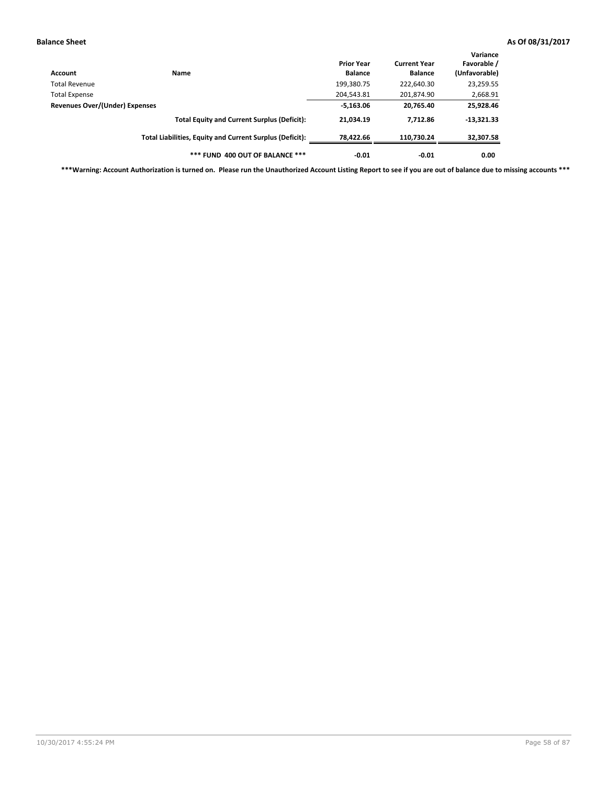| Account                        | Name                                                     | <b>Prior Year</b><br><b>Balance</b> | <b>Current Year</b><br><b>Balance</b> | Variance<br>Favorable /<br>(Unfavorable) |
|--------------------------------|----------------------------------------------------------|-------------------------------------|---------------------------------------|------------------------------------------|
| Total Revenue                  |                                                          | 199,380.75                          | 222,640.30                            | 23,259.55                                |
| <b>Total Expense</b>           |                                                          | 204,543.81                          | 201,874.90                            | 2,668.91                                 |
| Revenues Over/(Under) Expenses | $-5,163.06$                                              | 20,765.40                           | 25,928.46                             |                                          |
|                                | <b>Total Equity and Current Surplus (Deficit):</b>       | 21,034.19                           | 7,712.86                              | $-13,321.33$                             |
|                                | Total Liabilities, Equity and Current Surplus (Deficit): | 78,422.66                           | 110.730.24                            | 32,307.58                                |
|                                | *** FUND 400 OUT OF BALANCE ***                          | $-0.01$                             | $-0.01$                               | 0.00                                     |

**\*\*\*Warning: Account Authorization is turned on. Please run the Unauthorized Account Listing Report to see if you are out of balance due to missing accounts \*\*\***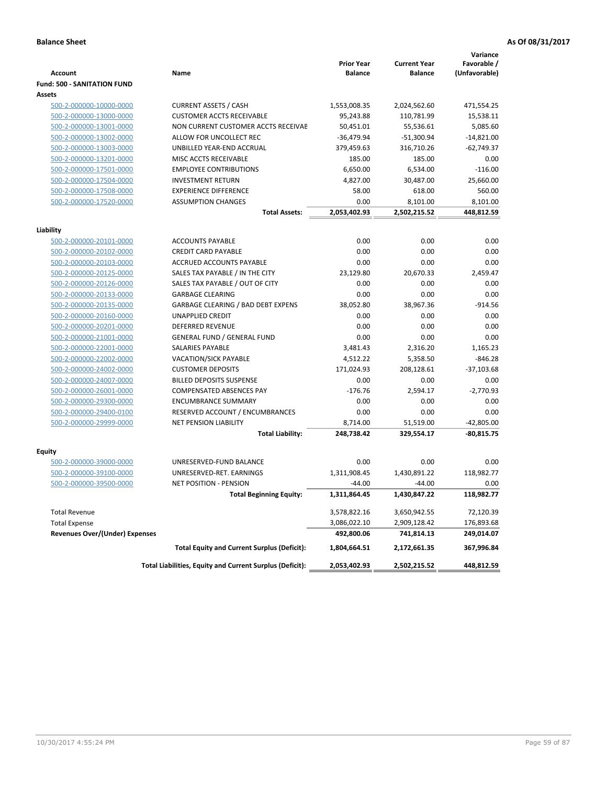|                                    |                                                          |                                     |                                       | Variance                     |
|------------------------------------|----------------------------------------------------------|-------------------------------------|---------------------------------------|------------------------------|
| <b>Account</b>                     | Name                                                     | <b>Prior Year</b><br><b>Balance</b> | <b>Current Year</b><br><b>Balance</b> | Favorable /<br>(Unfavorable) |
| <b>Fund: 500 - SANITATION FUND</b> |                                                          |                                     |                                       |                              |
| Assets                             |                                                          |                                     |                                       |                              |
| 500-2-000000-10000-0000            | <b>CURRENT ASSETS / CASH</b>                             | 1,553,008.35                        | 2,024,562.60                          | 471,554.25                   |
| 500-2-000000-13000-0000            | <b>CUSTOMER ACCTS RECEIVABLE</b>                         | 95,243.88                           | 110,781.99                            | 15,538.11                    |
| 500-2-000000-13001-0000            | NON CURRENT CUSTOMER ACCTS RECEIVAE                      | 50,451.01                           | 55,536.61                             | 5,085.60                     |
| 500-2-000000-13002-0000            | ALLOW FOR UNCOLLECT REC                                  | $-36,479.94$                        | $-51,300.94$                          | $-14,821.00$                 |
| 500-2-000000-13003-0000            | UNBILLED YEAR-END ACCRUAL                                | 379,459.63                          | 316,710.26                            | $-62,749.37$                 |
| 500-2-000000-13201-0000            | MISC ACCTS RECEIVABLE                                    | 185.00                              | 185.00                                |                              |
|                                    |                                                          |                                     |                                       | 0.00                         |
| 500-2-000000-17501-0000            | <b>EMPLOYEE CONTRIBUTIONS</b>                            | 6,650.00                            | 6,534.00                              | $-116.00$                    |
| 500-2-000000-17504-0000            | <b>INVESTMENT RETURN</b>                                 | 4,827.00                            | 30,487.00                             | 25,660.00                    |
| 500-2-000000-17508-0000            | <b>EXPERIENCE DIFFERENCE</b>                             | 58.00                               | 618.00                                | 560.00                       |
| 500-2-000000-17520-0000            | <b>ASSUMPTION CHANGES</b>                                | 0.00                                | 8,101.00                              | 8,101.00                     |
|                                    | <b>Total Assets:</b>                                     | 2,053,402.93                        | 2,502,215.52                          | 448,812.59                   |
| Liability                          |                                                          |                                     |                                       |                              |
| 500-2-000000-20101-0000            | <b>ACCOUNTS PAYABLE</b>                                  | 0.00                                | 0.00                                  | 0.00                         |
| 500-2-000000-20102-0000            | <b>CREDIT CARD PAYABLE</b>                               | 0.00                                | 0.00                                  | 0.00                         |
| 500-2-000000-20103-0000            | ACCRUED ACCOUNTS PAYABLE                                 | 0.00                                | 0.00                                  | 0.00                         |
| 500-2-000000-20125-0000            | SALES TAX PAYABLE / IN THE CITY                          | 23,129.80                           | 20,670.33                             | 2,459.47                     |
| 500-2-000000-20126-0000            | SALES TAX PAYABLE / OUT OF CITY                          | 0.00                                | 0.00                                  | 0.00                         |
| 500-2-000000-20133-0000            | <b>GARBAGE CLEARING</b>                                  | 0.00                                | 0.00                                  | 0.00                         |
| 500-2-000000-20135-0000            | GARBAGE CLEARING / BAD DEBT EXPENS                       | 38,052.80                           | 38,967.36                             | $-914.56$                    |
| 500-2-000000-20160-0000            | <b>UNAPPLIED CREDIT</b>                                  | 0.00                                | 0.00                                  | 0.00                         |
| 500-2-000000-20201-0000            | <b>DEFERRED REVENUE</b>                                  | 0.00                                | 0.00                                  | 0.00                         |
| 500-2-000000-21001-0000            | <b>GENERAL FUND / GENERAL FUND</b>                       | 0.00                                | 0.00                                  | 0.00                         |
| 500-2-000000-22001-0000            | <b>SALARIES PAYABLE</b>                                  | 3,481.43                            | 2,316.20                              | 1,165.23                     |
| 500-2-000000-22002-0000            | VACATION/SICK PAYABLE                                    | 4,512.22                            | 5,358.50                              | $-846.28$                    |
| 500-2-000000-24002-0000            | <b>CUSTOMER DEPOSITS</b>                                 | 171,024.93                          | 208,128.61                            | $-37,103.68$                 |
| 500-2-000000-24007-0000            | <b>BILLED DEPOSITS SUSPENSE</b>                          | 0.00                                | 0.00                                  | 0.00                         |
| 500-2-000000-26001-0000            | COMPENSATED ABSENCES PAY                                 | $-176.76$                           | 2,594.17                              | $-2,770.93$                  |
| 500-2-000000-29300-0000            | <b>ENCUMBRANCE SUMMARY</b>                               | 0.00                                | 0.00                                  | 0.00                         |
| 500-2-000000-29400-0100            | RESERVED ACCOUNT / ENCUMBRANCES                          | 0.00                                | 0.00                                  | 0.00                         |
| 500-2-000000-29999-0000            | <b>NET PENSION LIABILITY</b>                             | 8,714.00                            | 51,519.00                             | $-42,805.00$                 |
|                                    | <b>Total Liability:</b>                                  | 248,738.42                          | 329,554.17                            | $-80,815.75$                 |
|                                    |                                                          |                                     |                                       |                              |
| <b>Equity</b>                      |                                                          |                                     |                                       |                              |
| 500-2-000000-39000-0000            | UNRESERVED-FUND BALANCE                                  | 0.00                                | 0.00                                  | 0.00                         |
| 500-2-000000-39100-0000            | UNRESERVED-RET, EARNINGS                                 | 1,311,908.45                        | 1,430,891.22                          | 118,982.77                   |
| 500-2-000000-39500-0000            | <b>NET POSITION - PENSION</b>                            | $-44.00$                            | $-44.00$                              | 0.00                         |
|                                    | <b>Total Beginning Equity:</b>                           | 1,311,864.45                        | 1,430,847.22                          | 118,982.77                   |
|                                    |                                                          |                                     |                                       |                              |
| <b>Total Revenue</b>               |                                                          | 3,578,822.16                        | 3,650,942.55                          | 72,120.39                    |
| <b>Total Expense</b>               |                                                          | 3,086,022.10                        | 2,909,128.42                          | 176,893.68                   |
| Revenues Over/(Under) Expenses     |                                                          | 492,800.06                          | 741,814.13                            | 249,014.07                   |
|                                    | <b>Total Equity and Current Surplus (Deficit):</b>       | 1,804,664.51                        | 2,172,661.35                          | 367,996.84                   |
|                                    | Total Liabilities, Equity and Current Surplus (Deficit): | 2,053,402.93                        | 2,502,215.52                          | 448,812.59                   |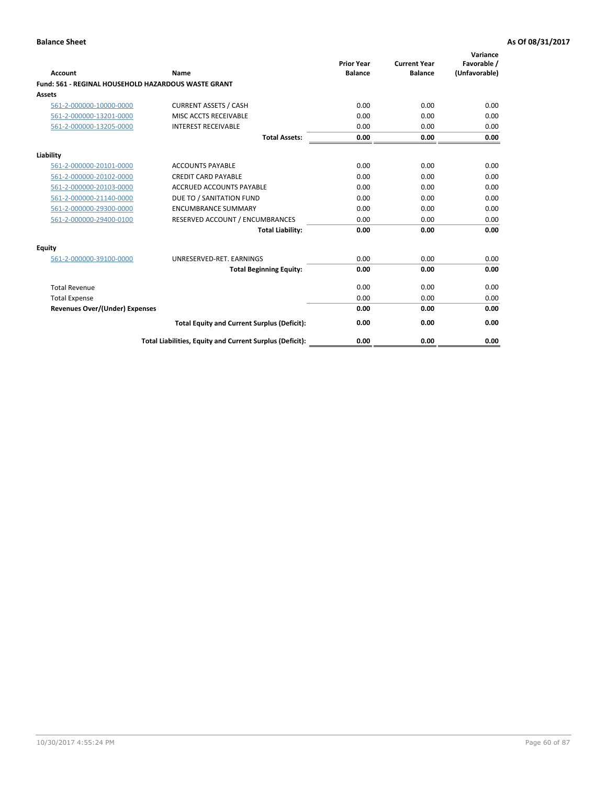| <b>Account</b>                        | Name                                                       | <b>Prior Year</b><br><b>Balance</b> | <b>Current Year</b><br><b>Balance</b> | Variance<br>Favorable /<br>(Unfavorable) |
|---------------------------------------|------------------------------------------------------------|-------------------------------------|---------------------------------------|------------------------------------------|
|                                       | <b>Fund: 561 - REGINAL HOUSEHOLD HAZARDOUS WASTE GRANT</b> |                                     |                                       |                                          |
| Assets                                |                                                            |                                     |                                       |                                          |
| 561-2-000000-10000-0000               | <b>CURRENT ASSETS / CASH</b>                               | 0.00                                | 0.00                                  | 0.00                                     |
| 561-2-000000-13201-0000               | MISC ACCTS RECEIVABLE                                      | 0.00                                | 0.00                                  | 0.00                                     |
| 561-2-000000-13205-0000               | <b>INTEREST RECEIVABLE</b>                                 | 0.00                                | 0.00                                  | 0.00                                     |
|                                       | <b>Total Assets:</b>                                       | 0.00                                | 0.00                                  | 0.00                                     |
| Liability                             |                                                            |                                     |                                       |                                          |
| 561-2-000000-20101-0000               | <b>ACCOUNTS PAYABLE</b>                                    | 0.00                                | 0.00                                  | 0.00                                     |
| 561-2-000000-20102-0000               | <b>CREDIT CARD PAYABLE</b>                                 | 0.00                                | 0.00                                  | 0.00                                     |
| 561-2-000000-20103-0000               | <b>ACCRUED ACCOUNTS PAYABLE</b>                            | 0.00                                | 0.00                                  | 0.00                                     |
| 561-2-000000-21140-0000               | DUE TO / SANITATION FUND                                   | 0.00                                | 0.00                                  | 0.00                                     |
| 561-2-000000-29300-0000               | <b>ENCUMBRANCE SUMMARY</b>                                 | 0.00                                | 0.00                                  | 0.00                                     |
| 561-2-000000-29400-0100               | RESERVED ACCOUNT / ENCUMBRANCES                            | 0.00                                | 0.00                                  | 0.00                                     |
|                                       | <b>Total Liability:</b>                                    | 0.00                                | 0.00                                  | 0.00                                     |
| <b>Equity</b>                         |                                                            |                                     |                                       |                                          |
| 561-2-000000-39100-0000               | UNRESERVED-RET. EARNINGS                                   | 0.00                                | 0.00                                  | 0.00                                     |
|                                       | <b>Total Beginning Equity:</b>                             | 0.00                                | 0.00                                  | 0.00                                     |
| <b>Total Revenue</b>                  |                                                            | 0.00                                | 0.00                                  | 0.00                                     |
| <b>Total Expense</b>                  |                                                            | 0.00                                | 0.00                                  | 0.00                                     |
| <b>Revenues Over/(Under) Expenses</b> |                                                            | 0.00                                | 0.00                                  | 0.00                                     |
|                                       | <b>Total Equity and Current Surplus (Deficit):</b>         | 0.00                                | 0.00                                  | 0.00                                     |
|                                       | Total Liabilities, Equity and Current Surplus (Deficit):   | 0.00                                | 0.00                                  | 0.00                                     |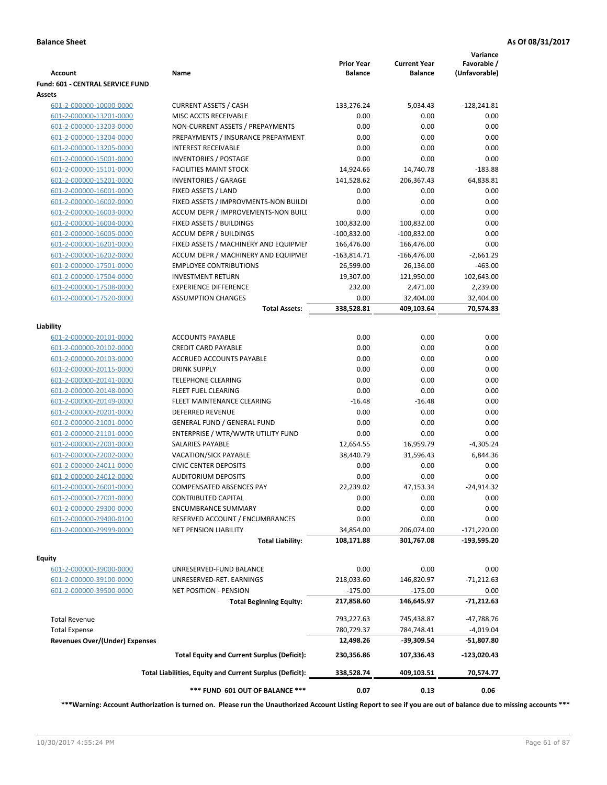| <b>Account</b>                        | Name                                                     | <b>Prior Year</b><br><b>Balance</b> | <b>Current Year</b><br><b>Balance</b> | Variance<br>Favorable /<br>(Unfavorable) |
|---------------------------------------|----------------------------------------------------------|-------------------------------------|---------------------------------------|------------------------------------------|
| Fund: 601 - CENTRAL SERVICE FUND      |                                                          |                                     |                                       |                                          |
| Assets                                |                                                          |                                     |                                       |                                          |
| 601-2-000000-10000-0000               | <b>CURRENT ASSETS / CASH</b>                             | 133,276.24                          | 5,034.43                              | $-128,241.81$                            |
| 601-2-000000-13201-0000               | MISC ACCTS RECEIVABLE                                    | 0.00                                | 0.00                                  | 0.00                                     |
| 601-2-000000-13203-0000               | NON-CURRENT ASSETS / PREPAYMENTS                         | 0.00                                | 0.00                                  | 0.00                                     |
| 601-2-000000-13204-0000               | PREPAYMENTS / INSURANCE PREPAYMENT                       | 0.00                                | 0.00                                  | 0.00                                     |
| 601-2-000000-13205-0000               | <b>INTEREST RECEIVABLE</b>                               | 0.00                                | 0.00                                  | 0.00                                     |
| 601-2-000000-15001-0000               | <b>INVENTORIES / POSTAGE</b>                             | 0.00                                | 0.00                                  | 0.00                                     |
| 601-2-000000-15101-0000               | <b>FACILITIES MAINT STOCK</b>                            | 14,924.66                           | 14,740.78                             | $-183.88$                                |
| 601-2-000000-15201-0000               | <b>INVENTORIES / GARAGE</b>                              | 141,528.62                          | 206,367.43                            | 64,838.81                                |
| 601-2-000000-16001-0000               | FIXED ASSETS / LAND                                      | 0.00                                | 0.00                                  | 0.00                                     |
| 601-2-000000-16002-0000               | FIXED ASSETS / IMPROVMENTS-NON BUILDI                    | 0.00                                | 0.00                                  | 0.00                                     |
| 601-2-000000-16003-0000               | ACCUM DEPR / IMPROVEMENTS-NON BUILI                      | 0.00                                | 0.00                                  | 0.00                                     |
| 601-2-000000-16004-0000               | FIXED ASSETS / BUILDINGS                                 | 100,832.00                          | 100,832.00                            | 0.00                                     |
| 601-2-000000-16005-0000               | <b>ACCUM DEPR / BUILDINGS</b>                            | $-100,832.00$                       | $-100,832.00$                         | 0.00                                     |
| 601-2-000000-16201-0000               | FIXED ASSETS / MACHINERY AND EQUIPMEN                    | 166,476.00                          | 166,476.00                            | 0.00                                     |
| 601-2-000000-16202-0000               | ACCUM DEPR / MACHINERY AND EQUIPMEI                      | -163,814.71                         | -166,476.00                           | $-2,661.29$                              |
| 601-2-000000-17501-0000               | <b>EMPLOYEE CONTRIBUTIONS</b>                            | 26,599.00                           | 26,136.00                             | $-463.00$                                |
| 601-2-000000-17504-0000               | <b>INVESTMENT RETURN</b>                                 | 19,307.00                           | 121,950.00                            | 102,643.00                               |
| 601-2-000000-17508-0000               | <b>EXPERIENCE DIFFERENCE</b>                             | 232.00                              | 2,471.00                              | 2,239.00                                 |
| 601-2-000000-17520-0000               | <b>ASSUMPTION CHANGES</b>                                | 0.00                                | 32,404.00                             | 32,404.00                                |
|                                       | <b>Total Assets:</b>                                     | 338,528.81                          | 409,103.64                            | 70,574.83                                |
| Liability                             |                                                          |                                     |                                       |                                          |
| 601-2-000000-20101-0000               | <b>ACCOUNTS PAYABLE</b>                                  | 0.00                                | 0.00                                  | 0.00                                     |
| 601-2-000000-20102-0000               | <b>CREDIT CARD PAYABLE</b>                               | 0.00                                | 0.00                                  | 0.00                                     |
| 601-2-000000-20103-0000               | ACCRUED ACCOUNTS PAYABLE                                 | 0.00                                | 0.00                                  | 0.00                                     |
| 601-2-000000-20115-0000               | <b>DRINK SUPPLY</b>                                      | 0.00                                | 0.00                                  | 0.00                                     |
| 601-2-000000-20141-0000               | <b>TELEPHONE CLEARING</b>                                | 0.00                                | 0.00                                  | 0.00                                     |
| 601-2-000000-20148-0000               | <b>FLEET FUEL CLEARING</b>                               | 0.00                                | 0.00                                  | 0.00                                     |
| 601-2-000000-20149-0000               | FLEET MAINTENANCE CLEARING                               | $-16.48$                            | $-16.48$                              | 0.00                                     |
| 601-2-000000-20201-0000               | <b>DEFERRED REVENUE</b>                                  | 0.00                                | 0.00                                  | 0.00                                     |
| 601-2-000000-21001-0000               | <b>GENERAL FUND / GENERAL FUND</b>                       | 0.00                                | 0.00                                  | 0.00                                     |
| 601-2-000000-21101-0000               | ENTERPRISE / WTR/WWTR UTILITY FUND                       | 0.00                                | 0.00                                  | 0.00                                     |
| 601-2-000000-22001-0000               | SALARIES PAYABLE                                         | 12,654.55                           | 16,959.79                             | $-4,305.24$                              |
| 601-2-000000-22002-0000               | VACATION/SICK PAYABLE                                    | 38,440.79                           | 31,596.43                             | 6,844.36                                 |
| 601-2-000000-24011-0000               | <b>CIVIC CENTER DEPOSITS</b>                             | 0.00                                | 0.00                                  | 0.00                                     |
| 601-2-000000-24012-0000               | <b>AUDITORIUM DEPOSITS</b>                               | 0.00                                | 0.00                                  | 0.00                                     |
| 601-2-000000-26001-0000               | <b>COMPENSATED ABSENCES PAY</b>                          | 22,239.02                           | 47,153.34                             | $-24,914.32$                             |
| 601-2-000000-27001-0000               | CONTRIBUTED CAPITAL                                      | 0.00                                | 0.00                                  | 0.00                                     |
| 601-2-000000-29300-0000               | <b>ENCUMBRANCE SUMMARY</b>                               | 0.00                                | 0.00                                  | 0.00                                     |
| 601-2-000000-29400-0100               | RESERVED ACCOUNT / ENCUMBRANCES                          | 0.00                                | 0.00                                  | 0.00                                     |
| 601-2-000000-29999-0000               | <b>NET PENSION LIABILITY</b>                             | 34,854.00                           | 206,074.00                            | $-171,220.00$                            |
|                                       | <b>Total Liability:</b>                                  | 108,171.88                          | 301,767.08                            | -193,595.20                              |
|                                       |                                                          |                                     |                                       |                                          |
| Equity                                |                                                          |                                     |                                       |                                          |
| 601-2-000000-39000-0000               | UNRESERVED-FUND BALANCE                                  | 0.00                                | 0.00                                  | 0.00                                     |
| 601-2-000000-39100-0000               | UNRESERVED-RET. EARNINGS                                 | 218,033.60                          | 146,820.97                            | $-71,212.63$                             |
| 601-2-000000-39500-0000               | <b>NET POSITION - PENSION</b>                            | $-175.00$                           | $-175.00$                             | 0.00                                     |
|                                       | <b>Total Beginning Equity:</b>                           | 217,858.60                          | 146,645.97                            | -71,212.63                               |
| <b>Total Revenue</b>                  |                                                          | 793,227.63                          | 745,438.87                            | -47,788.76                               |
| <b>Total Expense</b>                  |                                                          | 780,729.37                          | 784,748.41                            | $-4,019.04$                              |
| <b>Revenues Over/(Under) Expenses</b> |                                                          | 12,498.26                           | -39,309.54                            | -51,807.80                               |
|                                       | <b>Total Equity and Current Surplus (Deficit):</b>       | 230,356.86                          | 107,336.43                            | $-123,020.43$                            |
|                                       |                                                          |                                     |                                       |                                          |
|                                       | Total Liabilities, Equity and Current Surplus (Deficit): | 338,528.74                          | 409,103.51                            | 70,574.77                                |
|                                       | *** FUND 601 OUT OF BALANCE ***                          | 0.07                                | 0.13                                  | 0.06                                     |

**\*\*\*Warning: Account Authorization is turned on. Please run the Unauthorized Account Listing Report to see if you are out of balance due to missing accounts \*\*\***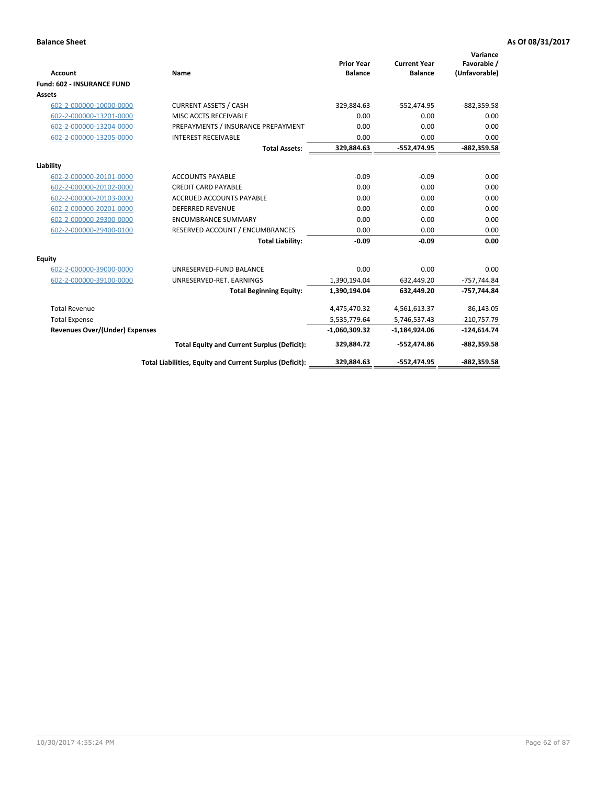|                                       |                                                          |                                     |                                       | Variance                     |
|---------------------------------------|----------------------------------------------------------|-------------------------------------|---------------------------------------|------------------------------|
| <b>Account</b>                        | <b>Name</b>                                              | <b>Prior Year</b><br><b>Balance</b> | <b>Current Year</b><br><b>Balance</b> | Favorable /<br>(Unfavorable) |
| <b>Fund: 602 - INSURANCE FUND</b>     |                                                          |                                     |                                       |                              |
| <b>Assets</b>                         |                                                          |                                     |                                       |                              |
| 602-2-000000-10000-0000               | <b>CURRENT ASSETS / CASH</b>                             | 329,884.63                          | $-552,474.95$                         | $-882,359.58$                |
| 602-2-000000-13201-0000               | MISC ACCTS RECEIVABLE                                    | 0.00                                | 0.00                                  | 0.00                         |
| 602-2-000000-13204-0000               | PREPAYMENTS / INSURANCE PREPAYMENT                       | 0.00                                | 0.00                                  | 0.00                         |
| 602-2-000000-13205-0000               | <b>INTEREST RECEIVABLE</b>                               | 0.00                                | 0.00                                  | 0.00                         |
|                                       | <b>Total Assets:</b>                                     | 329,884.63                          | $-552,474.95$                         | $-882,359.58$                |
| Liability                             |                                                          |                                     |                                       |                              |
| 602-2-000000-20101-0000               | <b>ACCOUNTS PAYABLE</b>                                  | $-0.09$                             | $-0.09$                               | 0.00                         |
| 602-2-000000-20102-0000               | <b>CREDIT CARD PAYABLE</b>                               | 0.00                                | 0.00                                  | 0.00                         |
| 602-2-000000-20103-0000               | <b>ACCRUED ACCOUNTS PAYABLE</b>                          | 0.00                                | 0.00                                  | 0.00                         |
| 602-2-000000-20201-0000               | <b>DEFERRED REVENUE</b>                                  | 0.00                                | 0.00                                  | 0.00                         |
| 602-2-000000-29300-0000               | <b>ENCUMBRANCE SUMMARY</b>                               | 0.00                                | 0.00                                  | 0.00                         |
| 602-2-000000-29400-0100               | RESERVED ACCOUNT / ENCUMBRANCES                          | 0.00                                | 0.00                                  | 0.00                         |
|                                       | <b>Total Liability:</b>                                  | $-0.09$                             | $-0.09$                               | 0.00                         |
| Equity                                |                                                          |                                     |                                       |                              |
| 602-2-000000-39000-0000               | UNRESERVED-FUND BALANCE                                  | 0.00                                | 0.00                                  | 0.00                         |
| 602-2-000000-39100-0000               | UNRESERVED-RET. EARNINGS                                 | 1,390,194.04                        | 632,449.20                            | $-757,744.84$                |
|                                       | <b>Total Beginning Equity:</b>                           | 1,390,194.04                        | 632,449.20                            | $-757,744.84$                |
| <b>Total Revenue</b>                  |                                                          | 4,475,470.32                        | 4,561,613.37                          | 86,143.05                    |
| <b>Total Expense</b>                  |                                                          | 5,535,779.64                        | 5,746,537.43                          | $-210,757.79$                |
| <b>Revenues Over/(Under) Expenses</b> |                                                          | $-1,060,309.32$                     | $-1,184,924.06$                       | $-124,614.74$                |
|                                       | <b>Total Equity and Current Surplus (Deficit):</b>       | 329,884.72                          | -552,474.86                           | $-882,359.58$                |
|                                       | Total Liabilities, Equity and Current Surplus (Deficit): | 329,884.63                          | -552.474.95                           | $-882.359.58$                |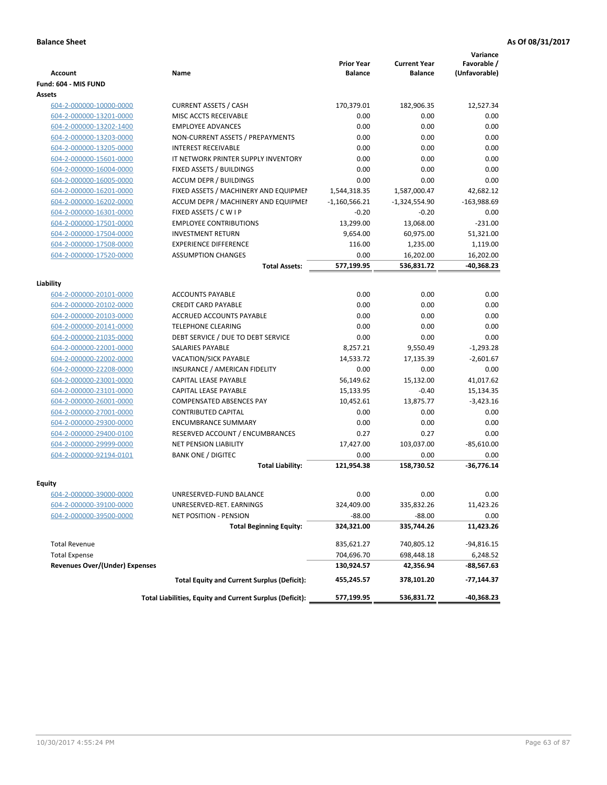| <b>Account</b>                 | Name                                                     | <b>Prior Year</b><br><b>Balance</b> | <b>Current Year</b><br><b>Balance</b> | Variance<br>Favorable /<br>(Unfavorable) |
|--------------------------------|----------------------------------------------------------|-------------------------------------|---------------------------------------|------------------------------------------|
| Fund: 604 - MIS FUND           |                                                          |                                     |                                       |                                          |
| <b>Assets</b>                  |                                                          |                                     |                                       |                                          |
| 604-2-000000-10000-0000        | <b>CURRENT ASSETS / CASH</b>                             | 170,379.01                          | 182,906.35                            | 12,527.34                                |
| 604-2-000000-13201-0000        | MISC ACCTS RECEIVABLE                                    | 0.00                                | 0.00                                  | 0.00                                     |
| 604-2-000000-13202-1400        | <b>EMPLOYEE ADVANCES</b>                                 | 0.00                                | 0.00                                  | 0.00                                     |
| 604-2-000000-13203-0000        | NON-CURRENT ASSETS / PREPAYMENTS                         | 0.00                                | 0.00                                  | 0.00                                     |
| 604-2-000000-13205-0000        | INTEREST RECEIVABLE                                      | 0.00                                | 0.00                                  | 0.00                                     |
| 604-2-000000-15601-0000        | IT NETWORK PRINTER SUPPLY INVENTORY                      | 0.00                                | 0.00                                  | 0.00                                     |
| 604-2-000000-16004-0000        | FIXED ASSETS / BUILDINGS                                 | 0.00                                | 0.00                                  | 0.00                                     |
| 604-2-000000-16005-0000        | <b>ACCUM DEPR / BUILDINGS</b>                            | 0.00                                | 0.00                                  | 0.00                                     |
| 604-2-000000-16201-0000        | FIXED ASSETS / MACHINERY AND EQUIPMEN                    | 1,544,318.35                        | 1,587,000.47                          | 42,682.12                                |
| 604-2-000000-16202-0000        | ACCUM DEPR / MACHINERY AND EQUIPMEI                      | $-1,160,566.21$                     | $-1,324,554.90$                       | $-163,988.69$                            |
| 604-2-000000-16301-0000        | FIXED ASSETS / C W I P                                   | $-0.20$                             | $-0.20$                               | 0.00                                     |
| 604-2-000000-17501-0000        | <b>EMPLOYEE CONTRIBUTIONS</b>                            | 13,299.00                           | 13,068.00                             | $-231.00$                                |
| 604-2-000000-17504-0000        | <b>INVESTMENT RETURN</b>                                 | 9,654.00                            | 60,975.00                             | 51,321.00                                |
| 604-2-000000-17508-0000        | <b>EXPERIENCE DIFFERENCE</b>                             | 116.00                              | 1,235.00                              | 1,119.00                                 |
| 604-2-000000-17520-0000        | <b>ASSUMPTION CHANGES</b>                                | 0.00                                | 16,202.00                             | 16,202.00                                |
|                                | <b>Total Assets:</b>                                     | 577,199.95                          | 536,831.72                            | -40,368.23                               |
|                                |                                                          |                                     |                                       |                                          |
| Liability                      |                                                          |                                     |                                       |                                          |
| 604-2-000000-20101-0000        | <b>ACCOUNTS PAYABLE</b>                                  | 0.00                                | 0.00                                  | 0.00                                     |
| 604-2-000000-20102-0000        | <b>CREDIT CARD PAYABLE</b>                               | 0.00                                | 0.00                                  | 0.00                                     |
| 604-2-000000-20103-0000        | <b>ACCRUED ACCOUNTS PAYABLE</b>                          | 0.00                                | 0.00                                  | 0.00                                     |
| 604-2-000000-20141-0000        | <b>TELEPHONE CLEARING</b>                                | 0.00                                | 0.00                                  | 0.00                                     |
| 604-2-000000-21035-0000        | DEBT SERVICE / DUE TO DEBT SERVICE                       | 0.00                                | 0.00                                  | 0.00                                     |
| 604-2-000000-22001-0000        | <b>SALARIES PAYABLE</b>                                  | 8,257.21                            | 9,550.49                              | $-1,293.28$                              |
| 604-2-000000-22002-0000        | <b>VACATION/SICK PAYABLE</b>                             | 14,533.72                           | 17,135.39                             | $-2,601.67$                              |
| 604-2-000000-22208-0000        | INSURANCE / AMERICAN FIDELITY                            | 0.00                                | 0.00                                  | 0.00                                     |
| 604-2-000000-23001-0000        | CAPITAL LEASE PAYABLE                                    | 56,149.62                           | 15,132.00                             | 41,017.62                                |
| 604-2-000000-23101-0000        | CAPITAL LEASE PAYABLE                                    | 15,133.95                           | $-0.40$                               | 15,134.35                                |
| 604-2-000000-26001-0000        | <b>COMPENSATED ABSENCES PAY</b>                          | 10,452.61                           | 13,875.77                             | $-3,423.16$                              |
| 604-2-000000-27001-0000        | <b>CONTRIBUTED CAPITAL</b>                               | 0.00                                | 0.00                                  | 0.00                                     |
| 604-2-000000-29300-0000        | <b>ENCUMBRANCE SUMMARY</b>                               | 0.00                                | 0.00                                  | 0.00                                     |
| 604-2-000000-29400-0100        | RESERVED ACCOUNT / ENCUMBRANCES                          | 0.27                                | 0.27                                  | 0.00                                     |
| 604-2-000000-29999-0000        | <b>NET PENSION LIABILITY</b>                             | 17,427.00                           | 103,037.00                            | $-85,610.00$                             |
| 604-2-000000-92194-0101        | <b>BANK ONE / DIGITEC</b>                                | 0.00                                | 0.00                                  | 0.00                                     |
|                                | <b>Total Liability:</b>                                  | 121,954.38                          | 158,730.52                            | $-36.776.14$                             |
|                                |                                                          |                                     |                                       |                                          |
| Equity                         |                                                          |                                     |                                       |                                          |
| <u>604-2-000000-39000-0000</u> | UNRESERVED-FUND BALANCE                                  | 0.00                                | 0.00                                  | 0.00                                     |
| 604-2-000000-39100-0000        | UNRESERVED-RET. EARNINGS                                 | 324,409.00                          | 335,832.26                            | 11,423.26                                |
| 604-2-000000-39500-0000        | <b>NET POSITION - PENSION</b>                            | $-88.00$                            | $-88.00$                              | 0.00                                     |
|                                | <b>Total Beginning Equity:</b>                           | 324,321.00                          | 335,744.26                            | 11,423.26                                |
| <b>Total Revenue</b>           |                                                          | 835,621.27                          | 740,805.12                            | $-94,816.15$                             |
| <b>Total Expense</b>           |                                                          | 704,696.70                          | 698,448.18                            | 6,248.52                                 |
| Revenues Over/(Under) Expenses |                                                          | 130,924.57                          | 42,356.94                             | -88,567.63                               |
|                                | <b>Total Equity and Current Surplus (Deficit):</b>       | 455,245.57                          | 378,101.20                            | -77,144.37                               |
|                                | Total Liabilities, Equity and Current Surplus (Deficit): | 577,199.95                          | 536,831.72                            | -40,368.23                               |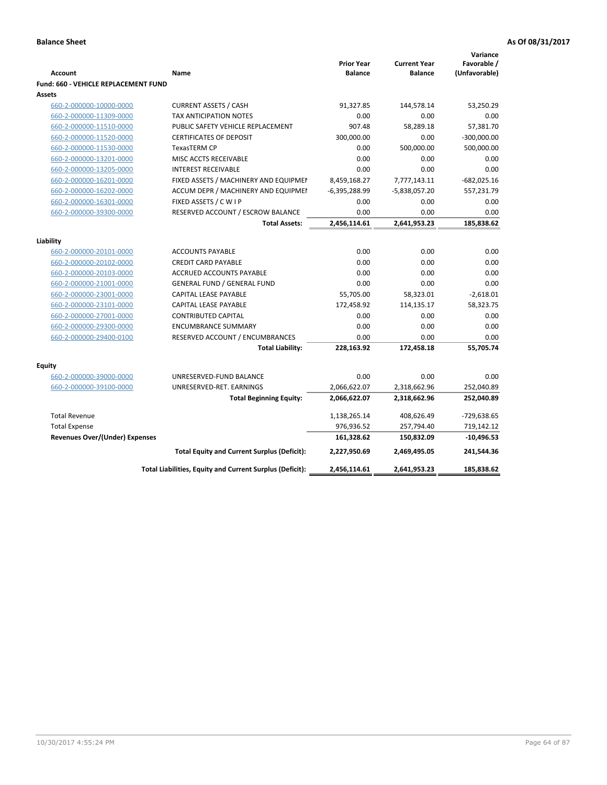| <b>Account</b>                        | Name                                                     | <b>Prior Year</b><br><b>Balance</b> | <b>Current Year</b><br><b>Balance</b> | Variance<br>Favorable /<br>(Unfavorable) |
|---------------------------------------|----------------------------------------------------------|-------------------------------------|---------------------------------------|------------------------------------------|
| Fund: 660 - VEHICLE REPLACEMENT FUND  |                                                          |                                     |                                       |                                          |
| <b>Assets</b>                         |                                                          |                                     |                                       |                                          |
| 660-2-000000-10000-0000               | <b>CURRENT ASSETS / CASH</b>                             | 91,327.85                           | 144,578.14                            | 53,250.29                                |
| 660-2-000000-11309-0000               | <b>TAX ANTICIPATION NOTES</b>                            | 0.00                                | 0.00                                  | 0.00                                     |
| 660-2-000000-11510-0000               | PUBLIC SAFETY VEHICLE REPLACEMENT                        | 907.48                              | 58,289.18                             | 57,381.70                                |
| 660-2-000000-11520-0000               | <b>CERTIFICATES OF DEPOSIT</b>                           | 300,000.00                          | 0.00                                  | $-300,000.00$                            |
| 660-2-000000-11530-0000               | <b>TexasTERM CP</b>                                      | 0.00                                | 500,000.00                            | 500,000.00                               |
| 660-2-000000-13201-0000               | MISC ACCTS RECEIVABLE                                    | 0.00                                | 0.00                                  | 0.00                                     |
| 660-2-000000-13205-0000               | <b>INTEREST RECEIVABLE</b>                               | 0.00                                | 0.00                                  | 0.00                                     |
| 660-2-000000-16201-0000               | FIXED ASSETS / MACHINERY AND EQUIPMEN                    | 8,459,168.27                        | 7,777,143.11                          | $-682,025.16$                            |
| 660-2-000000-16202-0000               | ACCUM DEPR / MACHINERY AND EQUIPMEI                      | $-6,395,288.99$                     | $-5,838,057.20$                       | 557,231.79                               |
| 660-2-000000-16301-0000               | FIXED ASSETS / C W I P                                   | 0.00                                | 0.00                                  | 0.00                                     |
| 660-2-000000-39300-0000               | RESERVED ACCOUNT / ESCROW BALANCE                        | 0.00                                | 0.00                                  | 0.00                                     |
|                                       | <b>Total Assets:</b>                                     | 2,456,114.61                        | 2,641,953.23                          | 185,838.62                               |
| Liability                             |                                                          |                                     |                                       |                                          |
| 660-2-000000-20101-0000               | <b>ACCOUNTS PAYABLE</b>                                  | 0.00                                | 0.00                                  | 0.00                                     |
| 660-2-000000-20102-0000               | <b>CREDIT CARD PAYABLE</b>                               | 0.00                                | 0.00                                  | 0.00                                     |
| 660-2-000000-20103-0000               | ACCRUED ACCOUNTS PAYABLE                                 | 0.00                                | 0.00                                  | 0.00                                     |
| 660-2-000000-21001-0000               | <b>GENERAL FUND / GENERAL FUND</b>                       | 0.00                                | 0.00                                  | 0.00                                     |
| 660-2-000000-23001-0000               | <b>CAPITAL LEASE PAYABLE</b>                             | 55,705.00                           | 58,323.01                             | $-2,618.01$                              |
| 660-2-000000-23101-0000               | <b>CAPITAL LEASE PAYABLE</b>                             | 172,458.92                          | 114,135.17                            | 58,323.75                                |
| 660-2-000000-27001-0000               | <b>CONTRIBUTED CAPITAL</b>                               | 0.00                                | 0.00                                  | 0.00                                     |
| 660-2-000000-29300-0000               | <b>ENCUMBRANCE SUMMARY</b>                               | 0.00                                | 0.00                                  | 0.00                                     |
| 660-2-000000-29400-0100               | RESERVED ACCOUNT / ENCUMBRANCES                          | 0.00                                | 0.00                                  | 0.00                                     |
|                                       | <b>Total Liability:</b>                                  | 228,163.92                          | 172,458.18                            | 55,705.74                                |
|                                       |                                                          |                                     |                                       |                                          |
| <b>Equity</b>                         |                                                          |                                     |                                       |                                          |
| 660-2-000000-39000-0000               | UNRESERVED-FUND BALANCE                                  | 0.00                                | 0.00                                  | 0.00                                     |
| 660-2-000000-39100-0000               | UNRESERVED-RET. EARNINGS                                 | 2,066,622.07                        | 2,318,662.96                          | 252,040.89                               |
|                                       | <b>Total Beginning Equity:</b>                           | 2,066,622.07                        | 2,318,662.96                          | 252,040.89                               |
| <b>Total Revenue</b>                  |                                                          | 1,138,265.14                        | 408,626.49                            | $-729,638.65$                            |
| <b>Total Expense</b>                  |                                                          | 976,936.52                          | 257,794.40                            | 719,142.12                               |
| <b>Revenues Over/(Under) Expenses</b> |                                                          | 161,328.62                          | 150,832.09                            | $-10,496.53$                             |
|                                       | <b>Total Equity and Current Surplus (Deficit):</b>       | 2,227,950.69                        | 2,469,495.05                          | 241,544.36                               |
|                                       | Total Liabilities, Equity and Current Surplus (Deficit): | 2,456,114.61                        | 2,641,953.23                          | 185,838.62                               |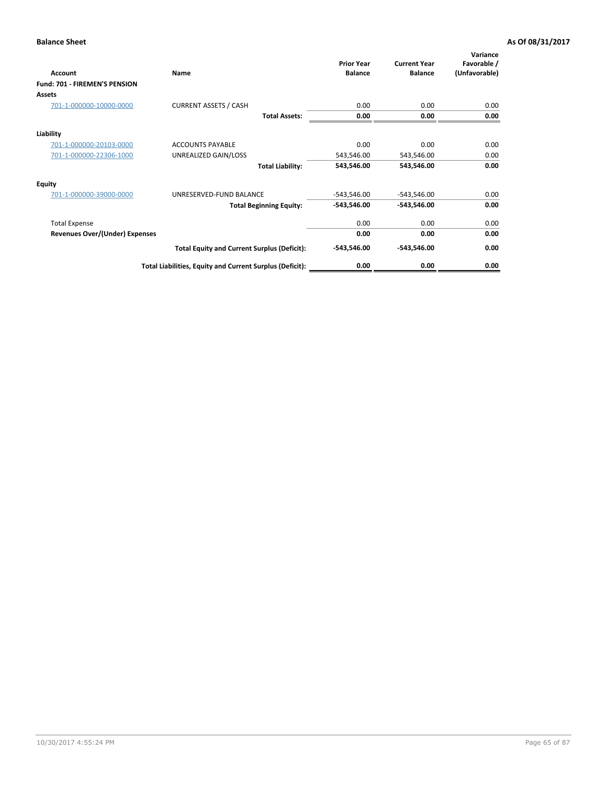| <b>Account</b>                 | Name                                                     | <b>Prior Year</b><br><b>Balance</b> | <b>Current Year</b><br><b>Balance</b> | Variance<br>Favorable /<br>(Unfavorable) |
|--------------------------------|----------------------------------------------------------|-------------------------------------|---------------------------------------|------------------------------------------|
| Fund: 701 - FIREMEN'S PENSION  |                                                          |                                     |                                       |                                          |
| <b>Assets</b>                  |                                                          |                                     |                                       |                                          |
| 701-1-000000-10000-0000        | <b>CURRENT ASSETS / CASH</b>                             | 0.00                                | 0.00                                  | 0.00                                     |
|                                | <b>Total Assets:</b>                                     | 0.00                                | 0.00                                  | 0.00                                     |
| Liability                      |                                                          |                                     |                                       |                                          |
| 701-1-000000-20103-0000        | <b>ACCOUNTS PAYABLE</b>                                  | 0.00                                | 0.00                                  | 0.00                                     |
| 701-1-000000-22306-1000        | UNREALIZED GAIN/LOSS                                     | 543,546.00                          | 543,546.00                            | 0.00                                     |
|                                | <b>Total Liability:</b>                                  | 543,546.00                          | 543,546.00                            | 0.00                                     |
| <b>Equity</b>                  |                                                          |                                     |                                       |                                          |
| 701-1-000000-39000-0000        | UNRESERVED-FUND BALANCE                                  | $-543,546.00$                       | $-543,546.00$                         | 0.00                                     |
|                                | <b>Total Beginning Equity:</b>                           | $-543,546.00$                       | -543,546.00                           | 0.00                                     |
| <b>Total Expense</b>           |                                                          | 0.00                                | 0.00                                  | 0.00                                     |
| Revenues Over/(Under) Expenses |                                                          | 0.00                                | 0.00                                  | 0.00                                     |
|                                | <b>Total Equity and Current Surplus (Deficit):</b>       | $-543,546.00$                       | -543,546.00                           | 0.00                                     |
|                                | Total Liabilities, Equity and Current Surplus (Deficit): | 0.00                                | 0.00                                  | 0.00                                     |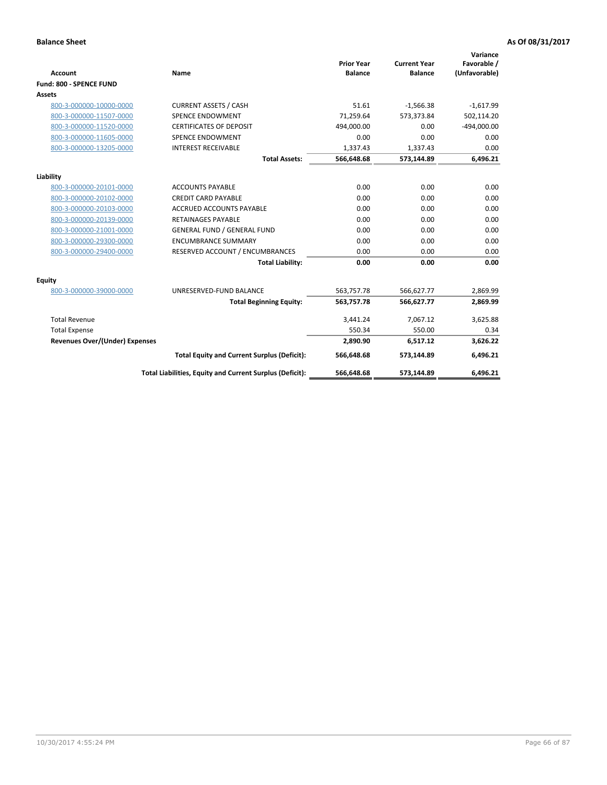|                                       |                                                          |                                     |                                       | Variance                     |
|---------------------------------------|----------------------------------------------------------|-------------------------------------|---------------------------------------|------------------------------|
| <b>Account</b>                        | <b>Name</b>                                              | <b>Prior Year</b><br><b>Balance</b> | <b>Current Year</b><br><b>Balance</b> | Favorable /<br>(Unfavorable) |
| Fund: 800 - SPENCE FUND               |                                                          |                                     |                                       |                              |
| Assets                                |                                                          |                                     |                                       |                              |
| 800-3-000000-10000-0000               | <b>CURRENT ASSETS / CASH</b>                             | 51.61                               | $-1,566.38$                           | $-1,617.99$                  |
| 800-3-000000-11507-0000               | <b>SPENCE ENDOWMENT</b>                                  | 71.259.64                           | 573.373.84                            | 502,114.20                   |
| 800-3-000000-11520-0000               | <b>CERTIFICATES OF DEPOSIT</b>                           | 494,000.00                          | 0.00                                  | $-494,000.00$                |
| 800-3-000000-11605-0000               | SPENCE ENDOWMENT                                         | 0.00                                | 0.00                                  | 0.00                         |
| 800-3-000000-13205-0000               | <b>INTEREST RECEIVABLE</b>                               | 1,337.43                            | 1,337.43                              | 0.00                         |
|                                       | <b>Total Assets:</b>                                     | 566,648.68                          | 573,144.89                            | 6,496.21                     |
|                                       |                                                          |                                     |                                       |                              |
| Liability                             |                                                          |                                     |                                       |                              |
| 800-3-000000-20101-0000               | <b>ACCOUNTS PAYABLE</b>                                  | 0.00                                | 0.00                                  | 0.00                         |
| 800-3-000000-20102-0000               | <b>CREDIT CARD PAYABLE</b>                               | 0.00                                | 0.00                                  | 0.00                         |
| 800-3-000000-20103-0000               | <b>ACCRUED ACCOUNTS PAYABLE</b>                          | 0.00                                | 0.00                                  | 0.00                         |
| 800-3-000000-20139-0000               | <b>RETAINAGES PAYABLE</b>                                | 0.00                                | 0.00                                  | 0.00                         |
| 800-3-000000-21001-0000               | <b>GENERAL FUND / GENERAL FUND</b>                       | 0.00                                | 0.00                                  | 0.00                         |
| 800-3-000000-29300-0000               | <b>ENCUMBRANCE SUMMARY</b>                               | 0.00                                | 0.00                                  | 0.00                         |
| 800-3-000000-29400-0000               | RESERVED ACCOUNT / ENCUMBRANCES                          | 0.00                                | 0.00                                  | 0.00                         |
|                                       | <b>Total Liability:</b>                                  | 0.00                                | 0.00                                  | 0.00                         |
| Equity                                |                                                          |                                     |                                       |                              |
| 800-3-000000-39000-0000               | UNRESERVED-FUND BALANCE                                  | 563,757.78                          | 566,627.77                            | 2,869.99                     |
|                                       | <b>Total Beginning Equity:</b>                           | 563,757.78                          | 566,627.77                            | 2,869.99                     |
| <b>Total Revenue</b>                  |                                                          | 3,441.24                            | 7,067.12                              | 3,625.88                     |
| <b>Total Expense</b>                  |                                                          | 550.34                              | 550.00                                | 0.34                         |
| <b>Revenues Over/(Under) Expenses</b> |                                                          | 2,890.90                            | 6,517.12                              | 3,626.22                     |
|                                       | <b>Total Equity and Current Surplus (Deficit):</b>       | 566,648.68                          | 573,144.89                            | 6,496.21                     |
|                                       | Total Liabilities, Equity and Current Surplus (Deficit): | 566,648.68                          | 573,144.89                            | 6,496.21                     |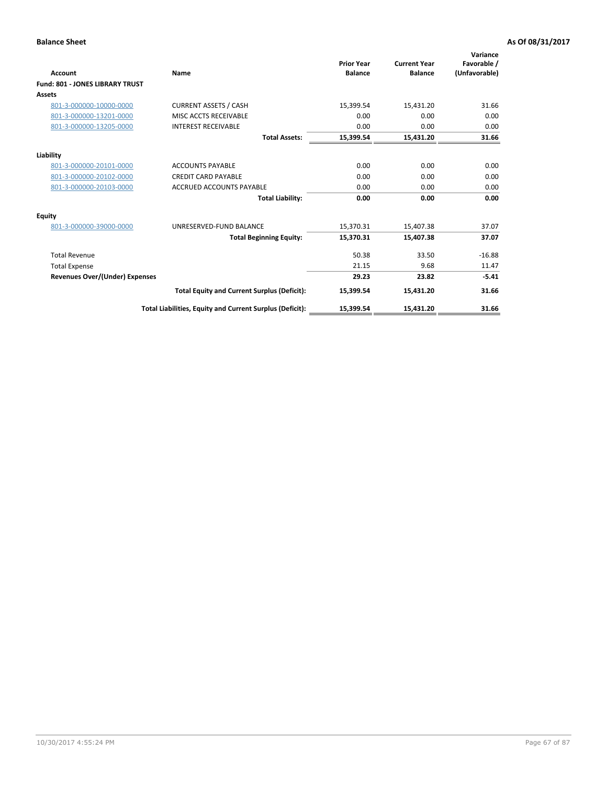|                                        |                                                          | <b>Prior Year</b> | <b>Current Year</b> | Variance<br>Favorable / |
|----------------------------------------|----------------------------------------------------------|-------------------|---------------------|-------------------------|
| Account                                | Name                                                     | <b>Balance</b>    | <b>Balance</b>      | (Unfavorable)           |
| <b>Fund: 801 - JONES LIBRARY TRUST</b> |                                                          |                   |                     |                         |
| Assets                                 |                                                          |                   |                     |                         |
| 801-3-000000-10000-0000                | <b>CURRENT ASSETS / CASH</b>                             | 15,399.54         | 15,431.20           | 31.66                   |
| 801-3-000000-13201-0000                | MISC ACCTS RECEIVABLE                                    | 0.00              | 0.00                | 0.00                    |
| 801-3-000000-13205-0000                | <b>INTEREST RECEIVABLE</b>                               | 0.00              | 0.00                | 0.00                    |
|                                        | <b>Total Assets:</b>                                     | 15,399.54         | 15,431.20           | 31.66                   |
| Liability                              |                                                          |                   |                     |                         |
| 801-3-000000-20101-0000                | <b>ACCOUNTS PAYABLE</b>                                  | 0.00              | 0.00                | 0.00                    |
| 801-3-000000-20102-0000                | <b>CREDIT CARD PAYABLE</b>                               | 0.00              | 0.00                | 0.00                    |
| 801-3-000000-20103-0000                | <b>ACCRUED ACCOUNTS PAYABLE</b>                          | 0.00              | 0.00                | 0.00                    |
|                                        | <b>Total Liability:</b>                                  | 0.00              | 0.00                | 0.00                    |
| Equity                                 |                                                          |                   |                     |                         |
| 801-3-000000-39000-0000                | UNRESERVED-FUND BALANCE                                  | 15,370.31         | 15,407.38           | 37.07                   |
|                                        | <b>Total Beginning Equity:</b>                           | 15,370.31         | 15,407.38           | 37.07                   |
| <b>Total Revenue</b>                   |                                                          | 50.38             | 33.50               | $-16.88$                |
| <b>Total Expense</b>                   |                                                          | 21.15             | 9.68                | 11.47                   |
| Revenues Over/(Under) Expenses         |                                                          | 29.23             | 23.82               | $-5.41$                 |
|                                        | <b>Total Equity and Current Surplus (Deficit):</b>       | 15,399.54         | 15,431.20           | 31.66                   |
|                                        | Total Liabilities, Equity and Current Surplus (Deficit): | 15,399.54         | 15,431.20           | 31.66                   |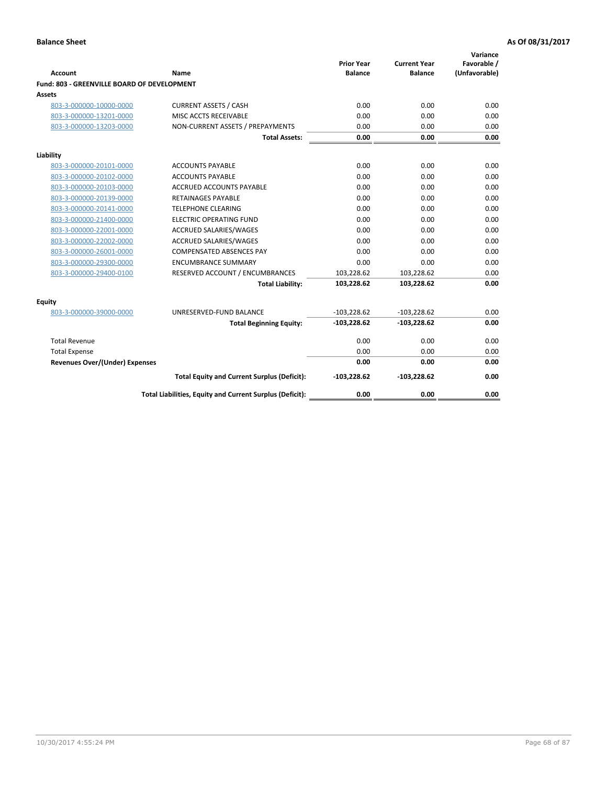| <b>Account</b>                              | Name                                                     | <b>Prior Year</b><br><b>Balance</b> | <b>Current Year</b><br><b>Balance</b> | Variance<br>Favorable /<br>(Unfavorable) |
|---------------------------------------------|----------------------------------------------------------|-------------------------------------|---------------------------------------|------------------------------------------|
| Fund: 803 - GREENVILLE BOARD OF DEVELOPMENT |                                                          |                                     |                                       |                                          |
| Assets                                      |                                                          |                                     |                                       |                                          |
| 803-3-000000-10000-0000                     | <b>CURRENT ASSETS / CASH</b>                             | 0.00                                | 0.00                                  | 0.00                                     |
| 803-3-000000-13201-0000                     | MISC ACCTS RECEIVABLE                                    | 0.00                                | 0.00                                  | 0.00                                     |
| 803-3-000000-13203-0000                     | NON-CURRENT ASSETS / PREPAYMENTS                         | 0.00                                | 0.00                                  | 0.00                                     |
|                                             | <b>Total Assets:</b>                                     | 0.00                                | 0.00                                  | 0.00                                     |
| Liability                                   |                                                          |                                     |                                       |                                          |
| 803-3-000000-20101-0000                     | <b>ACCOUNTS PAYABLE</b>                                  | 0.00                                | 0.00                                  | 0.00                                     |
| 803-3-000000-20102-0000                     | <b>ACCOUNTS PAYABLE</b>                                  | 0.00                                | 0.00                                  | 0.00                                     |
| 803-3-000000-20103-0000                     | <b>ACCRUED ACCOUNTS PAYABLE</b>                          | 0.00                                | 0.00                                  | 0.00                                     |
| 803-3-000000-20139-0000                     | RETAINAGES PAYABLE                                       | 0.00                                | 0.00                                  | 0.00                                     |
| 803-3-000000-20141-0000                     | <b>TELEPHONE CLEARING</b>                                | 0.00                                | 0.00                                  | 0.00                                     |
| 803-3-000000-21400-0000                     | <b>ELECTRIC OPERATING FUND</b>                           | 0.00                                | 0.00                                  | 0.00                                     |
| 803-3-000000-22001-0000                     | ACCRUED SALARIES/WAGES                                   | 0.00                                | 0.00                                  | 0.00                                     |
| 803-3-000000-22002-0000                     | ACCRUED SALARIES/WAGES                                   | 0.00                                | 0.00                                  | 0.00                                     |
| 803-3-000000-26001-0000                     | <b>COMPENSATED ABSENCES PAY</b>                          | 0.00                                | 0.00                                  | 0.00                                     |
| 803-3-000000-29300-0000                     | <b>ENCUMBRANCE SUMMARY</b>                               | 0.00                                | 0.00                                  | 0.00                                     |
| 803-3-000000-29400-0100                     | RESERVED ACCOUNT / ENCUMBRANCES                          | 103,228.62                          | 103,228.62                            | 0.00                                     |
|                                             | <b>Total Liability:</b>                                  | 103,228.62                          | 103,228.62                            | 0.00                                     |
| Equity                                      |                                                          |                                     |                                       |                                          |
| 803-3-000000-39000-0000                     | UNRESERVED-FUND BALANCE                                  | $-103,228.62$                       | $-103,228.62$                         | 0.00                                     |
|                                             | <b>Total Beginning Equity:</b>                           | $-103,228.62$                       | $-103,228.62$                         | 0.00                                     |
| <b>Total Revenue</b>                        |                                                          | 0.00                                | 0.00                                  | 0.00                                     |
| <b>Total Expense</b>                        |                                                          | 0.00                                | 0.00                                  | 0.00                                     |
| <b>Revenues Over/(Under) Expenses</b>       |                                                          | 0.00                                | 0.00                                  | 0.00                                     |
|                                             | <b>Total Equity and Current Surplus (Deficit):</b>       | $-103,228.62$                       | $-103,228.62$                         | 0.00                                     |
|                                             | Total Liabilities, Equity and Current Surplus (Deficit): | 0.00                                | 0.00                                  | 0.00                                     |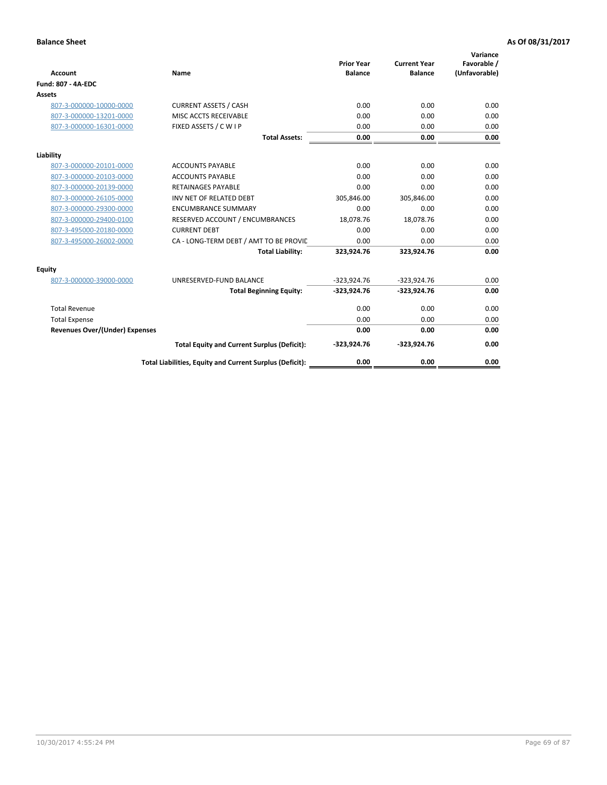| <b>Account</b>                        | Name                                                     | <b>Prior Year</b><br><b>Balance</b> | <b>Current Year</b><br><b>Balance</b> | Variance<br>Favorable /<br>(Unfavorable) |
|---------------------------------------|----------------------------------------------------------|-------------------------------------|---------------------------------------|------------------------------------------|
| <b>Fund: 807 - 4A-EDC</b>             |                                                          |                                     |                                       |                                          |
| <b>Assets</b>                         |                                                          |                                     |                                       |                                          |
| 807-3-000000-10000-0000               | <b>CURRENT ASSETS / CASH</b>                             | 0.00                                | 0.00                                  | 0.00                                     |
| 807-3-000000-13201-0000               | MISC ACCTS RECEIVABLE                                    | 0.00                                | 0.00                                  | 0.00                                     |
| 807-3-000000-16301-0000               | FIXED ASSETS / C W I P                                   | 0.00                                | 0.00                                  | 0.00                                     |
|                                       | <b>Total Assets:</b>                                     | 0.00                                | 0.00                                  | 0.00                                     |
| Liability                             |                                                          |                                     |                                       |                                          |
| 807-3-000000-20101-0000               | <b>ACCOUNTS PAYABLE</b>                                  | 0.00                                | 0.00                                  | 0.00                                     |
| 807-3-000000-20103-0000               | <b>ACCOUNTS PAYABLE</b>                                  | 0.00                                | 0.00                                  | 0.00                                     |
| 807-3-000000-20139-0000               | <b>RETAINAGES PAYABLE</b>                                | 0.00                                | 0.00                                  | 0.00                                     |
| 807-3-000000-26105-0000               | INV NET OF RELATED DEBT                                  | 305,846.00                          | 305,846.00                            | 0.00                                     |
| 807-3-000000-29300-0000               | <b>ENCUMBRANCE SUMMARY</b>                               | 0.00                                | 0.00                                  | 0.00                                     |
| 807-3-000000-29400-0100               | RESERVED ACCOUNT / ENCUMBRANCES                          | 18,078.76                           | 18,078.76                             | 0.00                                     |
| 807-3-495000-20180-0000               | <b>CURRENT DEBT</b>                                      | 0.00                                | 0.00                                  | 0.00                                     |
| 807-3-495000-26002-0000               | CA - LONG-TERM DEBT / AMT TO BE PROVIL                   | 0.00                                | 0.00                                  | 0.00                                     |
|                                       | <b>Total Liability:</b>                                  | 323,924.76                          | 323,924.76                            | 0.00                                     |
| Equity                                |                                                          |                                     |                                       |                                          |
| 807-3-000000-39000-0000               | UNRESERVED-FUND BALANCE                                  | $-323,924.76$                       | $-323,924.76$                         | 0.00                                     |
|                                       | <b>Total Beginning Equity:</b>                           | $-323,924.76$                       | $-323,924.76$                         | 0.00                                     |
| <b>Total Revenue</b>                  |                                                          | 0.00                                | 0.00                                  | 0.00                                     |
| <b>Total Expense</b>                  |                                                          | 0.00                                | 0.00                                  | 0.00                                     |
| <b>Revenues Over/(Under) Expenses</b> |                                                          | 0.00                                | 0.00                                  | 0.00                                     |
|                                       | <b>Total Equity and Current Surplus (Deficit):</b>       | $-323,924.76$                       | $-323,924.76$                         | 0.00                                     |
|                                       | Total Liabilities, Equity and Current Surplus (Deficit): | 0.00                                | 0.00                                  | 0.00                                     |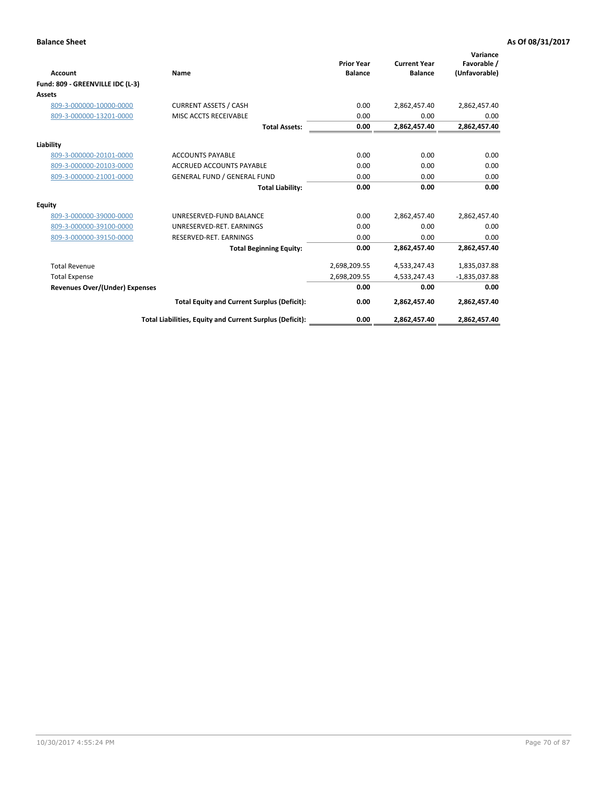| <b>Account</b>                   | Name                                                     | <b>Prior Year</b><br><b>Balance</b> | <b>Current Year</b><br><b>Balance</b> | Variance<br>Favorable /<br>(Unfavorable) |
|----------------------------------|----------------------------------------------------------|-------------------------------------|---------------------------------------|------------------------------------------|
| Fund: 809 - GREENVILLE IDC (L-3) |                                                          |                                     |                                       |                                          |
| Assets                           |                                                          |                                     |                                       |                                          |
| 809-3-000000-10000-0000          | <b>CURRENT ASSETS / CASH</b>                             | 0.00                                | 2,862,457.40                          | 2,862,457.40                             |
| 809-3-000000-13201-0000          | MISC ACCTS RECEIVABLE                                    | 0.00                                | 0.00                                  | 0.00                                     |
|                                  | <b>Total Assets:</b>                                     | 0.00                                | 2,862,457.40                          | 2,862,457.40                             |
| Liability                        |                                                          |                                     |                                       |                                          |
| 809-3-000000-20101-0000          | <b>ACCOUNTS PAYABLE</b>                                  | 0.00                                | 0.00                                  | 0.00                                     |
| 809-3-000000-20103-0000          | <b>ACCRUED ACCOUNTS PAYABLE</b>                          | 0.00                                | 0.00                                  | 0.00                                     |
| 809-3-000000-21001-0000          | <b>GENERAL FUND / GENERAL FUND</b>                       | 0.00                                | 0.00                                  | 0.00                                     |
|                                  | <b>Total Liability:</b>                                  | 0.00                                | 0.00                                  | 0.00                                     |
| Equity                           |                                                          |                                     |                                       |                                          |
| 809-3-000000-39000-0000          | UNRESERVED-FUND BALANCE                                  | 0.00                                | 2,862,457.40                          | 2,862,457.40                             |
| 809-3-000000-39100-0000          | UNRESERVED-RET, EARNINGS                                 | 0.00                                | 0.00                                  | 0.00                                     |
| 809-3-000000-39150-0000          | RESERVED-RET. EARNINGS                                   | 0.00                                | 0.00                                  | 0.00                                     |
|                                  | <b>Total Beginning Equity:</b>                           | 0.00                                | 2,862,457.40                          | 2,862,457.40                             |
| <b>Total Revenue</b>             |                                                          | 2,698,209.55                        | 4,533,247.43                          | 1,835,037.88                             |
| <b>Total Expense</b>             |                                                          | 2,698,209.55                        | 4,533,247.43                          | $-1,835,037.88$                          |
| Revenues Over/(Under) Expenses   |                                                          | 0.00                                | 0.00                                  | 0.00                                     |
|                                  | <b>Total Equity and Current Surplus (Deficit):</b>       | 0.00                                | 2,862,457.40                          | 2,862,457.40                             |
|                                  | Total Liabilities, Equity and Current Surplus (Deficit): | 0.00                                | 2,862,457.40                          | 2,862,457.40                             |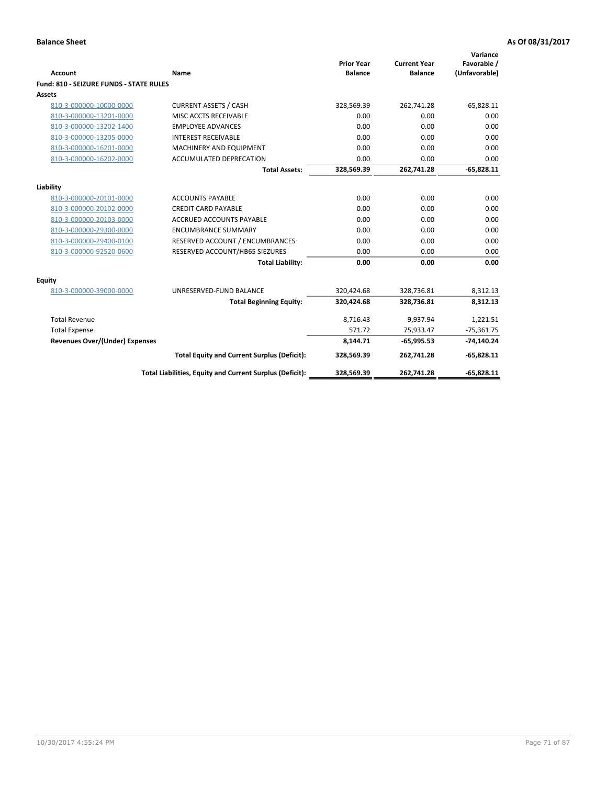| <b>Account</b>                                 | Name                                                     | <b>Prior Year</b><br><b>Balance</b> | <b>Current Year</b><br><b>Balance</b> | Variance<br>Favorable /<br>(Unfavorable) |
|------------------------------------------------|----------------------------------------------------------|-------------------------------------|---------------------------------------|------------------------------------------|
| <b>Fund: 810 - SEIZURE FUNDS - STATE RULES</b> |                                                          |                                     |                                       |                                          |
| <b>Assets</b>                                  |                                                          |                                     |                                       |                                          |
| 810-3-000000-10000-0000                        | <b>CURRENT ASSETS / CASH</b>                             | 328,569.39                          | 262,741.28                            | $-65,828.11$                             |
| 810-3-000000-13201-0000                        | MISC ACCTS RECEIVABLE                                    | 0.00                                | 0.00                                  | 0.00                                     |
| 810-3-000000-13202-1400                        | <b>EMPLOYEE ADVANCES</b>                                 | 0.00                                | 0.00                                  | 0.00                                     |
| 810-3-000000-13205-0000                        | <b>INTEREST RECEIVABLE</b>                               | 0.00                                | 0.00                                  | 0.00                                     |
| 810-3-000000-16201-0000                        | MACHINERY AND EQUIPMENT                                  | 0.00                                | 0.00                                  | 0.00                                     |
| 810-3-000000-16202-0000                        | ACCUMULATED DEPRECATION                                  | 0.00                                | 0.00                                  | 0.00                                     |
|                                                | <b>Total Assets:</b>                                     | 328,569.39                          | 262,741.28                            | $-65,828.11$                             |
|                                                |                                                          |                                     |                                       |                                          |
| Liability                                      |                                                          |                                     |                                       |                                          |
| 810-3-000000-20101-0000                        | <b>ACCOUNTS PAYABLE</b>                                  | 0.00                                | 0.00                                  | 0.00                                     |
| 810-3-000000-20102-0000                        | <b>CREDIT CARD PAYABLE</b><br>ACCRUED ACCOUNTS PAYABLE   | 0.00<br>0.00                        | 0.00<br>0.00                          | 0.00<br>0.00                             |
| 810-3-000000-20103-0000                        |                                                          |                                     |                                       |                                          |
| 810-3-000000-29300-0000                        | <b>ENCUMBRANCE SUMMARY</b>                               | 0.00                                | 0.00                                  | 0.00                                     |
| 810-3-000000-29400-0100                        | RESERVED ACCOUNT / ENCUMBRANCES                          | 0.00                                | 0.00                                  | 0.00                                     |
| 810-3-000000-92520-0600                        | RESERVED ACCOUNT/HB65 SIEZURES                           | 0.00                                | 0.00                                  | 0.00                                     |
|                                                | <b>Total Liability:</b>                                  | 0.00                                | 0.00                                  | 0.00                                     |
| Equity                                         |                                                          |                                     |                                       |                                          |
| 810-3-000000-39000-0000                        | UNRESERVED-FUND BALANCE                                  | 320,424.68                          | 328,736.81                            | 8,312.13                                 |
|                                                | <b>Total Beginning Equity:</b>                           | 320,424.68                          | 328,736.81                            | 8,312.13                                 |
| <b>Total Revenue</b>                           |                                                          | 8,716.43                            | 9,937.94                              | 1,221.51                                 |
| <b>Total Expense</b>                           |                                                          | 571.72                              | 75,933.47                             | $-75,361.75$                             |
| Revenues Over/(Under) Expenses                 |                                                          | 8,144.71                            | $-65,995.53$                          | $-74,140.24$                             |
|                                                | <b>Total Equity and Current Surplus (Deficit):</b>       | 328,569.39                          | 262,741.28                            | $-65,828.11$                             |
|                                                | Total Liabilities, Equity and Current Surplus (Deficit): | 328,569.39                          | 262,741.28                            | $-65,828.11$                             |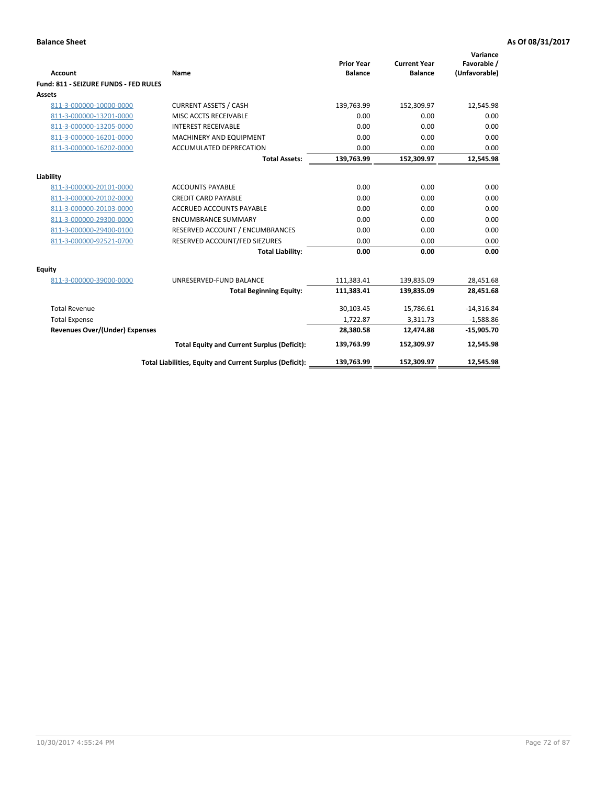| Account                               | Name                                                     | <b>Prior Year</b><br><b>Balance</b> | <b>Current Year</b><br><b>Balance</b> | Variance<br>Favorable /<br>(Unfavorable) |
|---------------------------------------|----------------------------------------------------------|-------------------------------------|---------------------------------------|------------------------------------------|
| Fund: 811 - SEIZURE FUNDS - FED RULES |                                                          |                                     |                                       |                                          |
| <b>Assets</b>                         |                                                          |                                     |                                       |                                          |
| 811-3-000000-10000-0000               | <b>CURRENT ASSETS / CASH</b>                             | 139,763.99                          | 152,309.97                            | 12,545.98                                |
| 811-3-000000-13201-0000               | MISC ACCTS RECEIVABLE                                    | 0.00                                | 0.00                                  | 0.00                                     |
| 811-3-000000-13205-0000               | <b>INTEREST RECEIVABLE</b>                               | 0.00                                | 0.00                                  | 0.00                                     |
| 811-3-000000-16201-0000               | <b>MACHINERY AND EQUIPMENT</b>                           | 0.00                                | 0.00                                  | 0.00                                     |
| 811-3-000000-16202-0000               | ACCUMULATED DEPRECATION                                  | 0.00                                | 0.00                                  | 0.00                                     |
|                                       | <b>Total Assets:</b>                                     | 139,763.99                          | 152,309.97                            | 12,545.98                                |
| Liability                             |                                                          |                                     |                                       |                                          |
| 811-3-000000-20101-0000               | <b>ACCOUNTS PAYABLE</b>                                  | 0.00                                | 0.00                                  | 0.00                                     |
| 811-3-000000-20102-0000               | <b>CREDIT CARD PAYABLE</b>                               | 0.00                                | 0.00                                  | 0.00                                     |
| 811-3-000000-20103-0000               | <b>ACCRUED ACCOUNTS PAYABLE</b>                          | 0.00                                | 0.00                                  | 0.00                                     |
| 811-3-000000-29300-0000               | <b>ENCUMBRANCE SUMMARY</b>                               | 0.00                                | 0.00                                  | 0.00                                     |
| 811-3-000000-29400-0100               | RESERVED ACCOUNT / ENCUMBRANCES                          | 0.00                                | 0.00                                  | 0.00                                     |
| 811-3-000000-92521-0700               | RESERVED ACCOUNT/FED SIEZURES                            | 0.00                                | 0.00                                  | 0.00                                     |
|                                       | <b>Total Liability:</b>                                  | 0.00                                | 0.00                                  | 0.00                                     |
| <b>Equity</b>                         |                                                          |                                     |                                       |                                          |
| 811-3-000000-39000-0000               | UNRESERVED-FUND BALANCE                                  | 111,383.41                          | 139,835.09                            | 28,451.68                                |
|                                       | <b>Total Beginning Equity:</b>                           | 111,383.41                          | 139,835.09                            | 28,451.68                                |
| <b>Total Revenue</b>                  |                                                          | 30,103.45                           | 15,786.61                             | $-14,316.84$                             |
| <b>Total Expense</b>                  |                                                          | 1,722.87                            | 3,311.73                              | $-1,588.86$                              |
| Revenues Over/(Under) Expenses        |                                                          | 28,380.58                           | 12,474.88                             | $-15,905.70$                             |
|                                       | <b>Total Equity and Current Surplus (Deficit):</b>       | 139,763.99                          | 152,309.97                            | 12,545.98                                |
|                                       |                                                          |                                     |                                       |                                          |
|                                       | Total Liabilities, Equity and Current Surplus (Deficit): | 139,763.99                          | 152.309.97                            | 12.545.98                                |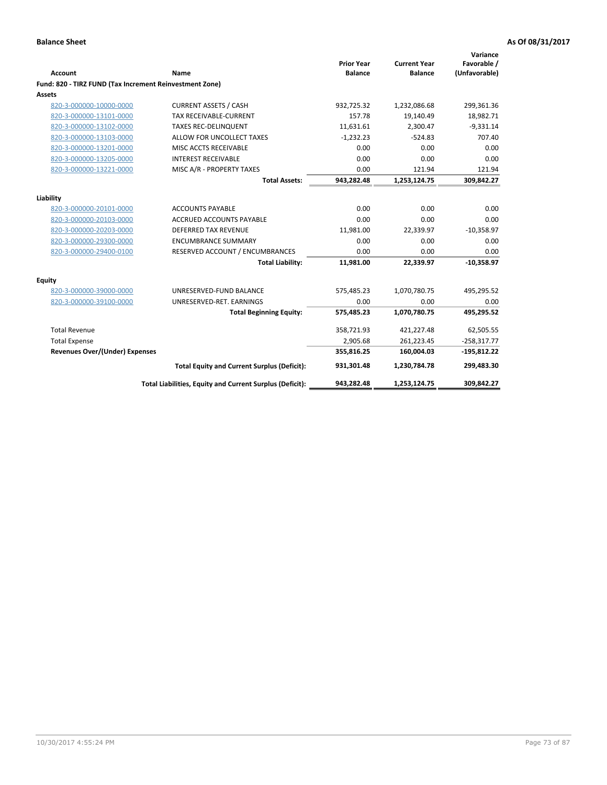| <b>Account</b>                                          | Name                                                     | <b>Prior Year</b><br><b>Balance</b> | <b>Current Year</b><br><b>Balance</b> | Variance<br>Favorable /<br>(Unfavorable) |
|---------------------------------------------------------|----------------------------------------------------------|-------------------------------------|---------------------------------------|------------------------------------------|
| Fund: 820 - TIRZ FUND (Tax Increment Reinvestment Zone) |                                                          |                                     |                                       |                                          |
| <b>Assets</b>                                           |                                                          |                                     |                                       |                                          |
| 820-3-000000-10000-0000                                 | <b>CURRENT ASSETS / CASH</b>                             | 932,725.32                          | 1,232,086.68                          | 299,361.36                               |
| 820-3-000000-13101-0000                                 | <b>TAX RECEIVABLE-CURRENT</b>                            | 157.78                              | 19,140.49                             | 18,982.71                                |
| 820-3-000000-13102-0000                                 | <b>TAXES REC-DELINQUENT</b>                              | 11.631.61                           | 2,300.47                              | $-9,331.14$                              |
| 820-3-000000-13103-0000                                 | ALLOW FOR UNCOLLECT TAXES                                | $-1,232.23$                         | $-524.83$                             | 707.40                                   |
| 820-3-000000-13201-0000                                 | MISC ACCTS RECEIVABLE                                    | 0.00                                | 0.00                                  | 0.00                                     |
| 820-3-000000-13205-0000                                 | <b>INTEREST RECEIVABLE</b>                               | 0.00                                | 0.00                                  | 0.00                                     |
| 820-3-000000-13221-0000                                 | MISC A/R - PROPERTY TAXES                                | 0.00                                | 121.94                                | 121.94                                   |
|                                                         | <b>Total Assets:</b>                                     | 943,282.48                          | 1,253,124.75                          | 309,842.27                               |
| Liability                                               |                                                          |                                     |                                       |                                          |
| 820-3-000000-20101-0000                                 | <b>ACCOUNTS PAYABLE</b>                                  | 0.00                                | 0.00                                  | 0.00                                     |
| 820-3-000000-20103-0000                                 | ACCRUED ACCOUNTS PAYABLE                                 | 0.00                                | 0.00                                  | 0.00                                     |
| 820-3-000000-20203-0000                                 | <b>DEFERRED TAX REVENUE</b>                              | 11,981.00                           | 22,339.97                             | $-10,358.97$                             |
| 820-3-000000-29300-0000                                 | <b>ENCUMBRANCE SUMMARY</b>                               | 0.00                                | 0.00                                  | 0.00                                     |
| 820-3-000000-29400-0100                                 | RESERVED ACCOUNT / ENCUMBRANCES                          | 0.00                                | 0.00                                  | 0.00                                     |
|                                                         | <b>Total Liability:</b>                                  | 11,981.00                           | 22,339.97                             | $-10,358.97$                             |
| Equity                                                  |                                                          |                                     |                                       |                                          |
| 820-3-000000-39000-0000                                 | UNRESERVED-FUND BALANCE                                  | 575,485.23                          | 1,070,780.75                          | 495,295.52                               |
| 820-3-000000-39100-0000                                 | UNRESERVED-RET. EARNINGS                                 | 0.00                                | 0.00                                  | 0.00                                     |
|                                                         | <b>Total Beginning Equity:</b>                           | 575,485.23                          | 1,070,780.75                          | 495,295.52                               |
| <b>Total Revenue</b>                                    |                                                          | 358,721.93                          | 421,227.48                            | 62,505.55                                |
| <b>Total Expense</b>                                    |                                                          | 2,905.68                            | 261,223.45                            | $-258,317.77$                            |
| <b>Revenues Over/(Under) Expenses</b>                   |                                                          | 355,816.25                          | 160,004.03                            | $-195,812.22$                            |
|                                                         | <b>Total Equity and Current Surplus (Deficit):</b>       | 931,301.48                          | 1,230,784.78                          | 299,483.30                               |
|                                                         | Total Liabilities, Equity and Current Surplus (Deficit): | 943,282.48                          | 1,253,124.75                          | 309,842.27                               |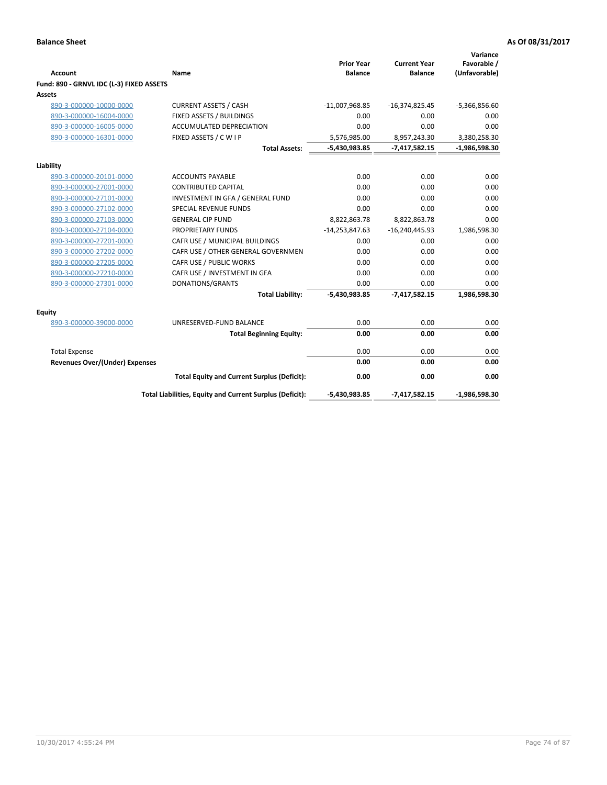|                                          |                                                          | <b>Prior Year</b> | <b>Current Year</b> | Variance<br>Favorable / |
|------------------------------------------|----------------------------------------------------------|-------------------|---------------------|-------------------------|
| <b>Account</b>                           | Name                                                     | <b>Balance</b>    | <b>Balance</b>      | (Unfavorable)           |
| Fund: 890 - GRNVL IDC (L-3) FIXED ASSETS |                                                          |                   |                     |                         |
| Assets                                   |                                                          |                   |                     |                         |
| 890-3-000000-10000-0000                  | <b>CURRENT ASSETS / CASH</b>                             | $-11,007,968.85$  | $-16,374,825.45$    | $-5,366,856.60$         |
| 890-3-000000-16004-0000                  | FIXED ASSETS / BUILDINGS                                 | 0.00              | 0.00                | 0.00                    |
| 890-3-000000-16005-0000                  | <b>ACCUMULATED DEPRECIATION</b>                          | 0.00              | 0.00                | 0.00                    |
| 890-3-000000-16301-0000                  | FIXED ASSETS / C W I P                                   | 5,576,985.00      | 8,957,243.30        | 3,380,258.30            |
|                                          | <b>Total Assets:</b>                                     | -5,430,983.85     | $-7,417,582.15$     | $-1,986,598.30$         |
| Liability                                |                                                          |                   |                     |                         |
| 890-3-000000-20101-0000                  | <b>ACCOUNTS PAYABLE</b>                                  | 0.00              | 0.00                | 0.00                    |
| 890-3-000000-27001-0000                  | <b>CONTRIBUTED CAPITAL</b>                               | 0.00              | 0.00                | 0.00                    |
| 890-3-000000-27101-0000                  | INVESTMENT IN GFA / GENERAL FUND                         | 0.00              | 0.00                | 0.00                    |
| 890-3-000000-27102-0000                  | <b>SPECIAL REVENUE FUNDS</b>                             | 0.00              | 0.00                | 0.00                    |
| 890-3-000000-27103-0000                  | <b>GENERAL CIP FUND</b>                                  | 8,822,863.78      | 8,822,863.78        | 0.00                    |
| 890-3-000000-27104-0000                  | PROPRIETARY FUNDS                                        | $-14,253,847.63$  | $-16,240,445.93$    | 1,986,598.30            |
| 890-3-000000-27201-0000                  | CAFR USE / MUNICIPAL BUILDINGS                           | 0.00              | 0.00                | 0.00                    |
| 890-3-000000-27202-0000                  | CAFR USE / OTHER GENERAL GOVERNMEN                       | 0.00              | 0.00                | 0.00                    |
| 890-3-000000-27205-0000                  | CAFR USE / PUBLIC WORKS                                  | 0.00              | 0.00                | 0.00                    |
| 890-3-000000-27210-0000                  | CAFR USE / INVESTMENT IN GFA                             | 0.00              | 0.00                | 0.00                    |
| 890-3-000000-27301-0000                  | DONATIONS/GRANTS                                         | 0.00              | 0.00                | 0.00                    |
|                                          | <b>Total Liability:</b>                                  | $-5,430,983.85$   | $-7,417,582.15$     | 1,986,598.30            |
| Equity                                   |                                                          |                   |                     |                         |
| 890-3-000000-39000-0000                  | UNRESERVED-FUND BALANCE                                  | 0.00              | 0.00                | 0.00                    |
|                                          | <b>Total Beginning Equity:</b>                           | 0.00              | 0.00                | 0.00                    |
| <b>Total Expense</b>                     |                                                          | 0.00              | 0.00                | 0.00                    |
| <b>Revenues Over/(Under) Expenses</b>    |                                                          | 0.00              | 0.00                | 0.00                    |
|                                          | <b>Total Equity and Current Surplus (Deficit):</b>       | 0.00              | 0.00                | 0.00                    |
|                                          | Total Liabilities, Equity and Current Surplus (Deficit): | $-5,430,983.85$   | $-7,417,582.15$     | $-1,986,598.30$         |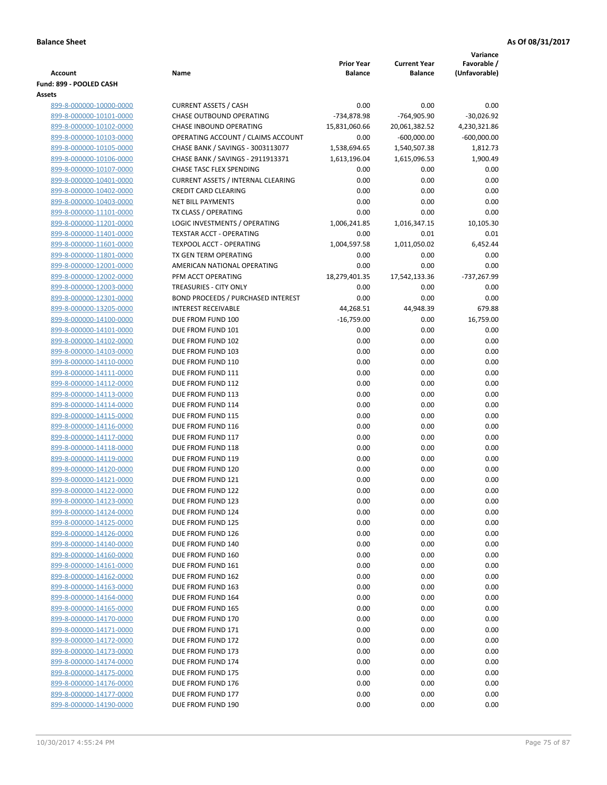|                                                    |                                                     |                                     |                       | Variance            |
|----------------------------------------------------|-----------------------------------------------------|-------------------------------------|-----------------------|---------------------|
|                                                    |                                                     | <b>Prior Year</b><br><b>Balance</b> | <b>Current Year</b>   | Favorable /         |
| Account<br>Fund: 899 - POOLED CASH                 | Name                                                |                                     | <b>Balance</b>        | (Unfavorable)       |
| Assets                                             |                                                     |                                     |                       |                     |
| 899-8-000000-10000-0000                            | <b>CURRENT ASSETS / CASH</b>                        | 0.00                                | 0.00                  | 0.00                |
| 899-8-000000-10101-0000                            | <b>CHASE OUTBOUND OPERATING</b>                     | -734,878.98                         | -764,905.90           | $-30,026.92$        |
| 899-8-000000-10102-0000                            | CHASE INBOUND OPERATING                             | 15,831,060.66                       | 20,061,382.52         | 4,230,321.86        |
| 899-8-000000-10103-0000                            | OPERATING ACCOUNT / CLAIMS ACCOUNT                  | 0.00                                | $-600,000.00$         | $-600,000.00$       |
| 899-8-000000-10105-0000                            | CHASE BANK / SAVINGS - 3003113077                   | 1,538,694.65                        | 1,540,507.38          | 1,812.73            |
| 899-8-000000-10106-0000                            | CHASE BANK / SAVINGS - 2911913371                   | 1,613,196.04                        | 1,615,096.53          | 1,900.49            |
| 899-8-000000-10107-0000                            | CHASE TASC FLEX SPENDING                            | 0.00                                | 0.00                  | 0.00                |
| 899-8-000000-10401-0000                            | <b>CURRENT ASSETS / INTERNAL CLEARING</b>           | 0.00                                | 0.00                  | 0.00                |
| 899-8-000000-10402-0000                            | <b>CREDIT CARD CLEARING</b>                         | 0.00                                | 0.00                  | 0.00                |
| 899-8-000000-10403-0000                            | <b>NET BILL PAYMENTS</b>                            | 0.00                                | 0.00                  | 0.00                |
| 899-8-000000-11101-0000                            | TX CLASS / OPERATING                                | 0.00                                | 0.00                  | 0.00                |
| 899-8-000000-11201-0000                            | LOGIC INVESTMENTS / OPERATING                       | 1,006,241.85                        | 1,016,347.15          | 10,105.30           |
| 899-8-000000-11401-0000                            | <b>TEXSTAR ACCT - OPERATING</b>                     | 0.00                                | 0.01                  | 0.01                |
| 899-8-000000-11601-0000                            | <b>TEXPOOL ACCT - OPERATING</b>                     | 1,004,597.58                        | 1,011,050.02          | 6,452.44            |
| 899-8-000000-11801-0000                            | TX GEN TERM OPERATING                               | 0.00                                | 0.00                  | 0.00                |
| 899-8-000000-12001-0000                            | AMERICAN NATIONAL OPERATING                         | 0.00                                | 0.00                  | 0.00                |
| 899-8-000000-12002-0000<br>899-8-000000-12003-0000 | PFM ACCT OPERATING<br><b>TREASURIES - CITY ONLY</b> | 18,279,401.35<br>0.00               | 17,542,133.36<br>0.00 | -737,267.99<br>0.00 |
| 899-8-000000-12301-0000                            | <b>BOND PROCEEDS / PURCHASED INTEREST</b>           | 0.00                                | 0.00                  | 0.00                |
| 899-8-000000-13205-0000                            | <b>INTEREST RECEIVABLE</b>                          | 44,268.51                           | 44,948.39             | 679.88              |
| 899-8-000000-14100-0000                            | DUE FROM FUND 100                                   | $-16,759.00$                        | 0.00                  | 16,759.00           |
| 899-8-000000-14101-0000                            | DUE FROM FUND 101                                   | 0.00                                | 0.00                  | 0.00                |
| 899-8-000000-14102-0000                            | DUE FROM FUND 102                                   | 0.00                                | 0.00                  | 0.00                |
| 899-8-000000-14103-0000                            | DUE FROM FUND 103                                   | 0.00                                | 0.00                  | 0.00                |
| 899-8-000000-14110-0000                            | DUE FROM FUND 110                                   | 0.00                                | 0.00                  | 0.00                |
| 899-8-000000-14111-0000                            | DUE FROM FUND 111                                   | 0.00                                | 0.00                  | 0.00                |
| 899-8-000000-14112-0000                            | DUE FROM FUND 112                                   | 0.00                                | 0.00                  | 0.00                |
| 899-8-000000-14113-0000                            | DUE FROM FUND 113                                   | 0.00                                | 0.00                  | 0.00                |
| 899-8-000000-14114-0000                            | DUE FROM FUND 114                                   | 0.00                                | 0.00                  | 0.00                |
| 899-8-000000-14115-0000                            | DUE FROM FUND 115                                   | 0.00                                | 0.00                  | 0.00                |
| 899-8-000000-14116-0000                            | DUE FROM FUND 116                                   | 0.00                                | 0.00                  | 0.00                |
| 899-8-000000-14117-0000                            | DUE FROM FUND 117                                   | 0.00                                | 0.00                  | 0.00                |
| 899-8-000000-14118-0000                            | DUE FROM FUND 118<br>DUE FROM FUND 119              | 0.00                                | 0.00                  | 0.00                |
| 899-8-000000-14119-0000<br>899-8-000000-14120-0000 | DUE FROM FUND 120                                   | 0.00<br>0.00                        | 0.00<br>0.00          | 0.00<br>0.00        |
| 899-8-000000-14121-0000                            | DUE FROM FUND 121                                   | 0.00                                | 0.00                  | 0.00                |
| 899-8-000000-14122-0000                            | DUE FROM FUND 122                                   | 0.00                                | 0.00                  | 0.00                |
| 899-8-000000-14123-0000                            | DUE FROM FUND 123                                   | 0.00                                | 0.00                  | 0.00                |
| 899-8-000000-14124-0000                            | DUE FROM FUND 124                                   | 0.00                                | 0.00                  | 0.00                |
| 899-8-000000-14125-0000                            | DUE FROM FUND 125                                   | 0.00                                | 0.00                  | 0.00                |
| 899-8-000000-14126-0000                            | DUE FROM FUND 126                                   | 0.00                                | 0.00                  | 0.00                |
| 899-8-000000-14140-0000                            | DUE FROM FUND 140                                   | 0.00                                | 0.00                  | 0.00                |
| 899-8-000000-14160-0000                            | DUE FROM FUND 160                                   | 0.00                                | 0.00                  | 0.00                |
| 899-8-000000-14161-0000                            | DUE FROM FUND 161                                   | 0.00                                | 0.00                  | 0.00                |
| 899-8-000000-14162-0000                            | DUE FROM FUND 162                                   | 0.00                                | 0.00                  | 0.00                |
| 899-8-000000-14163-0000                            | DUE FROM FUND 163                                   | 0.00                                | 0.00                  | 0.00                |
| 899-8-000000-14164-0000                            | DUE FROM FUND 164                                   | 0.00                                | 0.00                  | 0.00                |
| 899-8-000000-14165-0000                            | DUE FROM FUND 165                                   | 0.00                                | 0.00                  | 0.00                |
| 899-8-000000-14170-0000                            | DUE FROM FUND 170                                   | 0.00                                | 0.00                  | 0.00                |
| 899-8-000000-14171-0000                            | DUE FROM FUND 171                                   | 0.00                                | 0.00                  | 0.00                |
| 899-8-000000-14172-0000                            | DUE FROM FUND 172                                   | 0.00                                | 0.00                  | 0.00                |
| 899-8-000000-14173-0000<br>899-8-000000-14174-0000 | DUE FROM FUND 173<br>DUE FROM FUND 174              | 0.00<br>0.00                        | 0.00<br>0.00          | 0.00<br>0.00        |
| 899-8-000000-14175-0000                            | DUE FROM FUND 175                                   | 0.00                                | 0.00                  | 0.00                |
| 899-8-000000-14176-0000                            | DUE FROM FUND 176                                   | 0.00                                | 0.00                  | 0.00                |
| 899-8-000000-14177-0000                            | DUE FROM FUND 177                                   | 0.00                                | 0.00                  | 0.00                |
| 899-8-000000-14190-0000                            | DUE FROM FUND 190                                   | 0.00                                | 0.00                  | 0.00                |
|                                                    |                                                     |                                     |                       |                     |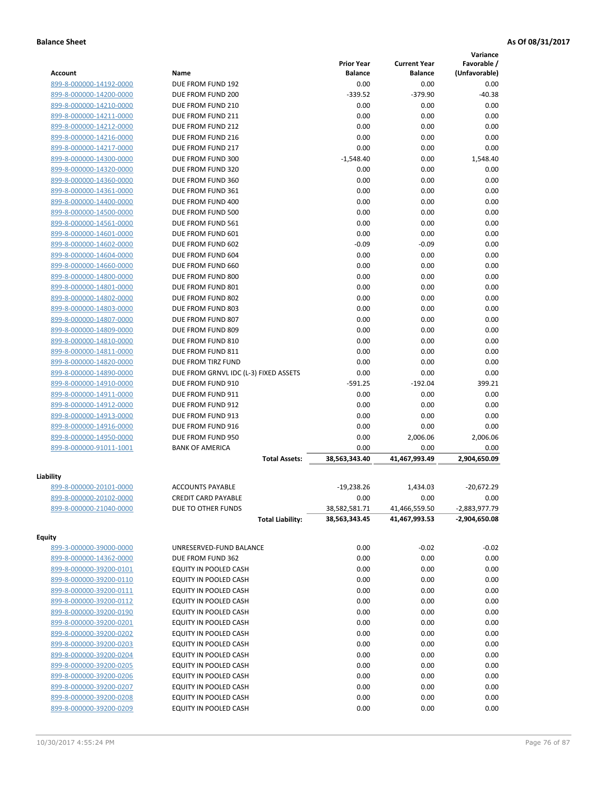|                         |                                       |                   |                     | Variance        |
|-------------------------|---------------------------------------|-------------------|---------------------|-----------------|
|                         |                                       | <b>Prior Year</b> | <b>Current Year</b> | Favorable /     |
| <b>Account</b>          | Name                                  | <b>Balance</b>    | <b>Balance</b>      | (Unfavorable)   |
| 899-8-000000-14192-0000 | DUE FROM FUND 192                     | 0.00              | 0.00                | 0.00            |
| 899-8-000000-14200-0000 | DUE FROM FUND 200                     | $-339.52$         | $-379.90$           | $-40.38$        |
| 899-8-000000-14210-0000 | DUE FROM FUND 210                     | 0.00              | 0.00                | 0.00            |
| 899-8-000000-14211-0000 | DUE FROM FUND 211                     | 0.00              | 0.00                | 0.00            |
| 899-8-000000-14212-0000 | DUE FROM FUND 212                     | 0.00              | 0.00                | 0.00            |
| 899-8-000000-14216-0000 | DUE FROM FUND 216                     | 0.00              | 0.00                | 0.00            |
| 899-8-000000-14217-0000 | DUE FROM FUND 217                     | 0.00              | 0.00                | 0.00            |
| 899-8-000000-14300-0000 | DUE FROM FUND 300                     | $-1,548.40$       | 0.00                | 1,548.40        |
| 899-8-000000-14320-0000 | DUE FROM FUND 320                     | 0.00              | 0.00                | 0.00            |
| 899-8-000000-14360-0000 | DUE FROM FUND 360                     | 0.00              | 0.00                | 0.00            |
| 899-8-000000-14361-0000 | DUE FROM FUND 361                     | 0.00              | 0.00                | 0.00            |
| 899-8-000000-14400-0000 | DUE FROM FUND 400                     | 0.00              | 0.00                | 0.00            |
| 899-8-000000-14500-0000 | DUE FROM FUND 500                     | 0.00              | 0.00                | 0.00            |
| 899-8-000000-14561-0000 | DUE FROM FUND 561                     | 0.00              | 0.00                | 0.00            |
| 899-8-000000-14601-0000 | DUE FROM FUND 601                     | 0.00              | 0.00                | 0.00            |
| 899-8-000000-14602-0000 | DUE FROM FUND 602                     | $-0.09$           | $-0.09$             | 0.00            |
| 899-8-000000-14604-0000 | DUE FROM FUND 604                     | 0.00              | 0.00                | 0.00            |
| 899-8-000000-14660-0000 | DUE FROM FUND 660                     | 0.00              | 0.00                | 0.00            |
| 899-8-000000-14800-0000 | DUE FROM FUND 800                     | 0.00              | 0.00                | 0.00            |
| 899-8-000000-14801-0000 | DUE FROM FUND 801                     | 0.00              | 0.00                | 0.00            |
| 899-8-000000-14802-0000 | DUE FROM FUND 802                     | 0.00              | 0.00                | 0.00            |
| 899-8-000000-14803-0000 | DUE FROM FUND 803                     | 0.00              | 0.00                | 0.00            |
| 899-8-000000-14807-0000 | DUE FROM FUND 807                     | 0.00              | 0.00                | 0.00            |
| 899-8-000000-14809-0000 | DUE FROM FUND 809                     | 0.00              | 0.00                | 0.00            |
| 899-8-000000-14810-0000 | DUE FROM FUND 810                     | 0.00              | 0.00                | 0.00            |
| 899-8-000000-14811-0000 | DUE FROM FUND 811                     | 0.00              | 0.00                | 0.00            |
| 899-8-000000-14820-0000 | DUE FROM TIRZ FUND                    | 0.00              | 0.00                | 0.00            |
| 899-8-000000-14890-0000 | DUE FROM GRNVL IDC (L-3) FIXED ASSETS | 0.00              | 0.00                | 0.00            |
| 899-8-000000-14910-0000 | DUE FROM FUND 910                     | $-591.25$         | $-192.04$           | 399.21          |
| 899-8-000000-14911-0000 | DUE FROM FUND 911                     | 0.00              | 0.00                | 0.00            |
| 899-8-000000-14912-0000 | DUE FROM FUND 912                     | 0.00              | 0.00                | 0.00            |
| 899-8-000000-14913-0000 | DUE FROM FUND 913                     | 0.00              | 0.00                | 0.00            |
| 899-8-000000-14916-0000 | DUE FROM FUND 916                     | 0.00              | 0.00                | 0.00            |
| 899-8-000000-14950-0000 | DUE FROM FUND 950                     | 0.00              | 2,006.06            | 2,006.06        |
| 899-8-000000-91011-1001 | <b>BANK OF AMERICA</b>                | 0.00              | 0.00                | 0.00            |
|                         | <b>Total Assets:</b>                  | 38,563,343.40     | 41,467,993.49       | 2,904,650.09    |
|                         |                                       |                   |                     |                 |
| Liability               |                                       |                   |                     |                 |
| 899-8-000000-20101-0000 | <b>ACCOUNTS PAYABLE</b>               | $-19,238.26$      | 1,434.03            | $-20,672.29$    |
| 899-8-000000-20102-0000 | <b>CREDIT CARD PAYABLE</b>            | 0.00              | 0.00                | 0.00            |
| 899-8-000000-21040-0000 | DUE TO OTHER FUNDS                    | 38,582,581.71     | 41,466,559.50       | $-2,883,977.79$ |
|                         | <b>Total Liability:</b>               | 38,563,343.45     | 41,467,993.53       | -2,904,650.08   |
|                         |                                       |                   |                     |                 |
| <b>Equity</b>           |                                       |                   |                     |                 |
| 899-3-000000-39000-0000 | UNRESERVED-FUND BALANCE               | 0.00              | $-0.02$             | $-0.02$         |
| 899-8-000000-14362-0000 | DUE FROM FUND 362                     | 0.00              | 0.00                | 0.00            |
| 899-8-000000-39200-0101 | EQUITY IN POOLED CASH                 | 0.00              | 0.00                | 0.00            |
| 899-8-000000-39200-0110 | EQUITY IN POOLED CASH                 | 0.00              | 0.00                | 0.00            |
| 899-8-000000-39200-0111 | EQUITY IN POOLED CASH                 | 0.00              | 0.00                | 0.00            |
| 899-8-000000-39200-0112 | EQUITY IN POOLED CASH                 | 0.00              | 0.00                | 0.00            |
| 899-8-000000-39200-0190 | EQUITY IN POOLED CASH                 | 0.00              | 0.00                | 0.00            |
| 899-8-000000-39200-0201 | EQUITY IN POOLED CASH                 | 0.00              | 0.00                | 0.00            |
| 899-8-000000-39200-0202 | EQUITY IN POOLED CASH                 | 0.00              | 0.00                | 0.00            |
| 899-8-000000-39200-0203 | EQUITY IN POOLED CASH                 | 0.00              | 0.00                | 0.00            |
| 899-8-000000-39200-0204 | EQUITY IN POOLED CASH                 | 0.00              | 0.00                | 0.00            |
| 899-8-000000-39200-0205 | EQUITY IN POOLED CASH                 | 0.00              | 0.00                | 0.00            |
| 899-8-000000-39200-0206 | EQUITY IN POOLED CASH                 | 0.00              | 0.00                | 0.00            |
| 899-8-000000-39200-0207 | EQUITY IN POOLED CASH                 | 0.00              | 0.00                | 0.00            |
| 899-8-000000-39200-0208 | EQUITY IN POOLED CASH                 | 0.00              | 0.00                | 0.00            |
| 899-8-000000-39200-0209 | EQUITY IN POOLED CASH                 | 0.00              | 0.00                | 0.00            |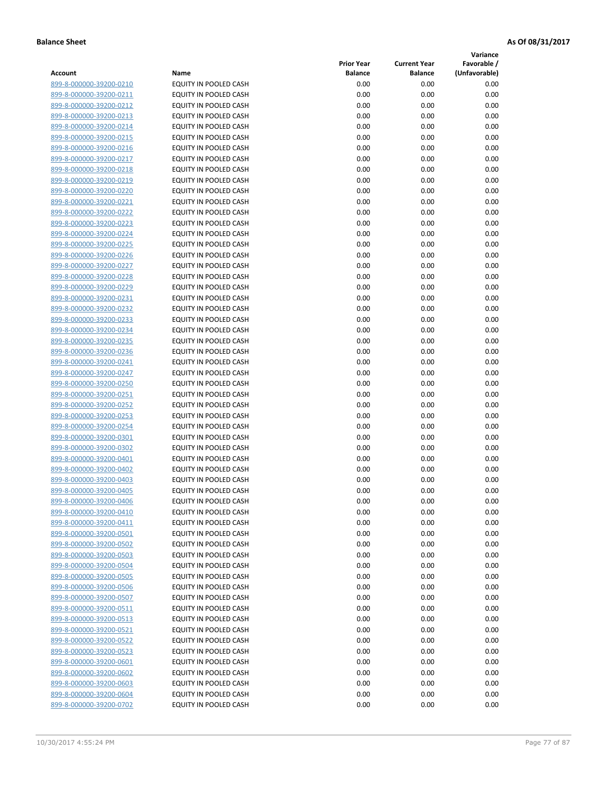**Variance**

| Account                                            | Name                                           | <b>Prior Year</b><br><b>Balance</b> | <b>Current Year</b><br><b>Balance</b> | Favorable /<br>(Unfavorable) |
|----------------------------------------------------|------------------------------------------------|-------------------------------------|---------------------------------------|------------------------------|
| 899-8-000000-39200-0210                            | EQUITY IN POOLED CASH                          | 0.00                                | 0.00                                  | 0.00                         |
| 899-8-000000-39200-0211                            | EQUITY IN POOLED CASH                          | 0.00                                | 0.00                                  | 0.00                         |
| 899-8-000000-39200-0212                            | EQUITY IN POOLED CASH                          | 0.00                                | 0.00                                  | 0.00                         |
| 899-8-000000-39200-0213                            | EQUITY IN POOLED CASH                          | 0.00                                | 0.00                                  | 0.00                         |
| 899-8-000000-39200-0214                            | EQUITY IN POOLED CASH                          | 0.00                                | 0.00                                  | 0.00                         |
| 899-8-000000-39200-0215                            | EQUITY IN POOLED CASH                          | 0.00                                | 0.00                                  | 0.00                         |
| 899-8-000000-39200-0216                            | EQUITY IN POOLED CASH                          | 0.00                                | 0.00                                  | 0.00                         |
| 899-8-000000-39200-0217                            | <b>EQUITY IN POOLED CASH</b>                   | 0.00                                | 0.00                                  | 0.00                         |
| 899-8-000000-39200-0218                            | EQUITY IN POOLED CASH                          | 0.00                                | 0.00                                  | 0.00                         |
| 899-8-000000-39200-0219                            | EQUITY IN POOLED CASH                          | 0.00                                | 0.00                                  | 0.00                         |
| 899-8-000000-39200-0220                            | EQUITY IN POOLED CASH                          | 0.00                                | 0.00                                  | 0.00                         |
| 899-8-000000-39200-0221                            | EQUITY IN POOLED CASH                          | 0.00                                | 0.00                                  | 0.00                         |
| 899-8-000000-39200-0222                            | EQUITY IN POOLED CASH                          | 0.00                                | 0.00                                  | 0.00                         |
| 899-8-000000-39200-0223                            | EQUITY IN POOLED CASH                          | 0.00                                | 0.00                                  | 0.00                         |
| 899-8-000000-39200-0224                            | EQUITY IN POOLED CASH                          | 0.00                                | 0.00                                  | 0.00                         |
| 899-8-000000-39200-0225                            | EQUITY IN POOLED CASH                          | 0.00                                | 0.00                                  | 0.00                         |
| 899-8-000000-39200-0226                            | EQUITY IN POOLED CASH                          | 0.00                                | 0.00                                  | 0.00                         |
| 899-8-000000-39200-0227                            | EQUITY IN POOLED CASH                          | 0.00                                | 0.00                                  | 0.00                         |
| 899-8-000000-39200-0228                            | EQUITY IN POOLED CASH                          | 0.00                                | 0.00                                  | 0.00                         |
| 899-8-000000-39200-0229                            | EQUITY IN POOLED CASH                          | 0.00                                | 0.00                                  | 0.00                         |
| 899-8-000000-39200-0231                            | <b>EQUITY IN POOLED CASH</b>                   | 0.00                                | 0.00                                  | 0.00                         |
| 899-8-000000-39200-0232                            | EQUITY IN POOLED CASH                          | 0.00                                | 0.00                                  | 0.00                         |
| 899-8-000000-39200-0233                            | EQUITY IN POOLED CASH                          | 0.00                                | 0.00                                  | 0.00                         |
| 899-8-000000-39200-0234                            | EQUITY IN POOLED CASH                          | 0.00                                | 0.00                                  | 0.00                         |
| 899-8-000000-39200-0235                            | EQUITY IN POOLED CASH                          | 0.00                                | 0.00                                  | 0.00                         |
| 899-8-000000-39200-0236                            | EQUITY IN POOLED CASH                          | 0.00                                | 0.00                                  | 0.00                         |
| 899-8-000000-39200-0241                            | EQUITY IN POOLED CASH                          | 0.00                                | 0.00                                  | 0.00                         |
| 899-8-000000-39200-0247                            | EQUITY IN POOLED CASH                          | 0.00                                | 0.00                                  | 0.00                         |
| 899-8-000000-39200-0250                            | EQUITY IN POOLED CASH                          | 0.00                                | 0.00                                  | 0.00                         |
| 899-8-000000-39200-0251                            | EQUITY IN POOLED CASH                          | 0.00                                | 0.00                                  | 0.00                         |
| 899-8-000000-39200-0252                            | EQUITY IN POOLED CASH                          | 0.00                                | 0.00                                  | 0.00                         |
| 899-8-000000-39200-0253                            | EQUITY IN POOLED CASH<br>EQUITY IN POOLED CASH | 0.00                                | 0.00                                  | 0.00                         |
| 899-8-000000-39200-0254<br>899-8-000000-39200-0301 | EQUITY IN POOLED CASH                          | 0.00<br>0.00                        | 0.00<br>0.00                          | 0.00<br>0.00                 |
| 899-8-000000-39200-0302                            | EQUITY IN POOLED CASH                          | 0.00                                | 0.00                                  | 0.00                         |
| 899-8-000000-39200-0401                            | EQUITY IN POOLED CASH                          | 0.00                                | 0.00                                  | 0.00                         |
| 899-8-000000-39200-0402                            | EQUITY IN POOLED CASH                          | 0.00                                | 0.00                                  | 0.00                         |
| 899-8-000000-39200-0403                            | EQUITY IN POOLED CASH                          | 0.00                                | 0.00                                  | 0.00                         |
| 899-8-000000-39200-0405                            | EQUITY IN POOLED CASH                          | 0.00                                | 0.00                                  | 0.00                         |
| 899-8-000000-39200-0406                            | <b>EQUITY IN POOLED CASH</b>                   | 0.00                                | 0.00                                  | 0.00                         |
| 899-8-000000-39200-0410                            | EQUITY IN POOLED CASH                          | 0.00                                | 0.00                                  | 0.00                         |
| 899-8-000000-39200-0411                            | EQUITY IN POOLED CASH                          | 0.00                                | 0.00                                  | 0.00                         |
| 899-8-000000-39200-0501                            | EQUITY IN POOLED CASH                          | 0.00                                | 0.00                                  | 0.00                         |
| 899-8-000000-39200-0502                            | EQUITY IN POOLED CASH                          | 0.00                                | 0.00                                  | 0.00                         |
| 899-8-000000-39200-0503                            | EQUITY IN POOLED CASH                          | 0.00                                | 0.00                                  | 0.00                         |
| 899-8-000000-39200-0504                            | EQUITY IN POOLED CASH                          | 0.00                                | 0.00                                  | 0.00                         |
| 899-8-000000-39200-0505                            | EQUITY IN POOLED CASH                          | 0.00                                | 0.00                                  | 0.00                         |
| 899-8-000000-39200-0506                            | EQUITY IN POOLED CASH                          | 0.00                                | 0.00                                  | 0.00                         |
| 899-8-000000-39200-0507                            | EQUITY IN POOLED CASH                          | 0.00                                | 0.00                                  | 0.00                         |
| 899-8-000000-39200-0511                            | EQUITY IN POOLED CASH                          | 0.00                                | 0.00                                  | 0.00                         |
| 899-8-000000-39200-0513                            | <b>EQUITY IN POOLED CASH</b>                   | 0.00                                | 0.00                                  | 0.00                         |
| 899-8-000000-39200-0521                            | EQUITY IN POOLED CASH                          | 0.00                                | 0.00                                  | 0.00                         |
| 899-8-000000-39200-0522                            | EQUITY IN POOLED CASH                          | 0.00                                | 0.00                                  | 0.00                         |
| 899-8-000000-39200-0523                            | EQUITY IN POOLED CASH                          | 0.00                                | 0.00                                  | 0.00                         |
| 899-8-000000-39200-0601                            | EQUITY IN POOLED CASH                          | 0.00                                | 0.00                                  | 0.00                         |
| 899-8-000000-39200-0602                            | EQUITY IN POOLED CASH                          | 0.00                                | 0.00                                  | 0.00                         |
| 899-8-000000-39200-0603                            | EQUITY IN POOLED CASH                          | 0.00                                | 0.00                                  | 0.00                         |
| 899-8-000000-39200-0604                            | EQUITY IN POOLED CASH                          | 0.00                                | 0.00                                  | 0.00                         |
| 899-8-000000-39200-0702                            | EQUITY IN POOLED CASH                          | 0.00                                | 0.00                                  | 0.00                         |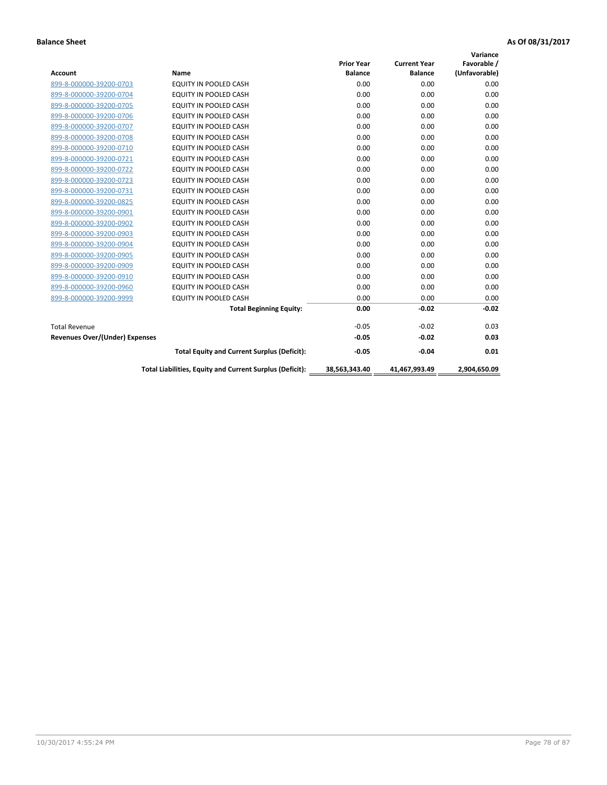|                                       |                                                          |                   |                     | Variance      |
|---------------------------------------|----------------------------------------------------------|-------------------|---------------------|---------------|
|                                       |                                                          | <b>Prior Year</b> | <b>Current Year</b> | Favorable /   |
| <b>Account</b>                        | <b>Name</b>                                              | <b>Balance</b>    | <b>Balance</b>      | (Unfavorable) |
| 899-8-000000-39200-0703               | <b>EQUITY IN POOLED CASH</b>                             | 0.00              | 0.00                | 0.00          |
| 899-8-000000-39200-0704               | EQUITY IN POOLED CASH                                    | 0.00              | 0.00                | 0.00          |
| 899-8-000000-39200-0705               | <b>EQUITY IN POOLED CASH</b>                             | 0.00              | 0.00                | 0.00          |
| 899-8-000000-39200-0706               | <b>EQUITY IN POOLED CASH</b>                             | 0.00              | 0.00                | 0.00          |
| 899-8-000000-39200-0707               | <b>EQUITY IN POOLED CASH</b>                             | 0.00              | 0.00                | 0.00          |
| 899-8-000000-39200-0708               | <b>EQUITY IN POOLED CASH</b>                             | 0.00              | 0.00                | 0.00          |
| 899-8-000000-39200-0710               | <b>EQUITY IN POOLED CASH</b>                             | 0.00              | 0.00                | 0.00          |
| 899-8-000000-39200-0721               | <b>EQUITY IN POOLED CASH</b>                             | 0.00              | 0.00                | 0.00          |
| 899-8-000000-39200-0722               | <b>EQUITY IN POOLED CASH</b>                             | 0.00              | 0.00                | 0.00          |
| 899-8-000000-39200-0723               | <b>EQUITY IN POOLED CASH</b>                             | 0.00              | 0.00                | 0.00          |
| 899-8-000000-39200-0731               | <b>EQUITY IN POOLED CASH</b>                             | 0.00              | 0.00                | 0.00          |
| 899-8-000000-39200-0825               | EQUITY IN POOLED CASH                                    | 0.00              | 0.00                | 0.00          |
| 899-8-000000-39200-0901               | <b>EQUITY IN POOLED CASH</b>                             | 0.00              | 0.00                | 0.00          |
| 899-8-000000-39200-0902               | <b>EQUITY IN POOLED CASH</b>                             | 0.00              | 0.00                | 0.00          |
| 899-8-000000-39200-0903               | <b>EQUITY IN POOLED CASH</b>                             | 0.00              | 0.00                | 0.00          |
| 899-8-000000-39200-0904               | <b>EQUITY IN POOLED CASH</b>                             | 0.00              | 0.00                | 0.00          |
| 899-8-000000-39200-0905               | EQUITY IN POOLED CASH                                    | 0.00              | 0.00                | 0.00          |
| 899-8-000000-39200-0909               | EQUITY IN POOLED CASH                                    | 0.00              | 0.00                | 0.00          |
| 899-8-000000-39200-0910               | <b>EQUITY IN POOLED CASH</b>                             | 0.00              | 0.00                | 0.00          |
| 899-8-000000-39200-0960               | <b>EQUITY IN POOLED CASH</b>                             | 0.00              | 0.00                | 0.00          |
| 899-8-000000-39200-9999               | EQUITY IN POOLED CASH                                    | 0.00              | 0.00                | 0.00          |
|                                       | <b>Total Beginning Equity:</b>                           | 0.00              | $-0.02$             | $-0.02$       |
| <b>Total Revenue</b>                  |                                                          | $-0.05$           | $-0.02$             | 0.03          |
| <b>Revenues Over/(Under) Expenses</b> |                                                          | $-0.05$           | $-0.02$             | 0.03          |
|                                       | <b>Total Equity and Current Surplus (Deficit):</b>       | $-0.05$           | $-0.04$             | 0.01          |
|                                       | Total Liabilities, Equity and Current Surplus (Deficit): | 38,563,343.40     | 41,467,993.49       | 2,904,650.09  |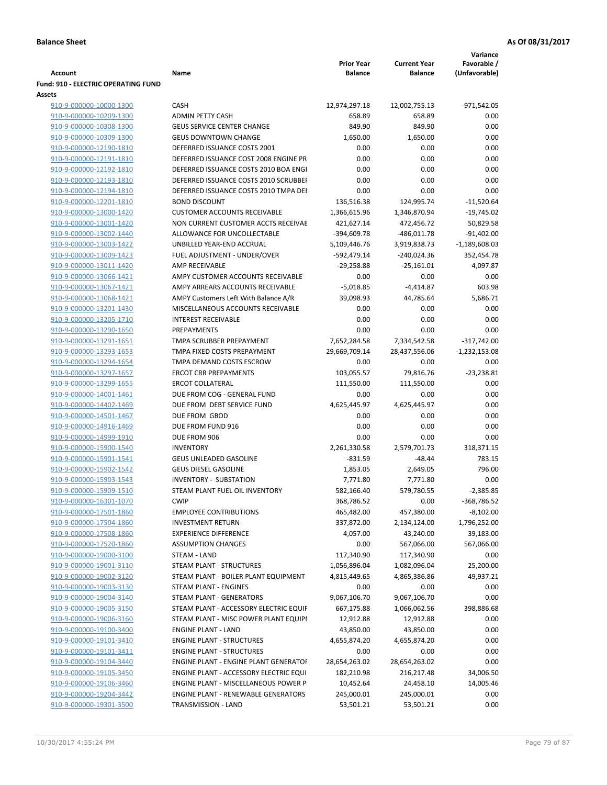|                                                    |                                                                                    |                                     |                                       | Variance                     |
|----------------------------------------------------|------------------------------------------------------------------------------------|-------------------------------------|---------------------------------------|------------------------------|
| <b>Account</b>                                     | Name                                                                               | <b>Prior Year</b><br><b>Balance</b> | <b>Current Year</b><br><b>Balance</b> | Favorable /<br>(Unfavorable) |
| <b>Fund: 910 - ELECTRIC OPERATING FUND</b>         |                                                                                    |                                     |                                       |                              |
| Assets                                             |                                                                                    |                                     |                                       |                              |
| 910-9-000000-10000-1300                            | <b>CASH</b>                                                                        | 12,974,297.18                       | 12,002,755.13                         | -971,542.05                  |
| 910-9-000000-10209-1300                            | <b>ADMIN PETTY CASH</b>                                                            | 658.89                              | 658.89                                | 0.00                         |
| 910-9-000000-10308-1300                            | <b>GEUS SERVICE CENTER CHANGE</b>                                                  | 849.90                              | 849.90                                | 0.00                         |
| 910-9-000000-10309-1300                            | <b>GEUS DOWNTOWN CHANGE</b>                                                        | 1,650.00                            | 1,650.00                              | 0.00                         |
| 910-9-000000-12190-1810                            | DEFERRED ISSUANCE COSTS 2001                                                       | 0.00                                | 0.00                                  | 0.00                         |
| 910-9-000000-12191-1810                            | DEFERRED ISSUANCE COST 2008 ENGINE PR                                              | 0.00                                | 0.00                                  | 0.00                         |
| 910-9-000000-12192-1810                            | DEFERRED ISSUANCE COSTS 2010 BOA ENGI                                              | 0.00                                | 0.00                                  | 0.00                         |
| 910-9-000000-12193-1810                            | DEFERRED ISSUANCE COSTS 2010 SCRUBBEI                                              | 0.00                                | 0.00                                  | 0.00                         |
| 910-9-000000-12194-1810                            | DEFERRED ISSUANCE COSTS 2010 TMPA DEI                                              | 0.00                                | 0.00                                  | 0.00                         |
| 910-9-000000-12201-1810                            | <b>BOND DISCOUNT</b>                                                               | 136,516.38                          | 124,995.74                            | $-11,520.64$                 |
| 910-9-000000-13000-1420                            | <b>CUSTOMER ACCOUNTS RECEIVABLE</b>                                                | 1,366,615.96                        | 1,346,870.94                          | $-19,745.02$                 |
| 910-9-000000-13001-1420                            | NON CURRENT CUSTOMER ACCTS RECEIVAE                                                | 421,627.14                          | 472,456.72                            | 50,829.58                    |
| 910-9-000000-13002-1440                            | ALLOWANCE FOR UNCOLLECTABLE                                                        | -394,609.78                         | $-486,011.78$                         | $-91,402.00$                 |
| 910-9-000000-13003-1422                            | UNBILLED YEAR-END ACCRUAL                                                          | 5,109,446.76                        | 3,919,838.73                          | $-1,189,608.03$              |
| 910-9-000000-13009-1423                            | FUEL ADJUSTMENT - UNDER/OVER                                                       | -592,479.14                         | $-240,024.36$                         | 352,454.78                   |
| 910-9-000000-13011-1420                            | AMP RECEIVABLE                                                                     | $-29,258.88$                        | $-25,161.01$                          | 4,097.87                     |
| 910-9-000000-13066-1421                            | AMPY CUSTOMER ACCOUNTS RECEIVABLE                                                  | 0.00                                | 0.00                                  | 0.00                         |
| 910-9-000000-13067-1421                            | AMPY ARREARS ACCOUNTS RECEIVABLE                                                   | $-5,018.85$                         | $-4,414.87$                           | 603.98                       |
| 910-9-000000-13068-1421                            | AMPY Customers Left With Balance A/R                                               | 39,098.93                           | 44,785.64                             | 5,686.71                     |
| 910-9-000000-13201-1430                            | MISCELLANEOUS ACCOUNTS RECEIVABLE                                                  | 0.00                                | 0.00                                  | 0.00                         |
| 910-9-000000-13205-1710                            | <b>INTEREST RECEIVABLE</b>                                                         | 0.00                                | 0.00                                  | 0.00                         |
| 910-9-000000-13290-1650                            | PREPAYMENTS                                                                        | 0.00                                | 0.00                                  | 0.00                         |
| 910-9-000000-13291-1651                            | TMPA SCRUBBER PREPAYMENT                                                           | 7,652,284.58                        | 7,334,542.58                          | $-317,742.00$                |
| 910-9-000000-13293-1653                            | TMPA FIXED COSTS PREPAYMENT                                                        | 29,669,709.14                       | 28,437,556.06                         | $-1,232,153.08$              |
| 910-9-000000-13294-1654                            | TMPA DEMAND COSTS ESCROW                                                           | 0.00                                | 0.00                                  | 0.00                         |
| 910-9-000000-13297-1657                            | <b>ERCOT CRR PREPAYMENTS</b>                                                       | 103,055.57                          | 79,816.76                             | $-23,238.81$                 |
| 910-9-000000-13299-1655                            | <b>ERCOT COLLATERAL</b>                                                            | 111,550.00                          | 111,550.00                            | 0.00                         |
| 910-9-000000-14001-1461                            | DUE FROM COG - GENERAL FUND                                                        | 0.00                                | 0.00                                  | 0.00                         |
| 910-9-000000-14402-1469                            | DUE FROM DEBT SERVICE FUND                                                         | 4,625,445.97                        | 4,625,445.97                          | 0.00                         |
| 910-9-000000-14501-1467                            | DUE FROM GBOD                                                                      | 0.00                                | 0.00                                  | 0.00                         |
| 910-9-000000-14916-1469                            | DUE FROM FUND 916                                                                  | 0.00                                | 0.00                                  | 0.00                         |
| 910-9-000000-14999-1910                            | DUE FROM 906                                                                       | 0.00                                | 0.00                                  | 0.00                         |
| 910-9-000000-15900-1540                            | <b>INVENTORY</b>                                                                   | 2,261,330.58                        | 2,579,701.73                          | 318,371.15                   |
| 910-9-000000-15901-1541                            | <b>GEUS UNLEADED GASOLINE</b>                                                      | $-831.59$                           | $-48.44$                              | 783.15                       |
| 910-9-000000-15902-1542                            | <b>GEUS DIESEL GASOLINE</b>                                                        | 1,853.05                            | 2,649.05                              | 796.00                       |
| 910-9-000000-15903-1543                            | INVENTORY - SUBSTATION                                                             | 7,771.80                            | 7,771.80                              | 0.00                         |
| 910-9-000000-15909-1510                            | STEAM PLANT FUEL OIL INVENTORY                                                     | 582,166.40                          | 579,780.55                            | $-2,385.85$                  |
| 910-9-000000-16301-1070                            | <b>CWIP</b>                                                                        | 368,786.52                          | 0.00                                  | -368,786.52                  |
| 910-9-000000-17501-1860                            | <b>EMPLOYEE CONTRIBUTIONS</b>                                                      | 465,482.00                          | 457,380.00                            | $-8,102.00$                  |
| 910-9-000000-17504-1860                            | <b>INVESTMENT RETURN</b>                                                           | 337,872.00                          | 2,134,124.00                          | 1,796,252.00                 |
| 910-9-000000-17508-1860                            | <b>EXPERIENCE DIFFERENCE</b>                                                       | 4,057.00                            | 43,240.00                             | 39,183.00                    |
| 910-9-000000-17520-1860                            | <b>ASSUMPTION CHANGES</b>                                                          | 0.00                                | 567,066.00                            | 567,066.00                   |
| 910-9-000000-19000-3100                            | STEAM - LAND                                                                       | 117,340.90                          | 117,340.90                            | 0.00                         |
| 910-9-000000-19001-3110                            | STEAM PLANT - STRUCTURES                                                           | 1,056,896.04                        | 1,082,096.04                          | 25,200.00                    |
| 910-9-000000-19002-3120                            | STEAM PLANT - BOILER PLANT EQUIPMENT                                               | 4,815,449.65                        | 4,865,386.86                          | 49,937.21                    |
| 910-9-000000-19003-3130                            | STEAM PLANT - ENGINES                                                              | 0.00                                | 0.00                                  | 0.00                         |
| 910-9-000000-19004-3140                            | <b>STEAM PLANT - GENERATORS</b>                                                    | 9,067,106.70                        | 9,067,106.70                          | 0.00                         |
| 910-9-000000-19005-3150                            | STEAM PLANT - ACCESSORY ELECTRIC EQUIF                                             | 667,175.88                          | 1,066,062.56                          | 398,886.68                   |
| 910-9-000000-19006-3160                            | STEAM PLANT - MISC POWER PLANT EQUIPI                                              | 12,912.88                           | 12,912.88                             | 0.00                         |
| 910-9-000000-19100-3400                            | <b>ENGINE PLANT - LAND</b>                                                         | 43,850.00                           | 43,850.00                             | 0.00                         |
| 910-9-000000-19101-3410                            | <b>ENGINE PLANT - STRUCTURES</b>                                                   | 4,655,874.20                        | 4,655,874.20                          | 0.00                         |
| 910-9-000000-19101-3411                            | <b>ENGINE PLANT - STRUCTURES</b>                                                   | 0.00                                | 0.00                                  | 0.00                         |
| 910-9-000000-19104-3440                            | ENGINE PLANT - ENGINE PLANT GENERATOF                                              | 28,654,263.02                       | 28,654,263.02                         | 0.00                         |
| 910-9-000000-19105-3450                            | ENGINE PLANT - ACCESSORY ELECTRIC EQUI                                             | 182,210.98                          | 216,217.48                            | 34,006.50                    |
| 910-9-000000-19106-3460                            | ENGINE PLANT - MISCELLANEOUS POWER P<br><b>ENGINE PLANT - RENEWABLE GENERATORS</b> | 10,452.64                           | 24,458.10                             | 14,005.46                    |
| 910-9-000000-19204-3442<br>910-9-000000-19301-3500 | TRANSMISSION - LAND                                                                | 245,000.01<br>53,501.21             | 245,000.01<br>53,501.21               | 0.00<br>0.00                 |
|                                                    |                                                                                    |                                     |                                       |                              |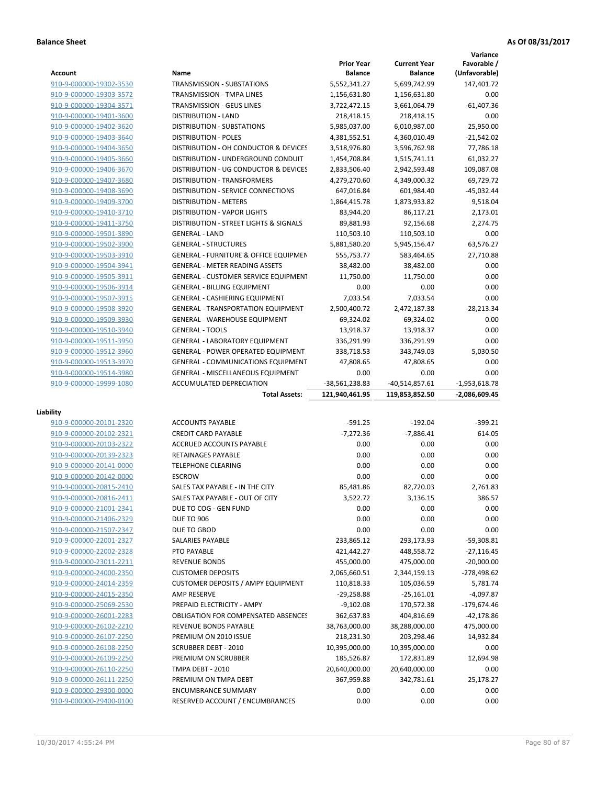# **Balance Sheet As Of 08/31/2017**

|                                                    |                                                          |                                     |                                       | Variance                     |
|----------------------------------------------------|----------------------------------------------------------|-------------------------------------|---------------------------------------|------------------------------|
| <b>Account</b>                                     | Name                                                     | <b>Prior Year</b><br><b>Balance</b> | <b>Current Year</b><br><b>Balance</b> | Favorable /<br>(Unfavorable) |
| 910-9-000000-19302-3530                            | <b>TRANSMISSION - SUBSTATIONS</b>                        | 5,552,341.27                        | 5,699,742.99                          | 147,401.72                   |
| 910-9-000000-19303-3572                            | TRANSMISSION - TMPA LINES                                | 1,156,631.80                        | 1,156,631.80                          | 0.00                         |
| 910-9-000000-19304-3571                            | <b>TRANSMISSION - GEUS LINES</b>                         | 3,722,472.15                        | 3,661,064.79                          | $-61,407.36$                 |
| 910-9-000000-19401-3600                            | <b>DISTRIBUTION - LAND</b>                               | 218,418.15                          | 218,418.15                            | 0.00                         |
| 910-9-000000-19402-3620                            | <b>DISTRIBUTION - SUBSTATIONS</b>                        | 5,985,037.00                        | 6,010,987.00                          | 25,950.00                    |
| 910-9-000000-19403-3640                            | <b>DISTRIBUTION - POLES</b>                              | 4,381,552.51                        | 4,360,010.49                          | $-21,542.02$                 |
| 910-9-000000-19404-3650                            | DISTRIBUTION - OH CONDUCTOR & DEVICES                    | 3,518,976.80                        | 3,596,762.98                          | 77,786.18                    |
| 910-9-000000-19405-3660                            | DISTRIBUTION - UNDERGROUND CONDUIT                       | 1,454,708.84                        | 1,515,741.11                          | 61,032.27                    |
| 910-9-000000-19406-3670                            | DISTRIBUTION - UG CONDUCTOR & DEVICES                    | 2,833,506.40                        | 2,942,593.48                          | 109,087.08                   |
| 910-9-000000-19407-3680                            | <b>DISTRIBUTION - TRANSFORMERS</b>                       | 4,279,270.60                        | 4,349,000.32                          | 69,729.72                    |
| 910-9-000000-19408-3690                            | DISTRIBUTION - SERVICE CONNECTIONS                       | 647,016.84                          | 601,984.40                            | $-45,032.44$                 |
| 910-9-000000-19409-3700                            | <b>DISTRIBUTION - METERS</b>                             | 1,864,415.78                        | 1,873,933.82                          | 9,518.04                     |
| 910-9-000000-19410-3710                            | <b>DISTRIBUTION - VAPOR LIGHTS</b>                       | 83,944.20                           | 86,117.21                             | 2,173.01                     |
| 910-9-000000-19411-3750                            | DISTRIBUTION - STREET LIGHTS & SIGNALS                   | 89,881.93                           | 92,156.68                             | 2,274.75                     |
| 910-9-000000-19501-3890                            | <b>GENERAL - LAND</b>                                    | 110,503.10                          | 110,503.10                            | 0.00                         |
| 910-9-000000-19502-3900                            | <b>GENERAL - STRUCTURES</b>                              | 5,881,580.20                        | 5,945,156.47                          | 63,576.27                    |
| 910-9-000000-19503-3910                            | <b>GENERAL - FURNITURE &amp; OFFICE EQUIPMEN</b>         | 555,753.77                          | 583,464.65                            | 27,710.88                    |
| 910-9-000000-19504-3941                            | <b>GENERAL - METER READING ASSETS</b>                    | 38,482.00                           | 38,482.00                             | 0.00                         |
| 910-9-000000-19505-3911                            | <b>GENERAL - CUSTOMER SERVICE EQUIPMENT</b>              | 11,750.00                           | 11,750.00                             | 0.00                         |
| 910-9-000000-19506-3914                            | <b>GENERAL - BILLING EQUIPMENT</b>                       | 0.00                                | 0.00                                  | 0.00                         |
| 910-9-000000-19507-3915                            | <b>GENERAL - CASHIERING EQUIPMENT</b>                    | 7.033.54                            | 7.033.54                              | 0.00                         |
| 910-9-000000-19508-3920                            | <b>GENERAL - TRANSPORTATION EQUIPMENT</b>                | 2,500,400.72                        | 2,472,187.38                          | $-28,213.34$                 |
| 910-9-000000-19509-3930                            | <b>GENERAL - WAREHOUSE EQUIPMENT</b>                     | 69,324.02                           | 69,324.02                             | 0.00                         |
| 910-9-000000-19510-3940                            | <b>GENERAL - TOOLS</b>                                   | 13,918.37                           | 13,918.37                             | 0.00                         |
| 910-9-000000-19511-3950                            | <b>GENERAL - LABORATORY EQUIPMENT</b>                    | 336,291.99                          | 336,291.99                            | 0.00                         |
| 910-9-000000-19512-3960                            | <b>GENERAL - POWER OPERATED EQUIPMENT</b>                | 338,718.53                          | 343,749.03                            | 5,030.50                     |
| 910-9-000000-19513-3970                            | <b>GENERAL - COMMUNICATIONS EQUIPMENT</b>                | 47,808.65                           | 47,808.65                             | 0.00                         |
| 910-9-000000-19514-3980                            | <b>GENERAL - MISCELLANEOUS EQUIPMENT</b>                 | 0.00                                | 0.00                                  | 0.00                         |
|                                                    |                                                          |                                     |                                       |                              |
| 910-9-000000-19999-1080                            | ACCUMULATED DEPRECIATION                                 | -38,561,238.83                      | $-40,514,857.61$                      | $-1,953,618.78$              |
|                                                    | <b>Total Assets:</b>                                     | 121,940,461.95                      | 119,853,852.50                        | $-2,086,609.45$              |
|                                                    |                                                          |                                     |                                       |                              |
| Liability                                          |                                                          |                                     |                                       |                              |
| 910-9-000000-20101-2320                            | <b>ACCOUNTS PAYABLE</b>                                  | $-591.25$                           | $-192.04$                             | $-399.21$                    |
| 910-9-000000-20102-2321                            | <b>CREDIT CARD PAYABLE</b>                               | $-7,272.36$                         | $-7,886.41$                           | 614.05                       |
| 910-9-000000-20103-2322                            | ACCRUED ACCOUNTS PAYABLE                                 | 0.00                                | 0.00                                  | 0.00                         |
| 910-9-000000-20139-2323                            | RETAINAGES PAYABLE<br><b>TELEPHONE CLEARING</b>          | 0.00                                | 0.00                                  | 0.00                         |
| 910-9-000000-20141-0000                            |                                                          | 0.00                                | 0.00                                  | 0.00                         |
| 910-9-000000-20142-0000<br>910-9-000000-20815-2410 | <b>ESCROW</b><br>SALES TAX PAYABLE - IN THE CITY         | 0.00<br>85.481.86                   | 0.00                                  | 0.00<br>2,761.83             |
|                                                    |                                                          |                                     | 82,720.03                             |                              |
| 910-9-000000-20816-2411                            | SALES TAX PAYABLE - OUT OF CITY<br>DUE TO COG - GEN FUND | 3,522.72                            | 3,136.15                              | 386.57                       |
| 910-9-000000-21001-2341                            |                                                          | 0.00                                | 0.00                                  | 0.00                         |
| 910-9-000000-21406-2329<br>910-9-000000-21507-2347 | <b>DUE TO 906</b><br>DUE TO GBOD                         | 0.00<br>0.00                        | 0.00<br>0.00                          | 0.00<br>0.00                 |
| 910-9-000000-22001-2327                            | SALARIES PAYABLE                                         | 233,865.12                          | 293,173.93                            | -59,308.81                   |
| 910-9-000000-22002-2328                            | PTO PAYABLE                                              | 421,442.27                          | 448,558.72                            | $-27,116.45$                 |
| 910-9-000000-23011-2211                            | <b>REVENUE BONDS</b>                                     | 455,000.00                          | 475,000.00                            | $-20,000.00$                 |
| 910-9-000000-24000-2350                            | <b>CUSTOMER DEPOSITS</b>                                 | 2,065,660.51                        | 2,344,159.13                          | -278,498.62                  |
| 910-9-000000-24014-2359                            | <b>CUSTOMER DEPOSITS / AMPY EQUIPMENT</b>                | 110,818.33                          | 105,036.59                            | 5,781.74                     |
| 910-9-000000-24015-2350                            | AMP RESERVE                                              | $-29,258.88$                        | $-25,161.01$                          | $-4,097.87$                  |
| 910-9-000000-25069-2530                            | PREPAID ELECTRICITY - AMPY                               | $-9,102.08$                         | 170,572.38                            | -179,674.46                  |
| 910-9-000000-26001-2283                            | OBLIGATION FOR COMPENSATED ABSENCES                      | 362,637.83                          | 404,816.69                            | -42,178.86                   |
| 910-9-000000-26102-2210                            | REVENUE BONDS PAYABLE                                    | 38,763,000.00                       | 38,288,000.00                         | 475,000.00                   |
| 910-9-000000-26107-2250                            | PREMIUM ON 2010 ISSUE                                    | 218,231.30                          | 203,298.46                            | 14,932.84                    |
| 910-9-000000-26108-2250                            | <b>SCRUBBER DEBT - 2010</b>                              | 10,395,000.00                       | 10,395,000.00                         | 0.00                         |
| 910-9-000000-26109-2250                            | PREMIUM ON SCRUBBER                                      | 185,526.87                          | 172,831.89                            | 12,694.98                    |
| 910-9-000000-26110-2250                            | TMPA DEBT - 2010                                         | 20,640,000.00                       | 20,640,000.00                         | 0.00                         |
| 910-9-000000-26111-2250                            | PREMIUM ON TMPA DEBT                                     | 367,959.88                          | 342,781.61                            | 25,178.27                    |
| 910-9-000000-29300-0000                            | <b>ENCUMBRANCE SUMMARY</b>                               | 0.00                                | 0.00                                  | 0.00                         |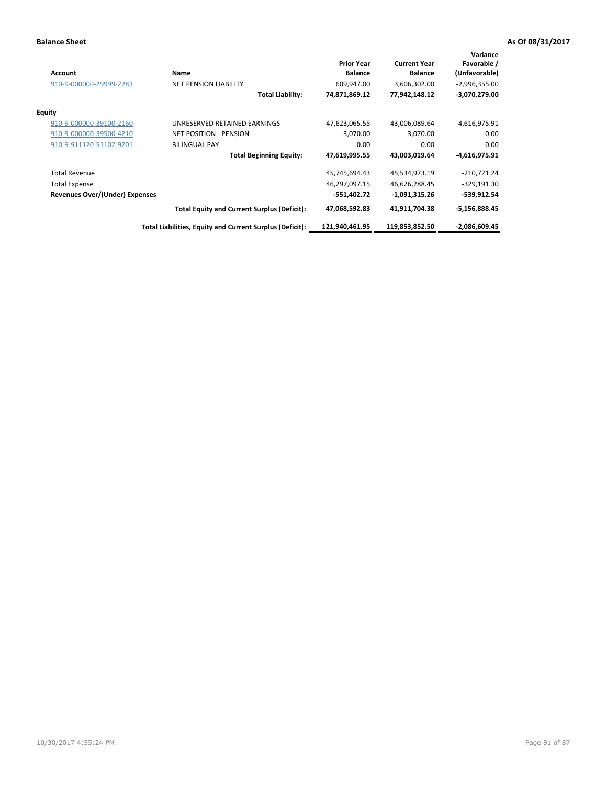## **Balance Sheet As Of 08/31/2017**

| <b>Account</b>                 | Name                                                     | <b>Prior Year</b><br><b>Balance</b> | <b>Current Year</b><br><b>Balance</b> | Variance<br>Favorable /<br>(Unfavorable) |
|--------------------------------|----------------------------------------------------------|-------------------------------------|---------------------------------------|------------------------------------------|
| 910-9-000000-29999-2283        | <b>NET PENSION LIABILITY</b>                             | 609,947.00                          | 3,606,302.00                          | $-2,996,355.00$                          |
|                                | <b>Total Liability:</b>                                  | 74,871,869.12                       | 77,942,148.12                         | $-3,070,279.00$                          |
| <b>Equity</b>                  |                                                          |                                     |                                       |                                          |
| 910-9-000000-39100-2160        | UNRESERVED RETAINED EARNINGS                             | 47,623,065.55                       | 43,006,089.64                         | $-4,616,975.91$                          |
| 910-9-000000-39500-4210        | <b>NET POSITION - PENSION</b>                            | $-3,070.00$                         | $-3,070.00$                           | 0.00                                     |
| 910-9-911120-51102-9201        | <b>BILINGUAL PAY</b>                                     | 0.00                                | 0.00                                  | 0.00                                     |
|                                | <b>Total Beginning Equity:</b>                           | 47,619,995.55                       | 43,003,019.64                         | $-4,616,975.91$                          |
| <b>Total Revenue</b>           |                                                          | 45,745,694.43                       | 45,534,973.19                         | $-210,721.24$                            |
| <b>Total Expense</b>           |                                                          | 46,297,097.15                       | 46,626,288.45                         | $-329,191.30$                            |
| Revenues Over/(Under) Expenses |                                                          | -551,402.72                         | -1,091,315.26                         | -539,912.54                              |
|                                | <b>Total Equity and Current Surplus (Deficit):</b>       | 47,068,592.83                       | 41,911,704.38                         | $-5,156,888.45$                          |
|                                | Total Liabilities, Equity and Current Surplus (Deficit): | 121,940,461.95                      | 119,853,852.50                        | $-2,086,609.45$                          |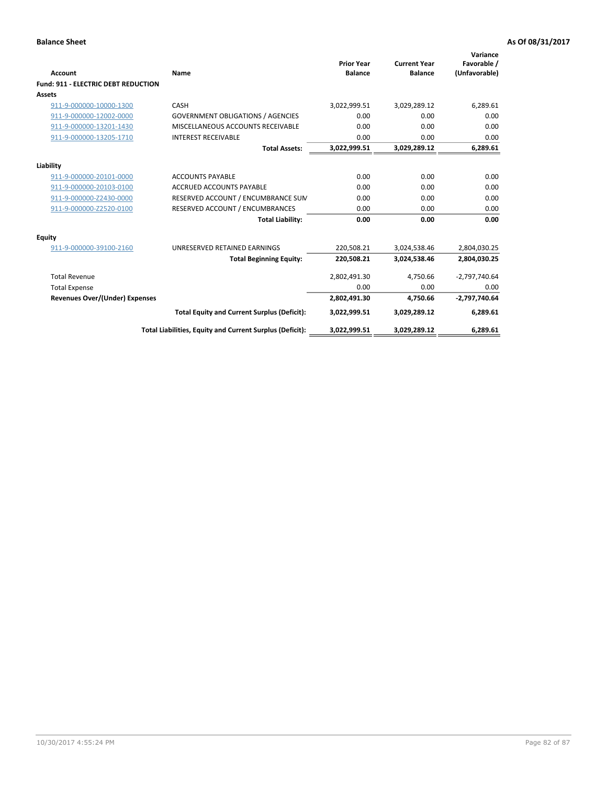| Account                                    | Name                                                     | <b>Prior Year</b><br><b>Balance</b> | <b>Current Year</b><br><b>Balance</b> | Variance<br>Favorable /<br>(Unfavorable) |
|--------------------------------------------|----------------------------------------------------------|-------------------------------------|---------------------------------------|------------------------------------------|
| <b>Fund: 911 - ELECTRIC DEBT REDUCTION</b> |                                                          |                                     |                                       |                                          |
| Assets                                     |                                                          |                                     |                                       |                                          |
| 911-9-000000-10000-1300                    | CASH                                                     | 3,022,999.51                        | 3,029,289.12                          | 6,289.61                                 |
| 911-9-000000-12002-0000                    | <b>GOVERNMENT OBLIGATIONS / AGENCIES</b>                 | 0.00                                | 0.00                                  | 0.00                                     |
| 911-9-000000-13201-1430                    | MISCELLANEOUS ACCOUNTS RECEIVABLE                        | 0.00                                | 0.00                                  | 0.00                                     |
| 911-9-000000-13205-1710                    | <b>INTEREST RECEIVABLE</b>                               | 0.00                                | 0.00                                  | 0.00                                     |
|                                            | <b>Total Assets:</b>                                     | 3,022,999.51                        | 3,029,289.12                          | 6,289.61                                 |
| Liability                                  |                                                          |                                     |                                       |                                          |
| 911-9-000000-20101-0000                    | <b>ACCOUNTS PAYABLE</b>                                  | 0.00                                | 0.00                                  | 0.00                                     |
| 911-9-000000-20103-0100                    | <b>ACCRUED ACCOUNTS PAYABLE</b>                          | 0.00                                | 0.00                                  | 0.00                                     |
| 911-9-000000-Z2430-0000                    | RESERVED ACCOUNT / ENCUMBRANCE SUM                       | 0.00                                | 0.00                                  | 0.00                                     |
| 911-9-000000-Z2520-0100                    | RESERVED ACCOUNT / ENCUMBRANCES                          | 0.00                                | 0.00                                  | 0.00                                     |
|                                            | <b>Total Liability:</b>                                  | 0.00                                | 0.00                                  | 0.00                                     |
| Equity                                     |                                                          |                                     |                                       |                                          |
| 911-9-000000-39100-2160                    | UNRESERVED RETAINED EARNINGS                             | 220,508.21                          | 3,024,538.46                          | 2,804,030.25                             |
|                                            | <b>Total Beginning Equity:</b>                           | 220,508.21                          | 3,024,538.46                          | 2,804,030.25                             |
| <b>Total Revenue</b>                       |                                                          | 2,802,491.30                        | 4,750.66                              | $-2,797,740.64$                          |
| <b>Total Expense</b>                       |                                                          | 0.00                                | 0.00                                  | 0.00                                     |
| <b>Revenues Over/(Under) Expenses</b>      |                                                          | 2,802,491.30                        | 4,750.66                              | -2,797,740.64                            |
|                                            | <b>Total Equity and Current Surplus (Deficit):</b>       | 3,022,999.51                        | 3,029,289.12                          | 6,289.61                                 |
|                                            | Total Liabilities, Equity and Current Surplus (Deficit): | 3,022,999.51                        | 3,029,289.12                          | 6,289.61                                 |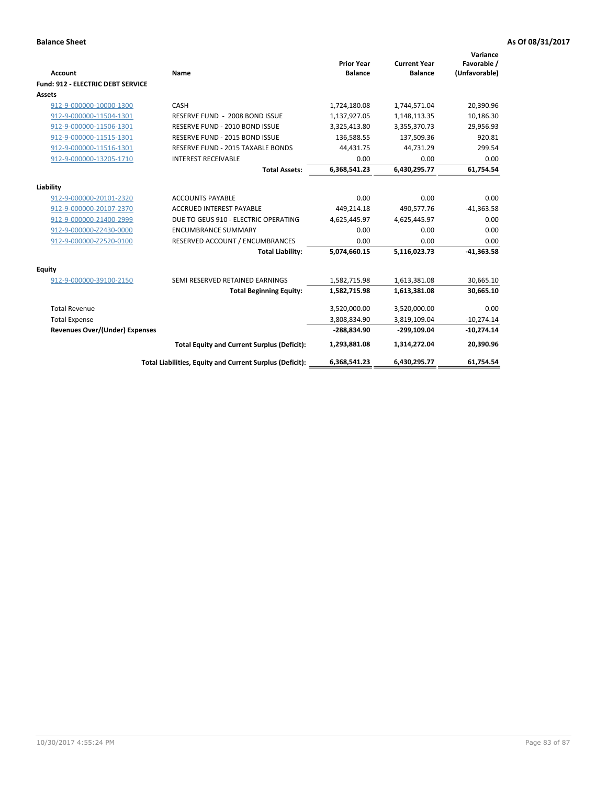| <b>Account</b>                           | Name                                                     | <b>Prior Year</b><br><b>Balance</b> | <b>Current Year</b><br><b>Balance</b> | Variance<br>Favorable /<br>(Unfavorable) |
|------------------------------------------|----------------------------------------------------------|-------------------------------------|---------------------------------------|------------------------------------------|
| <b>Fund: 912 - ELECTRIC DEBT SERVICE</b> |                                                          |                                     |                                       |                                          |
| <b>Assets</b>                            |                                                          |                                     |                                       |                                          |
| 912-9-000000-10000-1300                  | CASH                                                     | 1,724,180.08                        | 1,744,571.04                          | 20,390.96                                |
| 912-9-000000-11504-1301                  | RESERVE FUND - 2008 BOND ISSUE                           | 1,137,927.05                        | 1,148,113.35                          | 10,186.30                                |
| 912-9-000000-11506-1301                  | RESERVE FUND - 2010 BOND ISSUE                           | 3,325,413.80                        | 3,355,370.73                          | 29,956.93                                |
| 912-9-000000-11515-1301                  | RESERVE FUND - 2015 BOND ISSUE                           | 136,588.55                          | 137,509.36                            | 920.81                                   |
| 912-9-000000-11516-1301                  | RESERVE FUND - 2015 TAXABLE BONDS                        | 44,431.75                           | 44,731.29                             | 299.54                                   |
| 912-9-000000-13205-1710                  | <b>INTEREST RECEIVABLE</b>                               | 0.00                                | 0.00                                  | 0.00                                     |
|                                          | <b>Total Assets:</b>                                     | 6,368,541.23                        | 6,430,295.77                          | 61,754.54                                |
| Liability                                |                                                          |                                     |                                       |                                          |
| 912-9-000000-20101-2320                  | <b>ACCOUNTS PAYABLE</b>                                  | 0.00                                | 0.00                                  | 0.00                                     |
| 912-9-000000-20107-2370                  | <b>ACCRUED INTEREST PAYABLE</b>                          | 449,214.18                          | 490,577.76                            | $-41,363.58$                             |
| 912-9-000000-21400-2999                  | DUE TO GEUS 910 - ELECTRIC OPERATING                     | 4,625,445.97                        | 4,625,445.97                          | 0.00                                     |
| 912-9-000000-Z2430-0000                  | <b>ENCUMBRANCE SUMMARY</b>                               | 0.00                                | 0.00                                  | 0.00                                     |
| 912-9-000000-Z2520-0100                  | RESERVED ACCOUNT / ENCUMBRANCES                          | 0.00                                | 0.00                                  | 0.00                                     |
|                                          | <b>Total Liability:</b>                                  | 5,074,660.15                        | 5,116,023.73                          | $-41,363.58$                             |
|                                          |                                                          |                                     |                                       |                                          |
| Equity                                   |                                                          |                                     |                                       |                                          |
| 912-9-000000-39100-2150                  | SEMI RESERVED RETAINED EARNINGS                          | 1,582,715.98                        | 1,613,381.08                          | 30,665.10                                |
|                                          | <b>Total Beginning Equity:</b>                           | 1,582,715.98                        | 1,613,381.08                          | 30,665.10                                |
| <b>Total Revenue</b>                     |                                                          | 3,520,000.00                        | 3,520,000.00                          | 0.00                                     |
| <b>Total Expense</b>                     |                                                          | 3,808,834.90                        | 3,819,109.04                          | $-10,274.14$                             |
| <b>Revenues Over/(Under) Expenses</b>    |                                                          | -288,834.90                         | -299,109.04                           | $-10,274.14$                             |
|                                          | <b>Total Equity and Current Surplus (Deficit):</b>       | 1,293,881.08                        | 1,314,272.04                          | 20,390.96                                |
|                                          | Total Liabilities, Equity and Current Surplus (Deficit): | 6,368,541.23                        | 6,430,295.77                          | 61.754.54                                |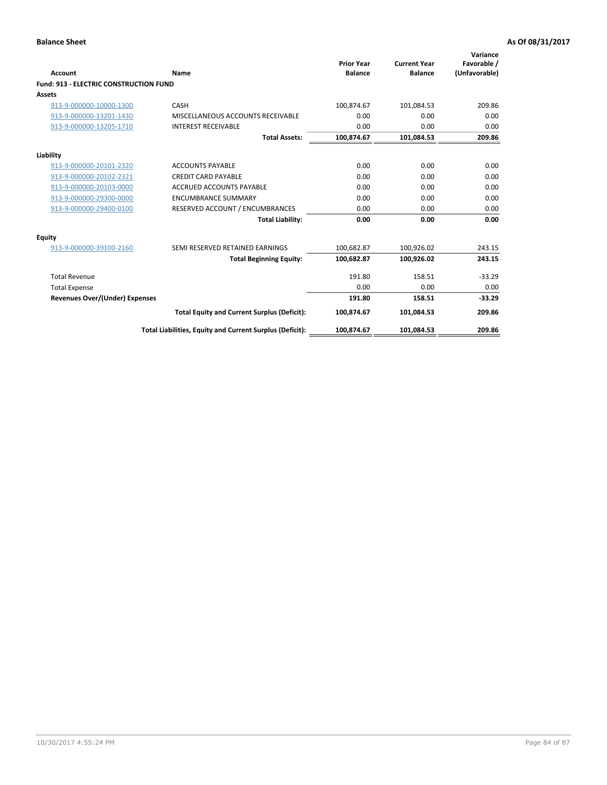| Account                                       | Name                                                     | <b>Prior Year</b><br><b>Balance</b> | <b>Current Year</b><br><b>Balance</b> | Variance<br>Favorable /<br>(Unfavorable) |
|-----------------------------------------------|----------------------------------------------------------|-------------------------------------|---------------------------------------|------------------------------------------|
| <b>Fund: 913 - ELECTRIC CONSTRUCTION FUND</b> |                                                          |                                     |                                       |                                          |
| <b>Assets</b>                                 |                                                          |                                     |                                       |                                          |
| 913-9-000000-10000-1300                       | CASH                                                     | 100,874.67                          | 101,084.53                            | 209.86                                   |
| 913-9-000000-13201-1430                       | MISCELLANEOUS ACCOUNTS RECEIVABLE                        | 0.00                                | 0.00                                  | 0.00                                     |
| 913-9-000000-13205-1710                       | <b>INTEREST RECEIVABLE</b>                               | 0.00                                | 0.00                                  | 0.00                                     |
|                                               | <b>Total Assets:</b>                                     | 100,874.67                          | 101,084.53                            | 209.86                                   |
| Liability                                     |                                                          |                                     |                                       |                                          |
| 913-9-000000-20101-2320                       | <b>ACCOUNTS PAYABLE</b>                                  | 0.00                                | 0.00                                  | 0.00                                     |
| 913-9-000000-20102-2321                       | <b>CREDIT CARD PAYABLE</b>                               | 0.00                                | 0.00                                  | 0.00                                     |
| 913-9-000000-20103-0000                       | <b>ACCRUED ACCOUNTS PAYABLE</b>                          | 0.00                                | 0.00                                  | 0.00                                     |
| 913-9-000000-29300-0000                       | <b>ENCUMBRANCE SUMMARY</b>                               | 0.00                                | 0.00                                  | 0.00                                     |
| 913-9-000000-29400-0100                       | RESERVED ACCOUNT / ENCUMBRANCES                          | 0.00                                | 0.00                                  | 0.00                                     |
|                                               | <b>Total Liability:</b>                                  | 0.00                                | 0.00                                  | 0.00                                     |
| <b>Equity</b>                                 |                                                          |                                     |                                       |                                          |
| 913-9-000000-39100-2160                       | SEMI RESERVED RETAINED EARNINGS                          | 100,682.87                          | 100,926.02                            | 243.15                                   |
|                                               | <b>Total Beginning Equity:</b>                           | 100,682.87                          | 100.926.02                            | 243.15                                   |
| <b>Total Revenue</b>                          |                                                          | 191.80                              | 158.51                                | $-33.29$                                 |
| <b>Total Expense</b>                          |                                                          | 0.00                                | 0.00                                  | 0.00                                     |
| <b>Revenues Over/(Under) Expenses</b>         |                                                          | 191.80                              | 158.51                                | $-33.29$                                 |
|                                               | <b>Total Equity and Current Surplus (Deficit):</b>       | 100,874.67                          | 101,084.53                            | 209.86                                   |
|                                               | Total Liabilities, Equity and Current Surplus (Deficit): | 100,874.67                          | 101,084.53                            | 209.86                                   |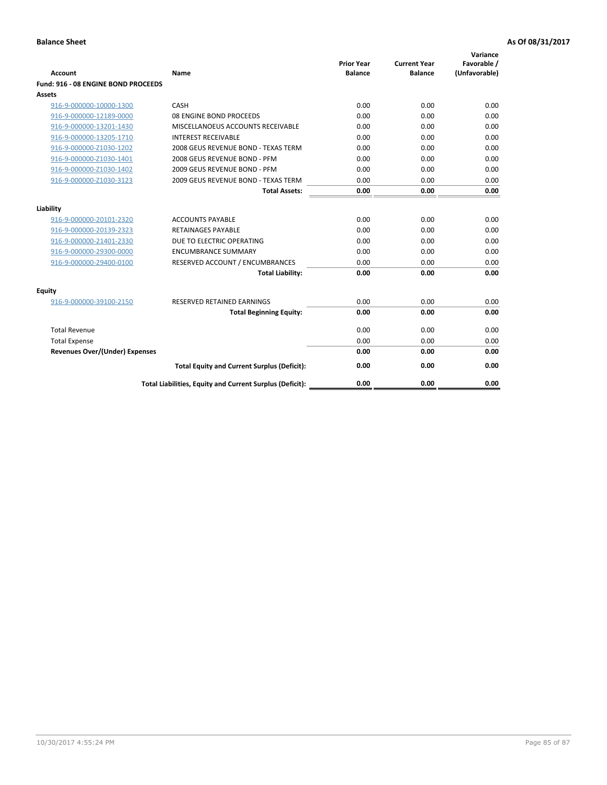| <b>Account</b>                        | Name                                                     | <b>Prior Year</b><br><b>Balance</b> | <b>Current Year</b><br><b>Balance</b> | Variance<br>Favorable /<br>(Unfavorable) |
|---------------------------------------|----------------------------------------------------------|-------------------------------------|---------------------------------------|------------------------------------------|
| Fund: 916 - 08 ENGINE BOND PROCEEDS   |                                                          |                                     |                                       |                                          |
| Assets                                |                                                          |                                     |                                       |                                          |
| 916-9-000000-10000-1300               | CASH                                                     | 0.00                                | 0.00                                  | 0.00                                     |
| 916-9-000000-12189-0000               | 08 ENGINE BOND PROCEEDS                                  | 0.00                                | 0.00                                  | 0.00                                     |
| 916-9-000000-13201-1430               | MISCELLANOEUS ACCOUNTS RECEIVABLE                        | 0.00                                | 0.00                                  | 0.00                                     |
| 916-9-000000-13205-1710               | <b>INTEREST RECEIVABLE</b>                               | 0.00                                | 0.00                                  | 0.00                                     |
| 916-9-000000-Z1030-1202               | 2008 GEUS REVENUE BOND - TEXAS TERM                      | 0.00                                | 0.00                                  | 0.00                                     |
| 916-9-000000-Z1030-1401               | 2008 GEUS REVENUE BOND - PFM                             | 0.00                                | 0.00                                  | 0.00                                     |
| 916-9-000000-Z1030-1402               | 2009 GEUS REVENUE BOND - PFM                             | 0.00                                | 0.00                                  | 0.00                                     |
| 916-9-000000-Z1030-3123               | 2009 GEUS REVENUE BOND - TEXAS TERM                      | 0.00                                | 0.00                                  | 0.00                                     |
|                                       | <b>Total Assets:</b>                                     | 0.00                                | 0.00                                  | 0.00                                     |
| Liability                             |                                                          |                                     |                                       |                                          |
| 916-9-000000-20101-2320               | <b>ACCOUNTS PAYABLE</b>                                  | 0.00                                | 0.00                                  | 0.00                                     |
| 916-9-000000-20139-2323               | <b>RETAINAGES PAYABLE</b>                                | 0.00                                | 0.00                                  | 0.00                                     |
| 916-9-000000-21401-2330               | DUE TO ELECTRIC OPERATING                                | 0.00                                | 0.00                                  | 0.00                                     |
| 916-9-000000-29300-0000               | <b>ENCUMBRANCE SUMMARY</b>                               | 0.00                                | 0.00                                  | 0.00                                     |
| 916-9-000000-29400-0100               | RESERVED ACCOUNT / ENCUMBRANCES                          | 0.00                                | 0.00                                  | 0.00                                     |
|                                       | <b>Total Liability:</b>                                  | 0.00                                | 0.00                                  | 0.00                                     |
| Equity                                |                                                          |                                     |                                       |                                          |
| 916-9-000000-39100-2150               | <b>RESERVED RETAINED EARNINGS</b>                        | 0.00                                | 0.00                                  | 0.00                                     |
|                                       | <b>Total Beginning Equity:</b>                           | 0.00                                | 0.00                                  | 0.00                                     |
| <b>Total Revenue</b>                  |                                                          | 0.00                                | 0.00                                  | 0.00                                     |
| <b>Total Expense</b>                  |                                                          | 0.00                                | 0.00                                  | 0.00                                     |
| <b>Revenues Over/(Under) Expenses</b> |                                                          | 0.00                                | 0.00                                  | 0.00                                     |
|                                       | <b>Total Equity and Current Surplus (Deficit):</b>       | 0.00                                | 0.00                                  | 0.00                                     |
|                                       | Total Liabilities, Equity and Current Surplus (Deficit): | 0.00                                | 0.00                                  | 0.00                                     |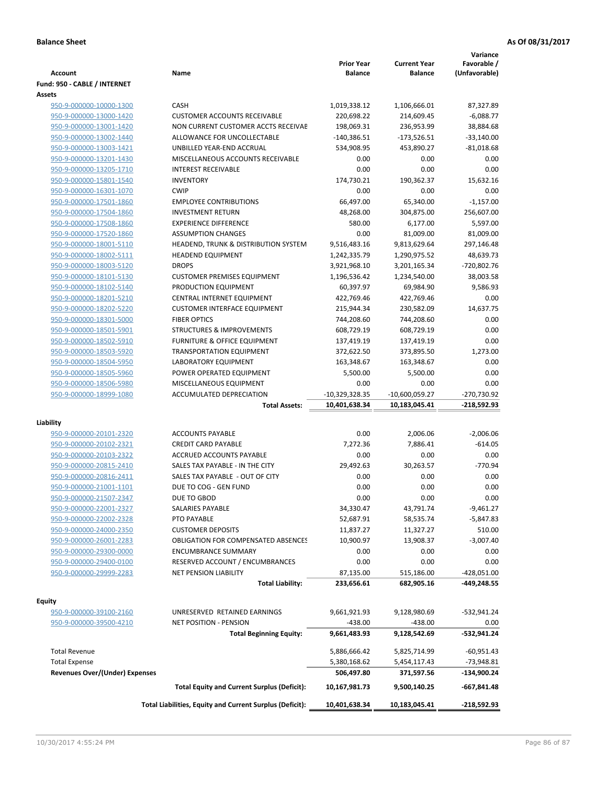| <b>Account</b>                        | Name                                                     | <b>Prior Year</b><br><b>Balance</b> | <b>Current Year</b><br><b>Balance</b> | Variance<br>Favorable /<br>(Unfavorable) |
|---------------------------------------|----------------------------------------------------------|-------------------------------------|---------------------------------------|------------------------------------------|
| Fund: 950 - CABLE / INTERNET          |                                                          |                                     |                                       |                                          |
| Assets                                |                                                          |                                     |                                       |                                          |
| 950-9-000000-10000-1300               | CASH                                                     | 1,019,338.12                        | 1,106,666.01                          | 87,327.89                                |
| 950-9-000000-13000-1420               | <b>CUSTOMER ACCOUNTS RECEIVABLE</b>                      | 220,698.22                          | 214,609.45                            | $-6,088.77$                              |
| 950-9-000000-13001-1420               | NON CURRENT CUSTOMER ACCTS RECEIVAE                      | 198,069.31                          | 236,953.99                            | 38,884.68                                |
| 950-9-000000-13002-1440               | ALLOWANCE FOR UNCOLLECTABLE                              | $-140,386.51$                       | $-173,526.51$                         | $-33,140.00$                             |
| 950-9-000000-13003-1421               | UNBILLED YEAR-END ACCRUAL                                | 534,908.95                          | 453,890.27                            | $-81,018.68$                             |
| 950-9-000000-13201-1430               | MISCELLANEOUS ACCOUNTS RECEIVABLE                        | 0.00                                | 0.00                                  | 0.00                                     |
| 950-9-000000-13205-1710               | <b>INTEREST RECEIVABLE</b>                               | 0.00                                | 0.00                                  | 0.00                                     |
| 950-9-000000-15801-1540               | <b>INVENTORY</b>                                         | 174,730.21                          | 190,362.37                            | 15,632.16                                |
| 950-9-000000-16301-1070               | <b>CWIP</b>                                              | 0.00                                | 0.00                                  | 0.00                                     |
| 950-9-000000-17501-1860               | <b>EMPLOYEE CONTRIBUTIONS</b>                            | 66,497.00                           | 65,340.00                             | $-1,157.00$                              |
| 950-9-000000-17504-1860               | <b>INVESTMENT RETURN</b>                                 | 48,268.00                           | 304,875.00                            | 256,607.00                               |
| 950-9-000000-17508-1860               | <b>EXPERIENCE DIFFERENCE</b>                             | 580.00                              | 6,177.00                              | 5,597.00                                 |
| 950-9-000000-17520-1860               | <b>ASSUMPTION CHANGES</b>                                | 0.00                                | 81,009.00                             | 81,009.00                                |
| 950-9-000000-18001-5110               | HEADEND, TRUNK & DISTRIBUTION SYSTEM                     | 9,516,483.16                        | 9,813,629.64                          | 297,146.48                               |
| 950-9-000000-18002-5111               | <b>HEADEND EQUIPMENT</b>                                 | 1,242,335.79                        | 1,290,975.52                          | 48,639.73                                |
| 950-9-000000-18003-5120               | <b>DROPS</b>                                             | 3,921,968.10                        | 3,201,165.34                          | -720,802.76                              |
| 950-9-000000-18101-5130               | <b>CUSTOMER PREMISES EQUIPMENT</b>                       | 1,196,536.42                        | 1,234,540.00                          | 38,003.58                                |
| 950-9-000000-18102-5140               | PRODUCTION EQUIPMENT                                     | 60,397.97                           | 69,984.90                             | 9,586.93                                 |
| 950-9-000000-18201-5210               | CENTRAL INTERNET EQUIPMENT                               | 422,769.46                          | 422,769.46                            | 0.00                                     |
| 950-9-000000-18202-5220               | <b>CUSTOMER INTERFACE EQUIPMENT</b>                      | 215,944.34                          | 230,582.09                            | 14,637.75                                |
| 950-9-000000-18301-5000               | <b>FIBER OPTICS</b>                                      | 744,208.60                          | 744,208.60                            | 0.00                                     |
| 950-9-000000-18501-5901               | <b>STRUCTURES &amp; IMPROVEMENTS</b>                     | 608,729.19                          | 608,729.19                            | 0.00                                     |
| 950-9-000000-18502-5910               | <b>FURNITURE &amp; OFFICE EQUIPMENT</b>                  | 137,419.19                          | 137,419.19                            | 0.00                                     |
| 950-9-000000-18503-5920               | <b>TRANSPORTATION EQUIPMENT</b>                          | 372,622.50                          | 373,895.50                            | 1,273.00                                 |
| 950-9-000000-18504-5950               | LABORATORY EQUIPMENT                                     | 163,348.67                          | 163,348.67                            | 0.00                                     |
| 950-9-000000-18505-5960               | POWER OPERATED EQUIPMENT                                 | 5,500.00                            | 5,500.00                              | 0.00                                     |
| 950-9-000000-18506-5980               | MISCELLANEOUS EQUIPMENT                                  | 0.00                                | 0.00                                  | 0.00                                     |
| 950-9-000000-18999-1080               | <b>ACCUMULATED DEPRECIATION</b>                          | $-10,329,328.35$                    | $-10,600,059.27$                      | -270,730.92                              |
|                                       | <b>Total Assets:</b>                                     | 10,401,638.34                       | 10,183,045.41                         | $-218,592.93$                            |
| Liability                             |                                                          |                                     |                                       |                                          |
| 950-9-000000-20101-2320               | <b>ACCOUNTS PAYABLE</b>                                  | 0.00                                | 2,006.06                              | $-2,006.06$                              |
| 950-9-000000-20102-2321               | <b>CREDIT CARD PAYABLE</b>                               | 7,272.36                            | 7,886.41                              | $-614.05$                                |
| 950-9-000000-20103-2322               | ACCRUED ACCOUNTS PAYABLE                                 | 0.00                                | 0.00                                  | 0.00                                     |
| 950-9-000000-20815-2410               | SALES TAX PAYABLE - IN THE CITY                          | 29,492.63                           | 30,263.57                             | $-770.94$                                |
| 950-9-000000-20816-2411               | SALES TAX PAYABLE - OUT OF CITY                          | 0.00                                | 0.00                                  | 0.00                                     |
| 950-9-000000-21001-1101               | DUE TO COG - GEN FUND                                    | 0.00                                | 0.00                                  | 0.00                                     |
| 950-9-000000-21507-2347               | DUE TO GBOD                                              | 0.00                                | 0.00                                  | 0.00                                     |
| 950-9-000000-22001-2327               | <b>SALARIES PAYABLE</b>                                  | 34,330.47                           | 43,791.74                             | $-9,461.27$                              |
| 950-9-000000-22002-2328               | PTO PAYABLE                                              | 52,687.91                           | 58,535.74                             | -5,847.83                                |
| 950-9-000000-24000-2350               | <b>CUSTOMER DEPOSITS</b>                                 | 11,837.27                           | 11,327.27                             | 510.00                                   |
| 950-9-000000-26001-2283               | <b>OBLIGATION FOR COMPENSATED ABSENCES</b>               | 10,900.97                           | 13,908.37                             | $-3,007.40$                              |
| 950-9-000000-29300-0000               | <b>ENCUMBRANCE SUMMARY</b>                               | 0.00                                | 0.00                                  | 0.00                                     |
| 950-9-000000-29400-0100               | RESERVED ACCOUNT / ENCUMBRANCES                          | 0.00                                | 0.00                                  | 0.00                                     |
| 950-9-000000-29999-2283               | <b>NET PENSION LIABILITY</b>                             | 87,135.00                           | 515,186.00                            | $-428,051.00$                            |
|                                       | <b>Total Liability:</b>                                  | 233,656.61                          | 682,905.16                            | -449,248.55                              |
|                                       |                                                          |                                     |                                       |                                          |
| <b>Equity</b>                         |                                                          |                                     |                                       |                                          |
| 950-9-000000-39100-2160               | UNRESERVED RETAINED EARNINGS                             | 9,661,921.93                        | 9,128,980.69                          | -532,941.24                              |
| 950-9-000000-39500-4210               | <b>NET POSITION - PENSION</b>                            | $-438.00$                           | $-438.00$                             | 0.00                                     |
|                                       | <b>Total Beginning Equity:</b>                           | 9,661,483.93                        | 9,128,542.69                          | -532,941.24                              |
| <b>Total Revenue</b>                  |                                                          | 5,886,666.42                        | 5,825,714.99                          | $-60,951.43$                             |
| <b>Total Expense</b>                  |                                                          | 5,380,168.62                        | 5,454,117.43                          | -73,948.81                               |
| <b>Revenues Over/(Under) Expenses</b> |                                                          | 506,497.80                          | 371,597.56                            | -134,900.24                              |
|                                       | <b>Total Equity and Current Surplus (Deficit):</b>       | 10,167,981.73                       | 9,500,140.25                          | $-667,841.48$                            |
|                                       | Total Liabilities, Equity and Current Surplus (Deficit): | 10,401,638.34                       | 10,183,045.41                         | -218,592.93                              |